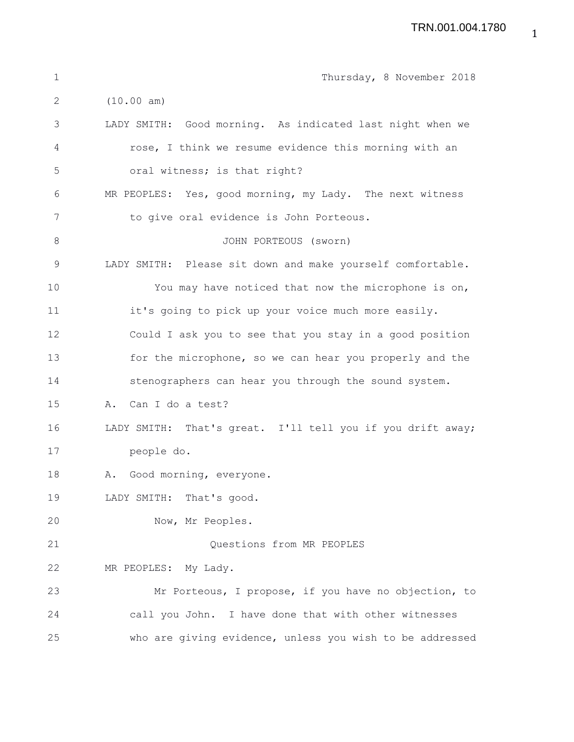| $\mathbf{1}$ | Thursday, 8 November 2018                                  |
|--------------|------------------------------------------------------------|
| 2            | (10.00 am)                                                 |
| 3            | LADY SMITH: Good morning. As indicated last night when we  |
| 4            | rose, I think we resume evidence this morning with an      |
| 5            | oral witness; is that right?                               |
| 6            | MR PEOPLES: Yes, good morning, my Lady. The next witness   |
| 7            | to give oral evidence is John Porteous.                    |
| 8            | JOHN PORTEOUS (sworn)                                      |
| $\mathsf 9$  | LADY SMITH: Please sit down and make yourself comfortable. |
| 10           | You may have noticed that now the microphone is on,        |
| 11           | it's going to pick up your voice much more easily.         |
| 12           | Could I ask you to see that you stay in a good position    |
| 13           | for the microphone, so we can hear you properly and the    |
| 14           | stenographers can hear you through the sound system.       |
| 15           | Can I do a test?<br>Α.                                     |
| 16           | LADY SMITH: That's great. I'll tell you if you drift away; |
| 17           | people do.                                                 |
| 18           | A. Good morning, everyone.                                 |
| 19           | LADY SMITH: That's good.                                   |
| 20           | Now, Mr Peoples.                                           |
| 21           | Questions from MR PEOPLES                                  |
| 22           | MR PEOPLES: My Lady.                                       |
| 23           | Mr Porteous, I propose, if you have no objection, to       |
| 24           | call you John. I have done that with other witnesses       |
| 25           | who are giving evidence, unless you wish to be addressed   |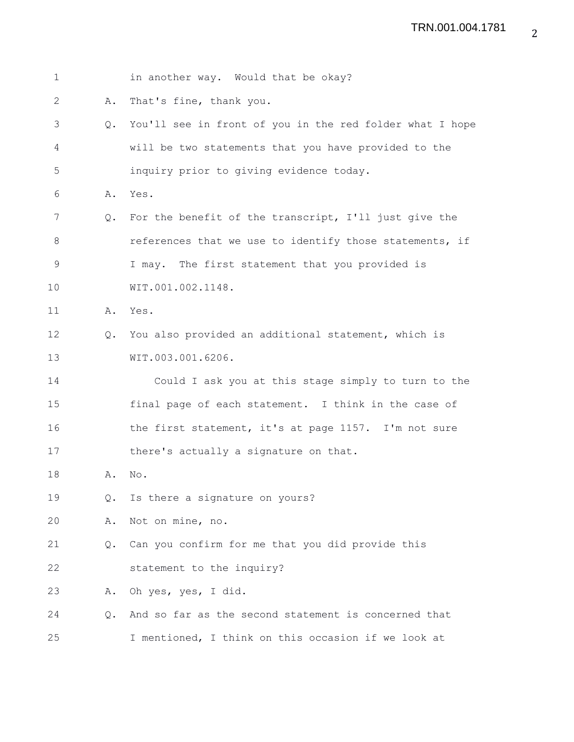| $\mathbf{1}$ |               | in another way. Would that be okay?                      |
|--------------|---------------|----------------------------------------------------------|
| 2            | Α.            | That's fine, thank you.                                  |
| 3            | $Q_{\bullet}$ | You'll see in front of you in the red folder what I hope |
| 4            |               | will be two statements that you have provided to the     |
| 5            |               | inquiry prior to giving evidence today.                  |
| 6            | Α.            | Yes.                                                     |
| 7            | $Q_{\bullet}$ | For the benefit of the transcript, I'll just give the    |
| 8            |               | references that we use to identify those statements, if  |
| 9            |               | I may. The first statement that you provided is          |
| 10           |               | WIT.001.002.1148.                                        |
| 11           |               | A. Yes.                                                  |
| 12           | $Q_{\bullet}$ | You also provided an additional statement, which is      |
| 13           |               | WIT.003.001.6206.                                        |
| 14           |               | Could I ask you at this stage simply to turn to the      |
| 15           |               | final page of each statement. I think in the case of     |
| 16           |               | the first statement, it's at page 1157. I'm not sure     |
| 17           |               | there's actually a signature on that.                    |
| 18           | Α.            | No.                                                      |
| 19           | Q.            | Is there a signature on yours?                           |
| 20           | Α.            | Not on mine, no.                                         |
| 21           | $Q_{\bullet}$ | Can you confirm for me that you did provide this         |
| 22           |               | statement to the inquiry?                                |
| 23           | Α.            | Oh yes, yes, I did.                                      |
| 24           | $Q_{\bullet}$ | And so far as the second statement is concerned that     |
| 25           |               | I mentioned, I think on this occasion if we look at      |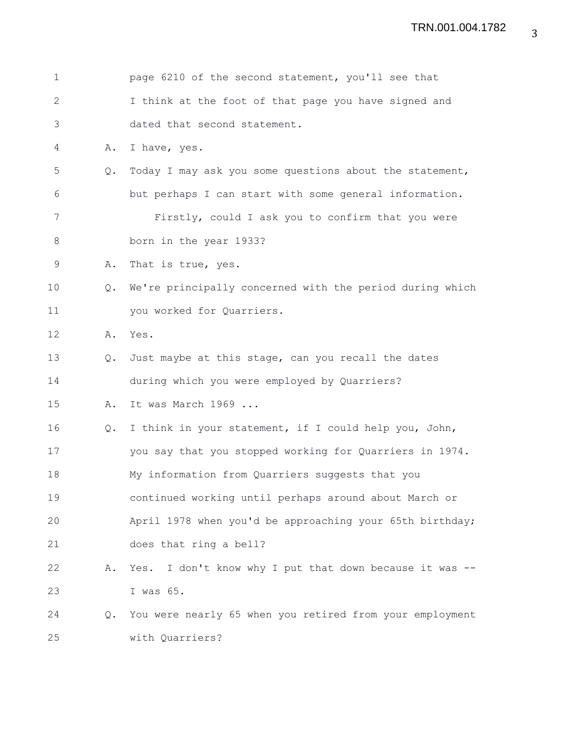| $\mathbf 1$  |               | page 6210 of the second statement, you'll see that         |
|--------------|---------------|------------------------------------------------------------|
| $\mathbf{2}$ |               | I think at the foot of that page you have signed and       |
| 3            |               | dated that second statement.                               |
| 4            | Α.            | I have, yes.                                               |
| 5            | Q.            | Today I may ask you some questions about the statement,    |
| 6            |               | but perhaps I can start with some general information.     |
| 7            |               | Firstly, could I ask you to confirm that you were          |
| 8            |               | born in the year 1933?                                     |
| 9            | Α.            | That is true, yes.                                         |
| 10           | $Q_{\bullet}$ | We're principally concerned with the period during which   |
| 11           |               | you worked for Quarriers.                                  |
| 12           | Α.            | Yes.                                                       |
| 13           | $Q_{\bullet}$ | Just maybe at this stage, can you recall the dates         |
| 14           |               | during which you were employed by Quarriers?               |
| 15           | Α.            | It was March 1969                                          |
| 16           | Q.            | I think in your statement, if I could help you, John,      |
| 17           |               | you say that you stopped working for Quarriers in 1974.    |
| 18           |               | My information from Quarriers suggests that you            |
| 19           |               | continued working until perhaps around about March or      |
| 20           |               | April 1978 when you'd be approaching your 65th birthday;   |
| 21           |               | does that ring a bell?                                     |
| 22           | Α.            | I don't know why I put that down because it was --<br>Yes. |
| 23           |               | I was 65.                                                  |
| 24           | $Q_{\bullet}$ | You were nearly 65 when you retired from your employment   |
| 25           |               | with Quarriers?                                            |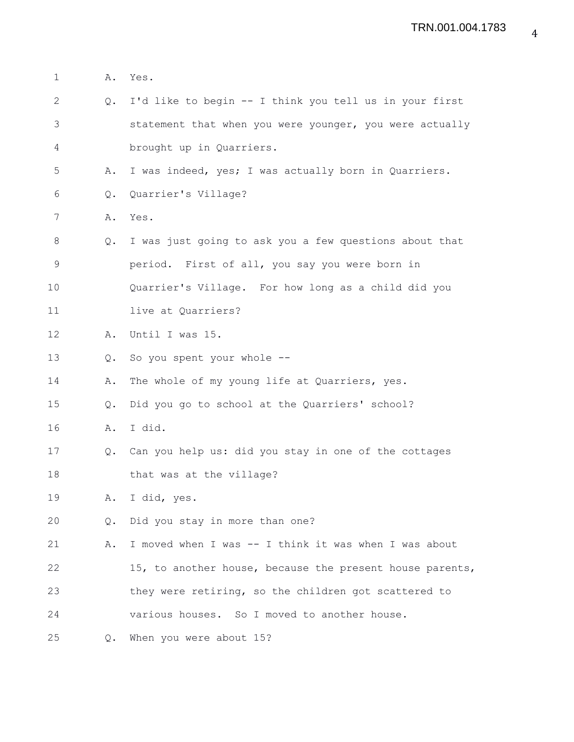| $\mathbf 1$  | Α.             | Yes.                                                     |
|--------------|----------------|----------------------------------------------------------|
| $\mathbf{2}$ | $Q_{\bullet}$  | I'd like to begin -- I think you tell us in your first   |
| 3            |                | statement that when you were younger, you were actually  |
| 4            |                | brought up in Quarriers.                                 |
| 5            | Α.             | I was indeed, yes; I was actually born in Quarriers.     |
| 6            | $\mathsf{Q}$ . | Quarrier's Village?                                      |
| 7            | Α.             | Yes.                                                     |
| 8            | Q.             | I was just going to ask you a few questions about that   |
| 9            |                | period. First of all, you say you were born in           |
| 10           |                | Quarrier's Village. For how long as a child did you      |
| 11           |                | live at Quarriers?                                       |
| 12           | Α.             | Until I was 15.                                          |
| 13           | $Q_{\bullet}$  | So you spent your whole --                               |
| 14           | Α.             | The whole of my young life at Quarriers, yes.            |
| 15           | Q.             | Did you go to school at the Quarriers' school?           |
| 16           | Α.             | I did.                                                   |
| 17           |                | Q. Can you help us: did you stay in one of the cottages  |
| 18           |                | that was at the village?                                 |
| 19           | Α.             | I did, yes.                                              |
| 20           | Q.             | Did you stay in more than one?                           |
| 21           | Α.             | I moved when I was -- I think it was when I was about    |
| 22           |                | 15, to another house, because the present house parents, |
| 23           |                | they were retiring, so the children got scattered to     |
| 24           |                | various houses. So I moved to another house.             |
| 25           | $Q_{\bullet}$  | When you were about 15?                                  |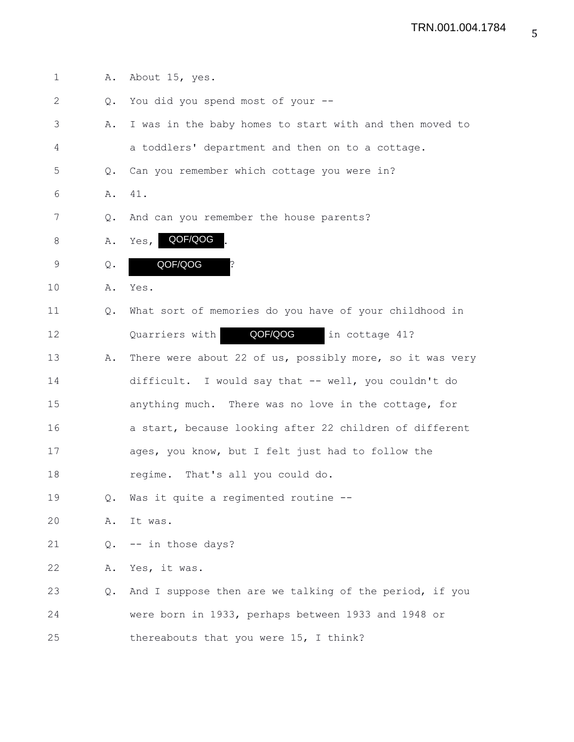| $\mathbf 1$ | Α.             | About 15, yes.                                           |
|-------------|----------------|----------------------------------------------------------|
| 2           | Q.             | You did you spend most of your --                        |
| 3           | Α.             | I was in the baby homes to start with and then moved to  |
| 4           |                | a toddlers' department and then on to a cottage.         |
| 5           | Q.             | Can you remember which cottage you were in?              |
| 6           | Α.             | 41.                                                      |
| 7           | Q.             | And can you remember the house parents?                  |
| 8           | Α.             | Yes, QOF/QOG                                             |
| $\mathsf 9$ | $\mathsf{Q}$ . | QOF/QOG                                                  |
| 10          | Α.             | Yes.                                                     |
| 11          | Q.             | What sort of memories do you have of your childhood in   |
| 12          |                | QOF/QOG in cottage 41?<br>Quarriers with                 |
| 13          | Α.             | There were about 22 of us, possibly more, so it was very |
| 14          |                | difficult. I would say that -- well, you couldn't do     |
| 15          |                | anything much. There was no love in the cottage, for     |
| 16          |                | a start, because looking after 22 children of different  |
| 17          |                | ages, you know, but I felt just had to follow the        |
| 18          |                | That's all you could do.<br>regime.                      |
| 19          | Q.             | Was it quite a regimented routine --                     |
| 20          | Α.             | It was.                                                  |
| 21          | Q.             | -- in those days?                                        |
| 22          | Α.             | Yes, it was.                                             |
| 23          | Q.             | And I suppose then are we talking of the period, if you  |
| 24          |                | were born in 1933, perhaps between 1933 and 1948 or      |
| 25          |                | thereabouts that you were 15, I think?                   |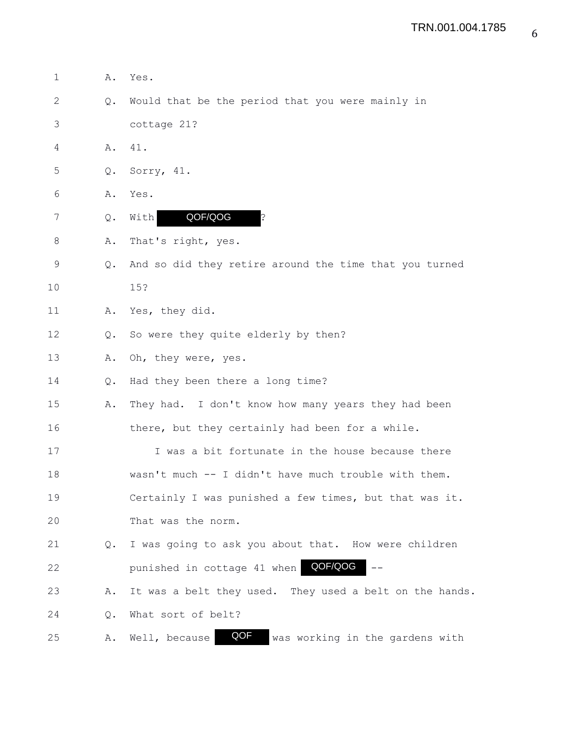| $\mathbf 1$  | Α. | Yes.                                                    |
|--------------|----|---------------------------------------------------------|
| $\mathbf{2}$ | Q. | Would that be the period that you were mainly in        |
| 3            |    | cottage 21?                                             |
| 4            | Α. | 41.                                                     |
| 5            | Q. | Sorry, 41.                                              |
| 6            | Α. | Yes.                                                    |
| 7            | Q. | QOF/QOG<br>With<br>?                                    |
| 8            | Α. | That's right, yes.                                      |
| 9            | Q. | And so did they retire around the time that you turned  |
| 10           |    | 15?                                                     |
| 11           | Α. | Yes, they did.                                          |
| 12           | Q. | So were they quite elderly by then?                     |
| 13           | Α. | Oh, they were, yes.                                     |
| 14           | Q. | Had they been there a long time?                        |
| 15           | Α. | They had. I don't know how many years they had been     |
| 16           |    | there, but they certainly had been for a while.         |
| 17           |    | I was a bit fortunate in the house because there        |
| 18           |    | wasn't much -- I didn't have much trouble with them.    |
| 19           |    | Certainly I was punished a few times, but that was it.  |
| 20           |    | That was the norm.                                      |
| 21           | Q. | I was going to ask you about that. How were children    |
| 22           |    | QOF/QOG<br>punished in cottage 41 when                  |
| 23           | Α. | It was a belt they used. They used a belt on the hands. |
| 24           | Q. | What sort of belt?                                      |
| 25           | Α. | QOF<br>was working in the gardens with<br>Well, because |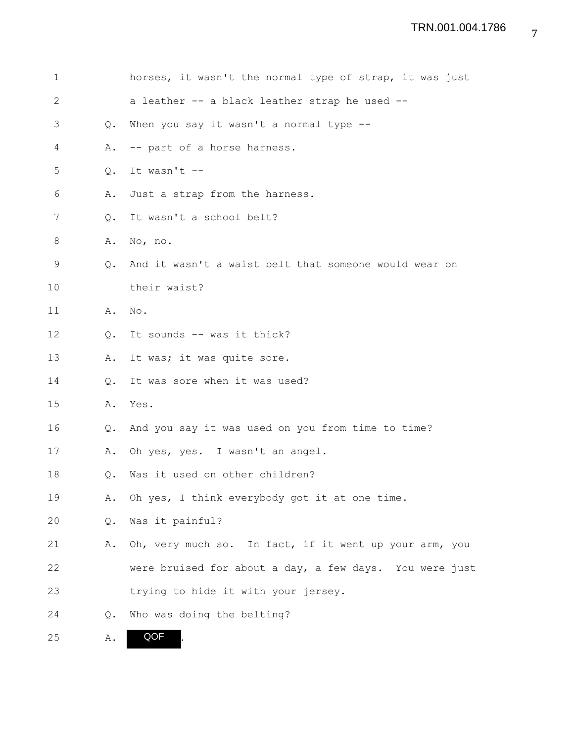| 1            |               | horses, it wasn't the normal type of strap, it was just |
|--------------|---------------|---------------------------------------------------------|
| $\mathbf{2}$ |               | a leather -- a black leather strap he used --           |
| 3            | $Q_{\bullet}$ | When you say it wasn't a normal type --                 |
| 4            | Α.            | -- part of a horse harness.                             |
| 5            | Q.            | It wasn't --                                            |
| 6            | Α.            | Just a strap from the harness.                          |
| 7            | $Q_{\bullet}$ | It wasn't a school belt?                                |
| 8            | Α.            | No, no.                                                 |
| 9            | $Q_{\bullet}$ | And it wasn't a waist belt that someone would wear on   |
| 10           |               | their waist?                                            |
| 11           | Α.            | No.                                                     |
| 12           | $\circ$ .     | It sounds -- was it thick?                              |
| 13           | Α.            | It was; it was quite sore.                              |
| 14           | Q.            | It was sore when it was used?                           |
| 15           | Α.            | Yes.                                                    |
| 16           | Q.            | And you say it was used on you from time to time?       |
| 17           | Α.            | Oh yes, yes. I wasn't an angel.                         |
| 18           | Q.            | Was it used on other children?                          |
| 19           | Α.            | Oh yes, I think everybody got it at one time.           |
| 20           | Q.            | Was it painful?                                         |
| 21           | Α.            | Oh, very much so. In fact, if it went up your arm, you  |
| 22           |               | were bruised for about a day, a few days. You were just |
| 23           |               | trying to hide it with your jersey.                     |
| 24           | Q.            | Who was doing the belting?                              |
| 25           | Α.            | QOF                                                     |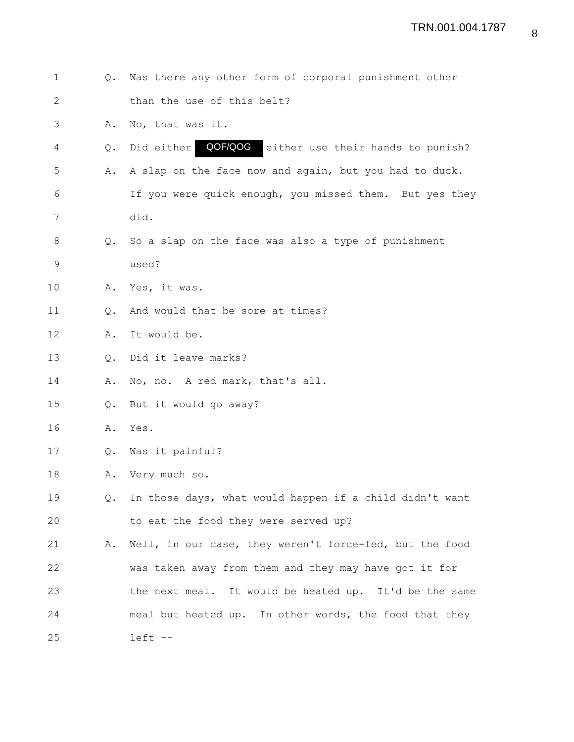| $\mathbf 1$  | Q. | Was there any other form of corporal punishment other      |
|--------------|----|------------------------------------------------------------|
| $\mathbf{2}$ |    | than the use of this belt?                                 |
| 3            | Α. | No, that was it.                                           |
| 4            | Q. | QOF/QOG<br>either use their hands to punish?<br>Did either |
| 5            | Α. | A slap on the face now and again, but you had to duck.     |
| 6            |    | If you were quick enough, you missed them. But yes they    |
| 7            |    | did.                                                       |
| $\,8\,$      |    | Q. So a slap on the face was also a type of punishment     |
| $\mathsf 9$  |    | used?                                                      |
| 10           | Α. | Yes, it was.                                               |
| 11           | Q. | And would that be sore at times?                           |
| 12           | Α. | It would be.                                               |
| 13           | Q. | Did it leave marks?                                        |
| 14           | Α. | No, no. A red mark, that's all.                            |
| 15           | Q. | But it would go away?                                      |
| 16           | Α. | Yes.                                                       |
| 17           | Q. | Was it painful?                                            |
| 18           | Α. | Very much so.                                              |
| 19           | Q. | In those days, what would happen if a child didn't want    |
| 20           |    | to eat the food they were served up?                       |
| 21           | Α. | Well, in our case, they weren't force-fed, but the food    |
| 22           |    | was taken away from them and they may have got it for      |
| 23           |    | the next meal. It would be heated up. It'd be the same     |
| 24           |    | meal but heated up. In other words, the food that they     |
| 25           |    | left --                                                    |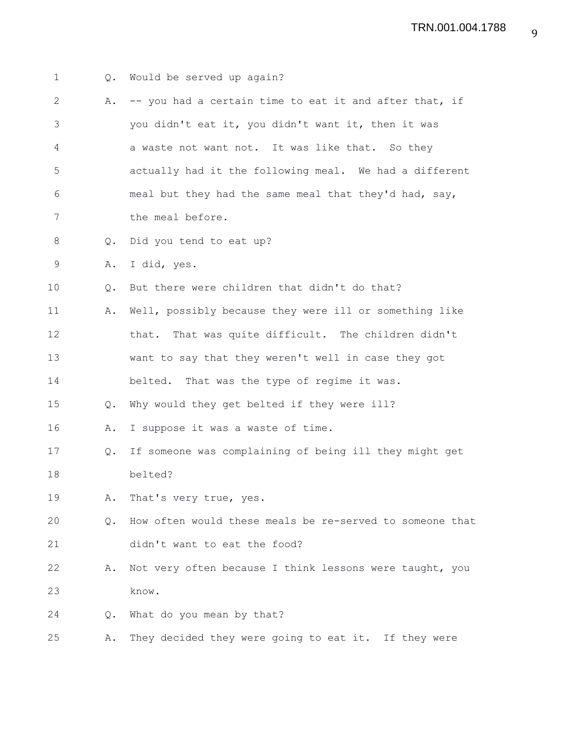1 Q. Would be served up again? 2 A. -- you had a certain time to eat it and after that, if 3 you didn't eat it, you didn't want it, then it was 4 a waste not want not. It was like that. So they 5 actually had it the following meal. We had a different 6 meal but they had the same meal that they'd had, say, 7 the meal before. 8 Q. Did you tend to eat up? 9 A. I did, yes. 10 Q. But there were children that didn't do that? 11 A. Well, possibly because they were ill or something like 12 that. That was quite difficult. The children didn't 13 want to say that they weren't well in case they got 14 belted. That was the type of regime it was. 15 Q. Why would they get belted if they were ill? 16 A. I suppose it was a waste of time. 17 Q. If someone was complaining of being ill they might get 18 belted? 19 A. That's very true, yes. 20 Q. How often would these meals be re-served to someone that 21 didn't want to eat the food? 22 A. Not very often because I think lessons were taught, you 23 know. 24 Q. What do you mean by that? 25 A. They decided they were going to eat it. If they were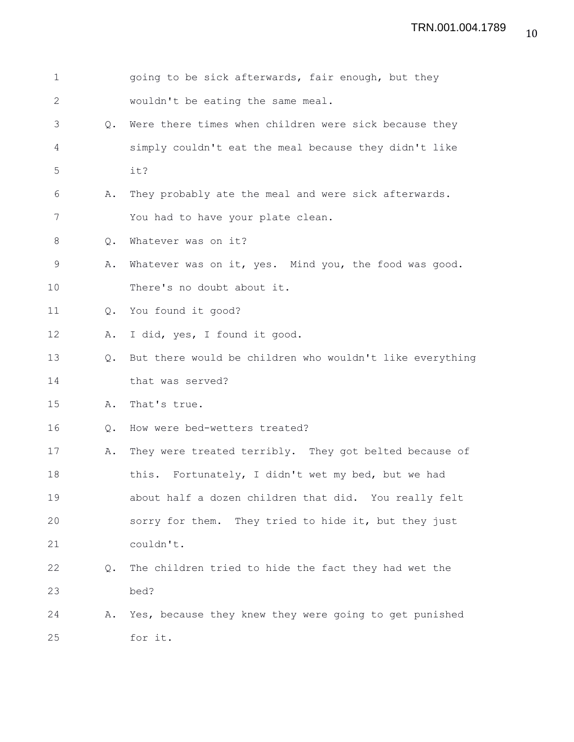| $\mathbf 1$  |               | going to be sick afterwards, fair enough, but they       |
|--------------|---------------|----------------------------------------------------------|
| $\mathbf{2}$ |               | wouldn't be eating the same meal.                        |
| 3            | $Q_{\bullet}$ | Were there times when children were sick because they    |
| 4            |               | simply couldn't eat the meal because they didn't like    |
| 5            |               | it?                                                      |
| 6            | Α.            | They probably ate the meal and were sick afterwards.     |
| 7            |               | You had to have your plate clean.                        |
| 8            | Q.            | Whatever was on it?                                      |
| $\mathsf 9$  | Α.            | Whatever was on it, yes. Mind you, the food was good.    |
| 10           |               | There's no doubt about it.                               |
| 11           | Q.            | You found it good?                                       |
| 12           | Α.            | I did, yes, I found it good.                             |
| 13           | $Q_{\bullet}$ | But there would be children who wouldn't like everything |
| 14           |               | that was served?                                         |
| 15           | Α.            | That's true.                                             |
| 16           | Q.            | How were bed-wetters treated?                            |
| 17           | Α.            | They were treated terribly. They got belted because of   |
| 18           |               | this. Fortunately, I didn't wet my bed, but we had       |
| 19           |               | about half a dozen children that did. You really felt    |
| 20           |               | sorry for them. They tried to hide it, but they just     |
| 21           |               | couldn't.                                                |
| 22           | $Q_{\bullet}$ | The children tried to hide the fact they had wet the     |
| 23           |               | bed?                                                     |
| 24           | Α.            | Yes, because they knew they were going to get punished   |
| 25           |               | for it.                                                  |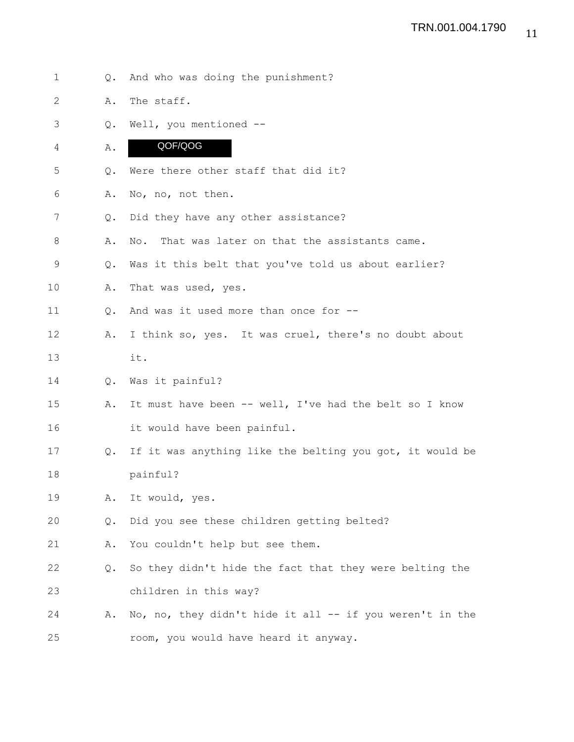1 Q. And who was doing the punishment? 2 A. The staff. 3 Q. Well, you mentioned -- 4 A. 5 Q. Were there other staff that did it? 6 A. No, no, not then. 7 Q. Did they have any other assistance? 8 A. No. That was later on that the assistants came. 9 Q. Was it this belt that you've told us about earlier? 10 A. That was used, yes. 11 Q. And was it used more than once for -- 12 A. I think so, yes. It was cruel, there's no doubt about 13 it. 14 Q. Was it painful? 15 A. It must have been -- well, I've had the belt so I know 16 it would have been painful. 17 Q. If it was anything like the belting you got, it would be 18 painful? 19 A. It would, yes. 20 Q. Did you see these children getting belted? 21 A. You couldn't help but see them. 22 Q. So they didn't hide the fact that they were belting the 23 children in this way? 24 A. No, no, they didn't hide it all -- if you weren't in the 25 room, you would have heard it anyway. QOF/QOG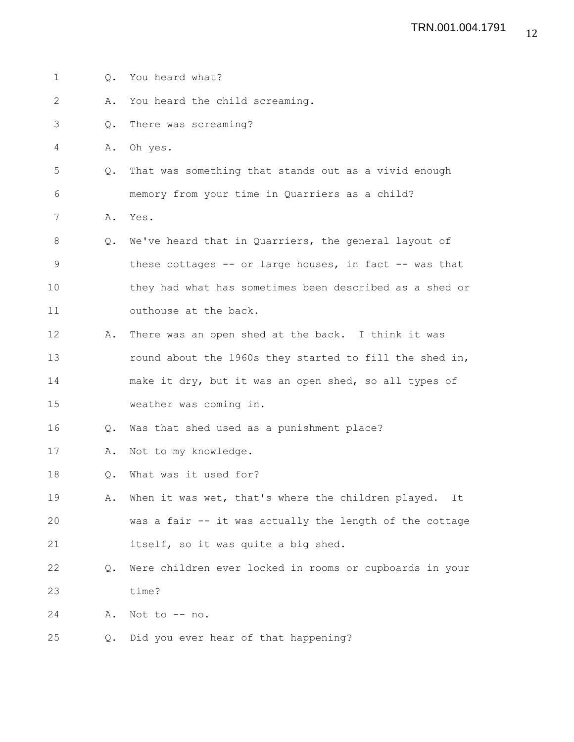| 1  | Q.            | You heard what?                                          |
|----|---------------|----------------------------------------------------------|
| 2  | Α.            | You heard the child screaming.                           |
| 3  | $Q_{\bullet}$ | There was screaming?                                     |
| 4  | Α.            | Oh yes.                                                  |
| 5  | Q.            | That was something that stands out as a vivid enough     |
| 6  |               | memory from your time in Quarriers as a child?           |
| 7  | Α.            | Yes.                                                     |
| 8  | Q.            | We've heard that in Quarriers, the general layout of     |
| 9  |               | these cottages -- or large houses, in fact -- was that   |
| 10 |               | they had what has sometimes been described as a shed or  |
| 11 |               | outhouse at the back.                                    |
| 12 | Α.            | There was an open shed at the back. I think it was       |
| 13 |               | round about the 1960s they started to fill the shed in,  |
| 14 |               | make it dry, but it was an open shed, so all types of    |
| 15 |               | weather was coming in.                                   |
| 16 | $Q_{\bullet}$ | Was that shed used as a punishment place?                |
| 17 | Α.            | Not to my knowledge.                                     |
| 18 | Q.            | What was it used for?                                    |
| 19 | Α.            | When it was wet, that's where the children played.<br>It |
| 20 |               | was a fair -- it was actually the length of the cottage  |
| 21 |               | itself, so it was quite a big shed.                      |
| 22 | $Q_{\bullet}$ | Were children ever locked in rooms or cupboards in your  |
| 23 |               | time?                                                    |
| 24 | Α.            | Not to -- no.                                            |
| 25 | Q.            | Did you ever hear of that happening?                     |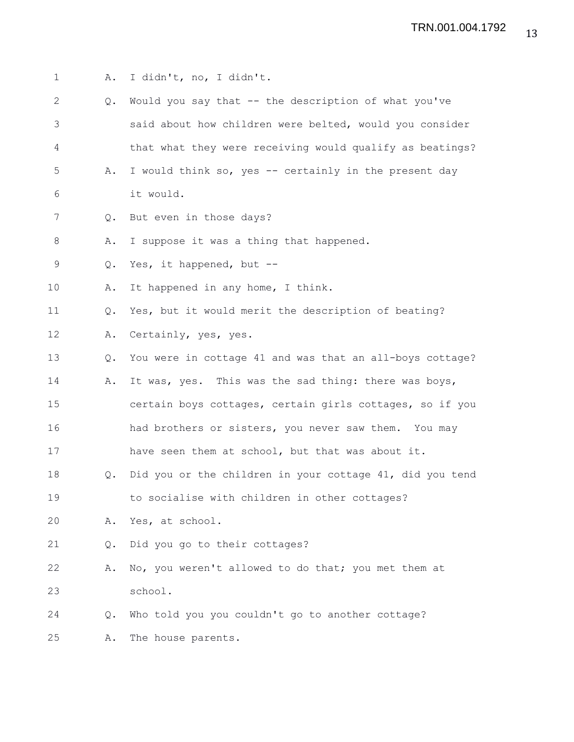1 A. I didn't, no, I didn't. 2 Q. Would you say that -- the description of what you've 3 said about how children were belted, would you consider 4 that what they were receiving would qualify as beatings? 5 A. I would think so, yes -- certainly in the present day 6 it would. 7 Q. But even in those days? 8 A. I suppose it was a thing that happened. 9 Q. Yes, it happened, but -- 10 A. It happened in any home, I think. 11 Q. Yes, but it would merit the description of beating? 12 A. Certainly, yes, yes. 13 Q. You were in cottage 41 and was that an all-boys cottage? 14 A. It was, yes. This was the sad thing: there was boys, 15 certain boys cottages, certain girls cottages, so if you 16 had brothers or sisters, you never saw them. You may 17 have seen them at school, but that was about it. 18 Q. Did you or the children in your cottage 41, did you tend 19 to socialise with children in other cottages? 20 A. Yes, at school. 21 Q. Did you go to their cottages? 22 A. No, you weren't allowed to do that; you met them at 23 school. 24 Q. Who told you you couldn't go to another cottage? 25 A. The house parents.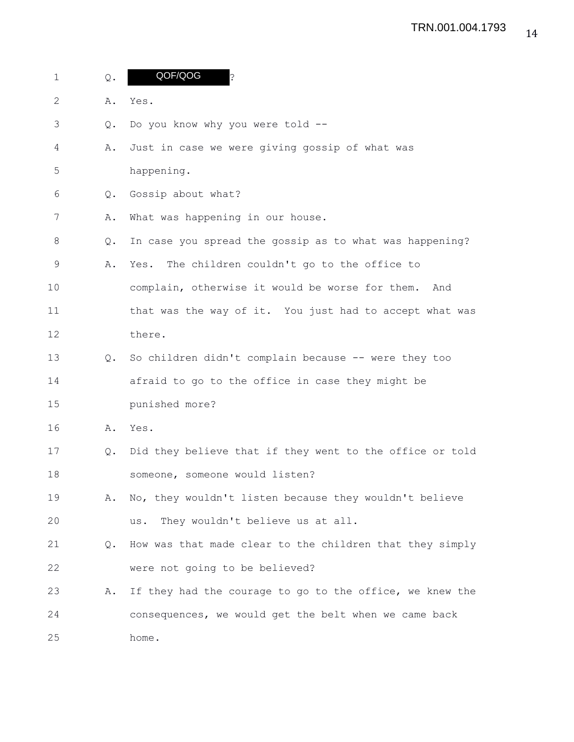| $\mathbf{1}$ | Q.            | QOF/QOG<br>د.<br>•                                       |
|--------------|---------------|----------------------------------------------------------|
| 2            | Α.            | Yes.                                                     |
| 3            | $Q_{\bullet}$ | Do you know why you were told --                         |
| 4            | Α.            | Just in case we were giving gossip of what was           |
| 5            |               | happening.                                               |
| 6            | Q.            | Gossip about what?                                       |
| 7            | Α.            | What was happening in our house.                         |
| 8            | Q.            | In case you spread the gossip as to what was happening?  |
| 9            | Α.            | The children couldn't go to the office to<br>Yes.        |
| 10           |               | complain, otherwise it would be worse for them.<br>And   |
| 11           |               | that was the way of it. You just had to accept what was  |
| 12           |               | there.                                                   |
| 13           | $Q_{\bullet}$ | So children didn't complain because -- were they too     |
| 14           |               | afraid to go to the office in case they might be         |
| 15           |               | punished more?                                           |
| 16           | Α.            | Yes.                                                     |
| 17           | Q.            | Did they believe that if they went to the office or told |
| 18           |               | someone, someone would listen?                           |
| 19           | Α.            | No, they wouldn't listen because they wouldn't believe   |
| 20           |               | They wouldn't believe us at all.<br>us.                  |
| 21           | Q.            | How was that made clear to the children that they simply |
| 22           |               | were not going to be believed?                           |
| 23           | Α.            | If they had the courage to go to the office, we knew the |
| 24           |               | consequences, we would get the belt when we came back    |
| 25           |               | home.                                                    |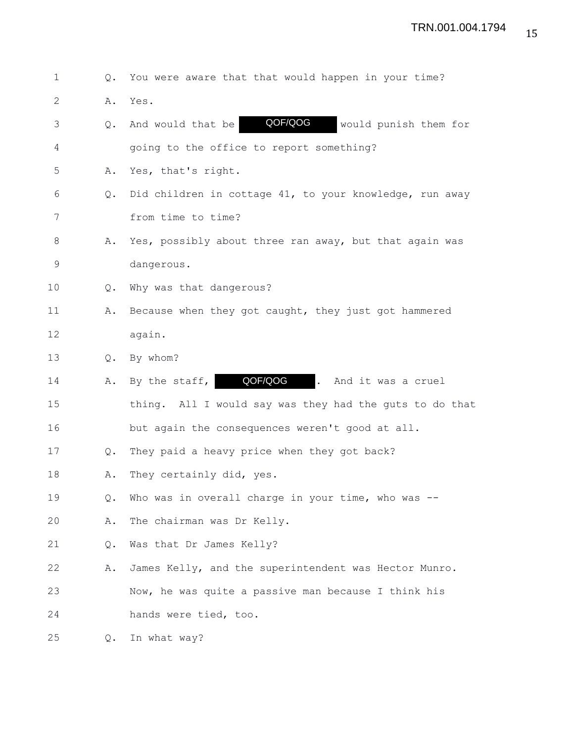1 Q. You were aware that that would happen in your time?

2 A. Yes.

3 Q. And would that be **QOF/QOG** would punish them for QOF/QOG

4 going to the office to report something?

- 5 A. Yes, that's right.
- 6 Q. Did children in cottage 41, to your knowledge, run away 7 from time to time?
- 8 A. Yes, possibly about three ran away, but that again was 9 dangerous.
- 10 Q. Why was that dangerous?
- 11 A. Because when they got caught, they just got hammered 12 again.
- 13 Q. By whom?
- 14 A. By the staff, **QOF/QOG** . And it was a cruel

15 thing. All I would say was they had the guts to do that 16 but again the consequences weren't good at all.

- 
- 17 Q. They paid a heavy price when they got back?
- 18 A. They certainly did, yes.
- 19 Q. Who was in overall charge in your time, who was --
- 20 A. The chairman was Dr Kelly.
- 21 Q. Was that Dr James Kelly?
- 22 A. James Kelly, and the superintendent was Hector Munro. 23 Now, he was quite a passive man because I think his
- 24 hands were tied, too.

25 Q. In what way?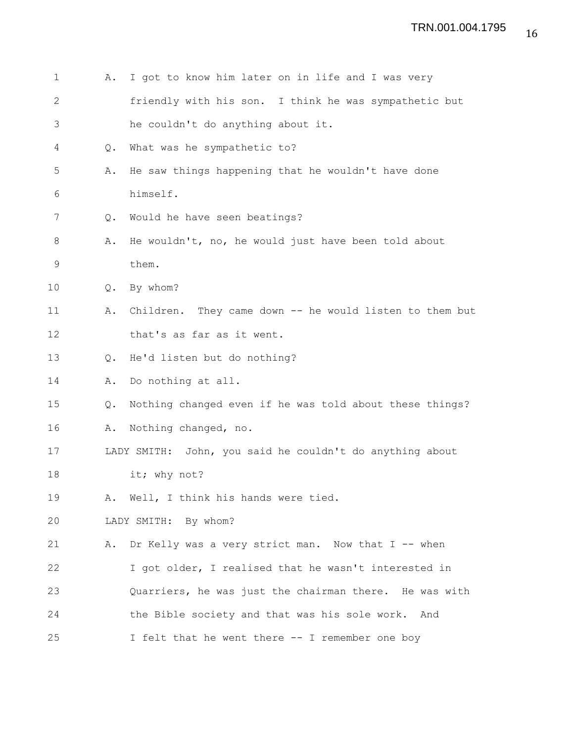1 A. I got to know him later on in life and I was very 2 friendly with his son. I think he was sympathetic but 3 he couldn't do anything about it. 4 Q. What was he sympathetic to? 5 A. He saw things happening that he wouldn't have done 6 himself. 7 Q. Would he have seen beatings? 8 A. He wouldn't, no, he would just have been told about 9 them. 10 Q. By whom? 11 A. Children. They came down -- he would listen to them but 12 that's as far as it went. 13 Q. He'd listen but do nothing? 14 A. Do nothing at all. 15 Q. Nothing changed even if he was told about these things? 16 A. Nothing changed, no. 17 LADY SMITH: John, you said he couldn't do anything about 18 it; why not? 19 A. Well, I think his hands were tied. 20 LADY SMITH: By whom? 21 A. Dr Kelly was a very strict man. Now that I -- when 22 I got older, I realised that he wasn't interested in 23 Quarriers, he was just the chairman there. He was with 24 the Bible society and that was his sole work. And 25 I felt that he went there -- I remember one boy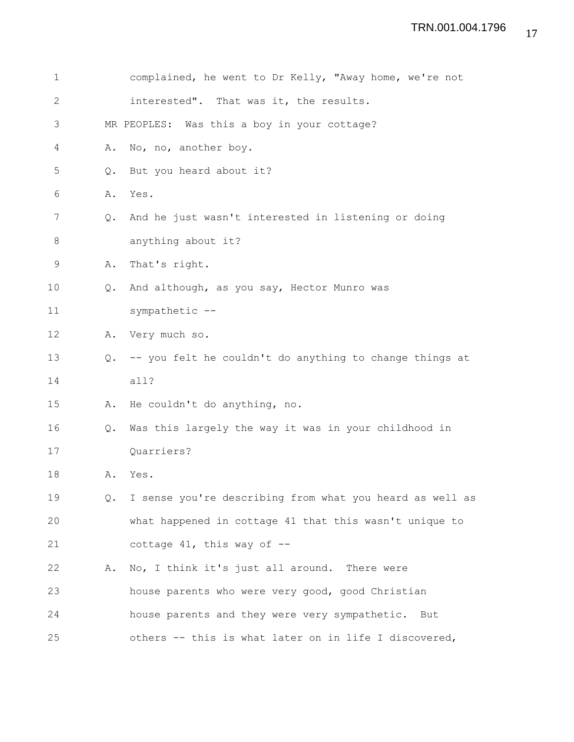| 1              |               | complained, he went to Dr Kelly, "Away home, we're not   |
|----------------|---------------|----------------------------------------------------------|
| $\mathbf{2}$   |               | interested". That was it, the results.                   |
| 3              |               | MR PEOPLES: Was this a boy in your cottage?              |
| $\overline{4}$ | Α.            | No, no, another boy.                                     |
| 5              | $Q_{\bullet}$ | But you heard about it?                                  |
| 6              | Α.            | Yes.                                                     |
| 7              | Q.            | And he just wasn't interested in listening or doing      |
| $\,8\,$        |               | anything about it?                                       |
| 9              | Α.            | That's right.                                            |
| 10             | $Q_{\bullet}$ | And although, as you say, Hector Munro was               |
| 11             |               | sympathetic --                                           |
| 12             | Α.            | Very much so.                                            |
| 13             | $Q_{\bullet}$ | -- you felt he couldn't do anything to change things at  |
| 14             |               | all?                                                     |
| 15             | Α.            | He couldn't do anything, no.                             |
| 16             | Q.            | Was this largely the way it was in your childhood in     |
| 17             |               | Quarriers?                                               |
| 18             | Α.            | Yes.                                                     |
| 19             | Q.            | I sense you're describing from what you heard as well as |
| 20             |               | what happened in cottage 41 that this wasn't unique to   |
| 21             |               | cottage $41$ , this way of $-$                           |
| 22             | Α.            | No, I think it's just all around. There were             |
| 23             |               | house parents who were very good, good Christian         |
| 24             |               | house parents and they were very sympathetic. But        |
| 25             |               | others -- this is what later on in life I discovered,    |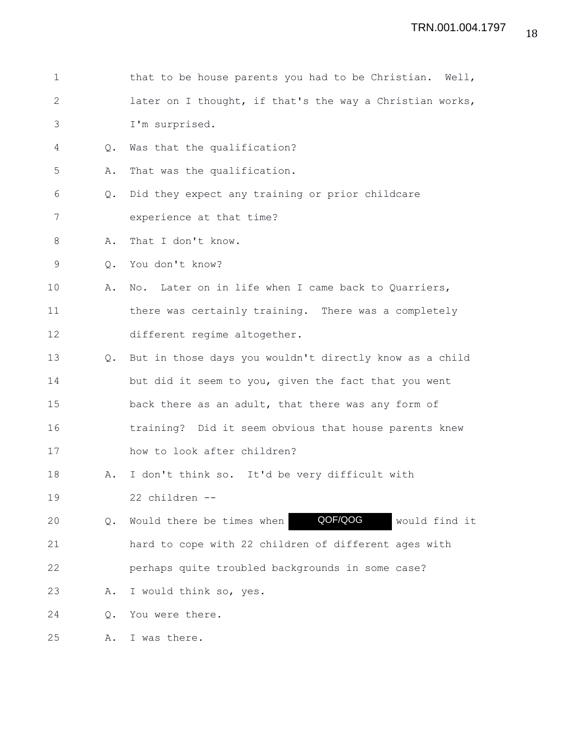| $\mathbf 1$    |               | that to be house parents you had to be Christian. Well,  |
|----------------|---------------|----------------------------------------------------------|
| $\overline{2}$ |               | later on I thought, if that's the way a Christian works, |
| 3              |               | I'm surprised.                                           |
| 4              | $Q_{\bullet}$ | Was that the qualification?                              |
| 5              | Α.            | That was the qualification.                              |
| 6              | Q.            | Did they expect any training or prior childcare          |
| 7              |               | experience at that time?                                 |
| 8              | Α.            | That I don't know.                                       |
| 9              | $\circ$ .     | You don't know?                                          |
| 10             | Α.            | No. Later on in life when I came back to Quarriers,      |
| 11             |               | there was certainly training. There was a completely     |
| 12             |               | different regime altogether.                             |
| 13             | $Q_{\bullet}$ | But in those days you wouldn't directly know as a child  |
| 14             |               | but did it seem to you, given the fact that you went     |
| 15             |               | back there as an adult, that there was any form of       |
| 16             |               | training? Did it seem obvious that house parents knew    |
| 17             |               | how to look after children?                              |
| 18             | Α.            | I don't think so. It'd be very difficult with            |
| 19             |               | 22 children --                                           |
| 20             | Q.            | QOF/QOG<br>Would there be times when<br>would find it    |
| 21             |               | hard to cope with 22 children of different ages with     |
| 22             |               | perhaps quite troubled backgrounds in some case?         |
| 23             | Α.            | I would think so, yes.                                   |
| 24             | Q.            | You were there.                                          |
| 25             | Α.            | I was there.                                             |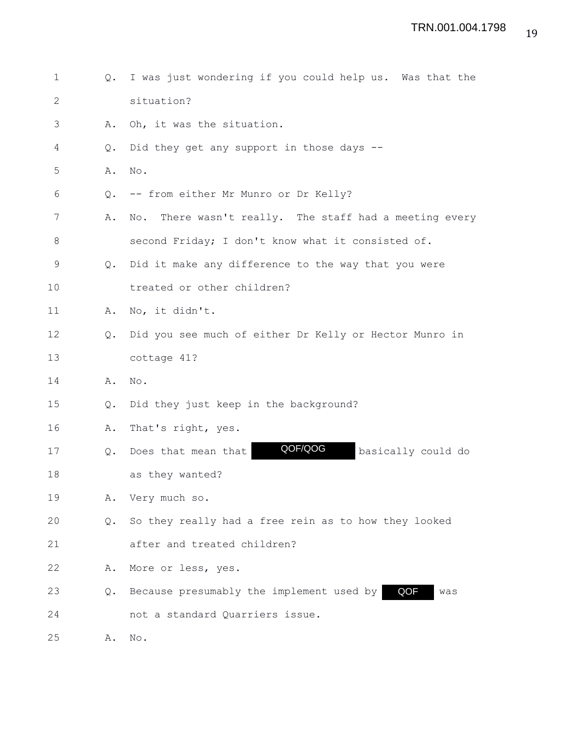1 Q. I was just wondering if you could help us. Was that the 2 situation? 3 A. Oh, it was the situation. 4 Q. Did they get any support in those days -- 5 A. No. 6 Q. -- from either Mr Munro or Dr Kelly? 7 A. No. There wasn't really. The staff had a meeting every 8 second Friday; I don't know what it consisted of. 9 Q. Did it make any difference to the way that you were 10 treated or other children? 11 A. No, it didn't. 12 Q. Did you see much of either Dr Kelly or Hector Munro in 13 cottage 41? 14 A. No. 15 Q. Did they just keep in the background? 16 A. That's right, yes. 17 Q. Does that mean that **QOF/QOG** basically could do 18 as they wanted? 19 A. Very much so. 20 Q. So they really had a free rein as to how they looked 21 after and treated children? 22 A. More or less, yes. 23 Q. Because presumably the implement used by **QOF** was 24 not a standard Quarriers issue. 25 A. No. QOF/QOG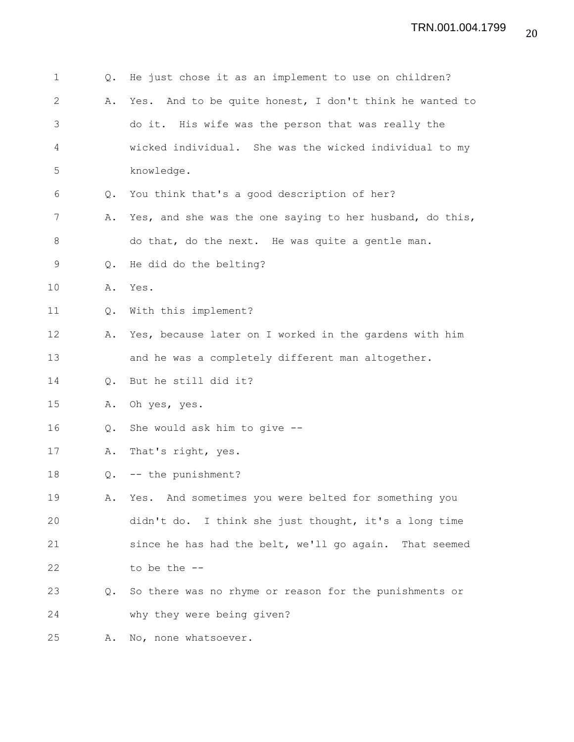| $\mathbf 1$ | Q.            | He just chose it as an implement to use on children?       |
|-------------|---------------|------------------------------------------------------------|
| 2           | Α.            | And to be quite honest, I don't think he wanted to<br>Yes. |
| 3           |               | do it. His wife was the person that was really the         |
| 4           |               | wicked individual. She was the wicked individual to my     |
| 5           |               | knowledge.                                                 |
| 6           | $Q_{\bullet}$ | You think that's a good description of her?                |
| 7           | Α.            | Yes, and she was the one saying to her husband, do this,   |
| $8\,$       |               | do that, do the next. He was quite a gentle man.           |
| 9           | Q.            | He did do the belting?                                     |
| 10          | Α.            | Yes.                                                       |
| 11          | Q.            | With this implement?                                       |
| 12          | Α.            | Yes, because later on I worked in the gardens with him     |
| 13          |               | and he was a completely different man altogether.          |
| 14          | $Q_{\bullet}$ | But he still did it?                                       |
| 15          | Α.            | Oh yes, yes.                                               |
| 16          | Q.            | She would ask him to give --                               |
| 17          | Α.            | That's right, yes.                                         |
| 18          | Q.            | -- the punishment?                                         |
| 19          | Α.            | Yes. And sometimes you were belted for something you       |
| 20          |               | didn't do. I think she just thought, it's a long time      |
| 21          |               | since he has had the belt, we'll go again. That seemed     |
| 22          |               | to be the $-$ -                                            |
| 23          | Q.            | So there was no rhyme or reason for the punishments or     |
| 24          |               | why they were being given?                                 |
|             |               |                                                            |

25 A. No, none whatsoever.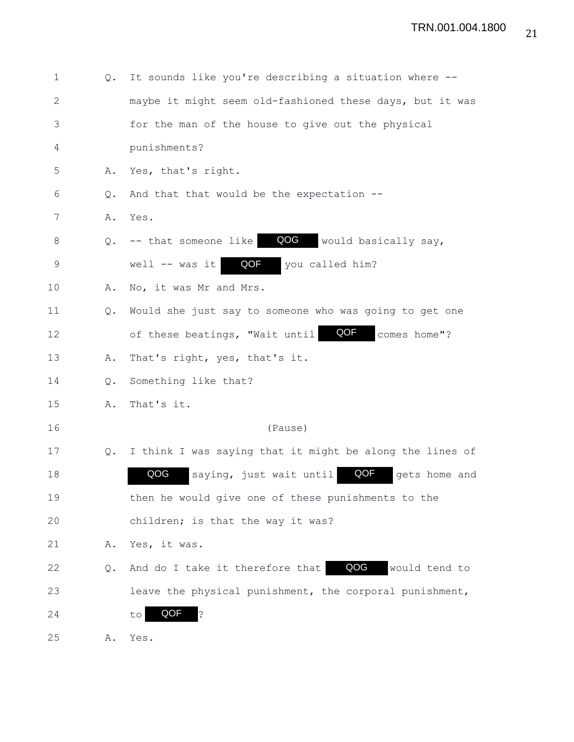| $\mathbf 1$  | Q. | It sounds like you're describing a situation where --    |
|--------------|----|----------------------------------------------------------|
| $\mathbf{2}$ |    | maybe it might seem old-fashioned these days, but it was |
| 3            |    | for the man of the house to give out the physical        |
| 4            |    | punishments?                                             |
| 5            | Α. | Yes, that's right.                                       |
| 6            | Q. | And that that would be the expectation --                |
| 7            | Α. | Yes.                                                     |
| $\,8\,$      | Q. | QOG<br>would basically say,<br>-- that someone like      |
| 9            |    | QOF<br>you called him?<br>well $--$ was it               |
| 10           | Α. | No, it was Mr and Mrs.                                   |
| 11           | Q. | Would she just say to someone who was going to get one   |
| 12           |    | QOF<br>of these beatings, "Wait until<br>comes home"?    |
| 13           | Α. | That's right, yes, that's it.                            |
| 14           | Q. | Something like that?                                     |
| 15           | Α. | That's it.                                               |
| 16           |    | (Pause)                                                  |
| 17           | Q. | I think I was saying that it might be along the lines of |
| 18           |    | QOG<br>QOF<br>saying, just wait until<br>gets home and   |
| 19           |    | then he would give one of these punishments to the       |
| 20           |    | children; is that the way it was?                        |
| 21           | Α. | Yes, it was.                                             |
| 22           | Q. | QOG<br>And do I take it therefore that<br>would tend to  |
| 23           |    | leave the physical punishment, the corporal punishment,  |
| 24           |    | QOF<br>د:<br>to                                          |
| 25           | Α. | Yes.                                                     |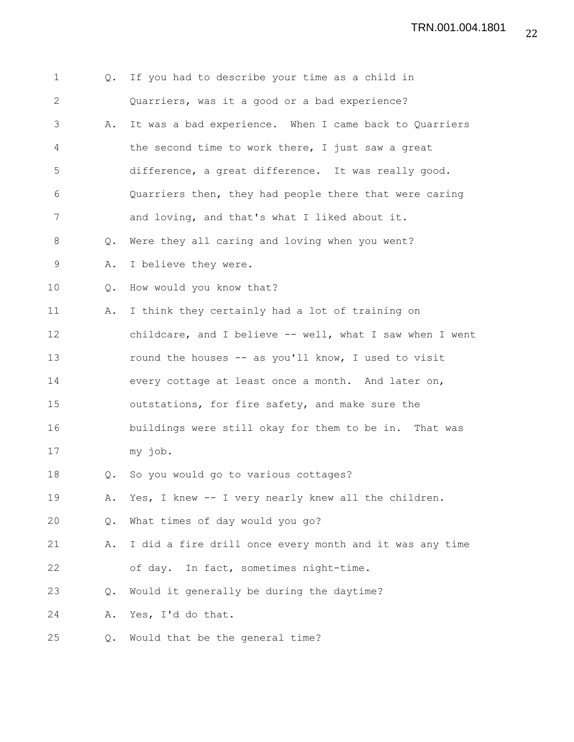| $\mathbf 1$  | Q.            | If you had to describe your time as a child in           |
|--------------|---------------|----------------------------------------------------------|
| $\mathbf{2}$ |               | Quarriers, was it a good or a bad experience?            |
| 3            | Α.            | It was a bad experience. When I came back to Quarriers   |
| 4            |               | the second time to work there, I just saw a great        |
| 5            |               | difference, a great difference. It was really good.      |
| 6            |               | Quarriers then, they had people there that were caring   |
| 7            |               | and loving, and that's what I liked about it.            |
| 8            | Q.            | Were they all caring and loving when you went?           |
| 9            | Α.            | I believe they were.                                     |
| 10           | Q.            | How would you know that?                                 |
| 11           | Α.            | I think they certainly had a lot of training on          |
| 12           |               | childcare, and I believe -- well, what I saw when I went |
| 13           |               | round the houses -- as you'll know, I used to visit      |
| 14           |               | every cottage at least once a month. And later on,       |
| 15           |               | outstations, for fire safety, and make sure the          |
| 16           |               | buildings were still okay for them to be in. That was    |
| 17           |               | my job.                                                  |
| 18           | $Q_{\bullet}$ | So you would go to various cottages?                     |
| 19           | Α.            | Yes, I knew -- I very nearly knew all the children.      |
| 20           | $Q_{\bullet}$ | What times of day would you go?                          |
| 21           | Α.            | I did a fire drill once every month and it was any time  |
| 22           |               | of day. In fact, sometimes night-time.                   |
| 23           | Q.            | Would it generally be during the daytime?                |
| 24           | Α.            | Yes, I'd do that.                                        |
| 25           | Q.            | Would that be the general time?                          |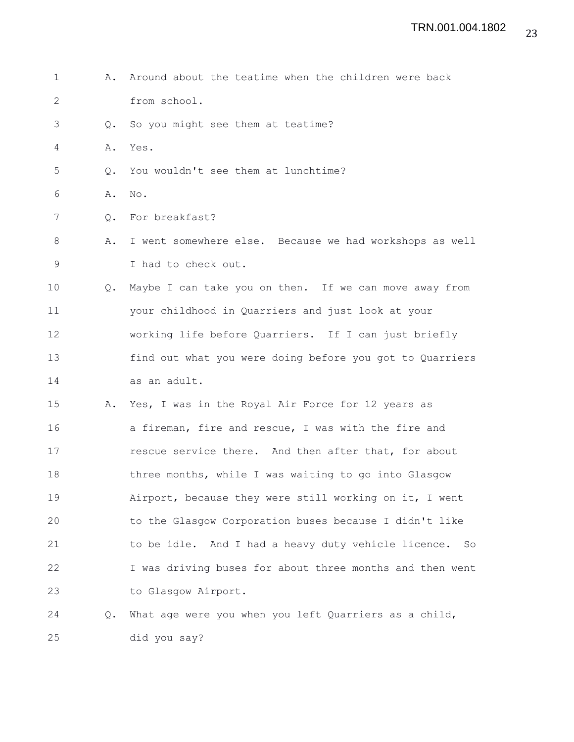1 A. Around about the teatime when the children were back 2 from school. 3 Q. So you might see them at teatime? 4 A. Yes. 5 Q. You wouldn't see them at lunchtime? 6 A. No. 7 Q. For breakfast? 8 A. I went somewhere else. Because we had workshops as well 9 I had to check out. 10 Q. Maybe I can take you on then. If we can move away from 11 your childhood in Quarriers and just look at your 12 working life before Quarriers. If I can just briefly 13 find out what you were doing before you got to Quarriers 14 as an adult. 15 A. Yes, I was in the Royal Air Force for 12 years as 16 a fireman, fire and rescue, I was with the fire and 17 **rescue service there.** And then after that, for about 18 three months, while I was waiting to go into Glasgow 19 Airport, because they were still working on it, I went 20 to the Glasgow Corporation buses because I didn't like 21 to be idle. And I had a heavy duty vehicle licence. So 22 I was driving buses for about three months and then went 23 to Glasgow Airport. 24 Q. What age were you when you left Quarriers as a child, 25 did you say?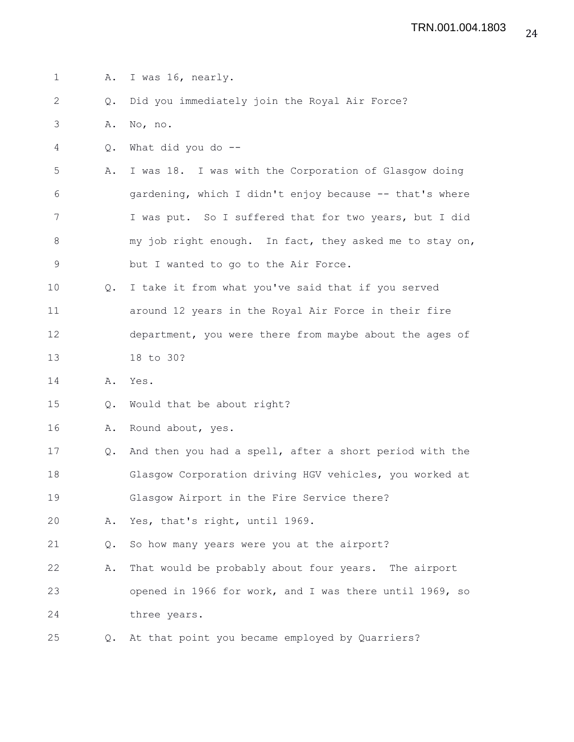1 A. I was 16, nearly. 2 Q. Did you immediately join the Royal Air Force? 3 A. No, no. 4 Q. What did you do -- 5 A. I was 18. I was with the Corporation of Glasgow doing 6 gardening, which I didn't enjoy because -- that's where 7 I was put. So I suffered that for two years, but I did 8 my job right enough. In fact, they asked me to stay on, 9 but I wanted to go to the Air Force. 10 Q. I take it from what you've said that if you served 11 around 12 years in the Royal Air Force in their fire 12 department, you were there from maybe about the ages of 13 18 to 30? 14 A. Yes. 15 Q. Would that be about right? 16 A. Round about, yes. 17 Q. And then you had a spell, after a short period with the 18 Glasgow Corporation driving HGV vehicles, you worked at 19 Glasgow Airport in the Fire Service there? 20 A. Yes, that's right, until 1969. 21 Q. So how many years were you at the airport? 22 A. That would be probably about four years. The airport 23 opened in 1966 for work, and I was there until 1969, so 24 three years. 25 Q. At that point you became employed by Quarriers?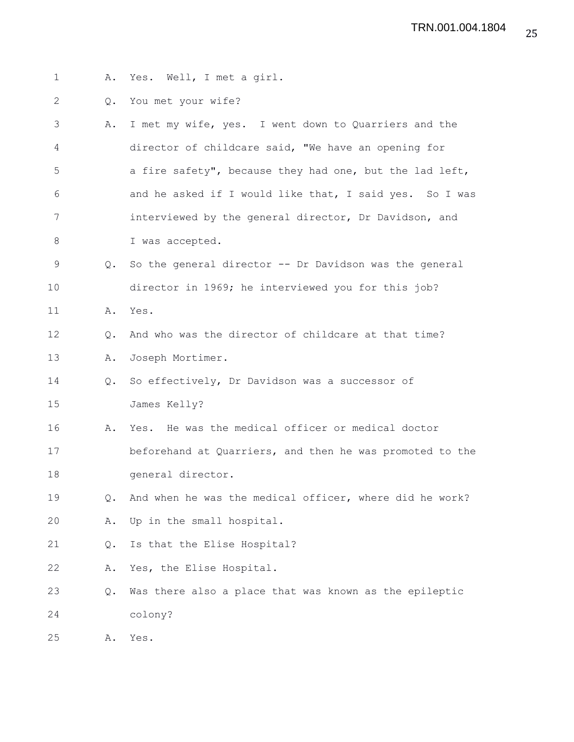- 1 A. Yes. Well, I met a girl.
- 2 Q. You met your wife?
- 3 A. I met my wife, yes. I went down to Quarriers and the 4 director of childcare said, "We have an opening for 5 a fire safety", because they had one, but the lad left, 6 and he asked if I would like that, I said yes. So I was 7 interviewed by the general director, Dr Davidson, and 8 I was accepted. 9 Q. So the general director -- Dr Davidson was the general 10 director in 1969; he interviewed you for this job? 11 A. Yes. 12 Q. And who was the director of childcare at that time? 13 A. Joseph Mortimer. 14 Q. So effectively, Dr Davidson was a successor of 15 James Kelly? 16 A. Yes. He was the medical officer or medical doctor 17 beforehand at Quarriers, and then he was promoted to the 18 general director. 19 Q. And when he was the medical officer, where did he work? 20 A. Up in the small hospital. 21 Q. Is that the Elise Hospital? 22 A. Yes, the Elise Hospital.
- 23 Q. Was there also a place that was known as the epileptic 24 colony?

25 A. Yes.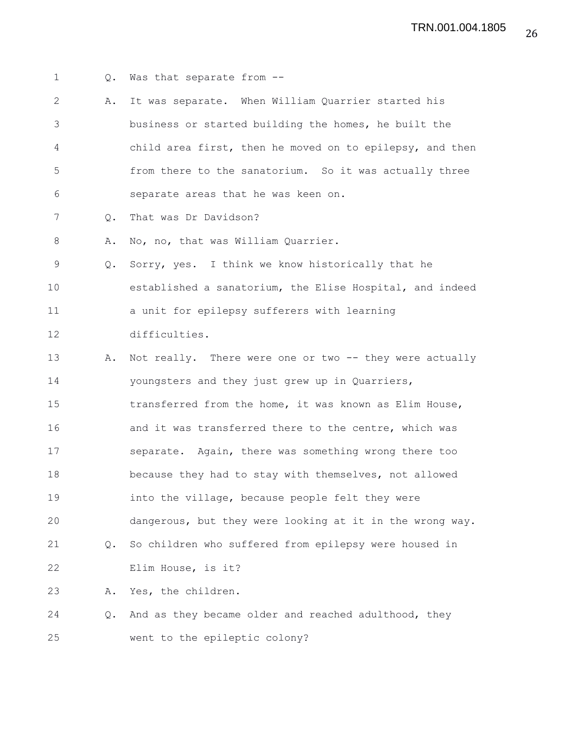1 Q. Was that separate from -- 2 A. It was separate. When William Quarrier started his 3 business or started building the homes, he built the 4 child area first, then he moved on to epilepsy, and then 5 from there to the sanatorium. So it was actually three 6 separate areas that he was keen on. 7 Q. That was Dr Davidson? 8 A. No, no, that was William Quarrier. 9 Q. Sorry, yes. I think we know historically that he 10 established a sanatorium, the Elise Hospital, and indeed 11 a unit for epilepsy sufferers with learning 12 difficulties. 13 A. Not really. There were one or two -- they were actually 14 youngsters and they just grew up in Quarriers, 15 transferred from the home, it was known as Elim House, 16 and it was transferred there to the centre, which was 17 separate. Again, there was something wrong there too 18 because they had to stay with themselves, not allowed 19 **into the village, because people felt they were** 20 dangerous, but they were looking at it in the wrong way. 21 Q. So children who suffered from epilepsy were housed in 22 Elim House, is it? 23 A. Yes, the children. 24 Q. And as they became older and reached adulthood, they 25 went to the epileptic colony?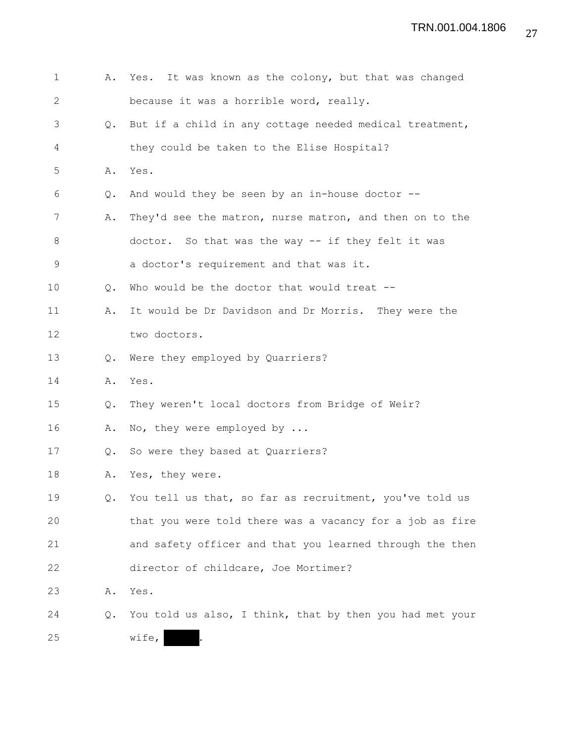| 1            | Α.            | Yes. It was known as the colony, but that was changed      |
|--------------|---------------|------------------------------------------------------------|
| $\mathbf{2}$ |               | because it was a horrible word, really.                    |
| 3            | $Q_{\bullet}$ | But if a child in any cottage needed medical treatment,    |
| 4            |               | they could be taken to the Elise Hospital?                 |
| 5            | Α.            | Yes.                                                       |
| 6            | Q.            | And would they be seen by an in-house doctor $--$          |
| 7            | Α.            | They'd see the matron, nurse matron, and then on to the    |
| 8            |               | doctor. So that was the way -- if they felt it was         |
| $\mathsf 9$  |               | a doctor's requirement and that was it.                    |
| 10           | Q.            | Who would be the doctor that would treat --                |
| 11           | Α.            | It would be Dr Davidson and Dr Morris. They were the       |
| 12           |               | two doctors.                                               |
| 13           | Q.            | Were they employed by Quarriers?                           |
| 14           | Α.            | Yes.                                                       |
| 15           | Q.            | They weren't local doctors from Bridge of Weir?            |
| 16           | Α.            | No, they were employed by                                  |
| 17           |               | Q. So were they based at Quarriers?                        |
| 18           | Α.            | Yes, they were.                                            |
| 19           |               | Q. You tell us that, so far as recruitment, you've told us |
| 20           |               | that you were told there was a vacancy for a job as fire   |
| 21           |               | and safety officer and that you learned through the then   |
| 22           |               | director of childcare, Joe Mortimer?                       |
| 23           | Α.            | Yes.                                                       |
| 24           | Q.            | You told us also, I think, that by then you had met your   |
| 25           |               | wife,                                                      |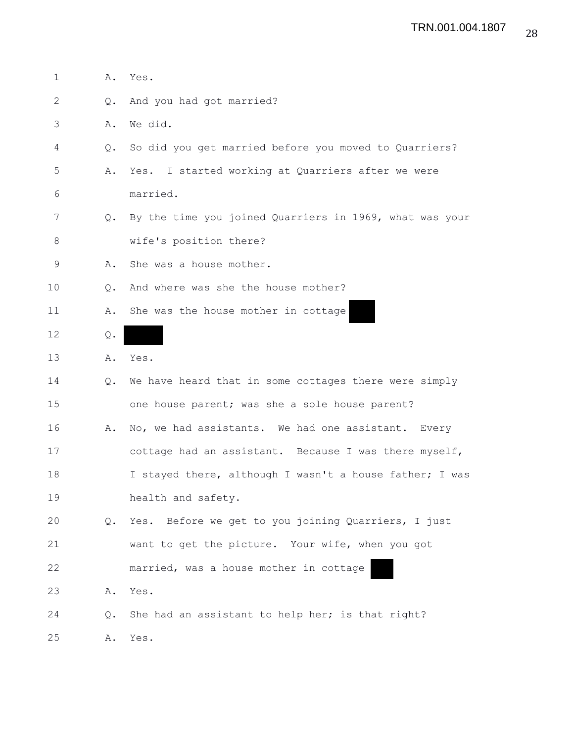| 1  | Α.            | Yes.                                                    |
|----|---------------|---------------------------------------------------------|
| 2  | $Q_{\bullet}$ | And you had got married?                                |
| 3  | Α.            | We did.                                                 |
| 4  | $Q_{\bullet}$ | So did you get married before you moved to Quarriers?   |
| 5  | Α.            | Yes. I started working at Quarriers after we were       |
| 6  |               | married.                                                |
| 7  | $Q_{\bullet}$ | By the time you joined Quarriers in 1969, what was your |
| 8  |               | wife's position there?                                  |
| 9  | Α.            | She was a house mother.                                 |
| 10 | $Q_{\bullet}$ | And where was she the house mother?                     |
| 11 | Α.            | She was the house mother in cottage                     |
| 12 | Q.            |                                                         |
| 13 | Α.            | Yes.                                                    |
| 14 | Q.            | We have heard that in some cottages there were simply   |
| 15 |               | one house parent; was she a sole house parent?          |
| 16 | Α.            | No, we had assistants. We had one assistant. Every      |
| 17 |               | cottage had an assistant. Because I was there myself,   |
| 18 |               | I stayed there, although I wasn't a house father; I was |
| 19 |               | health and safety.                                      |
| 20 | Q.            | Yes. Before we get to you joining Quarriers, I just     |
| 21 |               | want to get the picture. Your wife, when you got        |
| 22 |               | married, was a house mother in cottage                  |
| 23 | Α.            | Yes.                                                    |
| 24 | Q.            | She had an assistant to help her; is that right?        |
| 25 | Α.            | Yes.                                                    |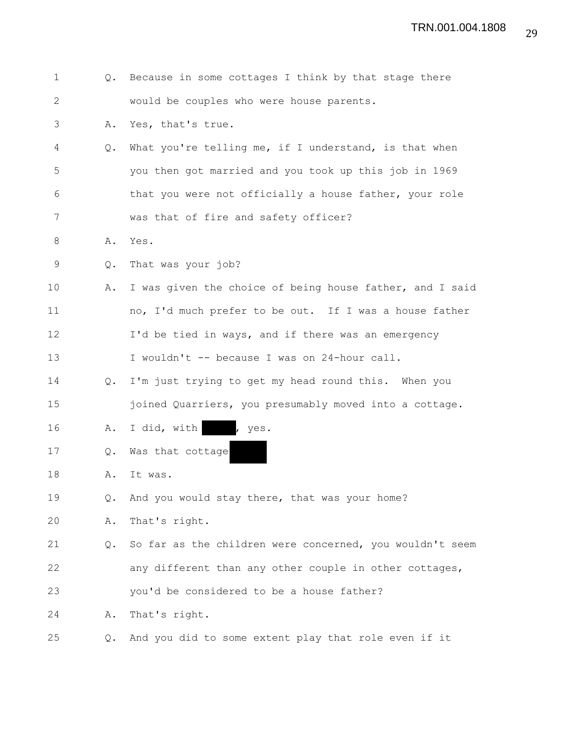| $\mathbf 1$  | Q.            | Because in some cottages I think by that stage there     |
|--------------|---------------|----------------------------------------------------------|
| $\mathbf{2}$ |               | would be couples who were house parents.                 |
| 3            | Α.            | Yes, that's true.                                        |
| 4            | Q.            | What you're telling me, if I understand, is that when    |
| 5            |               | you then got married and you took up this job in 1969    |
| 6            |               | that you were not officially a house father, your role   |
| 7            |               | was that of fire and safety officer?                     |
| 8            | Α.            | Yes.                                                     |
| 9            | Q.            | That was your job?                                       |
| 10           | Α.            | I was given the choice of being house father, and I said |
| 11           |               | no, I'd much prefer to be out. If I was a house father   |
| 12           |               | I'd be tied in ways, and if there was an emergency       |
| 13           |               | I wouldn't -- because I was on 24-hour call.             |
| 14           | Q.            | I'm just trying to get my head round this. When you      |
| 15           |               | joined Quarriers, you presumably moved into a cottage.   |
| 16           | Α.            | I did, with , yes.                                       |
| 17           | Q.            | Was that cottage                                         |
| 18           | Α.            | It was.                                                  |
| 19           | Q.            | And you would stay there, that was your home?            |
| 20           | Α.            | That's right.                                            |
| 21           | $Q_{\bullet}$ | So far as the children were concerned, you wouldn't seem |
| 22           |               | any different than any other couple in other cottages,   |
| 23           |               | you'd be considered to be a house father?                |
| 24           | Α.            | That's right.                                            |
| 25           | $Q_{\bullet}$ | And you did to some extent play that role even if it     |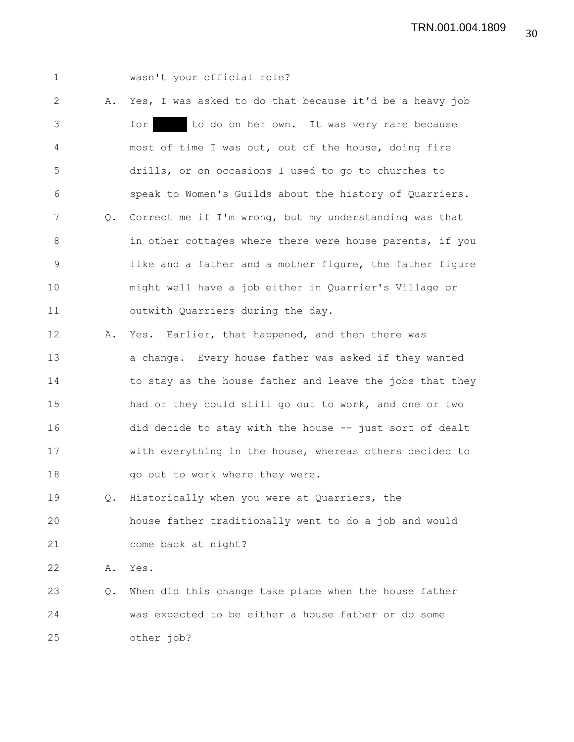1 wasn't your official role?

2 A. Yes, I was asked to do that because it'd be a heavy job 3 for to do on her own. It was very rare because 4 most of time I was out, out of the house, doing fire 5 drills, or on occasions I used to go to churches to 6 speak to Women's Guilds about the history of Quarriers. 7 Q. Correct me if I'm wrong, but my understanding was that 8 in other cottages where there were house parents, if you 9 1ike and a father and a mother figure, the father figure 10 might well have a job either in Quarrier's Village or 11 outwith Quarriers during the day.

12 A. Yes. Earlier, that happened, and then there was 13 a change. Every house father was asked if they wanted 14 to stay as the house father and leave the jobs that they 15 had or they could still go out to work, and one or two 16 did decide to stay with the house -- just sort of dealt 17 with everything in the house, whereas others decided to 18 go out to work where they were.

19 Q. Historically when you were at Quarriers, the 20 house father traditionally went to do a job and would 21 come back at night?

22 A. Yes.

23 Q. When did this change take place when the house father 24 was expected to be either a house father or do some 25 other job?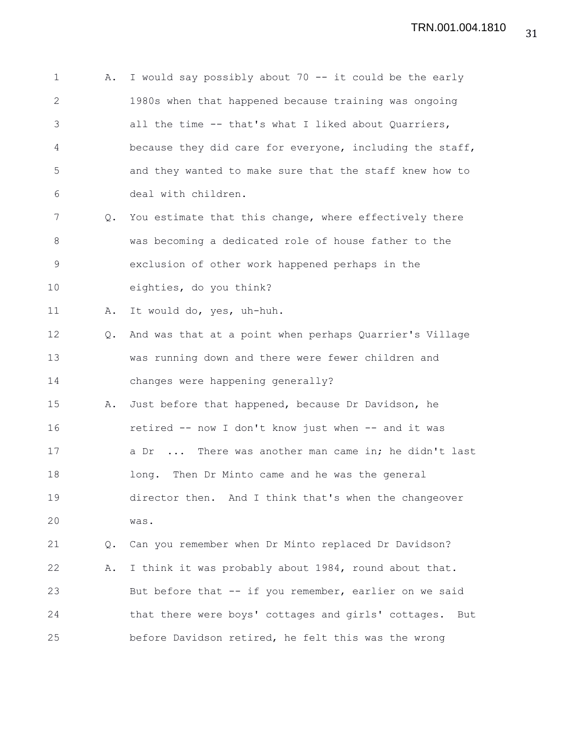1 A. I would say possibly about 70 -- it could be the early 2 1980s when that happened because training was ongoing 3 all the time -- that's what I liked about Quarriers, 4 because they did care for everyone, including the staff, 5 and they wanted to make sure that the staff knew how to 6 deal with children. 7 Q. You estimate that this change, where effectively there 8 was becoming a dedicated role of house father to the 9 exclusion of other work happened perhaps in the 10 eighties, do you think? 11 A. It would do, yes, uh-huh. 12 Q. And was that at a point when perhaps Quarrier's Village 13 was running down and there were fewer children and 14 changes were happening generally? 15 A. Just before that happened, because Dr Davidson, he 16 retired -- now I don't know just when -- and it was 17 a Dr ... There was another man came in; he didn't last 18 long. Then Dr Minto came and he was the general 19 director then. And I think that's when the changeover 20 was. 21 Q. Can you remember when Dr Minto replaced Dr Davidson? 22 A. I think it was probably about 1984, round about that. 23 But before that -- if you remember, earlier on we said 24 that there were boys' cottages and girls' cottages. But 25 before Davidson retired, he felt this was the wrong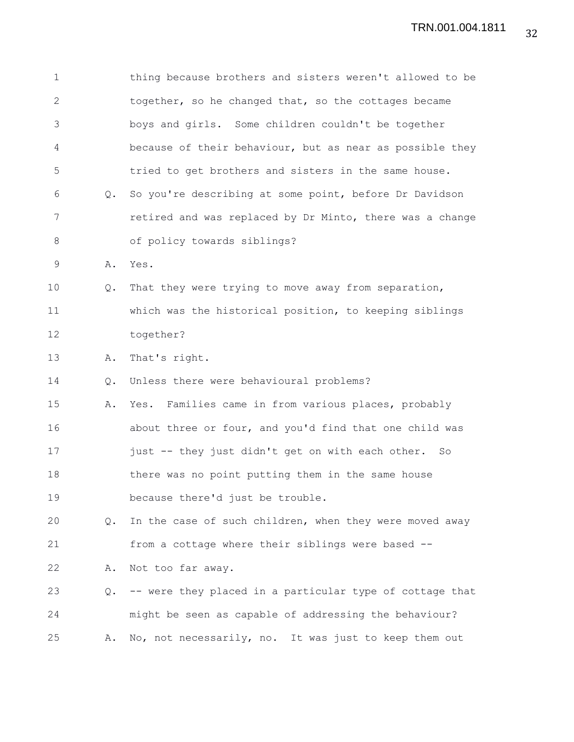| $\mathbf 1$ |    | thing because brothers and sisters weren't allowed to be |
|-------------|----|----------------------------------------------------------|
| 2           |    | together, so he changed that, so the cottages became     |
| 3           |    | boys and girls. Some children couldn't be together       |
| 4           |    | because of their behaviour, but as near as possible they |
| 5           |    | tried to get brothers and sisters in the same house.     |
| 6           | Q. | So you're describing at some point, before Dr Davidson   |
| 7           |    | retired and was replaced by Dr Minto, there was a change |
| 8           |    | of policy towards siblings?                              |
| 9           | Α. | Yes.                                                     |
| 10          | Q. | That they were trying to move away from separation,      |
| 11          |    | which was the historical position, to keeping siblings   |
| 12          |    | together?                                                |
| 13          | Α. | That's right.                                            |
| 14          | Q. | Unless there were behavioural problems?                  |
| 15          | Α. | Yes. Families came in from various places, probably      |
| 16          |    | about three or four, and you'd find that one child was   |
| 17          |    | just -- they just didn't get on with each other. So      |
| 18          |    | there was no point putting them in the same house        |
| 19          |    | because there'd just be trouble.                         |
| 20          | Q. | In the case of such children, when they were moved away  |
| 21          |    | from a cottage where their siblings were based --        |
| 22          | Α. | Not too far away.                                        |
| 23          | Q. | -- were they placed in a particular type of cottage that |
| 24          |    | might be seen as capable of addressing the behaviour?    |
| 25          | Α. | No, not necessarily, no. It was just to keep them out    |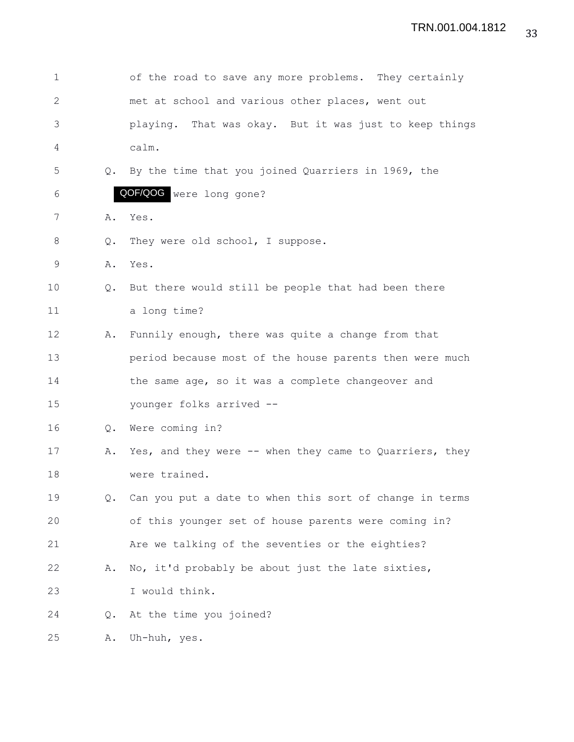| $\mathbf 1$  |               | of the road to save any more problems. They certainly   |
|--------------|---------------|---------------------------------------------------------|
| $\mathbf{2}$ |               | met at school and various other places, went out        |
| 3            |               | playing. That was okay. But it was just to keep things  |
| 4            |               | calm.                                                   |
| 5            | Q.            | By the time that you joined Quarriers in 1969, the      |
| 6            |               | QOF/QOG were long gone?                                 |
| 7            | Α.            | Yes.                                                    |
| 8            | Q.            | They were old school, I suppose.                        |
| 9            | Α.            | Yes.                                                    |
| 10           | Q.            | But there would still be people that had been there     |
| 11           |               | a long time?                                            |
| 12           | Α.            | Funnily enough, there was quite a change from that      |
| 13           |               | period because most of the house parents then were much |
| 14           |               | the same age, so it was a complete changeover and       |
| 15           |               | younger folks arrived --                                |
| 16           | Q.            | Were coming in?                                         |
| 17           | Α.            | Yes, and they were -- when they came to Quarriers, they |
| 18           |               | were trained.                                           |
| 19           | Q.            | Can you put a date to when this sort of change in terms |
| 20           |               | of this younger set of house parents were coming in?    |
| 21           |               | Are we talking of the seventies or the eighties?        |
| 22           | Α.            | No, it'd probably be about just the late sixties,       |
| 23           |               | I would think.                                          |
| 24           | $Q_{\bullet}$ | At the time you joined?                                 |
| 25           | Α.            | Uh-huh, yes.                                            |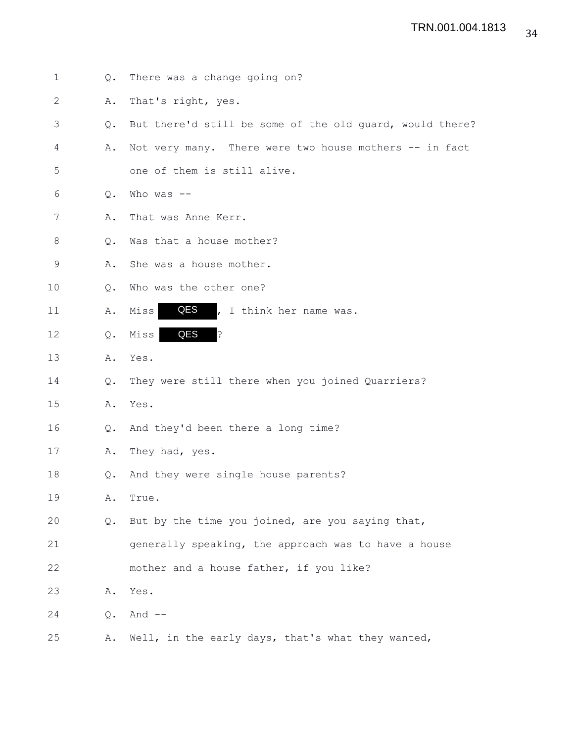| $\mathbf 1$  | Q. | There was a change going on?                             |
|--------------|----|----------------------------------------------------------|
| $\mathbf{2}$ | Α. | That's right, yes.                                       |
| 3            | Q. | But there'd still be some of the old quard, would there? |
| 4            | Α. | Not very many. There were two house mothers -- in fact   |
| 5            |    | one of them is still alive.                              |
| 6            | Q. | Who was $--$                                             |
| 7            | Α. | That was Anne Kerr.                                      |
| 8            | Q. | Was that a house mother?                                 |
| 9            | Α. | She was a house mother.                                  |
| 10           | Q. | Who was the other one?                                   |
| 11           | Α. | QES<br>, I think her name was.<br>Miss                   |
| 12           | Q. | QES<br>?<br>Miss                                         |
| 13           | Α. | Yes.                                                     |
| 14           | Q. | They were still there when you joined Quarriers?         |
| 15           | Α. | Yes.                                                     |
| 16           | Q. | And they'd been there a long time?                       |
| 17           | Α. | They had, yes.                                           |
| 18           | Q. | And they were single house parents?                      |
| 19           | Α. | True.                                                    |
| 20           | Q. | But by the time you joined, are you saying that,         |
| 21           |    | generally speaking, the approach was to have a house     |
| 22           |    | mother and a house father, if you like?                  |
| 23           | Α. | Yes.                                                     |
| 24           | Q. | And $--$                                                 |
| 25           | Α. | Well, in the early days, that's what they wanted,        |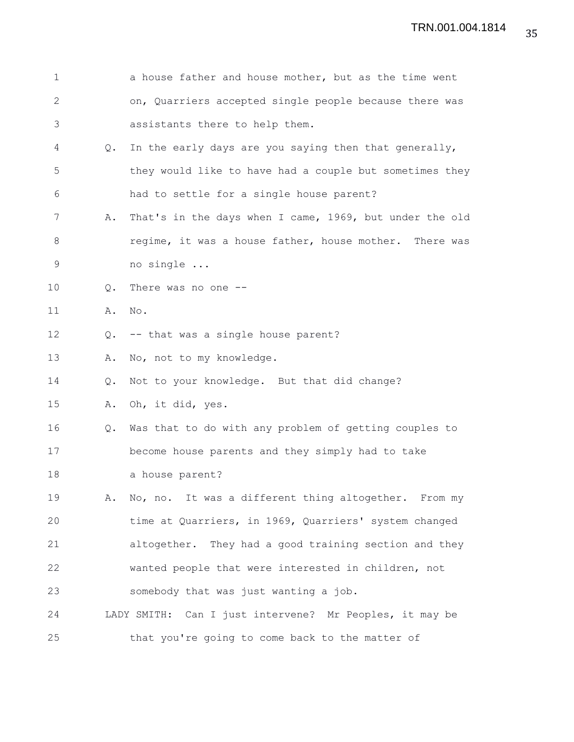| $\mathbf 1$  |    | a house father and house mother, but as the time went   |
|--------------|----|---------------------------------------------------------|
| $\mathbf{2}$ |    | on, Quarriers accepted single people because there was  |
| 3            |    | assistants there to help them.                          |
| 4            | Q. | In the early days are you saying then that generally,   |
| 5            |    | they would like to have had a couple but sometimes they |
| 6            |    | had to settle for a single house parent?                |
| 7            | Α. | That's in the days when I came, 1969, but under the old |
| 8            |    | regime, it was a house father, house mother. There was  |
| 9            |    | no single                                               |
| 10           | Q. | There was no one --                                     |
| 11           | Α. | No.                                                     |
| 12           | Q. | -- that was a single house parent?                      |
| 13           | Α. | No, not to my knowledge.                                |
| 14           | Q. | Not to your knowledge. But that did change?             |
| 15           | Α. | Oh, it did, yes.                                        |
| 16           | Q. | Was that to do with any problem of getting couples to   |
| 17           |    | become house parents and they simply had to take        |
| 18           |    | a house parent?                                         |
| 19           | Α. | No, no. It was a different thing altogether. From my    |
| 20           |    | time at Quarriers, in 1969, Quarriers' system changed   |
| 21           |    | altogether. They had a good training section and they   |
| 22           |    | wanted people that were interested in children, not     |
| 23           |    | somebody that was just wanting a job.                   |
| 24           |    | LADY SMITH: Can I just intervene? Mr Peoples, it may be |
| 25           |    | that you're going to come back to the matter of         |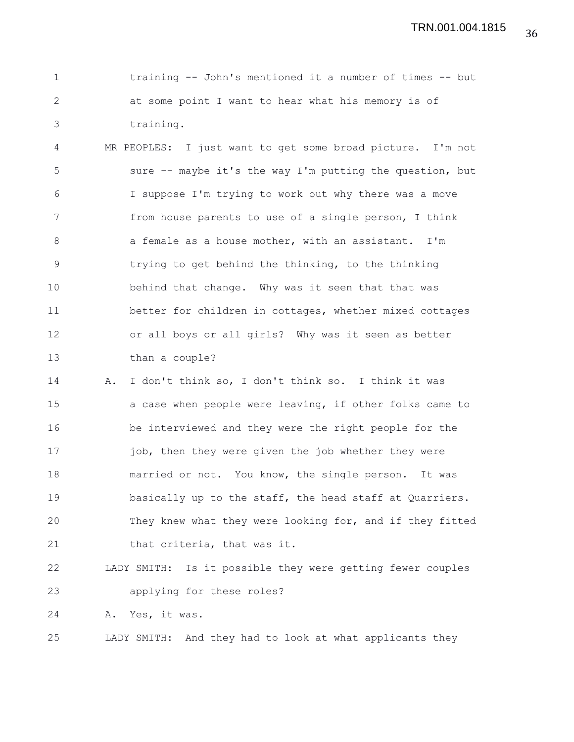| training -- John's mentioned it a number of times -- but |
|----------------------------------------------------------|
| at some point I want to hear what his memory is of       |
| training.                                                |

4 MR PEOPLES: I just want to get some broad picture. I'm not 5 sure -- maybe it's the way I'm putting the question, but 6 I suppose I'm trying to work out why there was a move 7 from house parents to use of a single person, I think 8 a female as a house mother, with an assistant. I'm 9 trying to get behind the thinking, to the thinking 10 behind that change. Why was it seen that that was 11 better for children in cottages, whether mixed cottages 12 or all boys or all girls? Why was it seen as better 13 than a couple?

14 A. I don't think so, I don't think so. I think it was 15 a case when people were leaving, if other folks came to 16 be interviewed and they were the right people for the 17 iob, then they were given the job whether they were 18 married or not. You know, the single person. It was 19 basically up to the staff, the head staff at Quarriers. 20 They knew what they were looking for, and if they fitted 21 that criteria, that was it.

22 LADY SMITH: Is it possible they were getting fewer couples 23 applying for these roles?

24 A. Yes, it was.

25 LADY SMITH: And they had to look at what applicants they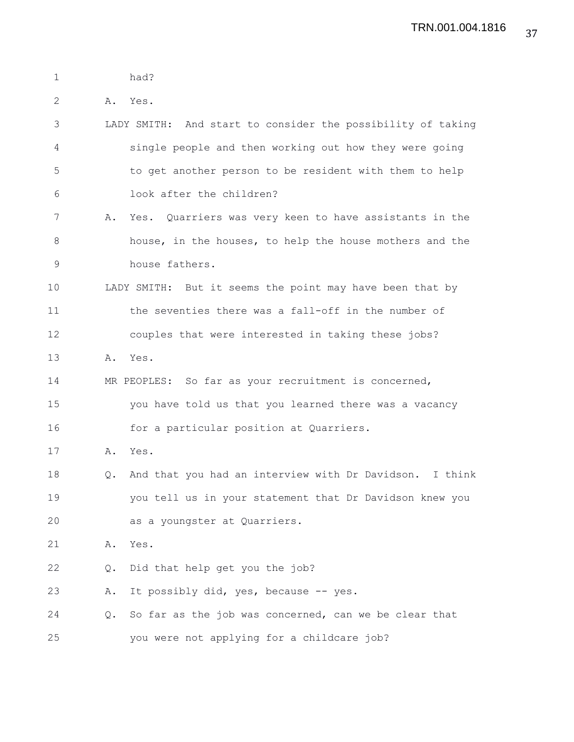| $\mathbf 1$ |    | had?                                                        |
|-------------|----|-------------------------------------------------------------|
| 2           |    | A. Yes.                                                     |
| 3           |    | LADY SMITH: And start to consider the possibility of taking |
| 4           |    | single people and then working out how they were going      |
| 5           |    | to get another person to be resident with them to help      |
| 6           |    | look after the children?                                    |
| 7           | Α. | Yes. Quarriers was very keen to have assistants in the      |
| 8           |    | house, in the houses, to help the house mothers and the     |
| $\mathsf 9$ |    | house fathers.                                              |
| 10          |    | LADY SMITH: But it seems the point may have been that by    |
| 11          |    | the seventies there was a fall-off in the number of         |
| 12          |    | couples that were interested in taking these jobs?          |
| 13          | Α. | Yes.                                                        |
| 14          |    | MR PEOPLES: So far as your recruitment is concerned,        |
| 15          |    | you have told us that you learned there was a vacancy       |
| 16          |    | for a particular position at Quarriers.                     |
| 17          | Α. | Yes.                                                        |
| 18          | Q. | And that you had an interview with Dr Davidson. I think     |
| 19          |    | you tell us in your statement that Dr Davidson knew you     |
| 20          |    | as a youngster at Quarriers.                                |
| 21          | Α. | Yes.                                                        |
| 22          | Q. | Did that help get you the job?                              |
| 23          | Α. | It possibly did, yes, because -- yes.                       |
| 24          | Q. | So far as the job was concerned, can we be clear that       |
| 25          |    | you were not applying for a childcare job?                  |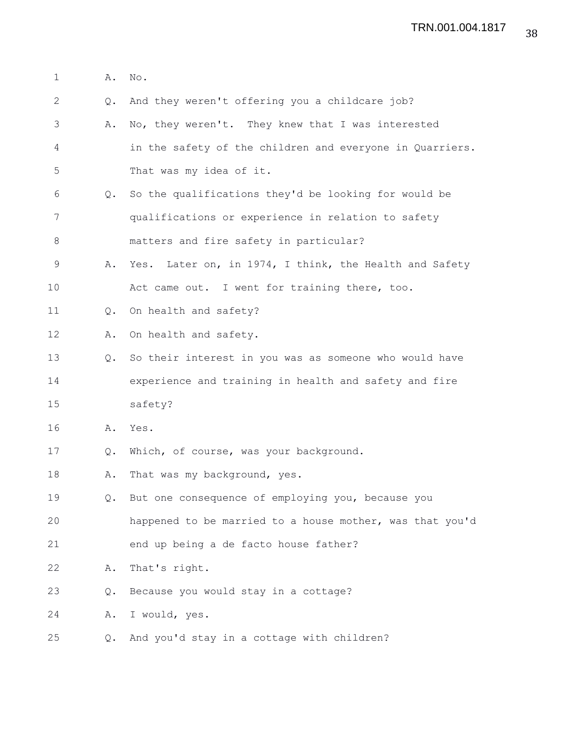| $\mathbf 1$ | Α.            | No.                                                      |
|-------------|---------------|----------------------------------------------------------|
| 2           | $Q_{\bullet}$ | And they weren't offering you a childcare job?           |
| 3           | Α.            | No, they weren't. They knew that I was interested        |
| 4           |               | in the safety of the children and everyone in Quarriers. |
| 5           |               | That was my idea of it.                                  |
| 6           | $Q_{\bullet}$ | So the qualifications they'd be looking for would be     |
| 7           |               | qualifications or experience in relation to safety       |
| 8           |               | matters and fire safety in particular?                   |
| 9           | Α.            | Yes. Later on, in 1974, I think, the Health and Safety   |
| 10          |               | Act came out. I went for training there, too.            |
| 11          | $\circ$ .     | On health and safety?                                    |
| 12          | Α.            | On health and safety.                                    |
| 13          | $Q_{\bullet}$ | So their interest in you was as someone who would have   |
| 14          |               | experience and training in health and safety and fire    |
| 15          |               | safety?                                                  |
| 16          | Α.            | Yes.                                                     |
| 17          | Q.            | Which, of course, was your background.                   |
| 18          | Α.            | That was my background, yes.                             |
| 19          | Q.            | But one consequence of employing you, because you        |
| 20          |               | happened to be married to a house mother, was that you'd |
| 21          |               | end up being a de facto house father?                    |
| 22          | Α.            | That's right.                                            |
| 23          | Q.            | Because you would stay in a cottage?                     |
| 24          | Α.            | I would, yes.                                            |
| 25          | Q.            | And you'd stay in a cottage with children?               |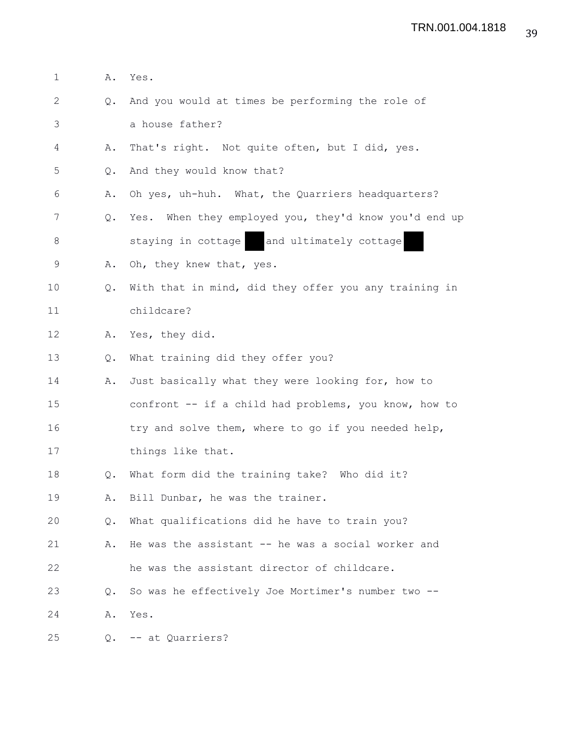| $\mathbf 1$ | Α. | Yes.                                                  |
|-------------|----|-------------------------------------------------------|
| 2           | Q. | And you would at times be performing the role of      |
| 3           |    | a house father?                                       |
| 4           | Α. | That's right. Not quite often, but I did, yes.        |
| 5           | Q. | And they would know that?                             |
| 6           | Α. | Oh yes, uh-huh. What, the Quarriers headquarters?     |
| 7           | Q. | Yes. When they employed you, they'd know you'd end up |
| 8           |    | and ultimately cottage<br>staying in cottage          |
| 9           | Α. | Oh, they knew that, yes.                              |
| 10          | Q. | With that in mind, did they offer you any training in |
| 11          |    | childcare?                                            |
| 12          | Α. | Yes, they did.                                        |
| 13          | Q. | What training did they offer you?                     |
| 14          | Α. | Just basically what they were looking for, how to     |
| 15          |    | confront -- if a child had problems, you know, how to |
| 16          |    | try and solve them, where to go if you needed help,   |
| 17          |    | things like that.                                     |
| 18          | Q. | What form did the training take? Who did it?          |
| 19          | Α. | Bill Dunbar, he was the trainer.                      |
| 20          | Q. | What qualifications did he have to train you?         |
| 21          | Α. | He was the assistant -- he was a social worker and    |
| 22          |    | he was the assistant director of childcare.           |
| 23          | Q. | So was he effectively Joe Mortimer's number two --    |
| 24          | Α. | Yes.                                                  |
| 25          |    | Q. -- at Quarriers?                                   |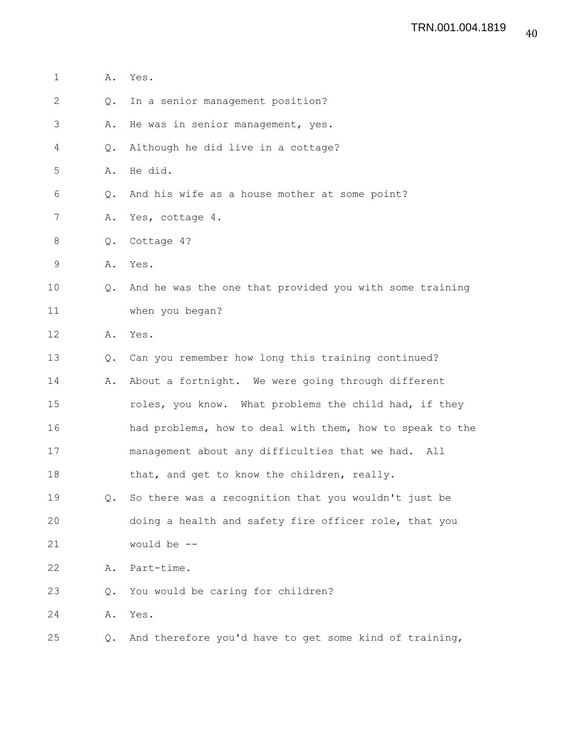| $\mathbf 1$  | Α.            | Yes.                                                     |
|--------------|---------------|----------------------------------------------------------|
| $\mathbf{2}$ | Q.            | In a senior management position?                         |
| 3            | Α.            | He was in senior management, yes.                        |
| 4            | Q.            | Although he did live in a cottage?                       |
| 5            | Α.            | He did.                                                  |
| 6            | $Q_{\bullet}$ | And his wife as a house mother at some point?            |
| 7            | Α.            | Yes, cottage 4.                                          |
| 8            | Q.            | Cottage 4?                                               |
| 9            | Α.            | Yes.                                                     |
| 10           | Q.            | And he was the one that provided you with some training  |
| 11           |               | when you began?                                          |
| 12           | Α.            | Yes.                                                     |
| 13           | Q.            | Can you remember how long this training continued?       |
| 14           | Α.            | About a fortnight. We were going through different       |
| 15           |               | roles, you know. What problems the child had, if they    |
| 16           |               | had problems, how to deal with them, how to speak to the |
| 17           |               | management about any difficulties that we had.<br>All    |
| 18           |               | that, and get to know the children, really.              |
| 19           | Q.            | So there was a recognition that you wouldn't just be     |
| 20           |               | doing a health and safety fire officer role, that you    |
| 21           |               | would be --                                              |
| 22           | Α.            | Part-time.                                               |
| 23           | Q.            | You would be caring for children?                        |
| 24           | Α.            | Yes.                                                     |
| 25           | Q.            | And therefore you'd have to get some kind of training,   |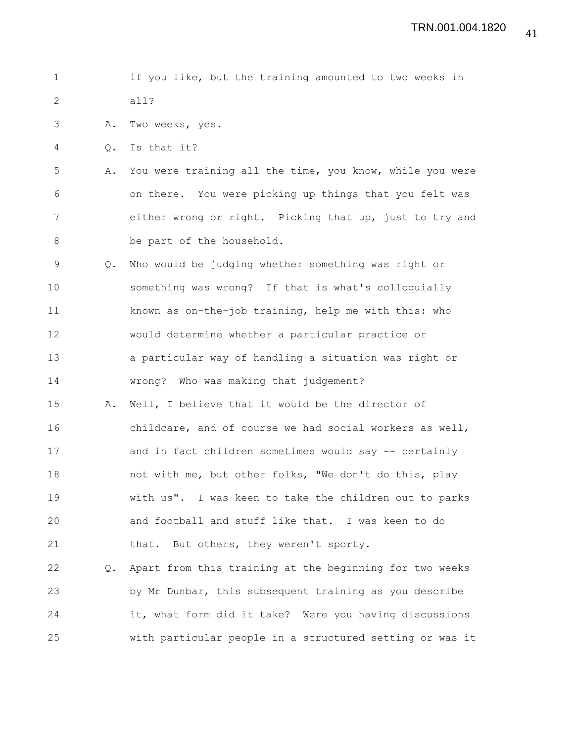```
1 if you like, but the training amounted to two weeks in
2 all?
```
3 A. Two weeks, yes.

4 Q. Is that it?

5 A. You were training all the time, you know, while you were 6 on there. You were picking up things that you felt was 7 either wrong or right. Picking that up, just to try and 8 be part of the household.

9 Q. Who would be judging whether something was right or 10 something was wrong? If that is what's colloquially 11 known as on-the-job training, help me with this: who 12 would determine whether a particular practice or 13 a particular way of handling a situation was right or 14 wrong? Who was making that judgement?

15 A. Well, I believe that it would be the director of 16 childcare, and of course we had social workers as well, 17 and in fact children sometimes would say -- certainly 18 not with me, but other folks, "We don't do this, play 19 with us". I was keen to take the children out to parks 20 and football and stuff like that. I was keen to do 21 that. But others, they weren't sporty.

22 Q. Apart from this training at the beginning for two weeks 23 by Mr Dunbar, this subsequent training as you describe 24 it, what form did it take? Were you having discussions 25 with particular people in a structured setting or was it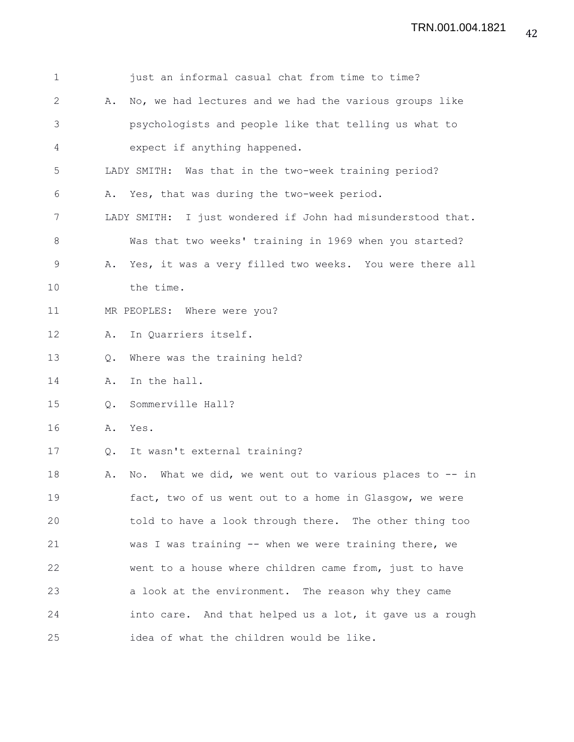| $\mathbf 1$ |           | just an informal casual chat from time to time?             |
|-------------|-----------|-------------------------------------------------------------|
| 2           | Α.        | No, we had lectures and we had the various groups like      |
| 3           |           | psychologists and people like that telling us what to       |
| 4           |           | expect if anything happened.                                |
| 5           |           | LADY SMITH: Was that in the two-week training period?       |
| 6           |           | A. Yes, that was during the two-week period.                |
| 7           |           | LADY SMITH: I just wondered if John had misunderstood that. |
| 8           |           | Was that two weeks' training in 1969 when you started?      |
| 9           |           | A. Yes, it was a very filled two weeks. You were there all  |
| 10          |           | the time.                                                   |
| 11          |           | MR PEOPLES: Where were you?                                 |
| 12          | Α.        | In Quarriers itself.                                        |
| 13          | $\circ$ . | Where was the training held?                                |
| 14          | Α.        | In the hall.                                                |
| 15          | Q.        | Sommerville Hall?                                           |
| 16          | Α.        | Yes.                                                        |
| 17          |           | Q. It wasn't external training?                             |
| 18          | Α.        | What we did, we went out to various places to -- in<br>No.  |
| 19          |           | fact, two of us went out to a home in Glasgow, we were      |
| 20          |           | told to have a look through there. The other thing too      |
| 21          |           | was I was training -- when we were training there, we       |
| 22          |           | went to a house where children came from, just to have      |
| 23          |           | a look at the environment. The reason why they came         |
| 24          |           | into care. And that helped us a lot, it gave us a rough     |
| 25          |           | idea of what the children would be like.                    |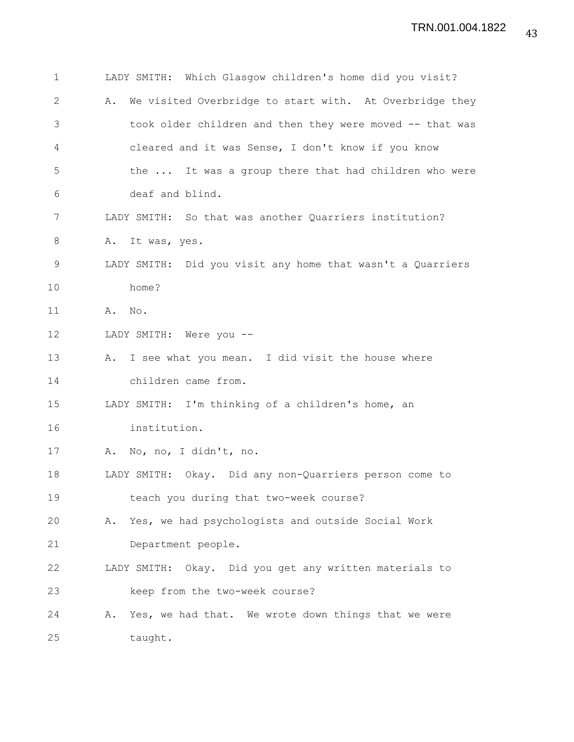| 1  | LADY SMITH: Which Glasgow children's home did you visit?      |
|----|---------------------------------------------------------------|
| 2  | We visited Overbridge to start with. At Overbridge they<br>Α. |
| 3  | took older children and then they were moved -- that was      |
| 4  | cleared and it was Sense, I don't know if you know            |
| 5  | the  It was a group there that had children who were          |
| 6  | deaf and blind.                                               |
| 7  | LADY SMITH: So that was another Quarriers institution?        |
| 8  | Α.<br>It was, yes.                                            |
| 9  | LADY SMITH: Did you visit any home that wasn't a Quarriers    |
| 10 | home?                                                         |
| 11 | A. No.                                                        |
| 12 | LADY SMITH: Were you --                                       |
| 13 | A. I see what you mean. I did visit the house where           |
| 14 | children came from.                                           |
| 15 | LADY SMITH: I'm thinking of a children's home, an             |
| 16 | institution.                                                  |
| 17 | A. No, no, I didn't, no.                                      |
| 18 | LADY SMITH: Okay. Did any non-Quarriers person come to        |
| 19 | teach you during that two-week course?                        |
| 20 | A. Yes, we had psychologists and outside Social Work          |
| 21 | Department people.                                            |
| 22 | LADY SMITH: Okay. Did you get any written materials to        |
| 23 | keep from the two-week course?                                |
| 24 | Yes, we had that. We wrote down things that we were<br>Α.     |
| 25 | taught.                                                       |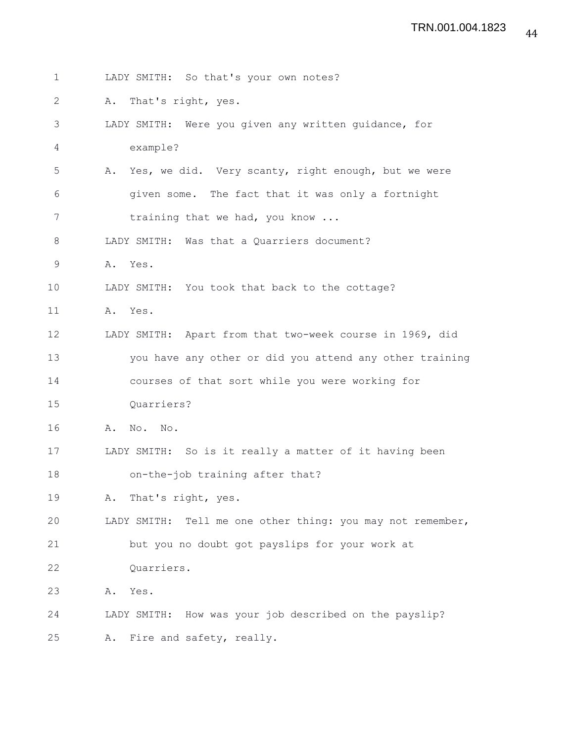| $\mathbf{1}$ | LADY SMITH: So that's your own notes?                      |
|--------------|------------------------------------------------------------|
| 2            | That's right, yes.<br>Α.                                   |
| 3            | LADY SMITH: Were you given any written guidance, for       |
| 4            | example?                                                   |
| 5            | A. Yes, we did. Very scanty, right enough, but we were     |
| 6            | given some. The fact that it was only a fortnight          |
| 7            | training that we had, you know                             |
| 8            | LADY SMITH: Was that a Quarriers document?                 |
| $\mathsf 9$  | A. Yes.                                                    |
| 10           | LADY SMITH: You took that back to the cottage?             |
| 11           | A. Yes.                                                    |
| 12           | LADY SMITH: Apart from that two-week course in 1969, did   |
| 13           | you have any other or did you attend any other training    |
| 14           | courses of that sort while you were working for            |
| 15           | Quarriers?                                                 |
| 16           | A. No. No.                                                 |
| 17           | LADY SMITH: So is it really a matter of it having been     |
| 18           | on-the-job training after that?                            |
| 19           | A. That's right, yes.                                      |
| 20           | LADY SMITH: Tell me one other thing: you may not remember, |
| 21           | but you no doubt got payslips for your work at             |
| 22           | Quarriers.                                                 |
| 23           | Yes.<br>Α.                                                 |
| 24           | LADY SMITH: How was your job described on the payslip?     |
| 25           | A. Fire and safety, really.                                |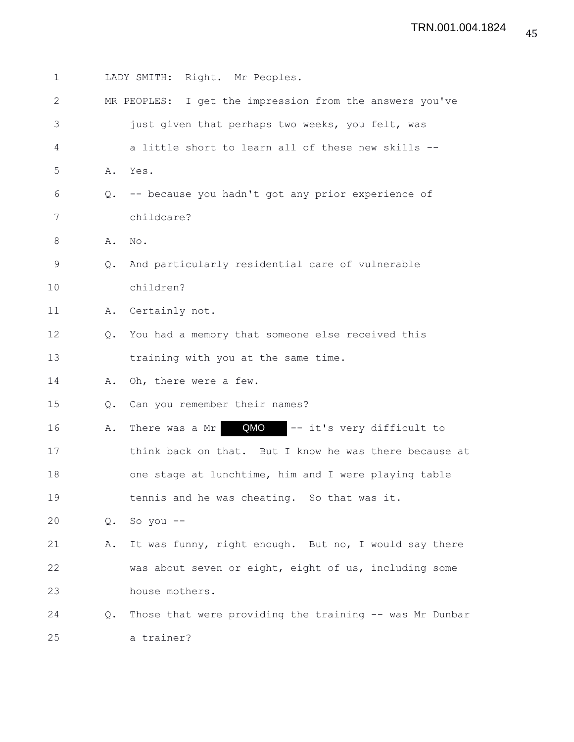| 1  |    | LADY SMITH: Right. Mr Peoples.                           |
|----|----|----------------------------------------------------------|
| 2  |    | MR PEOPLES: I get the impression from the answers you've |
| 3  |    | just given that perhaps two weeks, you felt, was         |
| 4  |    | a little short to learn all of these new skills --       |
| 5  | Α. | Yes.                                                     |
| 6  | Q. | -- because you hadn't got any prior experience of        |
| 7  |    | childcare?                                               |
| 8  | Α. | No.                                                      |
| 9  | Q. | And particularly residential care of vulnerable          |
| 10 |    | children?                                                |
| 11 | Α. | Certainly not.                                           |
| 12 | Q. | You had a memory that someone else received this         |
| 13 |    | training with you at the same time.                      |
| 14 | Α. | Oh, there were a few.                                    |
| 15 | Q. | Can you remember their names?                            |
| 16 | Α. | QMO<br>-- it's very difficult to<br>There was a Mr       |
| 17 |    | think back on that. But I know he was there because at   |
| 18 |    | one stage at lunchtime, him and I were playing table     |
| 19 |    | tennis and he was cheating. So that was it.              |
| 20 | Q. | So you $--$                                              |
| 21 | Α. | It was funny, right enough. But no, I would say there    |
| 22 |    | was about seven or eight, eight of us, including some    |
| 23 |    | house mothers.                                           |
| 24 | Q. | Those that were providing the training -- was Mr Dunbar  |
| 25 |    | a trainer?                                               |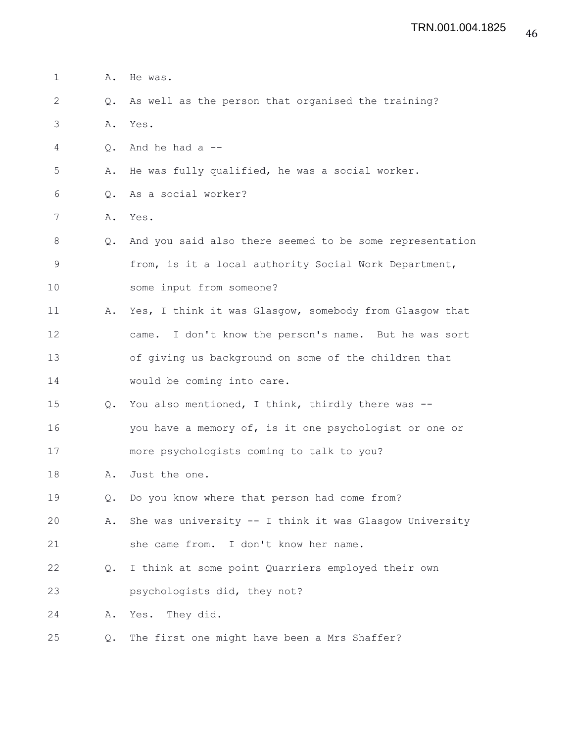| 1  | Α.            | He was.                                                   |
|----|---------------|-----------------------------------------------------------|
| 2  | $Q_{\bullet}$ | As well as the person that organised the training?        |
| 3  | Α.            | Yes.                                                      |
| 4  | Q.            | And he had a $-$ -                                        |
| 5  | Α.            | He was fully qualified, he was a social worker.           |
| 6  | Q.            | As a social worker?                                       |
| 7  |               | A. Yes.                                                   |
| 8  | $Q_{\bullet}$ | And you said also there seemed to be some representation  |
| 9  |               | from, is it a local authority Social Work Department,     |
| 10 |               | some input from someone?                                  |
| 11 | Α.            | Yes, I think it was Glasgow, somebody from Glasgow that   |
| 12 |               | I don't know the person's name. But he was sort<br>came.  |
| 13 |               | of giving us background on some of the children that      |
| 14 |               | would be coming into care.                                |
| 15 | $Q_{\bullet}$ | You also mentioned, I think, thirdly there was --         |
| 16 |               | you have a memory of, is it one psychologist or one or    |
| 17 |               | more psychologists coming to talk to you?                 |
| 18 | Α.            | Just the one.                                             |
| 19 | Q.            | Do you know where that person had come from?              |
| 20 | Α.            | She was university $--$ I think it was Glasgow University |
| 21 |               | she came from. I don't know her name.                     |
| 22 | Q.            | I think at some point Quarriers employed their own        |
| 23 |               | psychologists did, they not?                              |
| 24 | Α.            | Yes. They did.                                            |
| 25 | Q.            | The first one might have been a Mrs Shaffer?              |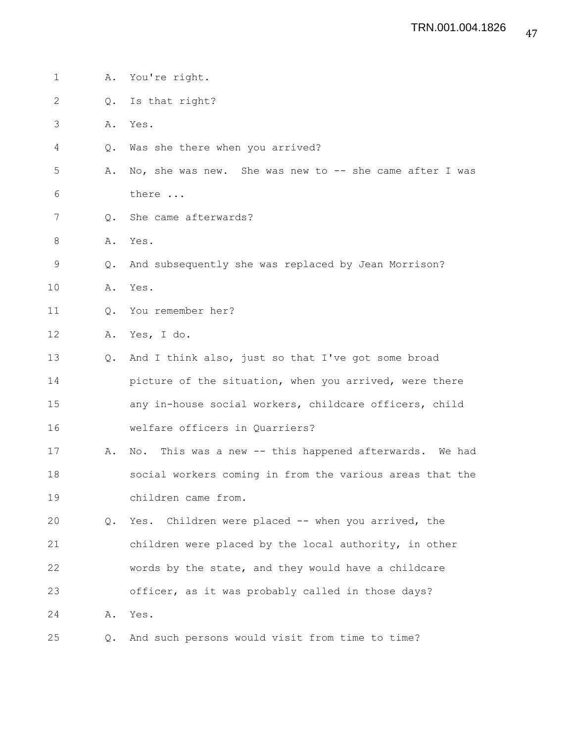1 A. You're right. 2 Q. Is that right? 3 A. Yes. 4 Q. Was she there when you arrived? 5 A. No, she was new. She was new to -- she came after I was 6 there ... 7 Q. She came afterwards? 8 A. Yes. 9 Q. And subsequently she was replaced by Jean Morrison? 10 A. Yes. 11 Q. You remember her? 12 A. Yes, I do. 13 Q. And I think also, just so that I've got some broad 14 **picture of the situation, when you arrived, were there** 15 any in-house social workers, childcare officers, child 16 welfare officers in Quarriers? 17 A. No. This was a new -- this happened afterwards. We had 18 social workers coming in from the various areas that the 19 children came from. 20 Q. Yes. Children were placed -- when you arrived, the 21 children were placed by the local authority, in other 22 words by the state, and they would have a childcare 23 officer, as it was probably called in those days? 24 A. Yes. 25 Q. And such persons would visit from time to time?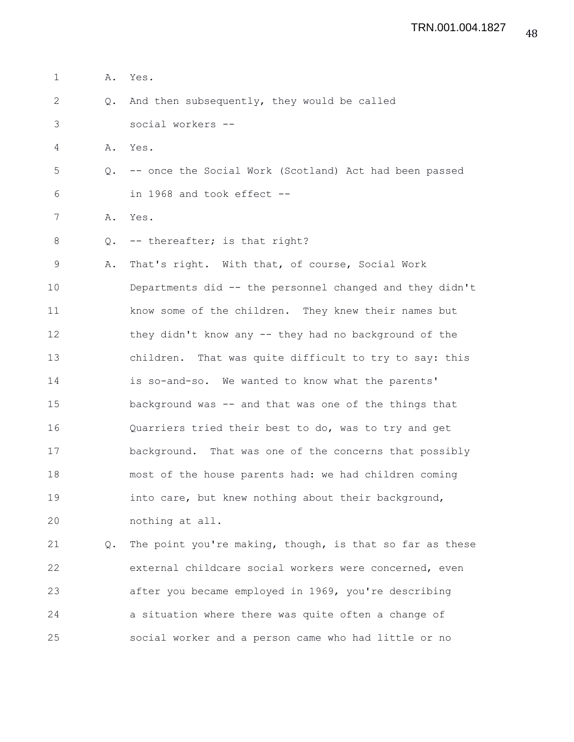| $\mathbf{1}$ | Α.            | Yes.                                                     |
|--------------|---------------|----------------------------------------------------------|
| $\mathbf{2}$ | Q.            | And then subsequently, they would be called              |
| 3            |               | social workers --                                        |
| 4            | Α.            | Yes.                                                     |
| 5            | $Q_{\bullet}$ | -- once the Social Work (Scotland) Act had been passed   |
| 6            |               | in 1968 and took effect --                               |
| 7            | Α.            | Yes.                                                     |
| 8            | Q.            | -- thereafter; is that right?                            |
| $\mathsf 9$  | Α.            | That's right. With that, of course, Social Work          |
| 10           |               | Departments did -- the personnel changed and they didn't |
| 11           |               | know some of the children. They knew their names but     |
| 12           |               | they didn't know any -- they had no background of the    |
| 13           |               | children. That was quite difficult to try to say: this   |
| 14           |               | is so-and-so. We wanted to know what the parents'        |
| 15           |               | background was -- and that was one of the things that    |
| 16           |               | Quarriers tried their best to do, was to try and get     |
| 17           |               | background. That was one of the concerns that possibly   |
| 18           |               | most of the house parents had: we had children coming    |
| 19           |               | into care, but knew nothing about their background,      |
| 20           |               | nothing at all.                                          |
| 21           | Q.            | The point you're making, though, is that so far as these |
| 22           |               | external childcare social workers were concerned, even   |
| 23           |               | after you became employed in 1969, you're describing     |

24 a situation where there was quite often a change of

25 social worker and a person came who had little or no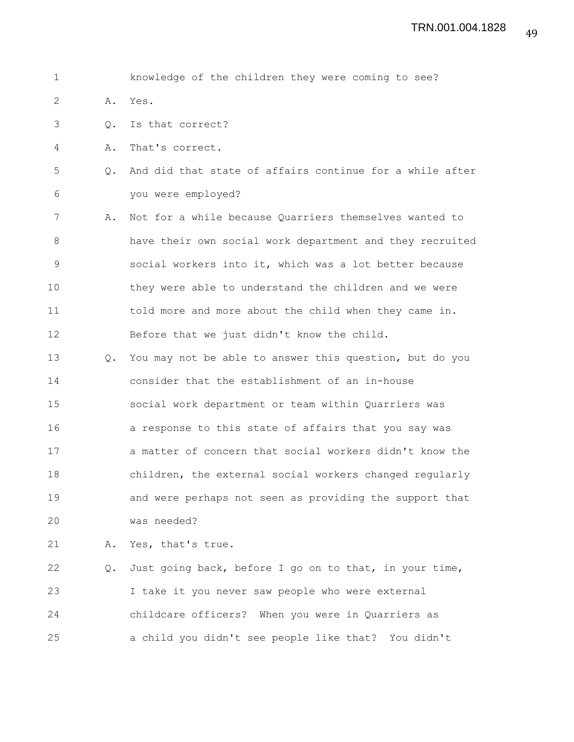| $\mathbf 1$ |               | knowledge of the children they were coming to see?       |
|-------------|---------------|----------------------------------------------------------|
| 2           | Α.            | Yes.                                                     |
| 3           | Q.            | Is that correct?                                         |
| 4           | Α.            | That's correct.                                          |
| 5           | $Q_{\bullet}$ | And did that state of affairs continue for a while after |
| 6           |               | you were employed?                                       |
| 7           | Α.            | Not for a while because Quarriers themselves wanted to   |
| 8           |               | have their own social work department and they recruited |
| 9           |               | social workers into it, which was a lot better because   |
| 10          |               | they were able to understand the children and we were    |
| 11          |               | told more and more about the child when they came in.    |
| 12          |               | Before that we just didn't know the child.               |
| 13          | $\circ$ .     | You may not be able to answer this question, but do you  |
| 14          |               | consider that the establishment of an in-house           |
| 15          |               | social work department or team within Quarriers was      |
| 16          |               | a response to this state of affairs that you say was     |
| 17          |               | a matter of concern that social workers didn't know the  |
| 18          |               | children, the external social workers changed regularly  |
| 19          |               | and were perhaps not seen as providing the support that  |
| 20          |               | was needed?                                              |
| 21          | Α.            | Yes, that's true.                                        |
| 22          | $Q_{\bullet}$ | Just going back, before I go on to that, in your time,   |
| 23          |               | I take it you never saw people who were external         |
| 24          |               | childcare officers? When you were in Quarriers as        |

25 a child you didn't see people like that? You didn't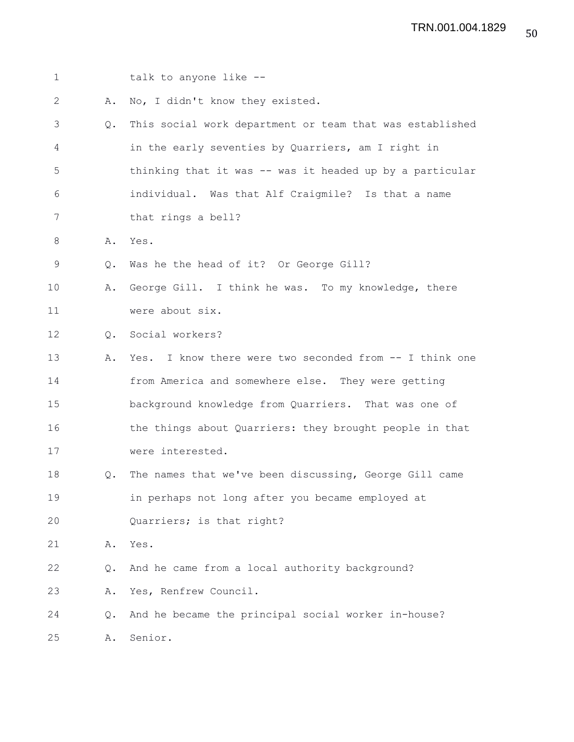| $\mathbf 1$  |               | talk to anyone like --                                   |
|--------------|---------------|----------------------------------------------------------|
| $\mathbf{2}$ | Α.            | No, I didn't know they existed.                          |
| 3            | Q.            | This social work department or team that was established |
| 4            |               | in the early seventies by Quarriers, am I right in       |
| 5            |               | thinking that it was -- was it headed up by a particular |
| 6            |               | individual. Was that Alf Craigmile? Is that a name       |
| 7            |               | that rings a bell?                                       |
| 8            | Α.            | Yes.                                                     |
| 9            | $Q_{\bullet}$ | Was he the head of it? Or George Gill?                   |
| 10           | Α.            | George Gill. I think he was. To my knowledge, there      |
| 11           |               | were about six.                                          |
| 12           | $\circ$ .     | Social workers?                                          |
| 13           | Α.            | Yes. I know there were two seconded from -- I think one  |
| 14           |               | from America and somewhere else. They were getting       |
| 15           |               | background knowledge from Quarriers. That was one of     |
| 16           |               | the things about Quarriers: they brought people in that  |
| 17           |               | were interested.                                         |
| 18           | Q.            | The names that we've been discussing, George Gill came   |
| 19           |               | in perhaps not long after you became employed at         |
| 20           |               | Quarriers; is that right?                                |
| 21           | Α.            | Yes.                                                     |
| 22           | Q.            | And he came from a local authority background?           |
| 23           | Α.            | Yes, Renfrew Council.                                    |
| 24           | Q.            | And he became the principal social worker in-house?      |
| 25           | Α.            | Senior.                                                  |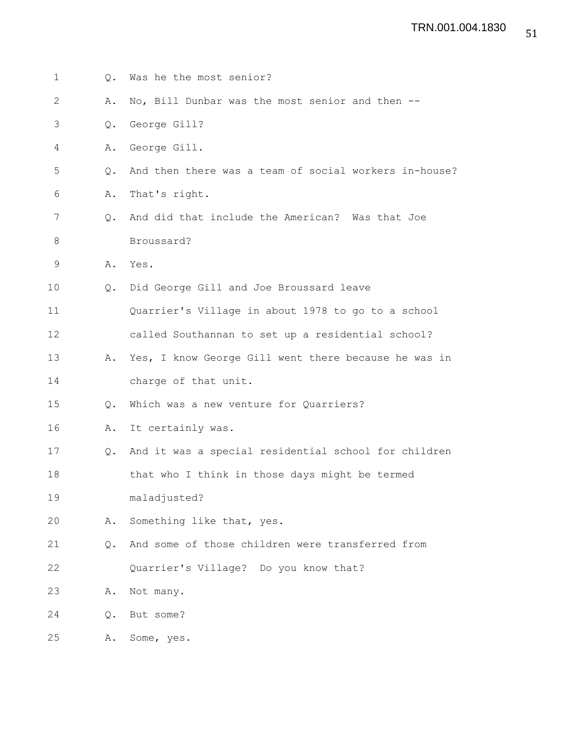| $\mathbf 1$  | Q. | Was he the most senior?                               |
|--------------|----|-------------------------------------------------------|
| $\mathbf{2}$ | Α. | No, Bill Dunbar was the most senior and then --       |
| 3            | Q. | George Gill?                                          |
| 4            | Α. | George Gill.                                          |
| 5            | Q. | And then there was a team of social workers in-house? |
| 6            | Α. | That's right.                                         |
| 7            | Q. | And did that include the American? Was that Joe       |
| 8            |    | Broussard?                                            |
| $\mathsf 9$  | Α. | Yes.                                                  |
| 10           | Q. | Did George Gill and Joe Broussard leave               |
| 11           |    | Quarrier's Village in about 1978 to go to a school    |
| 12           |    | called Southannan to set up a residential school?     |
| 13           | Α. | Yes, I know George Gill went there because he was in  |
| 14           |    | charge of that unit.                                  |
| 15           | Q. | Which was a new venture for Quarriers?                |
| 16           | Α. | It certainly was.                                     |
| 17           | Q. | And it was a special residential school for children  |
| 18           |    | that who I think in those days might be termed        |
| 19           |    | maladjusted?                                          |
| 20           | Α. | Something like that, yes.                             |
| 21           | Q. | And some of those children were transferred from      |
| 22           |    | Quarrier's Village? Do you know that?                 |
| 23           | Α. | Not many.                                             |
| 24           | Q. | But some?                                             |
| 25           | Α. | Some, yes.                                            |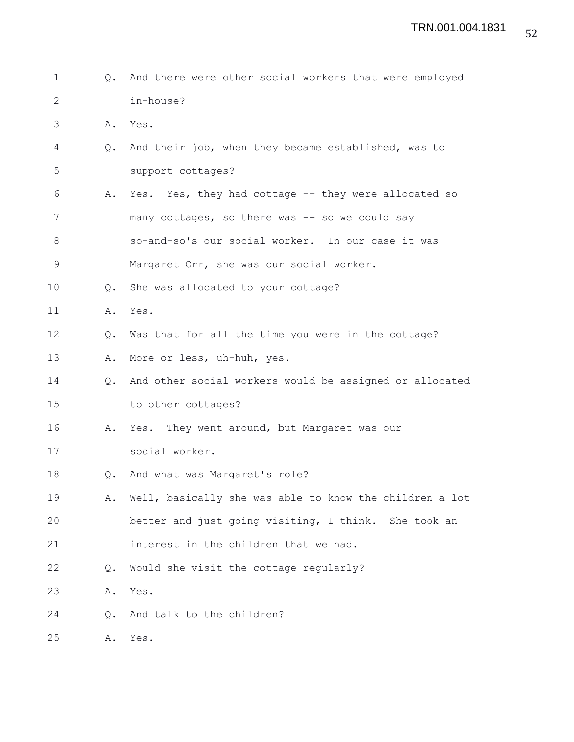1 Q. And there were other social workers that were employed 2 in-house? 3 A. Yes. 4 Q. And their job, when they became established, was to 5 support cottages? 6 A. Yes. Yes, they had cottage -- they were allocated so 7 many cottages, so there was -- so we could say 8 so-and-so's our social worker. In our case it was 9 Margaret Orr, she was our social worker. 10 Q. She was allocated to your cottage? 11 A. Yes. 12 Q. Was that for all the time you were in the cottage? 13 A. More or less, uh-huh, yes. 14 Q. And other social workers would be assigned or allocated 15 to other cottages? 16 A. Yes. They went around, but Margaret was our 17 social worker. 18 Q. And what was Margaret's role? 19 A. Well, basically she was able to know the children a lot 20 better and just going visiting, I think. She took an 21 interest in the children that we had. 22 Q. Would she visit the cottage regularly? 23 A. Yes. 24 Q. And talk to the children? 25 A. Yes.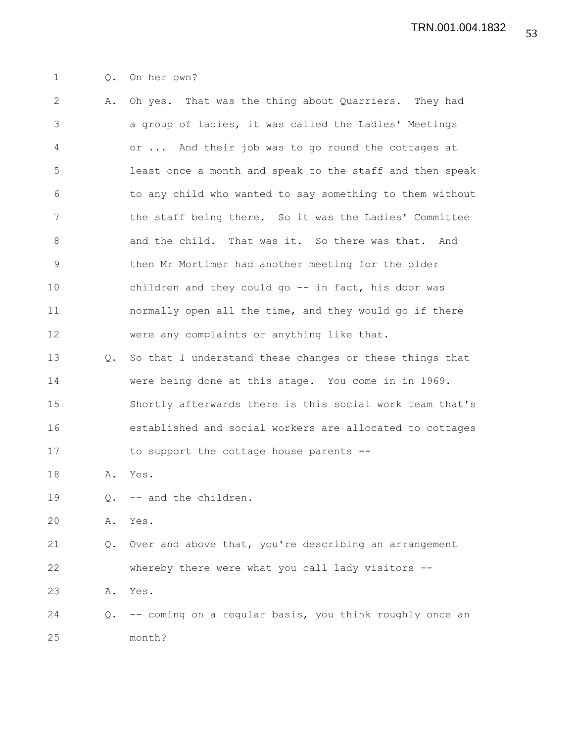1 Q. On her own?

2 A. Oh yes. That was the thing about Quarriers. They had 3 a group of ladies, it was called the Ladies' Meetings 4 or ... And their job was to go round the cottages at 5 least once a month and speak to the staff and then speak 6 to any child who wanted to say something to them without 7 the staff being there. So it was the Ladies' Committee 8 and the child. That was it. So there was that. And 9 then Mr Mortimer had another meeting for the older 10 children and they could go -- in fact, his door was 11 normally open all the time, and they would go if there 12 were any complaints or anything like that. 13 Q. So that I understand these changes or these things that 14 were being done at this stage. You come in in 1969. 15 Shortly afterwards there is this social work team that's 16 established and social workers are allocated to cottages 17 to support the cottage house parents --18 A. Yes. 19 Q. -- and the children. 20 A. Yes. 21 Q. Over and above that, you're describing an arrangement 22 whereby there were what you call lady visitors -- 23 A. Yes. 24 Q. -- coming on a regular basis, you think roughly once an 25 month?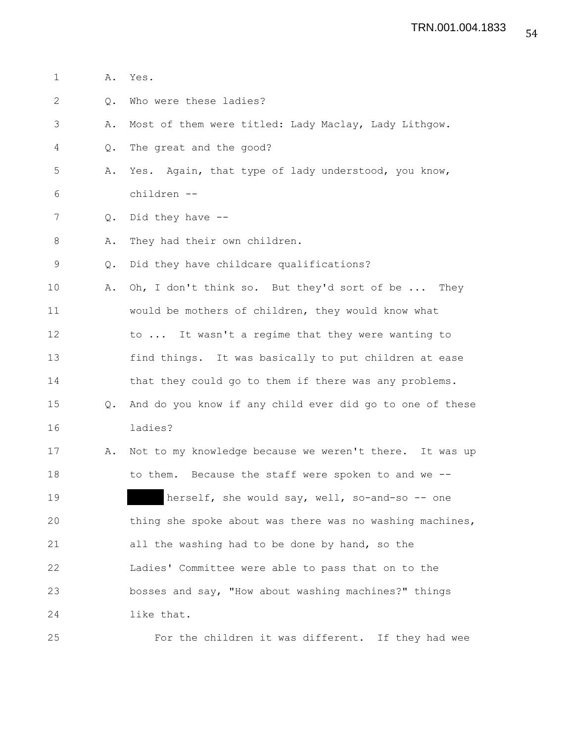| $\mathbf 1$  | Α.            | Yes.                                                     |
|--------------|---------------|----------------------------------------------------------|
| $\mathbf{2}$ | Q.            | Who were these ladies?                                   |
| 3            | Α.            | Most of them were titled: Lady Maclay, Lady Lithgow.     |
| 4            | Q.            | The great and the good?                                  |
| 5            | Α.            | Yes. Again, that type of lady understood, you know,      |
| 6            |               | children --                                              |
| 7            | Q.            | Did they have $-$ -                                      |
| 8            | Α.            | They had their own children.                             |
| 9            | Q.            | Did they have childcare qualifications?                  |
| 10           | Α.            | Oh, I don't think so. But they'd sort of be<br>They      |
| 11           |               | would be mothers of children, they would know what       |
| 12           |               | to  It wasn't a regime that they were wanting to         |
| 13           |               | find things. It was basically to put children at ease    |
| 14           |               | that they could go to them if there was any problems.    |
| 15           | $Q_{\bullet}$ | And do you know if any child ever did go to one of these |
| 16           |               | ladies?                                                  |
| 17           | Α.            | Not to my knowledge because we weren't there. It was up  |
| 18           |               | to them. Because the staff were spoken to and we --      |
| 19           |               | herself, she would say, well, so-and-so -- one           |
| 20           |               | thing she spoke about was there was no washing machines, |
| 21           |               | all the washing had to be done by hand, so the           |
| 22           |               | Ladies' Committee were able to pass that on to the       |
| 23           |               | bosses and say, "How about washing machines?" things     |
| 24           |               | like that.                                               |
| 25           |               | For the children it was different. If they had wee       |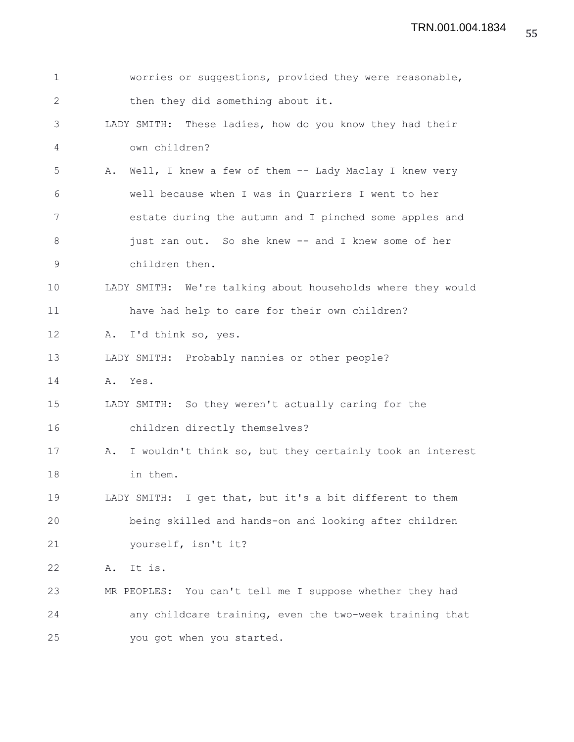| $\mathbf 1$  |         | worries or suggestions, provided they were reasonable,      |
|--------------|---------|-------------------------------------------------------------|
| $\mathbf{2}$ |         | then they did something about it.                           |
| 3            |         | LADY SMITH: These ladies, how do you know they had their    |
| 4            |         | own children?                                               |
| 5            | Α.      | Well, I knew a few of them -- Lady Maclay I knew very       |
| 6            |         | well because when I was in Quarriers I went to her          |
| 7            |         | estate during the autumn and I pinched some apples and      |
| 8            |         | just ran out. So she knew -- and I knew some of her         |
| 9            |         | children then.                                              |
| 10           |         | LADY SMITH: We're talking about households where they would |
| 11           |         | have had help to care for their own children?               |
| 12           |         | A. I'd think so, yes.                                       |
| 13           |         | LADY SMITH: Probably nannies or other people?               |
| 14           | A. Yes. |                                                             |
| 15           |         | LADY SMITH: So they weren't actually caring for the         |
| 16           |         | children directly themselves?                               |
| 17           | Α.      | I wouldn't think so, but they certainly took an interest    |
| 18           |         | in them.                                                    |
| 19           |         | LADY SMITH: I get that, but it's a bit different to them    |
| 20           |         | being skilled and hands-on and looking after children       |
| 21           |         | yourself, isn't it?                                         |
| 22           | Α.      | It is.                                                      |
| 23           |         | MR PEOPLES: You can't tell me I suppose whether they had    |
| 24           |         | any childcare training, even the two-week training that     |
| 25           |         | you got when you started.                                   |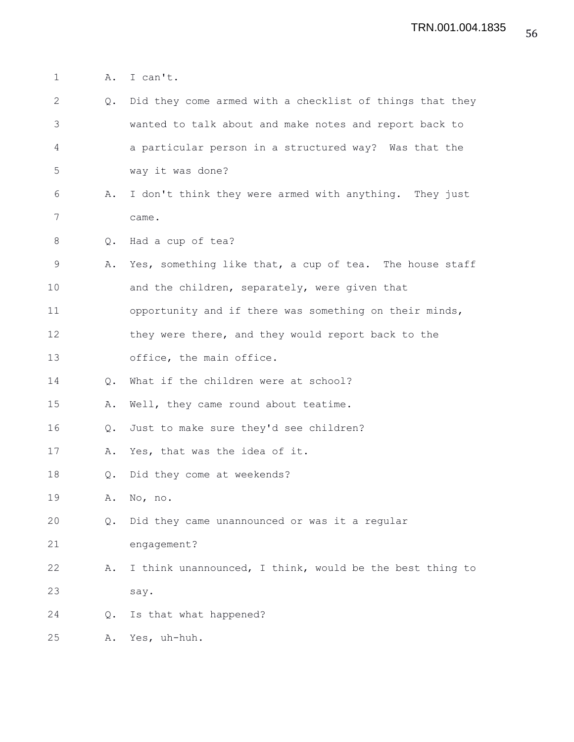1 A. I can't.

| $\mathbf{2}$  | Q. | Did they come armed with a checklist of things that they |
|---------------|----|----------------------------------------------------------|
| 3             |    | wanted to talk about and make notes and report back to   |
| 4             |    | a particular person in a structured way? Was that the    |
| 5             |    | way it was done?                                         |
| 6             | Α. | I don't think they were armed with anything. They just   |
| 7             |    | came.                                                    |
| 8             | Q. | Had a cup of tea?                                        |
| 9             | Α. | Yes, something like that, a cup of tea. The house staff  |
| 10            |    | and the children, separately, were given that            |
| 11            |    | opportunity and if there was something on their minds,   |
| 12            |    | they were there, and they would report back to the       |
| 13            |    | office, the main office.                                 |
| 14            | Q. | What if the children were at school?                     |
| 15            | Α. | Well, they came round about teatime.                     |
| 16            | Q. | Just to make sure they'd see children?                   |
| 17            | Α. | Yes, that was the idea of it.                            |
| 18            | Q. | Did they come at weekends?                               |
| 19            | Α. | No, no.                                                  |
| 20            | Q. | Did they came unannounced or was it a regular            |
| 21            |    | engagement?                                              |
| 22            | Α. | I think unannounced, I think, would be the best thing to |
| 23            |    | say.                                                     |
| 24            | Q. | Is that what happened?                                   |
| $\sim$ $\sim$ |    |                                                          |

25 A. Yes, uh-huh.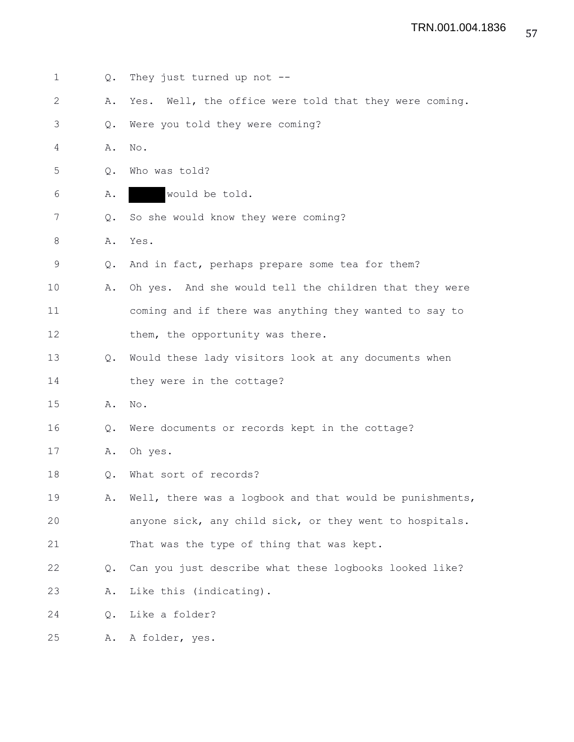| $\mathbf 1$    | Q.            | They just turned up not --                                |
|----------------|---------------|-----------------------------------------------------------|
| $\overline{2}$ | Α.            | Well, the office were told that they were coming.<br>Yes. |
| 3              | Q.            | Were you told they were coming?                           |
| 4              | Α.            | No.                                                       |
| 5              | Q.            | Who was told?                                             |
| 6              | Α.            | would be told.                                            |
| 7              | Q.            | So she would know they were coming?                       |
| 8              | Α.            | Yes.                                                      |
| 9              | Q.            | And in fact, perhaps prepare some tea for them?           |
| 10             | Α.            | Oh yes. And she would tell the children that they were    |
| 11             |               | coming and if there was anything they wanted to say to    |
| 12             |               | them, the opportunity was there.                          |
| 13             | $Q_{\bullet}$ | Would these lady visitors look at any documents when      |
| 14             |               | they were in the cottage?                                 |
| 15             | Α.            | No.                                                       |
| 16             | Q.            | Were documents or records kept in the cottage?            |
| 17             | Α.            | Oh yes.                                                   |
| 18             | Q.            | What sort of records?                                     |
| 19             | Α.            | Well, there was a logbook and that would be punishments,  |
| 20             |               | anyone sick, any child sick, or they went to hospitals.   |
| 21             |               | That was the type of thing that was kept.                 |
| 22             | $Q_{\bullet}$ | Can you just describe what these logbooks looked like?    |
| 23             | Α.            | Like this (indicating).                                   |
| 24             | Q.            | Like a folder?                                            |
| 25             | Α.            | A folder, yes.                                            |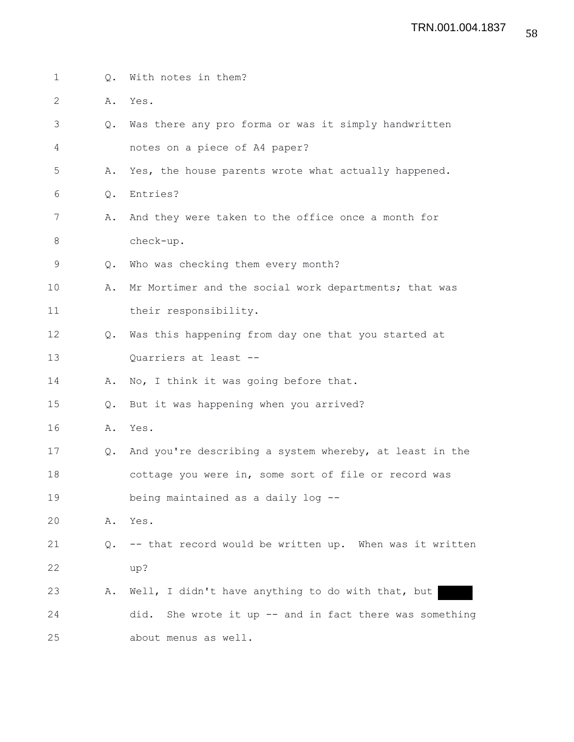| $\mathbf 1$  | Q.            | With notes in them?                                         |
|--------------|---------------|-------------------------------------------------------------|
| $\mathbf{2}$ | Α.            | Yes.                                                        |
| 3            | Q.            | Was there any pro forma or was it simply handwritten        |
| 4            |               | notes on a piece of A4 paper?                               |
| 5            | Α.            | Yes, the house parents wrote what actually happened.        |
| 6            | Q.            | Entries?                                                    |
| 7            | Α.            | And they were taken to the office once a month for          |
| 8            |               | check-up.                                                   |
| 9            | Q.            | Who was checking them every month?                          |
| 10           | Α.            | Mr Mortimer and the social work departments; that was       |
| 11           |               | their responsibility.                                       |
| 12           | $Q_{\bullet}$ | Was this happening from day one that you started at         |
| 13           |               | Quarriers at least --                                       |
| 14           | Α.            | No, I think it was going before that.                       |
| 15           | $Q_{\bullet}$ | But it was happening when you arrived?                      |
| 16           | Α.            | Yes.                                                        |
| 17           | Q.            | And you're describing a system whereby, at least in the     |
| 18           |               | cottage you were in, some sort of file or record was        |
| 19           |               | being maintained as a daily log --                          |
| 20           | Α.            | Yes.                                                        |
| 21           | Q.            | -- that record would be written up. When was it written     |
| 22           |               | up?                                                         |
| 23           | Α.            | Well, I didn't have anything to do with that, but           |
| 24           |               | She wrote it up $-$ and in fact there was something<br>did. |
| 25           |               | about menus as well.                                        |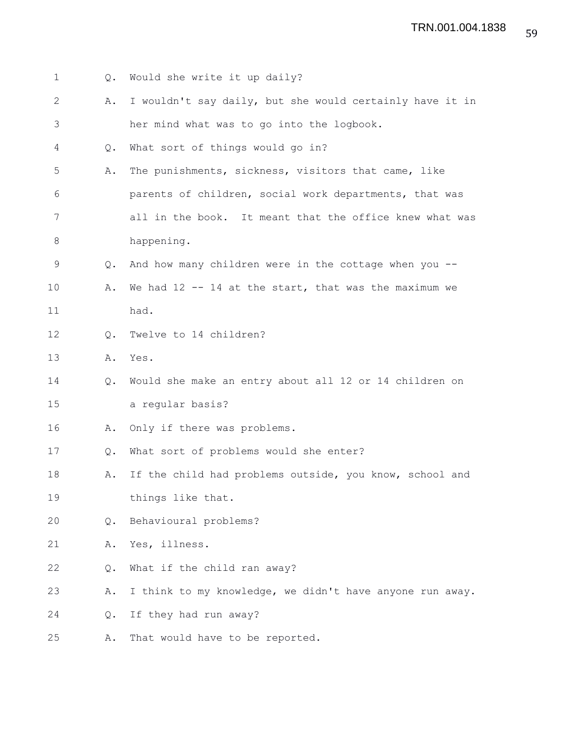| $\mathbf 1$  | Q.            | Would she write it up daily?                             |
|--------------|---------------|----------------------------------------------------------|
| $\mathbf{2}$ | Α.            | I wouldn't say daily, but she would certainly have it in |
| 3            |               | her mind what was to go into the logbook.                |
| 4            | Q.            | What sort of things would go in?                         |
| 5            | Α.            | The punishments, sickness, visitors that came, like      |
| 6            |               | parents of children, social work departments, that was   |
| 7            |               | all in the book. It meant that the office knew what was  |
| $\,8\,$      |               | happening.                                               |
| 9            | Q.            | And how many children were in the cottage when you --    |
| 10           | Α.            | We had $12$ -- 14 at the start, that was the maximum we  |
| 11           |               | had.                                                     |
| 12           | Q.            | Twelve to 14 children?                                   |
| 13           | Α.            | Yes.                                                     |
| 14           | $Q_{\bullet}$ | Would she make an entry about all 12 or 14 children on   |
| 15           |               | a regular basis?                                         |
| 16           | Α.            | Only if there was problems.                              |
| 17           | Q.            | What sort of problems would she enter?                   |
| 18           | Α.            | If the child had problems outside, you know, school and  |
| 19           |               | things like that.                                        |
| 20           | Q.            | Behavioural problems?                                    |
| 21           | Α.            | Yes, illness.                                            |
| 22           | Q.            | What if the child ran away?                              |
| 23           | Α.            | I think to my knowledge, we didn't have anyone run away. |
| 24           | Q.            | If they had run away?                                    |
| 25           | Α.            | That would have to be reported.                          |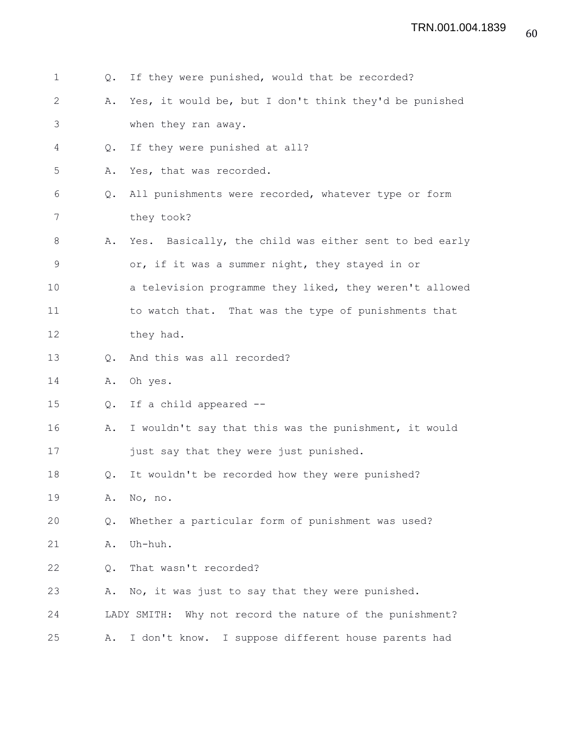| 1  | Q.            | If they were punished, would that be recorded?              |
|----|---------------|-------------------------------------------------------------|
| 2  | Α.            | Yes, it would be, but I don't think they'd be punished      |
| 3  |               | when they ran away.                                         |
| 4  | Q.            | If they were punished at all?                               |
| 5  | Α.            | Yes, that was recorded.                                     |
| 6  | $Q_{\bullet}$ | All punishments were recorded, whatever type or form        |
| 7  |               | they took?                                                  |
| 8  | Α.            | Yes. Basically, the child was either sent to bed early      |
| 9  |               | or, if it was a summer night, they stayed in or             |
| 10 |               | a television programme they liked, they weren't allowed     |
| 11 |               | to watch that. That was the type of punishments that        |
| 12 |               | they had.                                                   |
| 13 | Q.            | And this was all recorded?                                  |
| 14 | Α.            | Oh yes.                                                     |
| 15 | Q.            | If a child appeared --                                      |
| 16 | Α.            | I wouldn't say that this was the punishment, it would       |
| 17 |               | just say that they were just punished.                      |
| 18 | Q.            | It wouldn't be recorded how they were punished?             |
| 19 | Α.            | No, no.                                                     |
| 20 | Q.            | Whether a particular form of punishment was used?           |
| 21 | Α.            | Uh-huh.                                                     |
| 22 | Q.            | That wasn't recorded?                                       |
| 23 | Α.            | No, it was just to say that they were punished.             |
| 24 |               | Why not record the nature of the punishment?<br>LADY SMITH: |
| 25 | Α.            | I don't know. I suppose different house parents had         |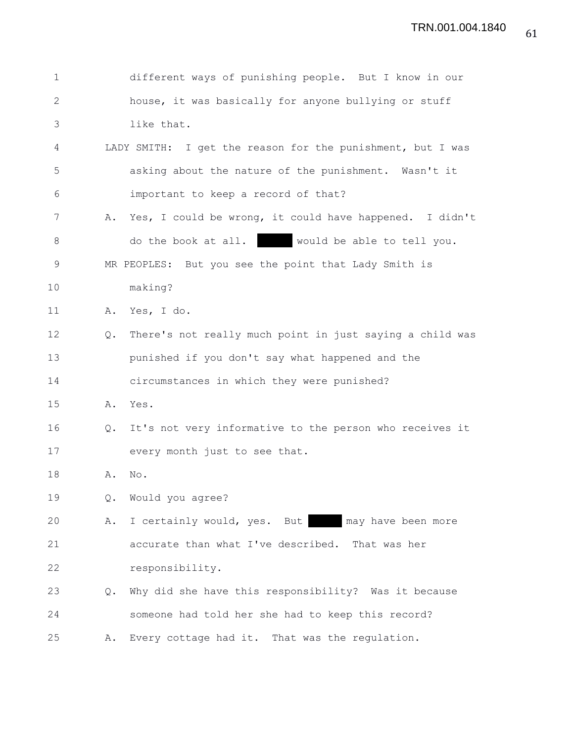| $\mathbf 1$  |    | different ways of punishing people. But I know in our      |
|--------------|----|------------------------------------------------------------|
| $\mathbf{2}$ |    | house, it was basically for anyone bullying or stuff       |
| 3            |    | like that.                                                 |
| 4            |    | LADY SMITH: I get the reason for the punishment, but I was |
| 5            |    | asking about the nature of the punishment. Wasn't it       |
| 6            |    | important to keep a record of that?                        |
| 7            |    | A. Yes, I could be wrong, it could have happened. I didn't |
| $8\,$        |    | do the book at all. would be able to tell you.             |
| 9            |    | MR PEOPLES: But you see the point that Lady Smith is       |
| 10           |    | making?                                                    |
| 11           |    | A. Yes, I do.                                              |
| 12           | Q. | There's not really much point in just saying a child was   |
| 13           |    | punished if you don't say what happened and the            |
| 14           |    | circumstances in which they were punished?                 |
| 15           | Α. | Yes.                                                       |
| 16           | Q. | It's not very informative to the person who receives it    |
| 17           |    | every month just to see that.                              |
| 18           | Α. | No.                                                        |
| 19           | Q. | Would you agree?                                           |
| 20           | Α. | I certainly would, yes. But<br>may have been more          |
| 21           |    | accurate than what I've described. That was her            |
| 22           |    | responsibility.                                            |
| 23           | Q. | Why did she have this responsibility? Was it because       |
| 24           |    | someone had told her she had to keep this record?          |
| 25           | Α. | Every cottage had it. That was the regulation.             |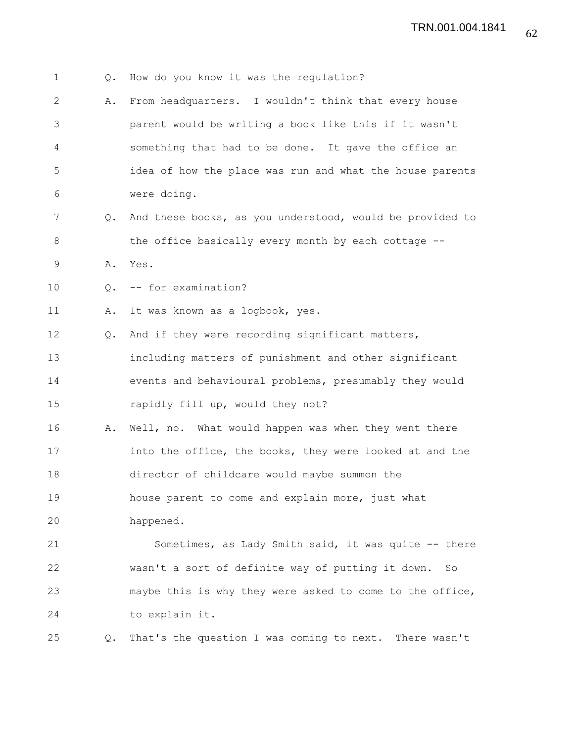| $\mathbf 1$  | $Q_{\bullet}$ | How do you know it was the regulation?                   |
|--------------|---------------|----------------------------------------------------------|
| $\mathbf{2}$ | Α.            | From headquarters. I wouldn't think that every house     |
| 3            |               | parent would be writing a book like this if it wasn't    |
| 4            |               | something that had to be done. It gave the office an     |
| 5            |               | idea of how the place was run and what the house parents |
| 6            |               | were doing.                                              |
| 7            | $Q_{\bullet}$ | And these books, as you understood, would be provided to |
| 8            |               | the office basically every month by each cottage --      |
| 9            | Α.            | Yes.                                                     |
| 10           | $\circ$ .     | -- for examination?                                      |
| 11           | Α.            | It was known as a logbook, yes.                          |
| 12           | $Q_{\bullet}$ | And if they were recording significant matters,          |
| 13           |               | including matters of punishment and other significant    |
| 14           |               | events and behavioural problems, presumably they would   |
| 15           |               | rapidly fill up, would they not?                         |
| 16           | Α.            | Well, no. What would happen was when they went there     |
| 17           |               | into the office, the books, they were looked at and the  |
| 18           |               | director of childcare would maybe summon the             |
| 19           |               | house parent to come and explain more, just what         |
| 20           |               | happened.                                                |
| 21           |               | Sometimes, as Lady Smith said, it was quite -- there     |
| 22           |               | wasn't a sort of definite way of putting it down.<br>So  |
| 23           |               | maybe this is why they were asked to come to the office, |
| 24           |               | to explain it.                                           |
| 25           | Q.            | That's the question I was coming to next. There wasn't   |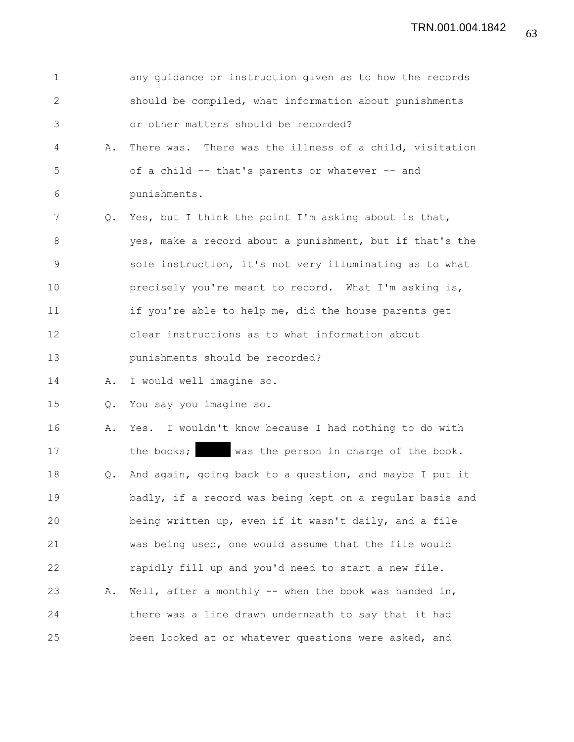| $\mathbf 1$   |               | any guidance or instruction given as to how the records  |
|---------------|---------------|----------------------------------------------------------|
| 2             |               | should be compiled, what information about punishments   |
| 3             |               | or other matters should be recorded?                     |
| 4             | Α.            | There was. There was the illness of a child, visitation  |
| 5             |               | of a child -- that's parents or whatever -- and          |
| 6             |               | punishments.                                             |
| 7             | Q.            | Yes, but I think the point I'm asking about is that,     |
| 8             |               | yes, make a record about a punishment, but if that's the |
| $\mathcal{G}$ |               | sole instruction, it's not very illuminating as to what  |
| 10            |               | precisely you're meant to record. What I'm asking is,    |
| 11            |               | if you're able to help me, did the house parents get     |
| 12            |               | clear instructions as to what information about          |
| 13            |               | punishments should be recorded?                          |
| 14            | Α.            | I would well imagine so.                                 |
| 15            | $Q$ .         | You say you imagine so.                                  |
| 16            | Α.            | Yes. I wouldn't know because I had nothing to do with    |
| 17            |               | the books;<br>was the person in charge of the book.      |
| 18            | $Q_{\bullet}$ | And again, going back to a question, and maybe I put it  |
| 19            |               | badly, if a record was being kept on a regular basis and |
| 20            |               | being written up, even if it wasn't daily, and a file    |
| 21            |               | was being used, one would assume that the file would     |
| 22            |               | rapidly fill up and you'd need to start a new file.      |
| 23            | Α.            | Well, after a monthly $--$ when the book was handed in,  |
| 24            |               | there was a line drawn underneath to say that it had     |
| 25            |               | been looked at or whatever questions were asked, and     |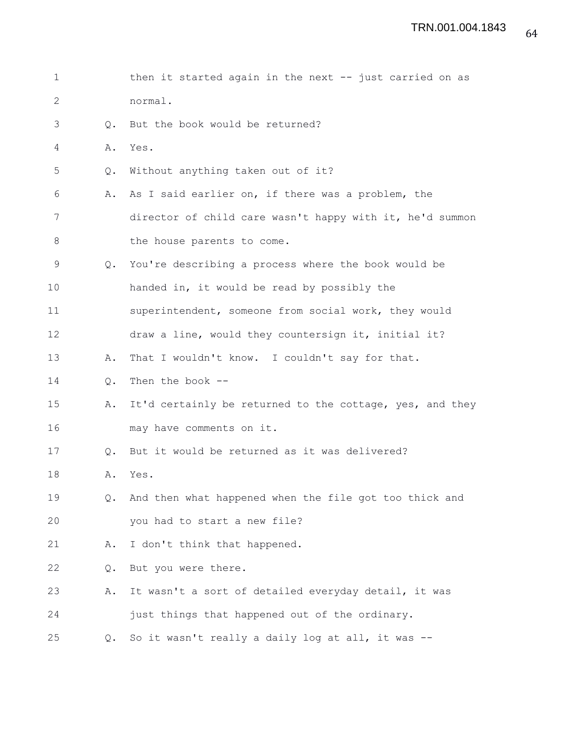| $\mathbf 1$ |               | then it started again in the next $-$ just carried on as |
|-------------|---------------|----------------------------------------------------------|
| 2           |               | normal.                                                  |
| 3           | Q.            | But the book would be returned?                          |
| 4           | Α.            | Yes.                                                     |
| 5           | Q.            | Without anything taken out of it?                        |
| 6           | Α.            | As I said earlier on, if there was a problem, the        |
| 7           |               | director of child care wasn't happy with it, he'd summon |
| 8           |               | the house parents to come.                               |
| 9           | Q.            | You're describing a process where the book would be      |
| 10          |               | handed in, it would be read by possibly the              |
| 11          |               | superintendent, someone from social work, they would     |
| 12          |               | draw a line, would they countersign it, initial it?      |
| 13          | Α.            | That I wouldn't know. I couldn't say for that.           |
| 14          | Q.            | Then the book --                                         |
| 15          | Α.            | It'd certainly be returned to the cottage, yes, and they |
| 16          |               | may have comments on it.                                 |
| 17          | $Q_{\bullet}$ | But it would be returned as it was delivered?            |
| 18          | Α.            | Yes.                                                     |
| 19          | $Q_{\bullet}$ | And then what happened when the file got too thick and   |
| 20          |               | you had to start a new file?                             |
| 21          | Α.            | I don't think that happened.                             |
| 22          | Q.            | But you were there.                                      |
| 23          | Α.            | It wasn't a sort of detailed everyday detail, it was     |
| 24          |               | just things that happened out of the ordinary.           |
| 25          | $\circ$ .     | So it wasn't really a daily log at all, it was --        |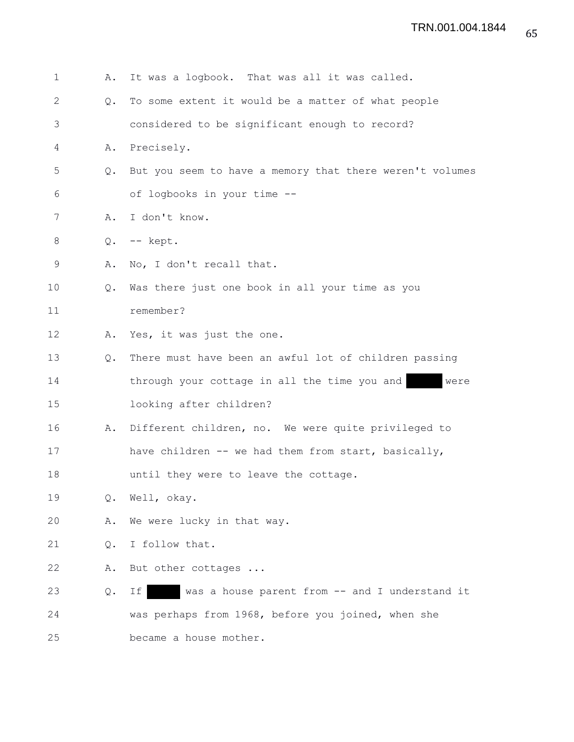| 1            | Α.            | It was a logbook. That was all it was called.            |
|--------------|---------------|----------------------------------------------------------|
| $\mathbf{2}$ | $Q_{\bullet}$ | To some extent it would be a matter of what people       |
| 3            |               | considered to be significant enough to record?           |
| 4            | Α.            | Precisely.                                               |
| 5            | Q.            | But you seem to have a memory that there weren't volumes |
| 6            |               | of logbooks in your time --                              |
| 7            | Α.            | I don't know.                                            |
| 8            | Q.            | -- kept.                                                 |
| 9            | Α.            | No, I don't recall that.                                 |
| 10           | Q.            | Was there just one book in all your time as you          |
| 11           |               | remember?                                                |
| 12           | Α.            | Yes, it was just the one.                                |
| 13           | $Q_{\bullet}$ | There must have been an awful lot of children passing    |
| 14           |               | through your cottage in all the time you and<br>were     |
| 15           |               | looking after children?                                  |
| 16           | Α.            | Different children, no. We were quite privileged to      |
| 17           |               | have children -- we had them from start, basically,      |
| 18           |               | until they were to leave the cottage.                    |
| 19           |               | Q. Well, okay.                                           |
| 20           | Α.            | We were lucky in that way.                               |
| 21           | Q.            | I follow that.                                           |
| 22           | Α.            | But other cottages                                       |
| 23           | Q.            | was a house parent from -- and I understand it<br>Ιf     |
| 24           |               | was perhaps from 1968, before you joined, when she       |
| 25           |               | became a house mother.                                   |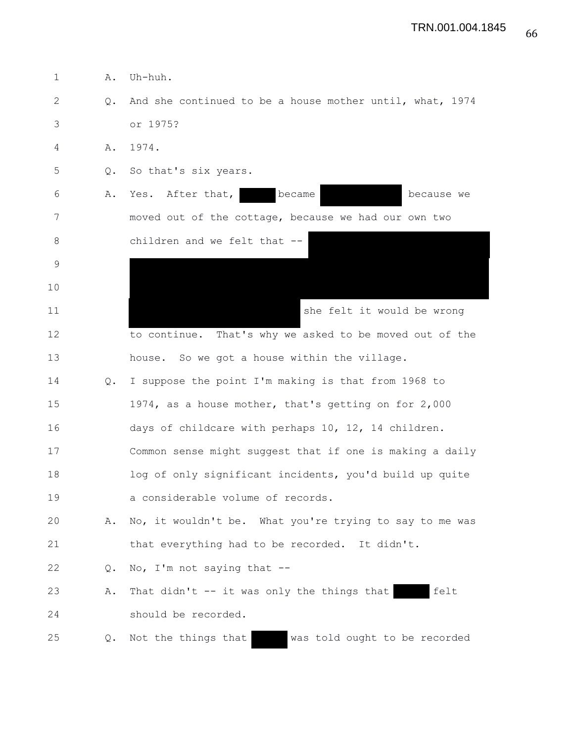| $\mathbf 1$  | Α.            | Uh-huh.                                                  |
|--------------|---------------|----------------------------------------------------------|
| $\mathbf{2}$ | $Q_{\bullet}$ | And she continued to be a house mother until, what, 1974 |
| 3            |               | or 1975?                                                 |
| 4            | A.            | 1974.                                                    |
| 5            | Q.            | So that's six years.                                     |
| 6            | Α.            | became<br>Yes. After that,<br>because we                 |
| 7            |               | moved out of the cottage, because we had our own two     |
| 8            |               | children and we felt that --                             |
| $\mathsf 9$  |               |                                                          |
| 10           |               |                                                          |
| 11           |               | she felt it would be wrong                               |
| 12           |               | to continue. That's why we asked to be moved out of the  |
| 13           |               | house. So we got a house within the village.             |
| 14           | Q.            | I suppose the point I'm making is that from 1968 to      |
| 15           |               | 1974, as a house mother, that's getting on for 2,000     |
| 16           |               | days of childcare with perhaps 10, 12, 14 children.      |
| 17           |               | Common sense might suggest that if one is making a daily |
| 18           |               | log of only significant incidents, you'd build up quite  |
| 19           |               | a considerable volume of records.                        |
| 20           | Α.            | No, it wouldn't be. What you're trying to say to me was  |
| 21           |               | that everything had to be recorded. It didn't.           |
| 22           | Q.            | No, I'm not saying that --                               |
| 23           | Α.            | That didn't $-$ it was only the things that<br>felt      |
| 24           |               | should be recorded.                                      |
| 25           | Q.            | was told ought to be recorded<br>Not the things that     |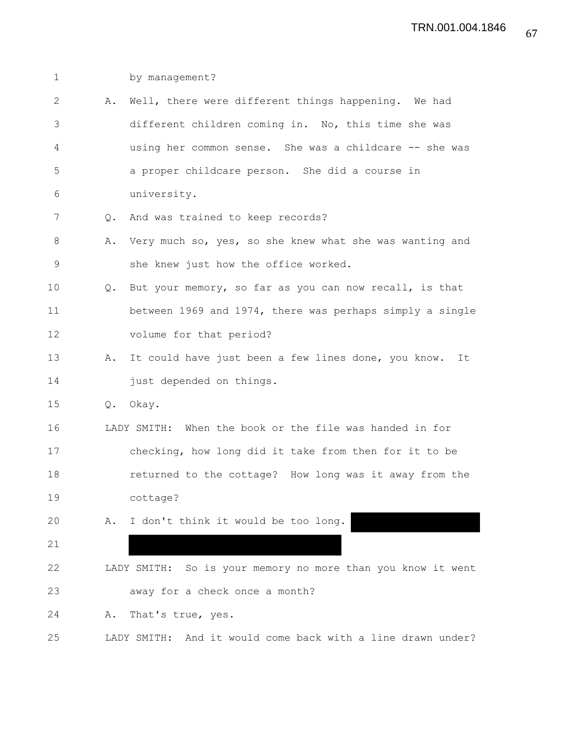| $\mathbf 1$  |               | by management?                                              |
|--------------|---------------|-------------------------------------------------------------|
| $\mathbf{2}$ | Α.            | Well, there were different things happening. We had         |
| 3            |               | different children coming in. No, this time she was         |
| 4            |               | using her common sense. She was a childcare -- she was      |
| 5            |               | a proper childcare person. She did a course in              |
| 6            |               | university.                                                 |
| 7            | Q.            | And was trained to keep records?                            |
| 8            | Α.            | Very much so, yes, so she knew what she was wanting and     |
| $\mathsf 9$  |               | she knew just how the office worked.                        |
| 10           | $Q_{\bullet}$ | But your memory, so far as you can now recall, is that      |
| 11           |               | between 1969 and 1974, there was perhaps simply a single    |
| 12           |               | volume for that period?                                     |
| 13           | Α.            | It could have just been a few lines done, you know. It      |
| 14           |               | just depended on things.                                    |
| 15           | Q.            | Okay.                                                       |
| 16           |               | LADY SMITH: When the book or the file was handed in for     |
| 17           |               | checking, how long did it take from then for it to be       |
| 18           |               | returned to the cottage? How long was it away from the      |
| 19           |               | cottage?                                                    |
| 20           |               | A. I don't think it would be too long.                      |
| 21           |               |                                                             |
| 22           |               | LADY SMITH: So is your memory no more than you know it went |
| 23           |               | away for a check once a month?                              |
| 24           | Α.            | That's true, yes.                                           |
| 25           |               | LADY SMITH: And it would come back with a line drawn under? |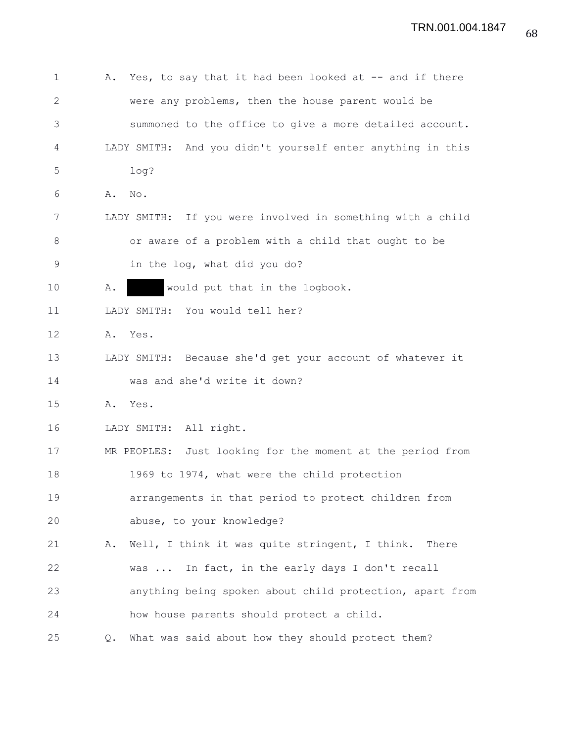| 1            | Yes, to say that it had been looked at -- and if there<br>Α. |
|--------------|--------------------------------------------------------------|
| $\mathbf{2}$ | were any problems, then the house parent would be            |
| 3            | summoned to the office to give a more detailed account.      |
| 4            | LADY SMITH: And you didn't yourself enter anything in this   |
| 5            | log?                                                         |
| 6            | Α.<br>No.                                                    |
| 7            | LADY SMITH: If you were involved in something with a child   |
| 8            | or aware of a problem with a child that ought to be          |
| 9            | in the log, what did you do?                                 |
| 10           | would put that in the logbook.<br>Α.                         |
| 11           | LADY SMITH: You would tell her?                              |
| 12           | A. Yes.                                                      |
| 13           | LADY SMITH: Because she'd get your account of whatever it    |
| 14           | was and she'd write it down?                                 |
| 15           | Yes.<br>Α.                                                   |
| 16           | LADY SMITH: All right.                                       |
| 17           | MR PEOPLES: Just looking for the moment at the period from   |
| 18           | 1969 to 1974, what were the child protection                 |
| 19           | arrangements in that period to protect children from         |
| 20           | abuse, to your knowledge?                                    |
| 21           | A. Well, I think it was quite stringent, I think. There      |
| 22           | In fact, in the early days I don't recall<br>was             |
| 23           | anything being spoken about child protection, apart from     |
| 24           | how house parents should protect a child.                    |
| 25           | What was said about how they should protect them?<br>Q.      |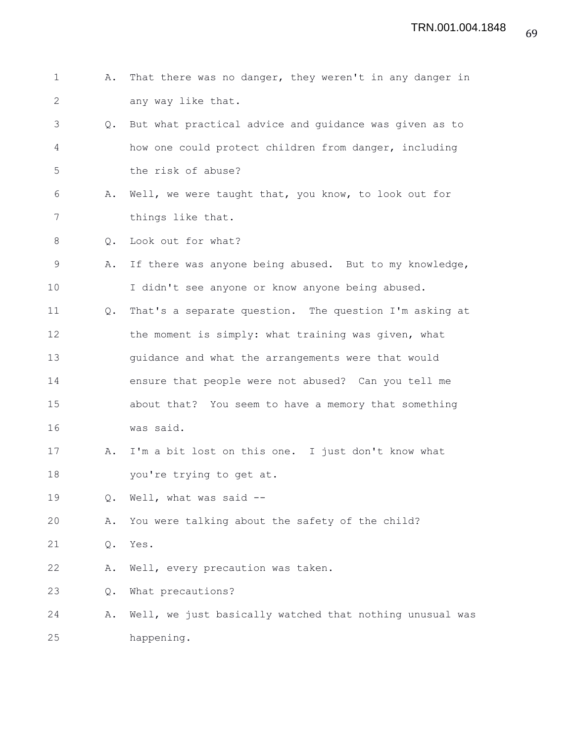| $\mathbf{1}$ | Α.            | That there was no danger, they weren't in any danger in  |
|--------------|---------------|----------------------------------------------------------|
| 2            |               | any way like that.                                       |
| 3            | Q.            | But what practical advice and guidance was given as to   |
| 4            |               | how one could protect children from danger, including    |
| 5            |               | the risk of abuse?                                       |
| 6            | Α.            | Well, we were taught that, you know, to look out for     |
| 7            |               | things like that.                                        |
| 8            | Q.            | Look out for what?                                       |
| 9            | Α.            | If there was anyone being abused. But to my knowledge,   |
| 10           |               | I didn't see anyone or know anyone being abused.         |
| 11           | $Q_{\bullet}$ | That's a separate question. The question I'm asking at   |
| 12           |               | the moment is simply: what training was given, what      |
| 13           |               | guidance and what the arrangements were that would       |
| 14           |               | ensure that people were not abused? Can you tell me      |
| 15           |               | about that? You seem to have a memory that something     |
| 16           |               | was said.                                                |
| 17           | Α.            | I'm a bit lost on this one. I just don't know what       |
| 18           |               | you're trying to get at.                                 |
| 19           | Q.            | Well, what was said --                                   |
| 20           | Α.            | You were talking about the safety of the child?          |
| 21           | Q.            | Yes.                                                     |
| 22           | Α.            | Well, every precaution was taken.                        |
| 23           | Q.            | What precautions?                                        |
| 24           | Α.            | Well, we just basically watched that nothing unusual was |
| 25           |               | happening.                                               |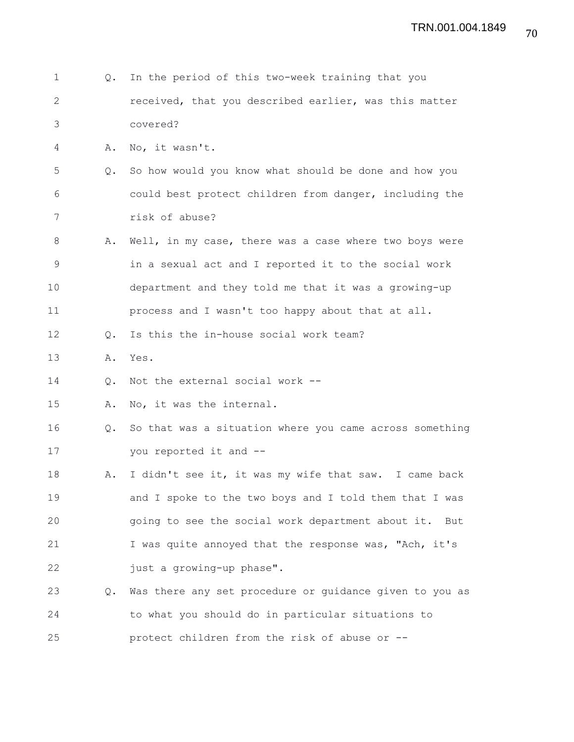- 1 Q. In the period of this two-week training that you 2 received, that you described earlier, was this matter 3 covered? 4 A. No, it wasn't. 5 Q. So how would you know what should be done and how you 6 could best protect children from danger, including the 7 risk of abuse? 8 A. Well, in my case, there was a case where two boys were 9 in a sexual act and I reported it to the social work 10 department and they told me that it was a growing-up 11 process and I wasn't too happy about that at all. 12 Q. Is this the in-house social work team? 13 A. Yes. 14 Q. Not the external social work -- 15 A. No, it was the internal. 16 Q. So that was a situation where you came across something 17 you reported it and -- 18 A. I didn't see it, it was my wife that saw. I came back 19 and I spoke to the two boys and I told them that I was 20 going to see the social work department about it. But 21 I was quite annoyed that the response was, "Ach, it's 22 just a growing-up phase". 23 Q. Was there any set procedure or guidance given to you as 24 to what you should do in particular situations to 25 protect children from the risk of abuse or --
- 70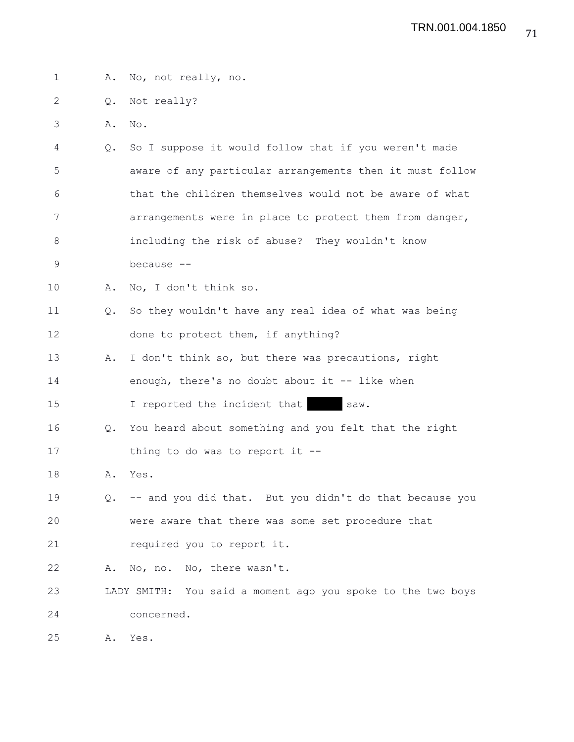1 A. No, not really, no. 2 Q. Not really? 3 A. No. 4 Q. So I suppose it would follow that if you weren't made 5 aware of any particular arrangements then it must follow 6 that the children themselves would not be aware of what 7 arrangements were in place to protect them from danger, 8 including the risk of abuse? They wouldn't know 9 because -- 10 A. No, I don't think so. 11 Q. So they wouldn't have any real idea of what was being 12 done to protect them, if anything? 13 A. I don't think so, but there was precautions, right 14 enough, there's no doubt about it -- like when 15 I reported the incident that saw. 16 Q. You heard about something and you felt that the right 17 thing to do was to report it --18 A. Yes. 19 Q. -- and you did that. But you didn't do that because you 20 were aware that there was some set procedure that 21 required you to report it. 22 A. No, no. No, there wasn't. 23 LADY SMITH: You said a moment ago you spoke to the two boys 24 concerned. 25 A. Yes.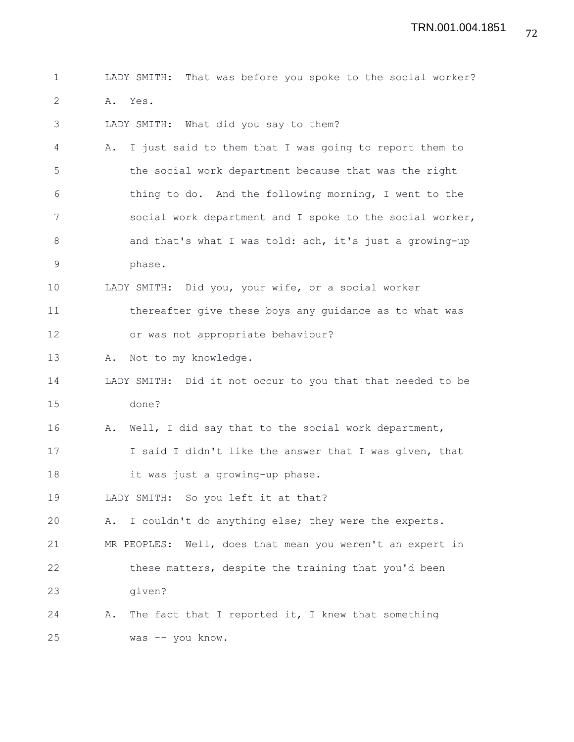| $\mathbf 1$   | LADY SMITH: That was before you spoke to the social worker?  |
|---------------|--------------------------------------------------------------|
| 2             | A. Yes.                                                      |
| 3             | LADY SMITH: What did you say to them?                        |
| 4             | I just said to them that I was going to report them to<br>Α. |
| 5             | the social work department because that was the right        |
| 6             | thing to do. And the following morning, I went to the        |
| 7             | social work department and I spoke to the social worker,     |
| $8\,$         | and that's what I was told: ach, it's just a growing-up      |
| $\mathcal{G}$ | phase.                                                       |
| 10            | LADY SMITH: Did you, your wife, or a social worker           |
| 11            | thereafter give these boys any guidance as to what was       |
| 12            | or was not appropriate behaviour?                            |
| 13            | Not to my knowledge.<br>Α.                                   |
| 14            | LADY SMITH: Did it not occur to you that that needed to be   |
| 15            | done?                                                        |
| 16            | Well, I did say that to the social work department,<br>Α.    |
| 17            | I said I didn't like the answer that I was given, that       |
| 18            | it was just a growing-up phase.                              |
| 19            | LADY SMITH: So you left it at that?                          |
| 20            | I couldn't do anything else; they were the experts.<br>Α.    |
| 21            | MR PEOPLES: Well, does that mean you weren't an expert in    |
| 22            | these matters, despite the training that you'd been          |
| 23            | given?                                                       |
| 24            | The fact that I reported it, I knew that something<br>Α.     |
| 25            | was -- you know.                                             |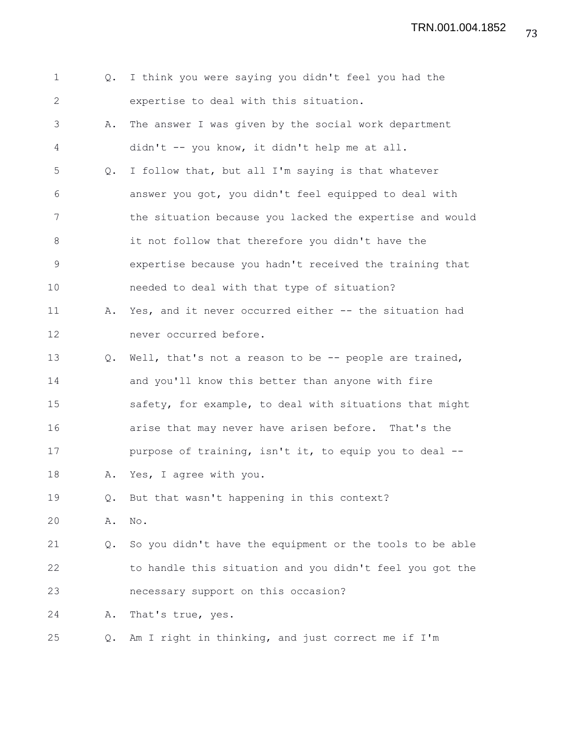TRN.001.004.1852

| $\mathbf 1$    | Q.    | I think you were saying you didn't feel you had the      |
|----------------|-------|----------------------------------------------------------|
| 2              |       | expertise to deal with this situation.                   |
| 3              | Α.    | The answer I was given by the social work department     |
| 4              |       | didn't -- you know, it didn't help me at all.            |
| 5              | $Q$ . | I follow that, but all I'm saying is that whatever       |
| 6              |       | answer you got, you didn't feel equipped to deal with    |
| 7              |       | the situation because you lacked the expertise and would |
| 8              |       | it not follow that therefore you didn't have the         |
| $\overline{9}$ |       | expertise because you hadn't received the training that  |
| 10             |       | needed to deal with that type of situation?              |
| 11             | Α.    | Yes, and it never occurred either -- the situation had   |
| 12             |       | never occurred before.                                   |
| 13             | Q.    | Well, that's not a reason to be -- people are trained,   |
| 14             |       | and you'll know this better than anyone with fire        |
| 15             |       | safety, for example, to deal with situations that might  |
| 16             |       | arise that may never have arisen before. That's the      |
| 17             |       | purpose of training, isn't it, to equip you to deal --   |
| 18             | Α.    | Yes, I agree with you.                                   |
| 19             | Q.    | But that wasn't happening in this context?               |
| 20             | Α.    | $\mathop{\rm No}\nolimits$ .                             |
| 21             | Q.    | So you didn't have the equipment or the tools to be able |
| 22             |       | to handle this situation and you didn't feel you got the |
| 23             |       | necessary support on this occasion?                      |
| 24             | Α.    | That's true, yes.                                        |
| 25             | Q.    | Am I right in thinking, and just correct me if I'm       |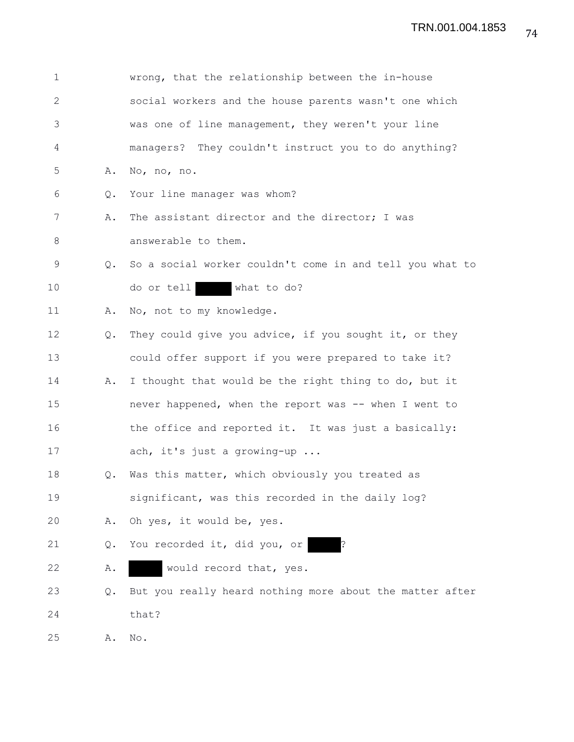| 1            |               | wrong, that the relationship between the in-house           |
|--------------|---------------|-------------------------------------------------------------|
| $\mathbf{2}$ |               | social workers and the house parents wasn't one which       |
| 3            |               | was one of line management, they weren't your line          |
| 4            |               | managers? They couldn't instruct you to do anything?        |
| 5            | Α.            | No, no, no.                                                 |
| 6            | $Q_{\bullet}$ | Your line manager was whom?                                 |
| 7            | Α.            | The assistant director and the director; I was              |
| 8            |               | answerable to them.                                         |
| 9            |               | Q. So a social worker couldn't come in and tell you what to |
| 10           |               | do or tell<br>what to do?                                   |
| 11           | Α.            | No, not to my knowledge.                                    |
| 12           | Q.            | They could give you advice, if you sought it, or they       |
| 13           |               | could offer support if you were prepared to take it?        |
| 14           | Α.            | I thought that would be the right thing to do, but it       |
| 15           |               | never happened, when the report was -- when I went to       |
| 16           |               | the office and reported it. It was just a basically:        |
| 17           |               | ach, it's just a growing-up                                 |
| 18           | Q.            | Was this matter, which obviously you treated as             |
| 19           |               | significant, was this recorded in the daily log?            |
| 20           | Α.            | Oh yes, it would be, yes.                                   |
| 21           | Q.            | You recorded it, did you, or                                |
| 22           | Α.            | would record that, yes.                                     |
| 23           | Q.            | But you really heard nothing more about the matter after    |
| 24           |               | that?                                                       |
| 25           | Α.            | No.                                                         |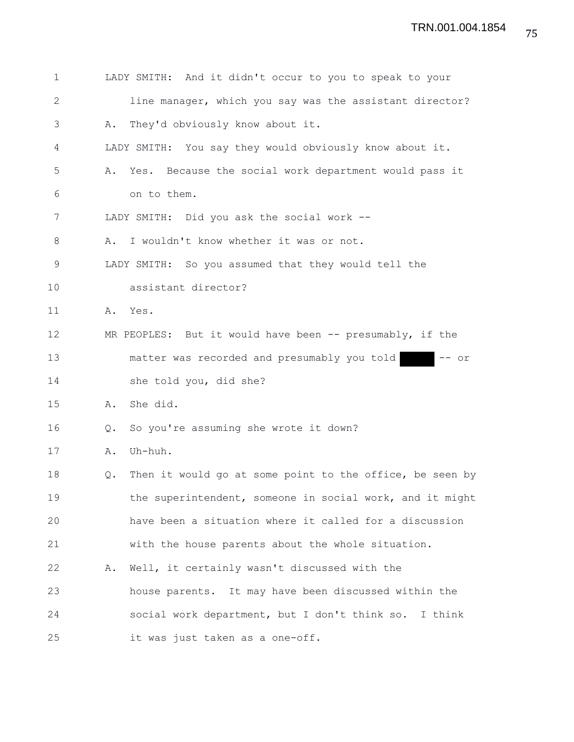| 1  |               | LADY SMITH: And it didn't occur to you to speak to your  |
|----|---------------|----------------------------------------------------------|
| 2  |               | line manager, which you say was the assistant director?  |
| 3  | Α.            | They'd obviously know about it.                          |
| 4  |               | LADY SMITH: You say they would obviously know about it.  |
| 5  | Α.            | Yes. Because the social work department would pass it    |
| 6  |               | on to them.                                              |
| 7  |               | LADY SMITH: Did you ask the social work --               |
| 8  | Α.            | I wouldn't know whether it was or not.                   |
| 9  |               | LADY SMITH: So you assumed that they would tell the      |
| 10 |               | assistant director?                                      |
| 11 |               | A. Yes.                                                  |
| 12 |               | MR PEOPLES: But it would have been -- presumably, if the |
| 13 |               | matter was recorded and presumably you told<br>- or      |
| 14 |               | she told you, did she?                                   |
| 15 | Α.            | She did.                                                 |
| 16 | $Q_{\bullet}$ | So you're assuming she wrote it down?                    |
| 17 | Α.            | Uh-huh.                                                  |
| 18 | Q.            | Then it would go at some point to the office, be seen by |
| 19 |               | the superintendent, someone in social work, and it might |
| 20 |               | have been a situation where it called for a discussion   |
| 21 |               | with the house parents about the whole situation.        |
| 22 | Α.            | Well, it certainly wasn't discussed with the             |
| 23 |               | house parents.<br>It may have been discussed within the  |
| 24 |               | social work department, but I don't think so. I think    |
| 25 |               | it was just taken as a one-off.                          |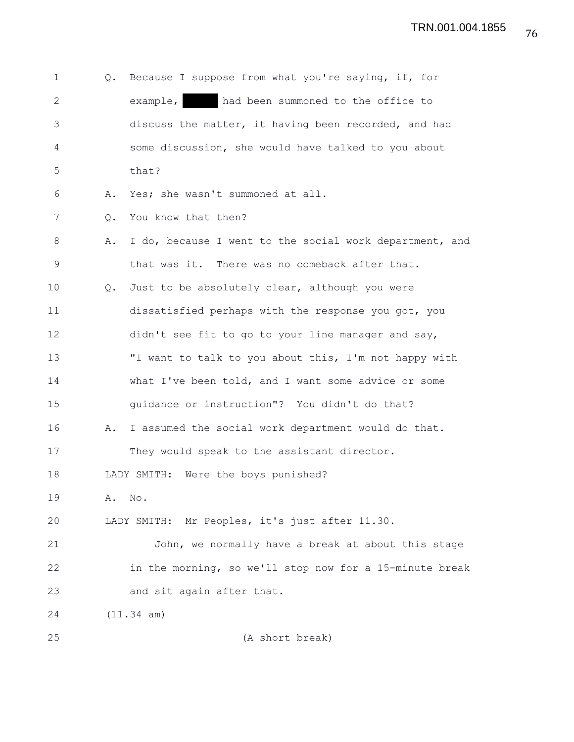| $\mathbf 1$  | Q. | Because I suppose from what you're saying, if, for      |
|--------------|----|---------------------------------------------------------|
| $\mathbf{2}$ |    | example,<br>had been summoned to the office to          |
| 3            |    | discuss the matter, it having been recorded, and had    |
| 4            |    | some discussion, she would have talked to you about     |
| 5            |    | that?                                                   |
| 6            | Α. | Yes; she wasn't summoned at all.                        |
| 7            | Q. | You know that then?                                     |
| 8            | Α. | I do, because I went to the social work department, and |
| 9            |    | that was it. There was no comeback after that.          |
| 10           | Q. | Just to be absolutely clear, although you were          |
| 11           |    | dissatisfied perhaps with the response you got, you     |
| 12           |    | didn't see fit to go to your line manager and say,      |
| 13           |    | "I want to talk to you about this, I'm not happy with   |
| 14           |    | what I've been told, and I want some advice or some     |
| 15           |    | guidance or instruction"? You didn't do that?           |
| 16           | Α. | I assumed the social work department would do that.     |
| 17           |    | They would speak to the assistant director.             |
| 18           |    | Were the boys punished?<br>LADY SMITH:                  |
| 19           | Α. | No.                                                     |
| 20           |    | LADY SMITH: Mr Peoples, it's just after 11.30.          |
| 21           |    | John, we normally have a break at about this stage      |
| 22           |    | in the morning, so we'll stop now for a 15-minute break |
| 23           |    | and sit again after that.                               |
| 24           |    | (11.34 am)                                              |
| 25           |    | (A short break)                                         |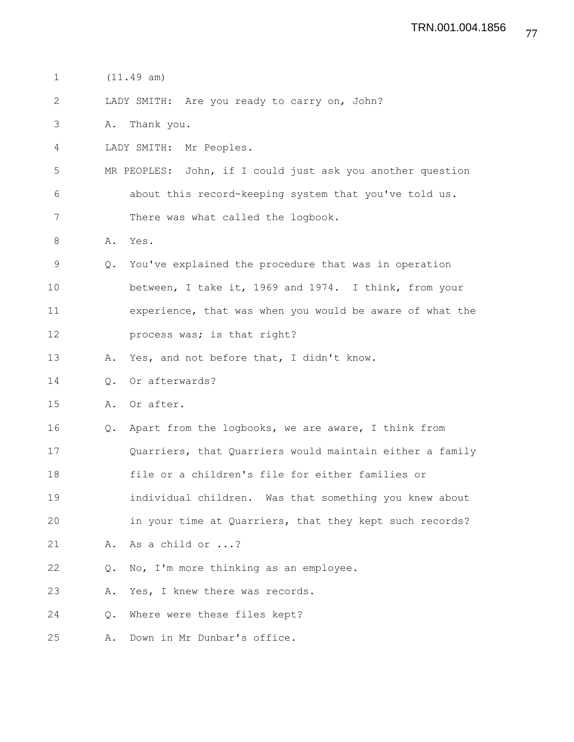- 1 (11.49 am)
- 2 LADY SMITH: Are you ready to carry on, John?
- 3 A. Thank you.
- 4 LADY SMITH: Mr Peoples.
- 5 MR PEOPLES: John, if I could just ask you another question 6 about this record-keeping system that you've told us. 7 There was what called the logbook.
- 8 A. Yes.
- 9 Q. You've explained the procedure that was in operation 10 between, I take it, 1969 and 1974. I think, from your 11 experience, that was when you would be aware of what the 12 **process was; is that right?**
- 13 A. Yes, and not before that, I didn't know.
- 14 Q. Or afterwards?
- 15 A. Or after.
- 16 Q. Apart from the logbooks, we are aware, I think from 17 Quarriers, that Quarriers would maintain either a family 18 file or a children's file for either families or 19 individual children. Was that something you knew about 20 in your time at Quarriers, that they kept such records? 21 A. As a child or ...? 22 Q. No, I'm more thinking as an employee.
- 23 A. Yes, I knew there was records.
- 24 Q. Where were these files kept?
- 25 A. Down in Mr Dunbar's office.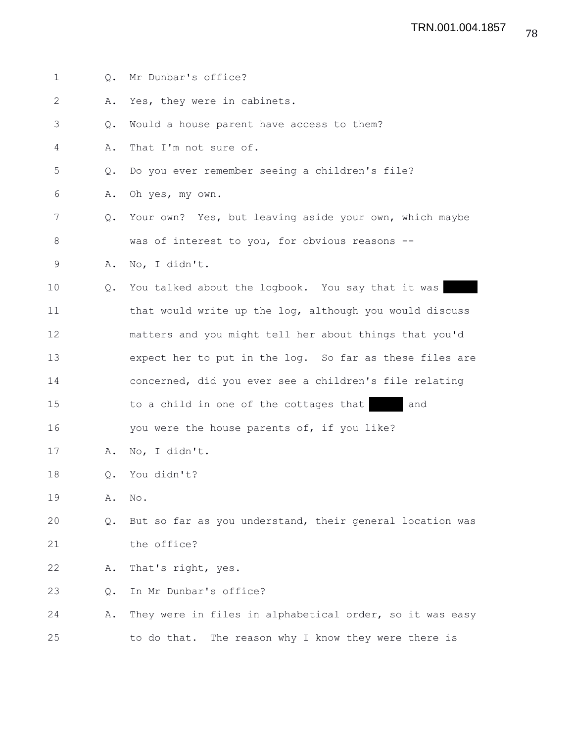| $\mathbf{1}$   | Q.        | Mr Dunbar's office?                                      |
|----------------|-----------|----------------------------------------------------------|
| 2              | Α.        | Yes, they were in cabinets.                              |
| 3              | Q.        | Would a house parent have access to them?                |
| 4              | Α.        | That I'm not sure of.                                    |
| 5              | Q.        | Do you ever remember seeing a children's file?           |
| 6              | Α.        | Oh yes, my own.                                          |
| $\overline{7}$ | Q.        | Your own? Yes, but leaving aside your own, which maybe   |
| 8              |           | was of interest to you, for obvious reasons --           |
| 9              | Α.        | No, I didn't.                                            |
| 10             | Q.        | You talked about the logbook. You say that it was        |
| 11             |           | that would write up the log, although you would discuss  |
| 12             |           | matters and you might tell her about things that you'd   |
| 13             |           | expect her to put in the log. So far as these files are  |
| 14             |           | concerned, did you ever see a children's file relating   |
| 15             |           | and<br>to a child in one of the cottages that            |
| 16             |           | you were the house parents of, if you like?              |
| 17             | Α.        | No, I didn't.                                            |
| 18             | $\circ$ . | You didn't?                                              |
| 19             | Α.        | No.                                                      |
| 20             | Q.        | But so far as you understand, their general location was |
| 21             |           | the office?                                              |
| 22             | Α.        | That's right, yes.                                       |
| 23             | Q.        | In Mr Dunbar's office?                                   |
| 24             | Α.        | They were in files in alphabetical order, so it was easy |
| 25             |           | to do that. The reason why I know they were there is     |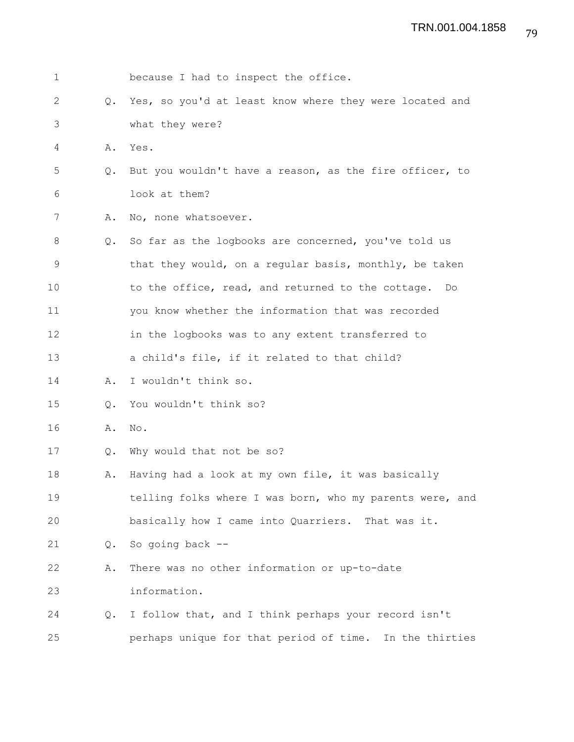| $\mathbf 1$  |               | because I had to inspect the office.                     |
|--------------|---------------|----------------------------------------------------------|
| $\mathbf{2}$ | $Q_{\bullet}$ | Yes, so you'd at least know where they were located and  |
| 3            |               | what they were?                                          |
| 4            | Α.            | Yes.                                                     |
| 5            | $Q_{\bullet}$ | But you wouldn't have a reason, as the fire officer, to  |
| 6            |               | look at them?                                            |
| 7            | Α.            | No, none whatsoever.                                     |
| 8            | $Q_{\bullet}$ | So far as the logbooks are concerned, you've told us     |
| 9            |               | that they would, on a regular basis, monthly, be taken   |
| 10           |               | to the office, read, and returned to the cottage.<br>Do  |
| 11           |               | you know whether the information that was recorded       |
| 12           |               | in the logbooks was to any extent transferred to         |
| 13           |               | a child's file, if it related to that child?             |
| 14           | Α.            | I wouldn't think so.                                     |
| 15           | Q.            | You wouldn't think so?                                   |
| 16           | Α.            | No.                                                      |
| 17           | $Q_{\bullet}$ | Why would that not be so?                                |
| 18           | Α.            | Having had a look at my own file, it was basically       |
| 19           |               | telling folks where I was born, who my parents were, and |
| 20           |               | basically how I came into Quarriers. That was it.        |
| 21           | Q.            | So going back --                                         |
| 22           | Α.            | There was no other information or up-to-date             |
| 23           |               | information.                                             |
| 24           | $Q_{\bullet}$ | I follow that, and I think perhaps your record isn't     |
| 25           |               | perhaps unique for that period of time. In the thirties  |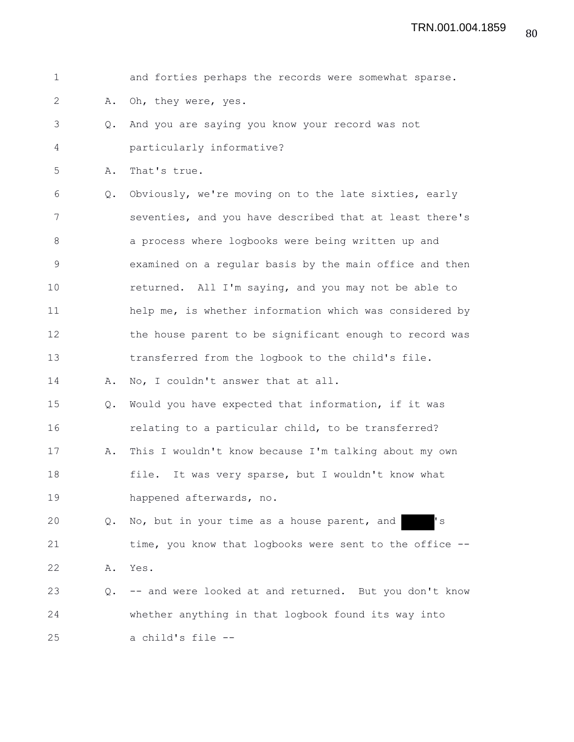|               | and forties perhaps the records were somewhat sparse.   |
|---------------|---------------------------------------------------------|
| Α.            | Oh, they were, yes.                                     |
| $Q_{\bullet}$ | And you are saying you know your record was not         |
|               | particularly informative?                               |
| Α.            | That's true.                                            |
| Q.            | Obviously, we're moving on to the late sixties, early   |
|               | seventies, and you have described that at least there's |
|               | a process where logbooks were being written up and      |
|               | examined on a regular basis by the main office and then |
|               | returned. All I'm saying, and you may not be able to    |
|               | help me, is whether information which was considered by |
|               | the house parent to be significant enough to record was |
|               | transferred from the logbook to the child's file.       |
| Α.            | No, I couldn't answer that at all.                      |
| Q.            | Would you have expected that information, if it was     |
|               | relating to a particular child, to be transferred?      |
| Α.            | This I wouldn't know because I'm talking about my own   |
|               | It was very sparse, but I wouldn't know what<br>file.   |
|               | happened afterwards, no.                                |
| $Q_{\bullet}$ | No, but in your time as a house parent, and<br>' s      |
|               | time, you know that logbooks were sent to the office -- |
| Α.            | Yes.                                                    |
| $Q_{\bullet}$ | -- and were looked at and returned. But you don't know  |
|               | whether anything in that logbook found its way into     |
|               | a child's file --                                       |
|               |                                                         |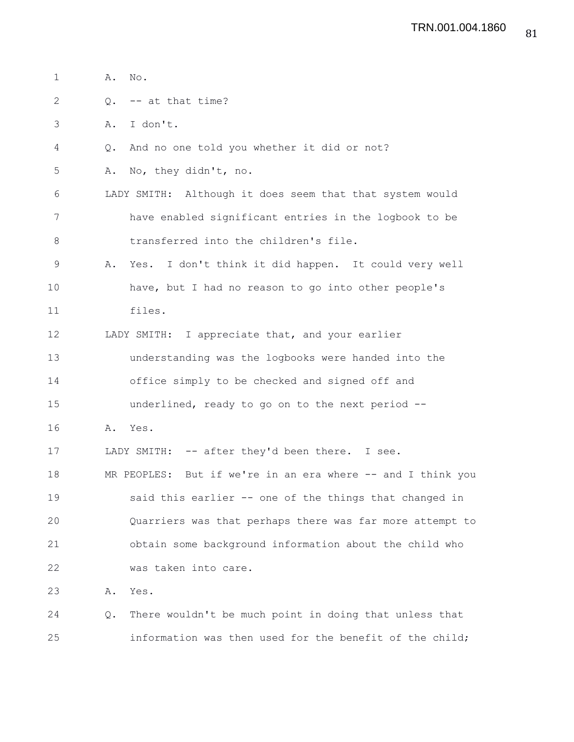| $\mathbf 1$  |               | A. No.                                                      |
|--------------|---------------|-------------------------------------------------------------|
| $\mathbf{2}$ |               | $Q.$ -- at that time?                                       |
| 3            | Α.            | I don't.                                                    |
| 4            | $Q_{\bullet}$ | And no one told you whether it did or not?                  |
| 5            | Α.            | No, they didn't, no.                                        |
| 6            |               | LADY SMITH: Although it does seem that that system would    |
| 7            |               | have enabled significant entries in the logbook to be       |
| 8            |               | transferred into the children's file.                       |
| $\mathsf 9$  | Α.            | Yes. I don't think it did happen. It could very well        |
| 10           |               | have, but I had no reason to go into other people's         |
| 11           |               | files.                                                      |
| 12           |               | LADY SMITH: I appreciate that, and your earlier             |
| 13           |               | understanding was the logbooks were handed into the         |
| 14           |               | office simply to be checked and signed off and              |
| 15           |               | underlined, ready to go on to the next period --            |
| 16           | Α.            | Yes.                                                        |
| 17           |               | LADY SMITH: -- after they'd been there. I see.              |
| 18           |               | MR PEOPLES: But if we're in an era where -- and I think you |
| 19           |               | said this earlier -- one of the things that changed in      |
| 20           |               | Quarriers was that perhaps there was far more attempt to    |
| 21           |               | obtain some background information about the child who      |
| 22           |               | was taken into care.                                        |
| 23           | Α.            | Yes.                                                        |
| 24           | Q.            | There wouldn't be much point in doing that unless that      |
| 25           |               | information was then used for the benefit of the child;     |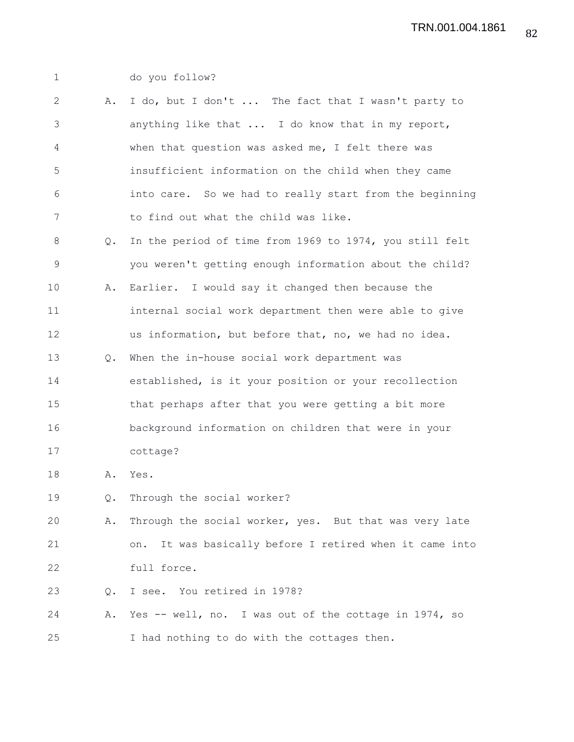1 do you follow? 2 A. I do, but I don't ... The fact that I wasn't party to 3 anything like that ... I do know that in my report, 4 when that question was asked me, I felt there was 5 insufficient information on the child when they came 6 into care. So we had to really start from the beginning 7 to find out what the child was like. 8 Q. In the period of time from 1969 to 1974, you still felt 9 you weren't getting enough information about the child? 10 A. Earlier. I would say it changed then because the 11 internal social work department then were able to give 12 us information, but before that, no, we had no idea. 13 Q. When the in-house social work department was 14 established, is it your position or your recollection 15 that perhaps after that you were getting a bit more 16 background information on children that were in your 17 cottage? 18 A. Yes. 19 Q. Through the social worker? 20 A. Through the social worker, yes. But that was very late 21 on. It was basically before I retired when it came into 22 full force. 23 Q. I see. You retired in 1978? 24 A. Yes -- well, no. I was out of the cottage in 1974, so 25 I had nothing to do with the cottages then.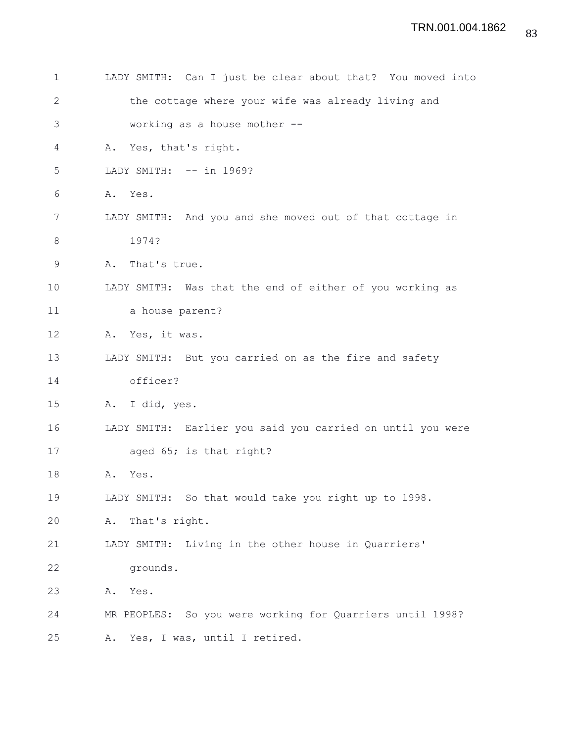| 1            | LADY SMITH: Can I just be clear about that? You moved into |
|--------------|------------------------------------------------------------|
| $\mathbf{2}$ | the cottage where your wife was already living and         |
| 3            | working as a house mother --                               |
| 4            | Yes, that's right.<br>Α.                                   |
| 5            | LADY SMITH: -- in 1969?                                    |
| 6            | Α.<br>Yes.                                                 |
| 7            | LADY SMITH: And you and she moved out of that cottage in   |
| $8\,$        | 1974?                                                      |
| 9            | That's true.<br>Α.                                         |
| 10           | LADY SMITH: Was that the end of either of you working as   |
| 11           | a house parent?                                            |
| 12           | Yes, it was.<br>Α.                                         |
| 13           | LADY SMITH: But you carried on as the fire and safety      |
| 14           | officer?                                                   |
| 15           | I did, yes.<br>Α.                                          |
| 16           | LADY SMITH: Earlier you said you carried on until you were |
| 17           | aged 65; is that right?                                    |
| 18           | Yes.<br>Α.                                                 |
| 19           | LADY SMITH: So that would take you right up to 1998.       |
| 20           | That's right.<br>Α.                                        |
| 21           | LADY SMITH: Living in the other house in Quarriers'        |
| 22           | grounds.                                                   |
| 23           | Yes.<br>Α.                                                 |
| 24           | MR PEOPLES: So you were working for Quarriers until 1998?  |
| 25           | Yes, I was, until I retired.<br>Α.                         |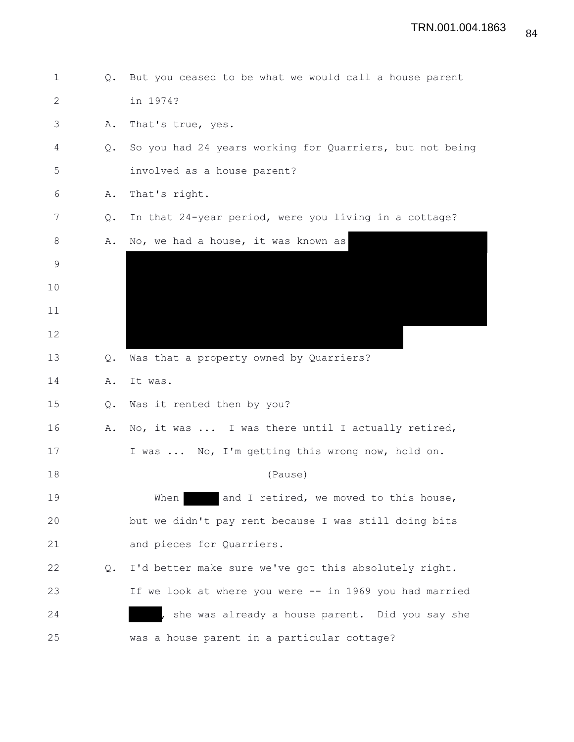| 1  | $Q_{\bullet}$ | But you ceased to be what we would call a house parent   |
|----|---------------|----------------------------------------------------------|
| 2  |               | in 1974?                                                 |
| 3  | Α.            | That's true, yes.                                        |
| 4  | Q.            | So you had 24 years working for Quarriers, but not being |
| 5  |               | involved as a house parent?                              |
| 6  | Α.            | That's right.                                            |
| 7  | Q.            | In that 24-year period, were you living in a cottage?    |
| 8  | Α.            | No, we had a house, it was known as                      |
| 9  |               |                                                          |
| 10 |               |                                                          |
| 11 |               |                                                          |
| 12 |               |                                                          |
| 13 | Q.            | Was that a property owned by Quarriers?                  |
| 14 | Α.            | It was.                                                  |
| 15 | Q.            | Was it rented then by you?                               |
| 16 | Α.            | No, it was  I was there until I actually retired,        |
| 17 |               | I was  No, I'm getting this wrong now, hold on.          |
| 18 |               | (Pause)                                                  |
| 19 |               | When<br>and I retired, we moved to this house,           |
| 20 |               | but we didn't pay rent because I was still doing bits    |
| 21 |               | and pieces for Quarriers.                                |
| 22 | Q.            | I'd better make sure we've got this absolutely right.    |
| 23 |               | If we look at where you were -- in 1969 you had married  |
| 24 |               | she was already a house parent. Did you say she          |
| 25 |               | was a house parent in a particular cottage?              |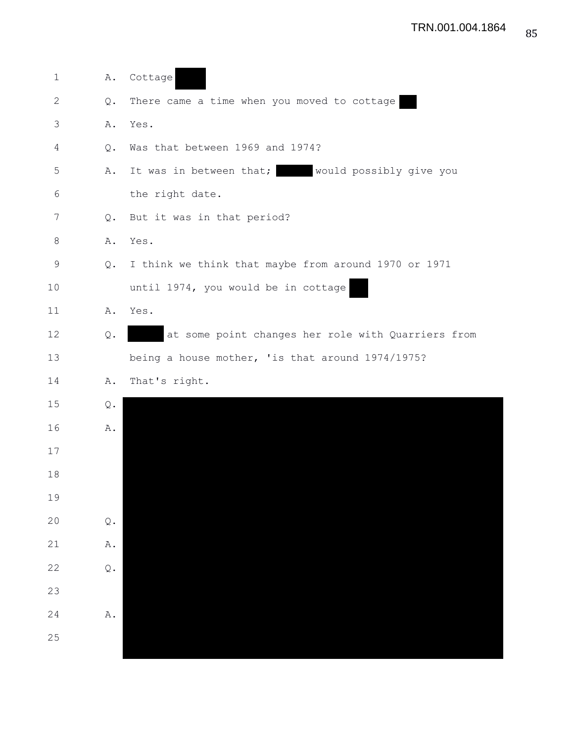| at some point changes her role with Quarriers from |
|----------------------------------------------------|
|                                                    |
|                                                    |
|                                                    |
|                                                    |
|                                                    |
|                                                    |
|                                                    |
|                                                    |
|                                                    |
|                                                    |
|                                                    |
|                                                    |
|                                                    |
|                                                    |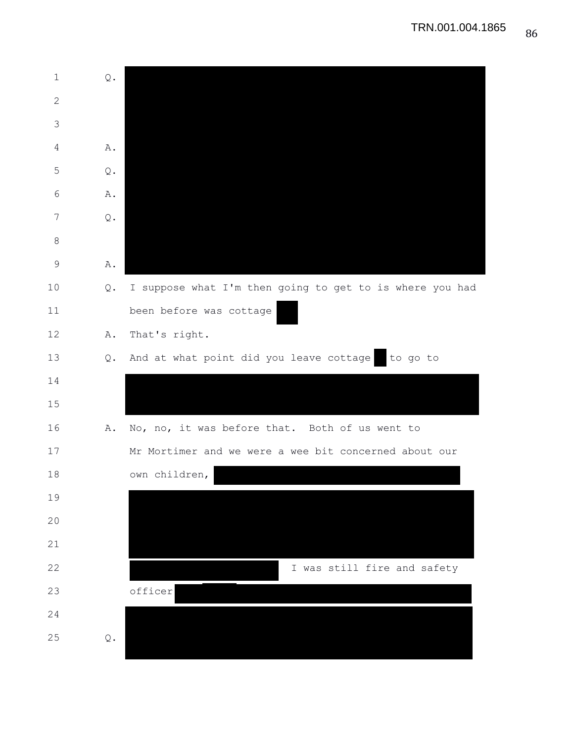| $\mathbf 1$    | $\mathsf{Q}$ .          |                                                          |
|----------------|-------------------------|----------------------------------------------------------|
| $\mathbf{2}$   |                         |                                                          |
| 3              |                         |                                                          |
| $\overline{4}$ | Α.                      |                                                          |
| 5              | $\mathsf{Q}$ .          |                                                          |
| 6              | Α.                      |                                                          |
| 7              | $\mathsf{Q}$ .          |                                                          |
| $8\,$          |                         |                                                          |
| $\mathsf 9$    | Α.                      |                                                          |
| 10             | Q.                      | I suppose what I'm then going to get to is where you had |
| 11             |                         | been before was cottage                                  |
| 12             | Α.                      | That's right.                                            |
| 13             |                         | Q. And at what point did you leave cottage<br>to go to   |
| 14             |                         |                                                          |
| 15             |                         |                                                          |
| 16             | Α.                      | No, no, it was before that. Both of us went to           |
| 17             |                         | Mr Mortimer and we were a wee bit concerned about our    |
| 18             |                         | own children,                                            |
| 19             |                         |                                                          |
| 20             |                         |                                                          |
| 21             |                         |                                                          |
| 22             |                         | I was still fire and safety                              |
| 23             |                         | officer                                                  |
| 24             |                         |                                                          |
| 25             | $\mathbf{\mathbb{Q}}$ . |                                                          |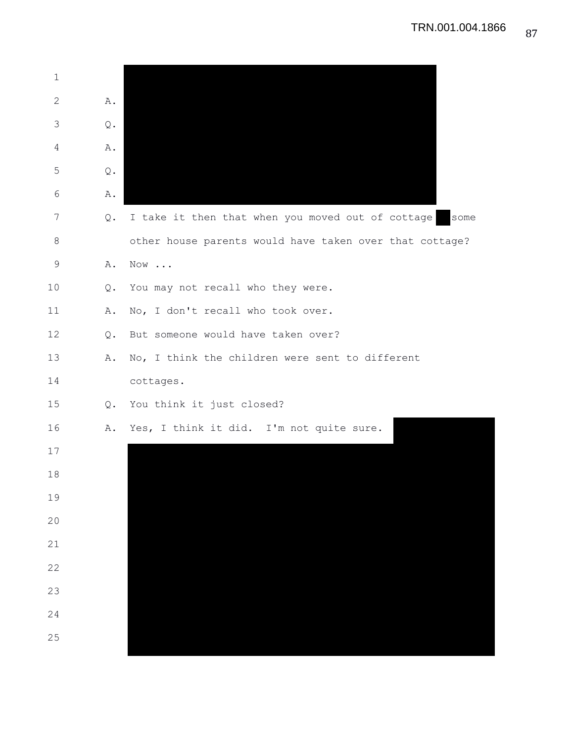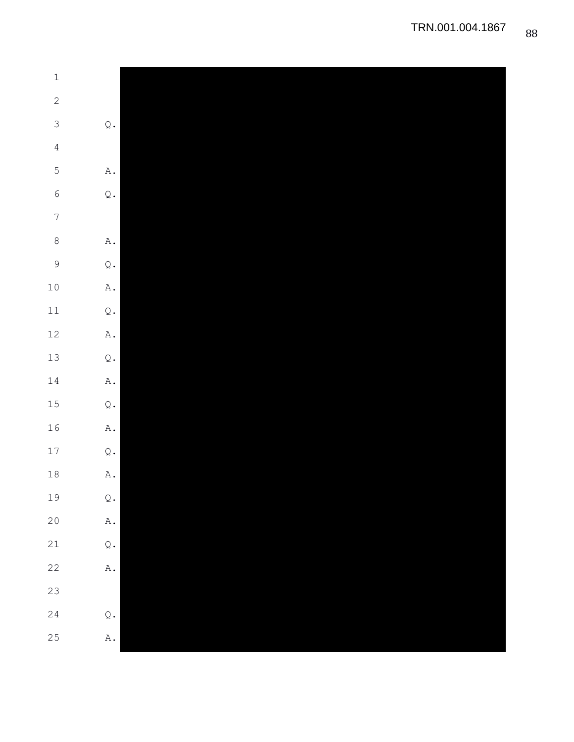| $\ensuremath{\mathbbm{1}}$ |                          |
|----------------------------|--------------------------|
| $\overline{c}$             |                          |
| $\mathcal{S}$              | $\mathbb Q$ .            |
| $\overline{4}$             |                          |
| $\mathbf 5$                | $\mathtt{A}$ .           |
| $\epsilon$                 | $\mathbf{\mathcal{Q}}$ . |
| $\boldsymbol{7}$           |                          |
| $\,8\,$                    | $\mathtt{A}$ .           |
| $\mathcal{G}$              | $\mathbb Q$ .            |
| $10$                       | $\mathbbm{A}$ .          |
| $11\,$                     | $\mathbf{\mathbb{Q}}$ .  |
| $12\,$                     | $\mathbbm{A}$ .          |
| 13                         | $\mathbb Q$ .            |
| $14\,$                     | $\mathbbm{A}$ .          |
|                            |                          |
| 15                         | $\mathbb Q$ .            |
| 16                         | $\mathbbm{A}$ .          |
| 17                         | $\mathbb Q$ .            |
| $18\,$                     | $\mathbbm{A}$ .          |
| 19                         | $\mathbb Q$ .            |
| $20$                       | $\mathbbm{A}$ .          |
| $21\,$                     | $\mathbf{\mathcal{Q}}$ . |
| $22$                       | $\mathbbm{A}$ .          |
| 23                         |                          |
| $2\sqrt{4}$                | $\mathbb Q$ .            |
| 25                         | $\mathbbm{A}$ .          |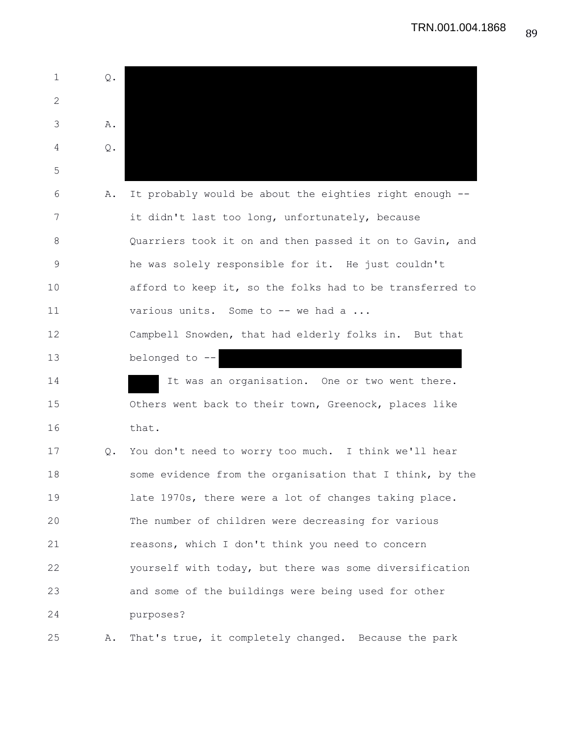1 Q. 2 3 A. 4 Q. 5 6 A. It probably would be about the eighties right enough -- 7 it didn't last too long, unfortunately, because 8 Quarriers took it on and then passed it on to Gavin, and 9 he was solely responsible for it. He just couldn't 10 afford to keep it, so the folks had to be transferred to 11 various units. Some to -- we had a ... 12 Campbell Snowden, that had elderly folks in. But that 13 belonged to -- 14 14 It was an organisation. One or two went there. 15 Others went back to their town, Greenock, places like 16 that. 17 Q. You don't need to worry too much. I think we'll hear 18 some evidence from the organisation that I think, by the 19 late 1970s, there were a lot of changes taking place. 20 The number of children were decreasing for various 21 reasons, which I don't think you need to concern 22 yourself with today, but there was some diversification 23 and some of the buildings were being used for other 24 purposes? 25 A. That's true, it completely changed. Because the park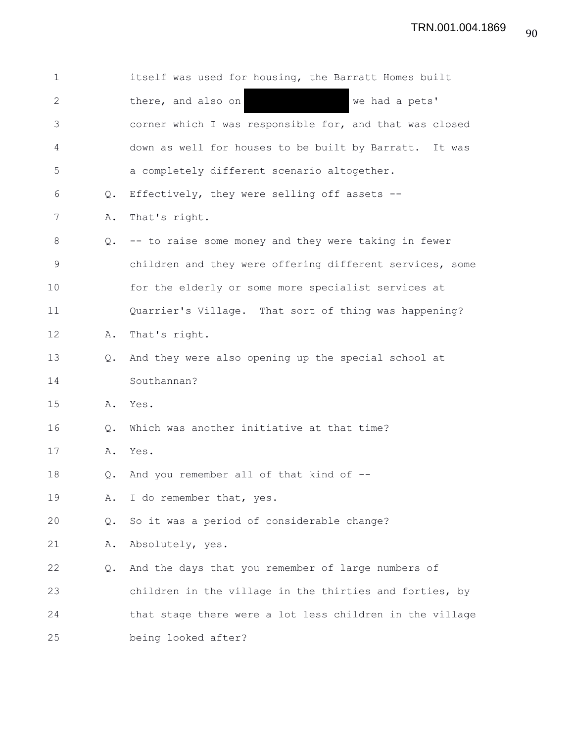| $\mathbf 1$  |               | itself was used for housing, the Barratt Homes built     |
|--------------|---------------|----------------------------------------------------------|
| $\mathbf{2}$ |               | there, and also on<br>we had a pets'                     |
| 3            |               | corner which I was responsible for, and that was closed  |
| 4            |               | down as well for houses to be built by Barratt. It was   |
| 5            |               | a completely different scenario altogether.              |
| 6            | Q.            | Effectively, they were selling off assets --             |
| 7            | Α.            | That's right.                                            |
| 8            | Q.            | -- to raise some money and they were taking in fewer     |
| $\mathsf 9$  |               | children and they were offering different services, some |
| 10           |               | for the elderly or some more specialist services at      |
| 11           |               | Quarrier's Village. That sort of thing was happening?    |
| 12           | Α.            | That's right.                                            |
| 13           | $Q_{\bullet}$ | And they were also opening up the special school at      |
| 14           |               | Southannan?                                              |
| 15           | Α.            | Yes.                                                     |
| 16           | Q.            | Which was another initiative at that time?               |
| 17           | Α.            | Yes.                                                     |
| 18           | $Q_{\bullet}$ | And you remember all of that kind of --                  |
| 19           | Α.            | I do remember that, yes.                                 |
| 20           | Q.            | So it was a period of considerable change?               |
| 21           | Α.            | Absolutely, yes.                                         |
| 22           | Q.            | And the days that you remember of large numbers of       |
| 23           |               | children in the village in the thirties and forties, by  |
| 24           |               | that stage there were a lot less children in the village |
| 25           |               | being looked after?                                      |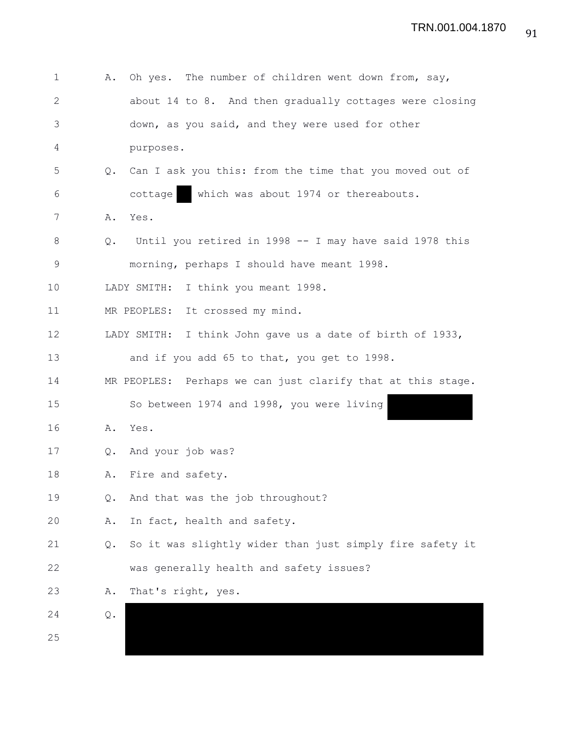| 1            | Α.            | Oh yes. The number of children went down from, say,          |
|--------------|---------------|--------------------------------------------------------------|
| $\mathbf{2}$ |               | about 14 to 8. And then gradually cottages were closing      |
| 3            |               | down, as you said, and they were used for other              |
| 4            |               | purposes.                                                    |
| 5            | $Q_{\bullet}$ | Can I ask you this: from the time that you moved out of      |
| 6            |               | which was about 1974 or thereabouts.<br>cottage              |
| 7            | Α.            | Yes.                                                         |
| 8            | Q.            | Until you retired in 1998 -- I may have said 1978 this       |
| $\mathsf 9$  |               | morning, perhaps I should have meant 1998.                   |
| 10           |               | I think you meant 1998.<br>LADY SMITH:                       |
| 11           |               | MR PEOPLES:<br>It crossed my mind.                           |
| 12           |               | LADY SMITH:<br>I think John gave us a date of birth of 1933, |
| 13           |               | and if you add 65 to that, you get to 1998.                  |
| 14           |               | MR PEOPLES: Perhaps we can just clarify that at this stage.  |
| 15           |               | So between 1974 and 1998, you were living                    |
| 16           | Α.            | Yes.                                                         |
| 17           |               | Q. And your job was?                                         |
| 18           | Α.            | Fire and safety.                                             |
| 19           | Q.            | And that was the job throughout?                             |
| 20           | Α.            | In fact, health and safety.                                  |
| 21           | Q.            | So it was slightly wider than just simply fire safety it     |
| 22           |               | was generally health and safety issues?                      |
| 23           | Α.            | That's right, yes.                                           |
| 24           | Q.            |                                                              |
| 25           |               |                                                              |
|              |               |                                                              |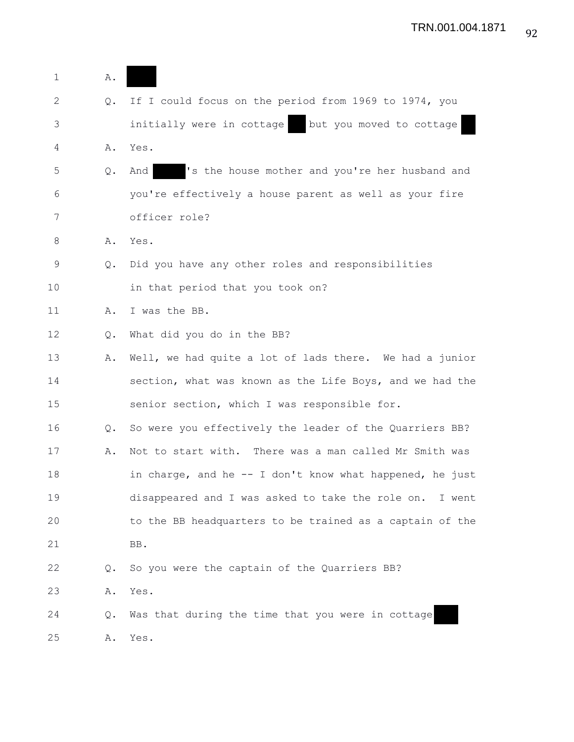| 1           | Α.            |                                                          |
|-------------|---------------|----------------------------------------------------------|
| 2           | Q.            | If I could focus on the period from 1969 to 1974, you    |
| 3           |               | initially were in cottage<br>but you moved to cottage    |
| 4           | Α.            | Yes.                                                     |
| 5           | Q.            | 's the house mother and you're her husband and<br>And    |
| 6           |               | you're effectively a house parent as well as your fire   |
| 7           |               | officer role?                                            |
| 8           | Α.            | Yes.                                                     |
| $\mathsf 9$ | Q.            | Did you have any other roles and responsibilities        |
| 10          |               | in that period that you took on?                         |
| 11          | Α.            | I was the BB.                                            |
| 12          | Q.            | What did you do in the BB?                               |
| 13          | Α.            | Well, we had quite a lot of lads there. We had a junior  |
| 14          |               | section, what was known as the Life Boys, and we had the |
| 15          |               | senior section, which I was responsible for.             |
| 16          | $Q_{\bullet}$ | So were you effectively the leader of the Quarriers BB?  |
| 17          | Α.            | Not to start with. There was a man called Mr Smith was   |
| 18          |               | in charge, and he -- I don't know what happened, he just |
| 19          |               | disappeared and I was asked to take the role on. I went  |
| 20          |               | to the BB headquarters to be trained as a captain of the |
| 21          |               | BB.                                                      |
| 22          | Q.            | So you were the captain of the Quarriers BB?             |
| 23          | Α.            | Yes.                                                     |
| 24          | Q.            | Was that during the time that you were in cottage        |
| 25          | Α.            | Yes.                                                     |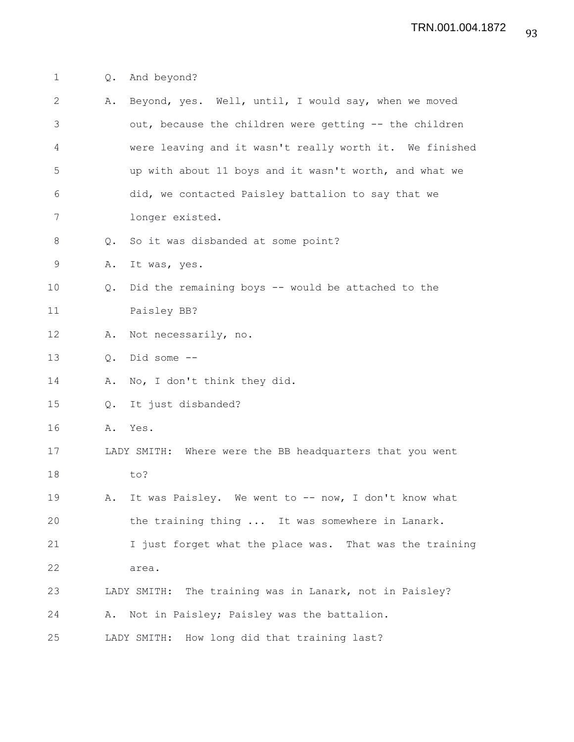## 1 Q. And beyond?

| $\mathbf{2}$   | Α. | Beyond, yes. Well, until, I would say, when we moved     |
|----------------|----|----------------------------------------------------------|
| 3              |    | out, because the children were getting -- the children   |
| $\overline{4}$ |    | were leaving and it wasn't really worth it. We finished  |
| 5              |    | up with about 11 boys and it wasn't worth, and what we   |
| 6              |    | did, we contacted Paisley battalion to say that we       |
| 7              |    | longer existed.                                          |
| $\,8\,$        | Q. | So it was disbanded at some point?                       |
| 9              | Α. | It was, yes.                                             |
| 10             | Q. | Did the remaining boys -- would be attached to the       |
| 11             |    | Paisley BB?                                              |
| 12             | Α. | Not necessarily, no.                                     |
| 13             | Q. | Did some --                                              |
| 14             | Α. | No, I don't think they did.                              |
| 15             | Q. | It just disbanded?                                       |
| 16             | Α. | Yes.                                                     |
| 17             |    | LADY SMITH: Where were the BB headquarters that you went |
| 18             |    | to?                                                      |
| 19             | Α. | It was Paisley. We went to -- now, I don't know what     |
| 20             |    | the training thing  It was somewhere in Lanark.          |
| 21             |    | I just forget what the place was. That was the training  |
| 22             |    | area.                                                    |
| 23             |    | LADY SMITH: The training was in Lanark, not in Paisley?  |
| 24             | Α. | Not in Paisley; Paisley was the battalion.               |
| 25             |    | LADY SMITH: How long did that training last?             |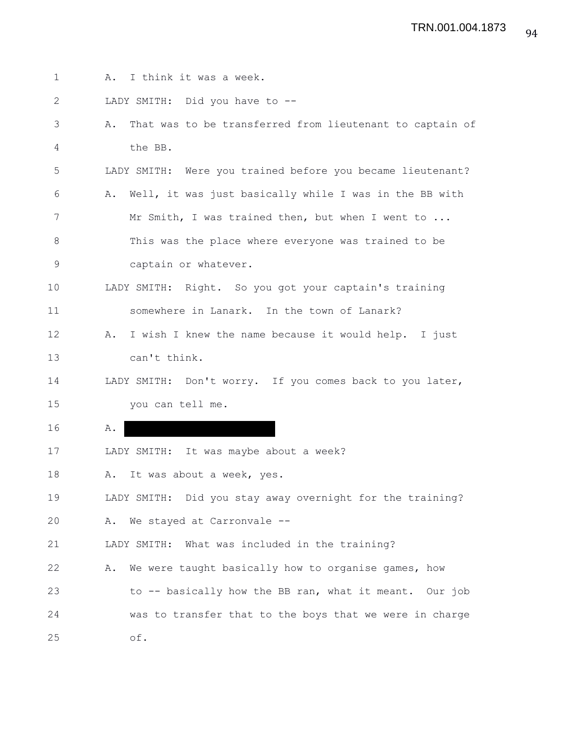| $\mathbf{1}$ | I think it was a week.<br>Α.                                   |
|--------------|----------------------------------------------------------------|
| 2            | LADY SMITH: Did you have to --                                 |
| 3            | That was to be transferred from lieutenant to captain of<br>Α. |
| 4            | the BB.                                                        |
| 5            | LADY SMITH: Were you trained before you became lieutenant?     |
| 6            | Well, it was just basically while I was in the BB with<br>Α.   |
| 7            | Mr Smith, I was trained then, but when I went to               |
| 8            | This was the place where everyone was trained to be            |
| 9            | captain or whatever.                                           |
| 10           | LADY SMITH: Right. So you got your captain's training          |
| 11           | somewhere in Lanark. In the town of Lanark?                    |
| 12           | I wish I knew the name because it would help. I just<br>Α.     |
| 13           | can't think.                                                   |
| 14           | LADY SMITH: Don't worry. If you comes back to you later,       |
| 15           | you can tell me.                                               |
| 16           | Α.                                                             |
| 17           | LADY SMITH: It was maybe about a week?                         |
| 18           | It was about a week, yes.<br>Α.                                |
| 19           | LADY SMITH: Did you stay away overnight for the training?      |
| 20           | We stayed at Carronvale --<br>Α.                               |
| 21           | LADY SMITH: What was included in the training?                 |
| 22           | We were taught basically how to organise games, how<br>Α.      |
| 23           | to -- basically how the BB ran, what it meant. Our job         |
| 24           | was to transfer that to the boys that we were in charge        |
| 25           | of.                                                            |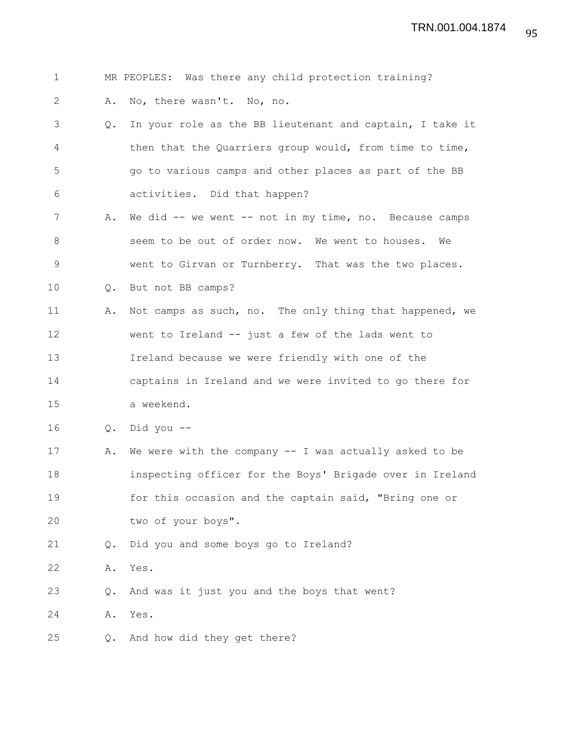| MR PEOPLES: Was there any child protection training? |  |
|------------------------------------------------------|--|
|------------------------------------------------------|--|

2 A. No, there wasn't. No, no.

- 3 Q. In your role as the BB lieutenant and captain, I take it 4 then that the Quarriers group would, from time to time, 5 go to various camps and other places as part of the BB 6 activities. Did that happen?
- 7 A. We did -- we went -- not in my time, no. Because camps 8 seem to be out of order now. We went to houses. We 9 went to Girvan or Turnberry. That was the two places.
- 10 Q. But not BB camps?
- 11 A. Not camps as such, no. The only thing that happened, we 12 went to Ireland -- just a few of the lads went to 13 Ireland because we were friendly with one of the 14 captains in Ireland and we were invited to go there for 15 a weekend.
- 16 Q. Did you --
- 17 A. We were with the company -- I was actually asked to be 18 inspecting officer for the Boys' Brigade over in Ireland 19 for this occasion and the captain said, "Bring one or 20 two of your boys".
- 21 Q. Did you and some boys go to Ireland?

22 A. Yes.

23 Q. And was it just you and the boys that went?

24 A. Yes.

25 Q. And how did they get there?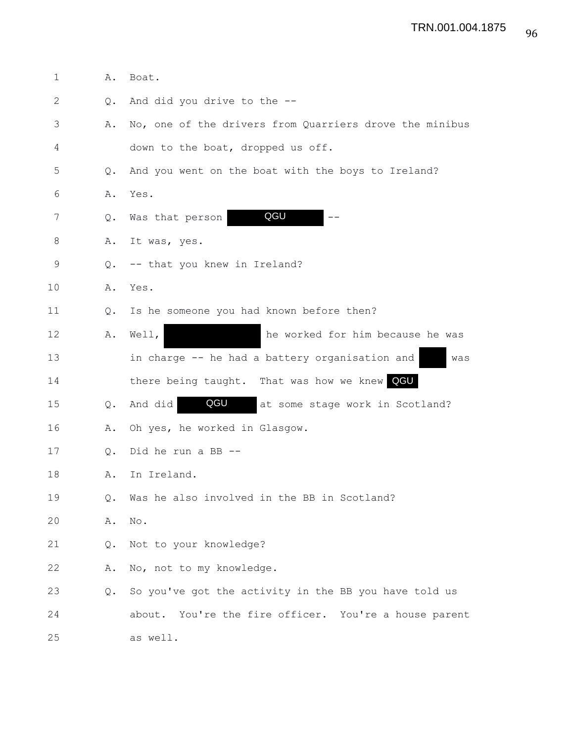| 1  | Α.            | Boat.                                                    |
|----|---------------|----------------------------------------------------------|
| 2  | Q.            | And did you drive to the --                              |
| 3  | Α.            | No, one of the drivers from Quarriers drove the minibus  |
| 4  |               | down to the boat, dropped us off.                        |
| 5  | $Q_{\bullet}$ | And you went on the boat with the boys to Ireland?       |
| 6  | Α.            | Yes.                                                     |
| 7  | Q.            | QGU<br>Was that person                                   |
| 8  | Α.            | It was, yes.                                             |
| 9  | Q.            | -- that you knew in Ireland?                             |
| 10 | Α.            | Yes.                                                     |
| 11 | $Q_{\bullet}$ | Is he someone you had known before then?                 |
| 12 | Α.            | he worked for him because he was<br>Well,                |
| 13 |               | in charge -- he had a battery organisation and<br>was    |
| 14 |               | there being taught. That was how we knew QGU             |
| 15 | Q.            | QGU<br>And did<br>at some stage work in Scotland?        |
| 16 | Α.            | Oh yes, he worked in Glasgow.                            |
| 17 | Q.            | Did he run a BB --                                       |
| 18 | Α.            | In Ireland.                                              |
| 19 | Q.            | Was he also involved in the BB in Scotland?              |
| 20 | Α.            | No.                                                      |
| 21 | Q.            | Not to your knowledge?                                   |
| 22 | Α.            | No, not to my knowledge.                                 |
| 23 | Q.            | So you've got the activity in the BB you have told us    |
| 24 |               | You're the fire officer. You're a house parent<br>about. |
| 25 |               | as well.                                                 |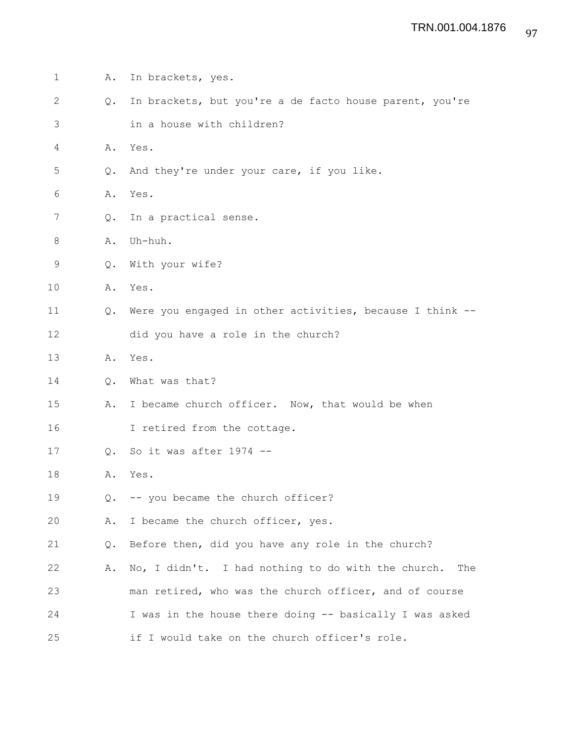| 1            | Α.            | In brackets, yes.                                         |
|--------------|---------------|-----------------------------------------------------------|
| $\mathbf{2}$ | $Q_{\bullet}$ | In brackets, but you're a de facto house parent, you're   |
| 3            |               | in a house with children?                                 |
| 4            | Α.            | Yes.                                                      |
| 5            | Q.            | And they're under your care, if you like.                 |
| 6            | Α.            | Yes.                                                      |
| 7            | Q.            | In a practical sense.                                     |
| 8            | Α.            | Uh-huh.                                                   |
| 9            | Q.            | With your wife?                                           |
| 10           | Α.            | Yes.                                                      |
| 11           | $Q_{\bullet}$ | Were you engaged in other activities, because I think --  |
| 12           |               | did you have a role in the church?                        |
| 13           | Α.            | Yes.                                                      |
| 14           | $Q_{\bullet}$ | What was that?                                            |
| 15           | Α.            | I became church officer. Now, that would be when          |
| 16           |               | I retired from the cottage.                               |
| 17           | $Q_{\bullet}$ | So it was after 1974 --                                   |
| 18           | Α.            | Yes.                                                      |
| 19           | Q.            | -- you became the church officer?                         |
| 20           | Α.            | I became the church officer, yes.                         |
| 21           | Q.            | Before then, did you have any role in the church?         |
| 22           | Α.            | No, I didn't. I had nothing to do with the church.<br>The |
| 23           |               | man retired, who was the church officer, and of course    |
| 24           |               | I was in the house there doing -- basically I was asked   |
| 25           |               | if I would take on the church officer's role.             |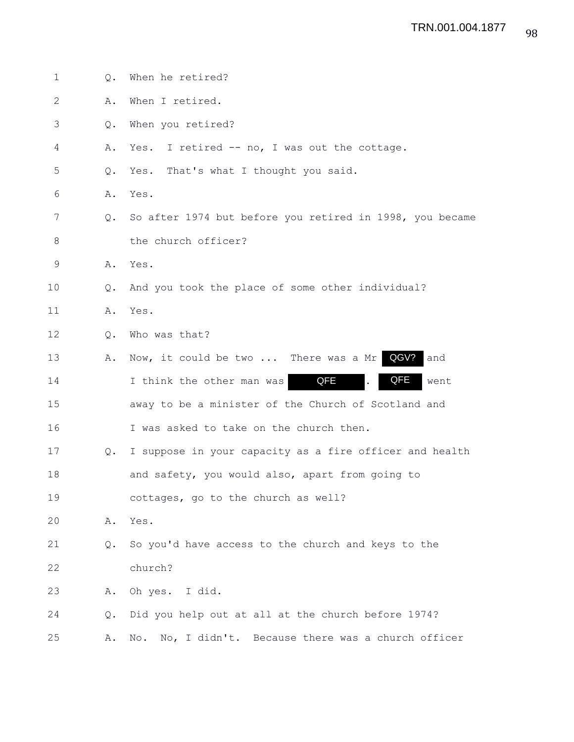| $\mathbf 1$ | О.            | When he retired?                                         |
|-------------|---------------|----------------------------------------------------------|
| 2           | Α.            | When I retired.                                          |
| 3           | Q.            | When you retired?                                        |
| 4           | Α.            | Yes. I retired -- no, I was out the cottage.             |
| 5           | Q.            | Yes. That's what I thought you said.                     |
| 6           | Α.            | Yes.                                                     |
| 7           | $Q_{\bullet}$ | So after 1974 but before you retired in 1998, you became |
| 8           |               | the church officer?                                      |
| $\mathsf 9$ | Α.            | Yes.                                                     |
| 10          | $\circ$ .     | And you took the place of some other individual?         |
| 11          | Α.            | Yes.                                                     |
| 12          | Q.            | Who was that?                                            |
| 13          | Α.            | QGV?<br>Now, it could be two  There was a Mr<br>and      |
| 14          |               | QFE<br>QFE<br>I think the other man was<br>went          |
| 15          |               | away to be a minister of the Church of Scotland and      |
| 16          |               | I was asked to take on the church then.                  |
| 17          | Q.            | I suppose in your capacity as a fire officer and health  |
| 18          |               | and safety, you would also, apart from going to          |
| 19          |               | cottages, go to the church as well?                      |
| 20          | Α.            | Yes.                                                     |
| 21          | Q.            | So you'd have access to the church and keys to the       |
| 22          |               | church?                                                  |
| 23          | Α.            | Oh yes. I did.                                           |
| 24          | Q.            | Did you help out at all at the church before 1974?       |
| 25          | Α.            | No, I didn't. Because there was a church officer<br>No.  |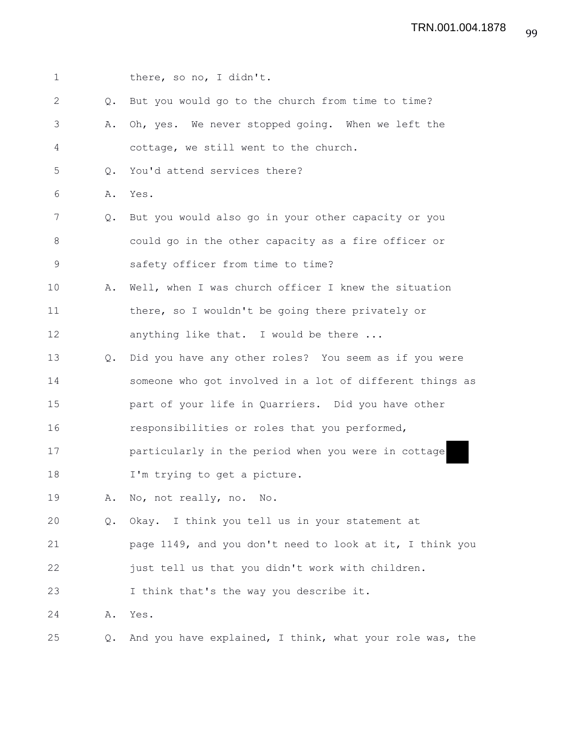| $\mathbf 1$  |               | there, so no, I didn't.                                  |
|--------------|---------------|----------------------------------------------------------|
|              |               |                                                          |
| $\mathbf{2}$ | Q.            | But you would go to the church from time to time?        |
| 3            | Α.            | Oh, yes. We never stopped going. When we left the        |
| 4            |               | cottage, we still went to the church.                    |
| 5            | Q.            | You'd attend services there?                             |
| 6            | Α.            | Yes.                                                     |
| 7            | $Q_{\bullet}$ | But you would also go in your other capacity or you      |
| 8            |               | could go in the other capacity as a fire officer or      |
| $\mathsf 9$  |               | safety officer from time to time?                        |
| 10           | Α.            | Well, when I was church officer I knew the situation     |
| 11           |               | there, so I wouldn't be going there privately or         |
| 12           |               | anything like that. I would be there                     |
| 13           | Q.            | Did you have any other roles? You seem as if you were    |
| 14           |               | someone who got involved in a lot of different things as |
| 15           |               | part of your life in Quarriers. Did you have other       |
| 16           |               | responsibilities or roles that you performed,            |
| 17           |               | particularly in the period when you were in cottage      |
| 18           |               | I'm trying to get a picture.                             |
| 19           |               | A. No, not really, no. No.                               |
| 20           | Q.            | Okay. I think you tell us in your statement at           |
| 21           |               | page 1149, and you don't need to look at it, I think you |
| 22           |               | just tell us that you didn't work with children.         |
| 23           |               | I think that's the way you describe it.                  |
| 24           | Α.            | Yes.                                                     |
| 25           | $\circ$ .     | And you have explained, I think, what your role was, the |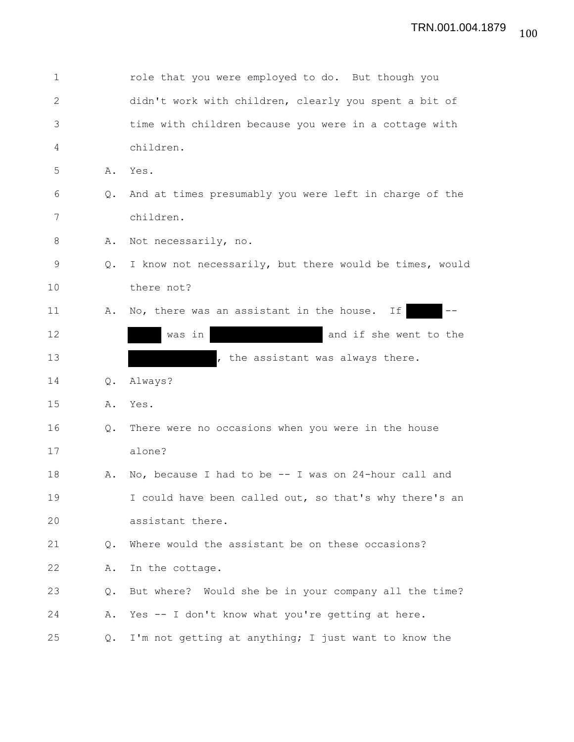| $\mathbf 1$  |               | role that you were employed to do. But though you       |
|--------------|---------------|---------------------------------------------------------|
| $\mathbf{2}$ |               | didn't work with children, clearly you spent a bit of   |
| 3            |               | time with children because you were in a cottage with   |
| 4            |               | children.                                               |
| 5            | Α.            | Yes.                                                    |
| 6            | Q.            | And at times presumably you were left in charge of the  |
| 7            |               | children.                                               |
| 8            | Α.            | Not necessarily, no.                                    |
| 9            | Q.            | I know not necessarily, but there would be times, would |
| 10           |               | there not?                                              |
| 11           | Α.            | No, there was an assistant in the house.<br>If          |
| 12           |               | and if she went to the<br>was in                        |
| 13           |               | , the assistant was always there.                       |
| 14           | Q.            | Always?                                                 |
| 15           | Α.            | Yes.                                                    |
| 16           | Q.            | There were no occasions when you were in the house      |
| 17           |               | alone?                                                  |
| 18           | Α.            | No, because I had to be $--$ I was on 24-hour call and  |
| 19           |               | I could have been called out, so that's why there's an  |
| 20           |               | assistant there.                                        |
| 21           | Q.            | Where would the assistant be on these occasions?        |
| 22           | Α.            | In the cottage.                                         |
| 23           | Q.            | But where? Would she be in your company all the time?   |
| 24           | Α.            | Yes -- I don't know what you're getting at here.        |
| 25           | $Q_{\bullet}$ | I'm not getting at anything; I just want to know the    |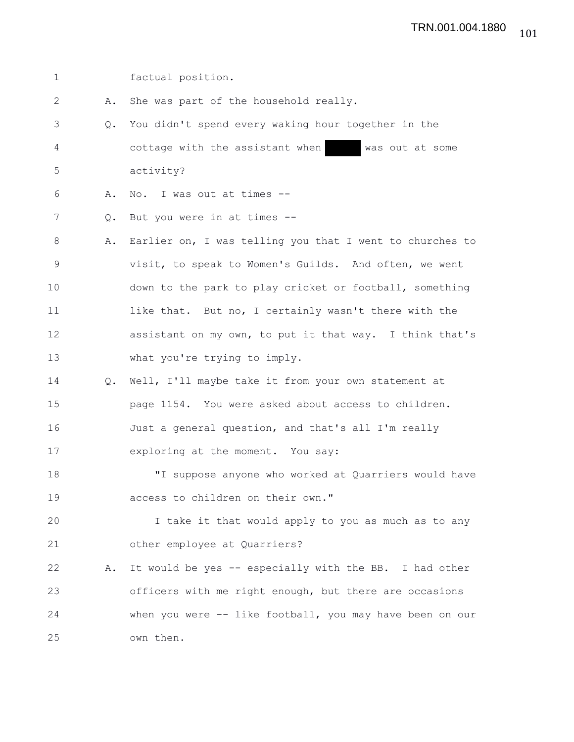1 factual position. 2 A. She was part of the household really. 3 Q. You didn't spend every waking hour together in the 4 cottage with the assistant when was out at some 5 activity? 6 A. No. I was out at times -- 7 Q. But you were in at times -- 8 A. Earlier on, I was telling you that I went to churches to 9 visit, to speak to Women's Guilds. And often, we went 10 down to the park to play cricket or football, something 11 like that. But no, I certainly wasn't there with the 12 assistant on my own, to put it that way. I think that's 13 what you're trying to imply. 14 Q. Well, I'll maybe take it from your own statement at 15 page 1154. You were asked about access to children. 16 Just a general question, and that's all I'm really 17 exploring at the moment. You say: 18 "I suppose anyone who worked at Quarriers would have 19 access to children on their own." 20 I take it that would apply to you as much as to any 21 other employee at Quarriers? 22 A. It would be yes -- especially with the BB. I had other 23 officers with me right enough, but there are occasions 24 when you were -- like football, you may have been on our 25 own then.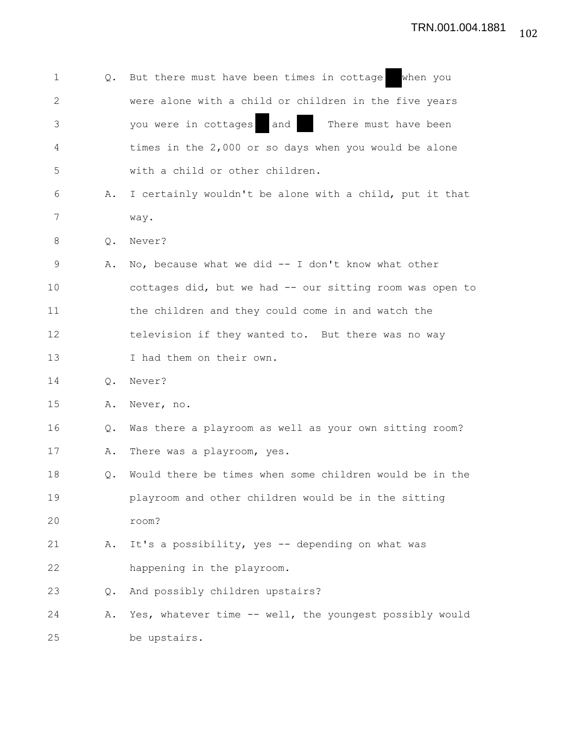| $\mathbf{1}$ |    | Q. But there must have been times in cottage<br>when you |
|--------------|----|----------------------------------------------------------|
| 2            |    | were alone with a child or children in the five years    |
| 3            |    | you were in cottages<br>and<br>There must have been      |
| 4            |    | times in the $2,000$ or so days when you would be alone  |
| 5            |    | with a child or other children.                          |
| 6            | Α. | I certainly wouldn't be alone with a child, put it that  |
| 7            |    | way.                                                     |
| 8            | Q. | Never?                                                   |
| 9            | Α. | No, because what we did $-$ I don't know what other      |
| 10           |    | cottages did, but we had -- our sitting room was open to |
| 11           |    | the children and they could come in and watch the        |
| 12           |    | television if they wanted to. But there was no way       |
| 13           |    | I had them on their own.                                 |
| 14           | Q. | Never?                                                   |
| 15           | Α. | Never, no.                                               |
| 16           | Q. | Was there a playroom as well as your own sitting room?   |
| 17           | Α. | There was a playroom, yes.                               |
| 18           | Q. | Would there be times when some children would be in the  |
| 19           |    | playroom and other children would be in the sitting      |
| 20           |    | room?                                                    |
| 21           | Α. | It's a possibility, yes -- depending on what was         |
| 22           |    | happening in the playroom.                               |
| 23           | Q. | And possibly children upstairs?                          |
| 24           | Α. | Yes, whatever time -- well, the youngest possibly would  |
| 25           |    | be upstairs.                                             |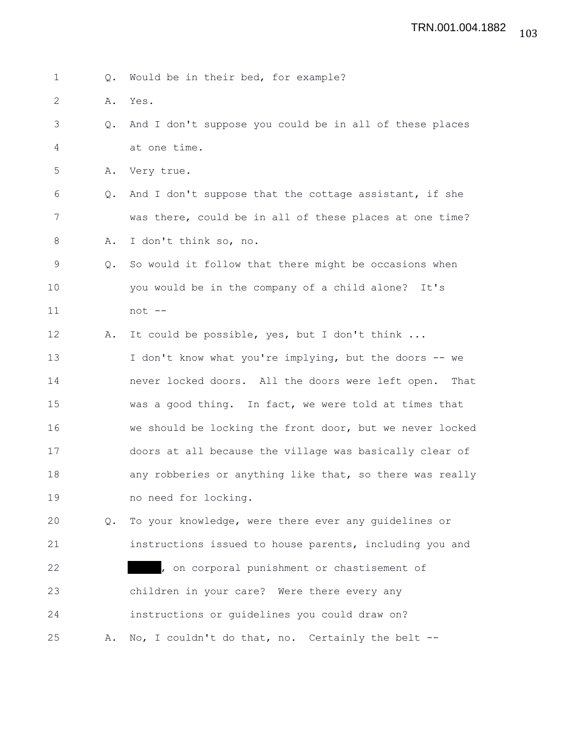|  |  |  |  |  |  |  |  | Would be in their bed, for example? |
|--|--|--|--|--|--|--|--|-------------------------------------|
|--|--|--|--|--|--|--|--|-------------------------------------|

- 2 A. Yes.
- 3 Q. And I don't suppose you could be in all of these places 4 at one time.
- 5 A. Very true.
- 6 Q. And I don't suppose that the cottage assistant, if she 7 was there, could be in all of these places at one time? 8 A. I don't think so, no.
- 9 Q. So would it follow that there might be occasions when 10 you would be in the company of a child alone? It's 11 not --
- 12 A. It could be possible, yes, but I don't think ... 13 I don't know what you're implying, but the doors -- we 14 never locked doors. All the doors were left open. That
- 15 was a good thing. In fact, we were told at times that 16 we should be locking the front door, but we never locked 17 doors at all because the village was basically clear of 18 any robberies or anything like that, so there was really 19 no need for locking.
- 20 Q. To your knowledge, were there ever any guidelines or 21 instructions issued to house parents, including you and 22 , on corporal punishment or chastisement of 23 children in your care? Were there every any 24 instructions or guidelines you could draw on? 25 A. No, I couldn't do that, no. Certainly the belt --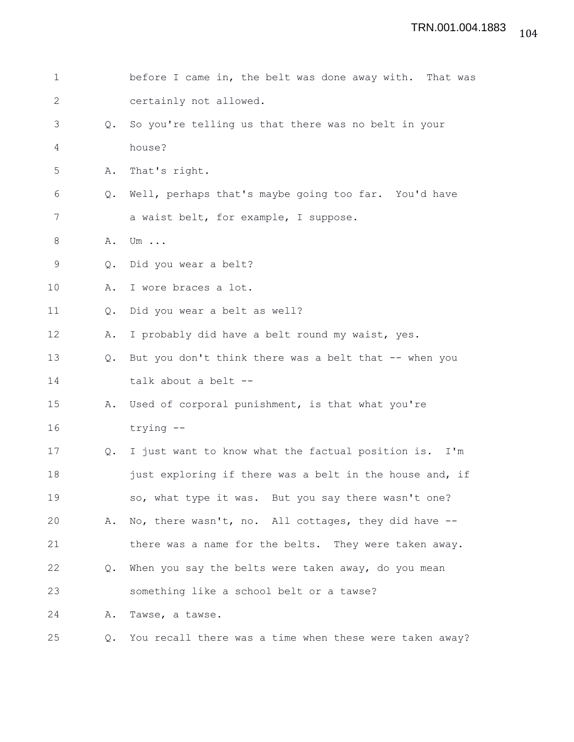| $\mathbf 1$    |                | before I came in, the belt was done away with. That was |
|----------------|----------------|---------------------------------------------------------|
| $\mathbf{2}$   |                | certainly not allowed.                                  |
| 3              | $\mathsf{Q}$ . | So you're telling us that there was no belt in your     |
| $\overline{4}$ |                | house?                                                  |
| 5              | Α.             | That's right.                                           |
| 6              | Q.             | Well, perhaps that's maybe going too far. You'd have    |
| 7              |                | a waist belt, for example, I suppose.                   |
| 8              | Α.             | Um $\ldots$                                             |
| $\mathsf 9$    | Q.             | Did you wear a belt?                                    |
| 10             | Α.             | I wore braces a lot.                                    |
| 11             | Q.             | Did you wear a belt as well?                            |
| 12             | Α.             | I probably did have a belt round my waist, yes.         |
| 13             | $Q_{\bullet}$  | But you don't think there was a belt that -- when you   |
| 14             |                | talk about a belt --                                    |
| 15             | Α.             | Used of corporal punishment, is that what you're        |
| 16             |                | trying --                                               |
| 17             | Q.             | I just want to know what the factual position is. I'm   |
| 18             |                | just exploring if there was a belt in the house and, if |
| 19             |                | so, what type it was. But you say there wasn't one?     |
| 20             | Α.             | No, there wasn't, no. All cottages, they did have --    |
| 21             |                | there was a name for the belts. They were taken away.   |
| 22             | Q.             | When you say the belts were taken away, do you mean     |
| 23             |                | something like a school belt or a tawse?                |
| 24             | Α.             | Tawse, a tawse.                                         |
| 25             | Q.             | You recall there was a time when these were taken away? |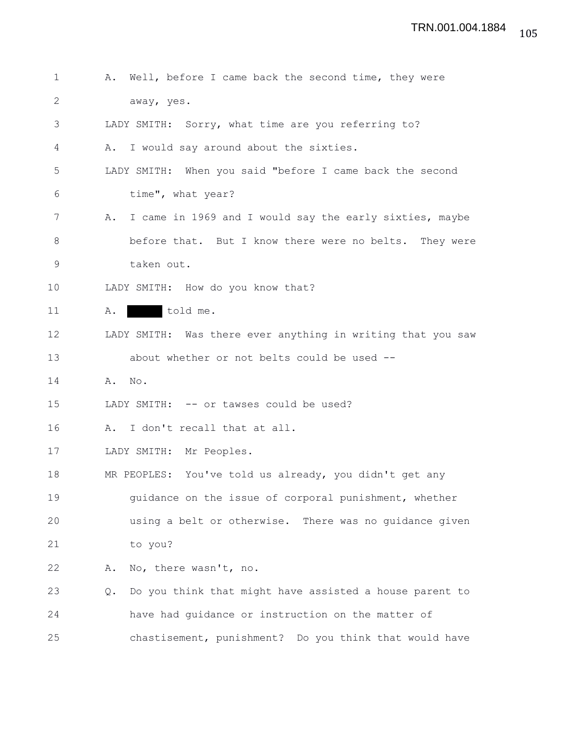1 A. Well, before I came back the second time, they were 2 away, yes. 3 LADY SMITH: Sorry, what time are you referring to? 4 A. I would say around about the sixties. 5 LADY SMITH: When you said "before I came back the second 6 time", what year? 7 A. I came in 1969 and I would say the early sixties, maybe 8 before that. But I know there were no belts. They were 9 taken out. 10 LADY SMITH: How do you know that? 11 A. told me. 12 LADY SMITH: Was there ever anything in writing that you saw 13 about whether or not belts could be used -- 14 A. No. 15 LADY SMITH: -- or tawses could be used? 16 A. I don't recall that at all. 17 LADY SMITH: Mr Peoples. 18 MR PEOPLES: You've told us already, you didn't get any 19 guidance on the issue of corporal punishment, whether 20 using a belt or otherwise. There was no guidance given 21 to you? 22 A. No, there wasn't, no. 23 Q. Do you think that might have assisted a house parent to 24 have had guidance or instruction on the matter of 25 chastisement, punishment? Do you think that would have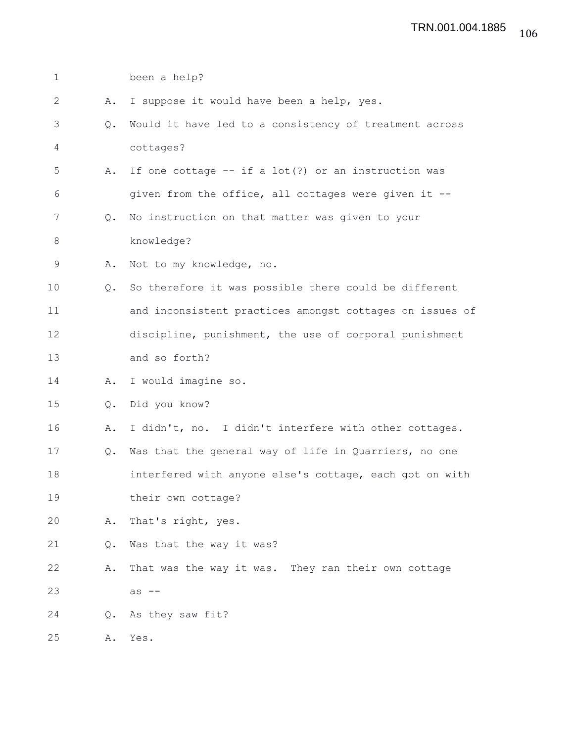| $\mathbf 1$ |                | been a help?                                             |
|-------------|----------------|----------------------------------------------------------|
| 2           | Α.             | I suppose it would have been a help, yes.                |
| 3           | Q.             | Would it have led to a consistency of treatment across   |
| 4           |                | cottages?                                                |
| 5           | Α.             | If one cottage $--$ if a lot(?) or an instruction was    |
| 6           |                | given from the office, all cottages were given it --     |
| 7           | Q.             | No instruction on that matter was given to your          |
| 8           |                | knowledge?                                               |
| 9           | Α.             | Not to my knowledge, no.                                 |
| 10          | Q.             | So therefore it was possible there could be different    |
| 11          |                | and inconsistent practices amongst cottages on issues of |
| 12          |                | discipline, punishment, the use of corporal punishment   |
| 13          |                | and so forth?                                            |
| 14          | Α.             | I would imagine so.                                      |
| 15          | $\mathsf{Q}$ . | Did you know?                                            |
| 16          | Α.             | I didn't, no. I didn't interfere with other cottages.    |
| 17          | $Q_{\bullet}$  | Was that the general way of life in Quarriers, no one    |
| 18          |                | interfered with anyone else's cottage, each got on with  |
| 19          |                | their own cottage?                                       |
| 20          | Α.             | That's right, yes.                                       |
| 21          | Q.             | Was that the way it was?                                 |
| 22          | Α.             | That was the way it was. They ran their own cottage      |
| 23          |                | $as$ $--$                                                |
| 24          | $Q_{\bullet}$  | As they saw fit?                                         |
| 25          | Α.             | Yes.                                                     |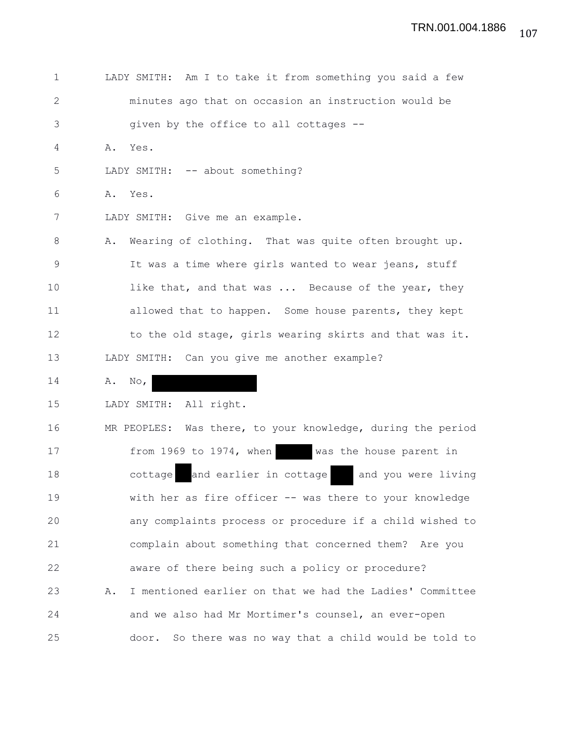| $\mathbf{1}$ | LADY SMITH: Am I to take it from something you said a few      |
|--------------|----------------------------------------------------------------|
| $\mathbf{2}$ | minutes ago that on occasion an instruction would be           |
| 3            | given by the office to all cottages --                         |
| 4            | Yes.<br>Α.                                                     |
| 5            | LADY SMITH: -- about something?                                |
| 6            | Α.<br>Yes.                                                     |
| 7            | LADY SMITH: Give me an example.                                |
| 8            | Wearing of clothing. That was quite often brought up.<br>Α.    |
| 9            | It was a time where girls wanted to wear jeans, stuff          |
| 10           | like that, and that was  Because of the year, they             |
| 11           | allowed that to happen. Some house parents, they kept          |
| 12           | to the old stage, girls wearing skirts and that was it.        |
| 13           | LADY SMITH: Can you give me another example?                   |
| 14           | Α.<br>$\mathbb{N} \circ$ ,                                     |
| 15           | LADY SMITH:<br>All right.                                      |
| 16           | MR PEOPLES: Was there, to your knowledge, during the period    |
| 17           | from 1969 to 1974, when<br>was the house parent in             |
| 18           | and earlier in cottage<br>and you were living<br>cottage       |
| 19           | with her as fire officer -- was there to your knowledge        |
| 20           | any complaints process or procedure if a child wished to       |
| 21           | complain about something that concerned them? Are you          |
| 22           | aware of there being such a policy or procedure?               |
| 23           | I mentioned earlier on that we had the Ladies' Committee<br>Α. |
| 24           | and we also had Mr Mortimer's counsel, an ever-open            |
| 25           | door. So there was no way that a child would be told to        |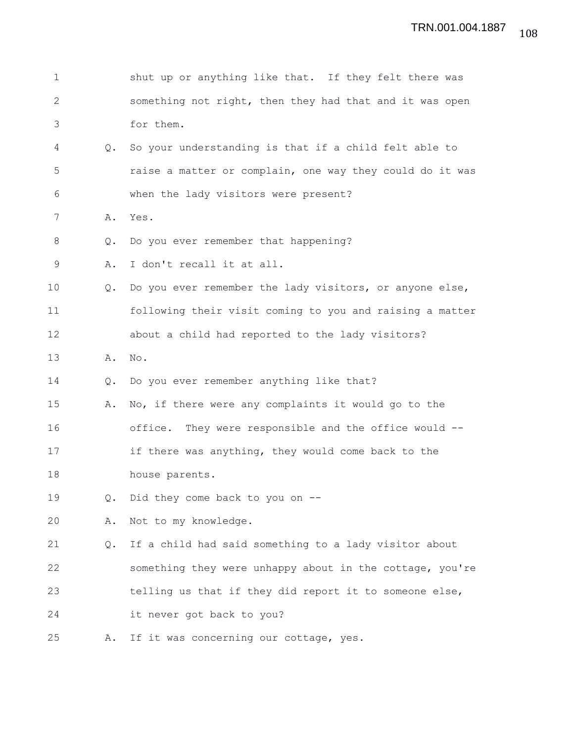| $\mathbf 1$ |               | shut up or anything like that. If they felt there was    |
|-------------|---------------|----------------------------------------------------------|
| 2           |               | something not right, then they had that and it was open  |
| 3           |               | for them.                                                |
| 4           | Q.            | So your understanding is that if a child felt able to    |
| 5           |               | raise a matter or complain, one way they could do it was |
| 6           |               | when the lady visitors were present?                     |
| 7           | Α.            | Yes.                                                     |
| 8           | Q.            | Do you ever remember that happening?                     |
| 9           | Α.            | I don't recall it at all.                                |
| 10          | Q.            | Do you ever remember the lady visitors, or anyone else,  |
| 11          |               | following their visit coming to you and raising a matter |
| 12          |               | about a child had reported to the lady visitors?         |
| 13          | Α.            | No.                                                      |
| 14          | $Q_{\bullet}$ | Do you ever remember anything like that?                 |
| 15          | Α.            | No, if there were any complaints it would go to the      |
| 16          |               | They were responsible and the office would --<br>office. |
| 17          |               | if there was anything, they would come back to the       |
| 18          |               | house parents.                                           |
| 19          | Q.            | Did they come back to you on --                          |
| 20          | Α.            | Not to my knowledge.                                     |
| 21          | Q.            | If a child had said something to a lady visitor about    |
| 22          |               | something they were unhappy about in the cottage, you're |
| 23          |               | telling us that if they did report it to someone else,   |
| 24          |               | it never got back to you?                                |
| 25          | Α.            | If it was concerning our cottage, yes.                   |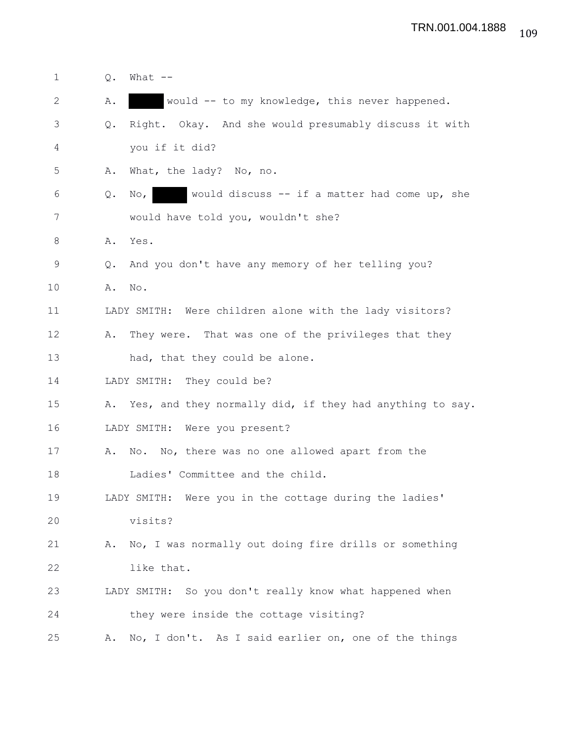| $\mathbf 1$ | Q.     | What $--$                                                              |
|-------------|--------|------------------------------------------------------------------------|
| 2           | Α.     | would -- to my knowledge, this never happened.                         |
| 3           | Q.     | Right. Okay. And she would presumably discuss it with                  |
| 4           |        | you if it did?                                                         |
| 5           | Α.     | What, the lady? No, no.                                                |
| 6           | Q.     | would discuss $-$ if a matter had come up, she<br>$\mathbb{N} \circ$ , |
| 7           |        | would have told you, wouldn't she?                                     |
| 8           |        | A. Yes.                                                                |
| 9           | Q.     | And you don't have any memory of her telling you?                      |
| 10          | A. No. |                                                                        |
| 11          |        | LADY SMITH: Were children alone with the lady visitors?                |
| 12          | Α.     | They were. That was one of the privileges that they                    |
| 13          |        | had, that they could be alone.                                         |
| 14          |        | LADY SMITH: They could be?                                             |
| 15          |        | A. Yes, and they normally did, if they had anything to say.            |
| 16          |        | LADY SMITH: Were you present?                                          |
| 17          | Α.     | No. No, there was no one allowed apart from the                        |
| 18          |        | Ladies' Committee and the child.                                       |
| 19          |        | LADY SMITH: Were you in the cottage during the ladies'                 |
| 20          |        | visits?                                                                |
| 21          | Α.     | No, I was normally out doing fire drills or something                  |
| 22          |        | like that.                                                             |
| 23          |        | LADY SMITH: So you don't really know what happened when                |
| 24          |        | they were inside the cottage visiting?                                 |
| 25          | Α.     | No, I don't. As I said earlier on, one of the things                   |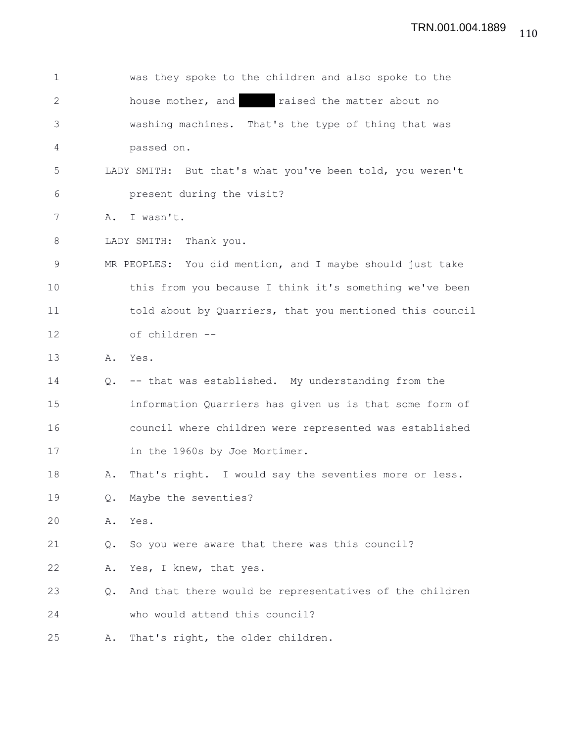| $\mathbf{1}$ |               | was they spoke to the children and also spoke to the      |
|--------------|---------------|-----------------------------------------------------------|
| $\mathbf{2}$ |               | house mother, and a raised the matter about no            |
| 3            |               | washing machines. That's the type of thing that was       |
| 4            |               | passed on.                                                |
| 5            |               | LADY SMITH: But that's what you've been told, you weren't |
| 6            |               | present during the visit?                                 |
| 7            | Α.            | I wasn't.                                                 |
| 8            |               | LADY SMITH: Thank you.                                    |
| 9            |               | MR PEOPLES: You did mention, and I maybe should just take |
| 10           |               | this from you because I think it's something we've been   |
| 11           |               | told about by Quarriers, that you mentioned this council  |
| 12           |               | of children --                                            |
| 13           |               | A. Yes.                                                   |
| 14           | $Q_{\bullet}$ | -- that was established. My understanding from the        |
| 15           |               | information Quarriers has given us is that some form of   |
| 16           |               | council where children were represented was established   |
| 17           |               | in the 1960s by Joe Mortimer.                             |
| 18           | Α.            | That's right. I would say the seventies more or less.     |
| 19           | Q.            | Maybe the seventies?                                      |
| 20           | Α.            | Yes.                                                      |
| 21           | Q.            | So you were aware that there was this council?            |
| 22           | Α.            | Yes, I knew, that yes.                                    |
| 23           | $Q_{\bullet}$ | And that there would be representatives of the children   |
| 24           |               | who would attend this council?                            |
| 25           | Α.            | That's right, the older children.                         |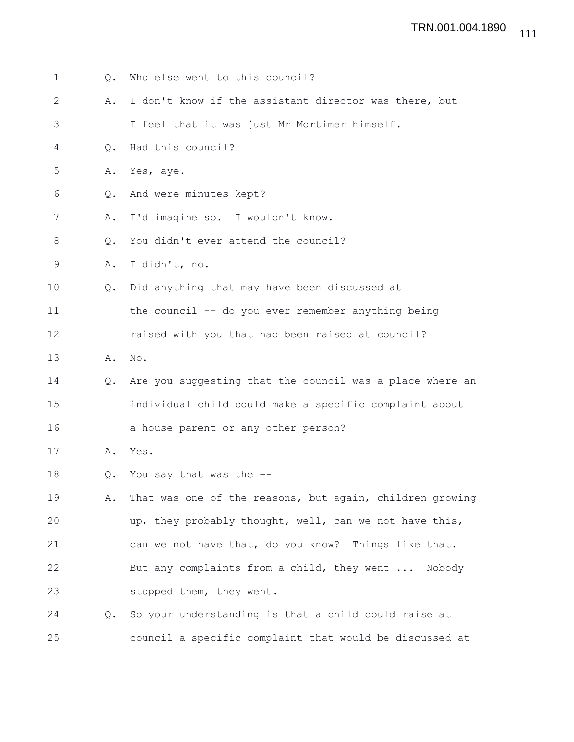| $\mathbf{1}$ | Q.            | Who else went to this council?                              |
|--------------|---------------|-------------------------------------------------------------|
| $\mathbf{2}$ | Α.            | I don't know if the assistant director was there, but       |
| 3            |               | I feel that it was just Mr Mortimer himself.                |
| 4            | $Q_{\bullet}$ | Had this council?                                           |
| 5            | Α.            | Yes, aye.                                                   |
| 6            | Q.            | And were minutes kept?                                      |
| 7            | Α.            | I'd imagine so. I wouldn't know.                            |
| 8            | Q.            | You didn't ever attend the council?                         |
| 9            | Α.            | I didn't, no.                                               |
| 10           | $\circ$ .     | Did anything that may have been discussed at                |
| 11           |               | the council -- do you ever remember anything being          |
| 12           |               | raised with you that had been raised at council?            |
| 13           | Α.            | No.                                                         |
| 14           |               | Q. Are you suggesting that the council was a place where an |
| 15           |               | individual child could make a specific complaint about      |
| 16           |               | a house parent or any other person?                         |
| 17           | Α.            | Yes.                                                        |
| 18           | Q.            | You say that was the --                                     |
| 19           | Α.            | That was one of the reasons, but again, children growing    |
| 20           |               | up, they probably thought, well, can we not have this,      |
| 21           |               | can we not have that, do you know? Things like that.        |
| 22           |               | But any complaints from a child, they went  Nobody          |
| 23           |               | stopped them, they went.                                    |
| 24           | Q.            | So your understanding is that a child could raise at        |
| 25           |               | council a specific complaint that would be discussed at     |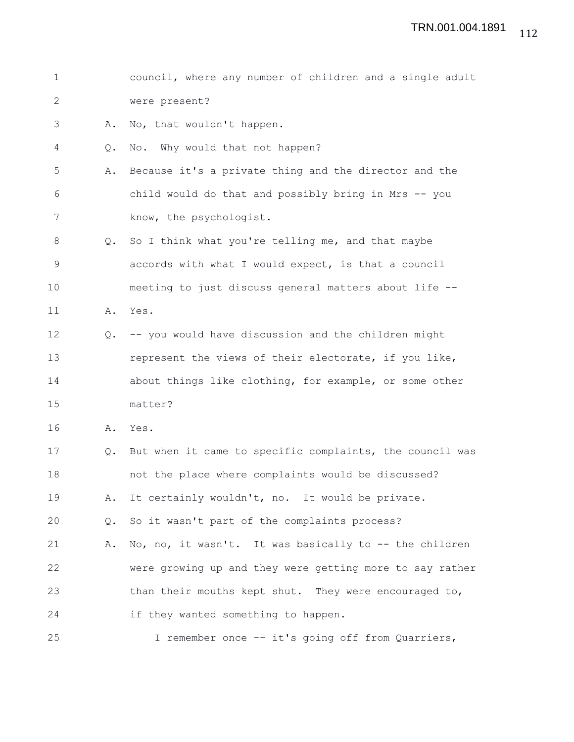| 1            |               | council, where any number of children and a single adult |
|--------------|---------------|----------------------------------------------------------|
|              |               |                                                          |
| $\mathbf{2}$ |               | were present?                                            |
| 3            | Α.            | No, that wouldn't happen.                                |
| 4            | Q.            | No. Why would that not happen?                           |
| 5            | Α.            | Because it's a private thing and the director and the    |
| 6            |               | child would do that and possibly bring in Mrs -- you     |
| 7            |               | know, the psychologist.                                  |
| 8            | $Q_{\bullet}$ | So I think what you're telling me, and that maybe        |
| 9            |               | accords with what I would expect, is that a council      |
| 10           |               | meeting to just discuss general matters about life --    |
| 11           | Α.            | Yes.                                                     |
| 12           | Q.            | -- you would have discussion and the children might      |
| 13           |               | represent the views of their electorate, if you like,    |
| 14           |               | about things like clothing, for example, or some other   |
| 15           |               | matter?                                                  |
| 16           | Α.            | Yes.                                                     |
| 17           | $Q_{\bullet}$ | But when it came to specific complaints, the council was |
| 18           |               | not the place where complaints would be discussed?       |
| 19           | Α.            | It certainly wouldn't, no. It would be private.          |
| 20           | Q.            | So it wasn't part of the complaints process?             |
| 21           | Α.            | No, no, it wasn't. It was basically to -- the children   |
| 22           |               | were growing up and they were getting more to say rather |
| 23           |               | than their mouths kept shut. They were encouraged to,    |
| 24           |               | if they wanted something to happen.                      |
| 25           |               | I remember once -- it's going off from Quarriers,        |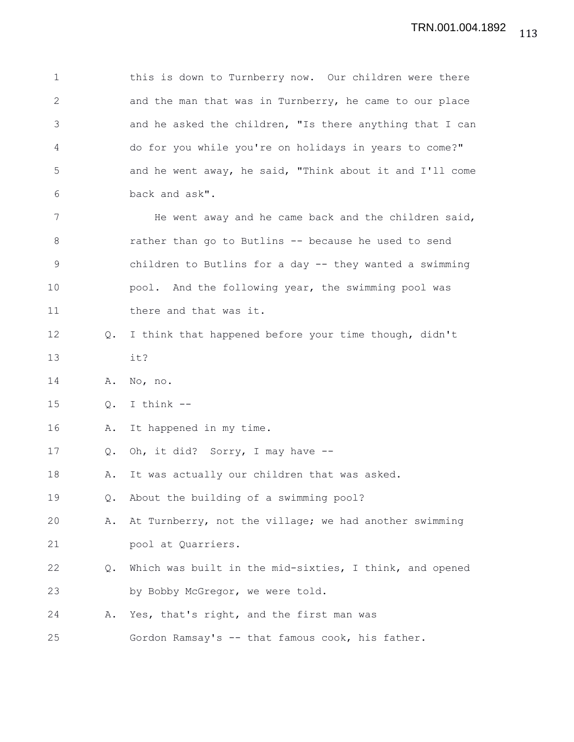1 this is down to Turnberry now. Our children were there 2 and the man that was in Turnberry, he came to our place 3 and he asked the children, "Is there anything that I can 4 do for you while you're on holidays in years to come?" 5 and he went away, he said, "Think about it and I'll come 6 back and ask". 7 He went away and he came back and the children said, 8 rather than go to Butlins -- because he used to send 9 children to Butlins for a day -- they wanted a swimming 10 pool. And the following year, the swimming pool was 11 there and that was it. 12 Q. I think that happened before your time though, didn't 13 it? 14 A. No, no. 15 Q. I think -- 16 A. It happened in my time. 17 Q. Oh, it did? Sorry, I may have -- 18 A. It was actually our children that was asked. 19 Q. About the building of a swimming pool? 20 A. At Turnberry, not the village; we had another swimming 21 pool at Quarriers. 22 Q. Which was built in the mid-sixties, I think, and opened 23 by Bobby McGregor, we were told. 24 A. Yes, that's right, and the first man was 25 Gordon Ramsay's -- that famous cook, his father.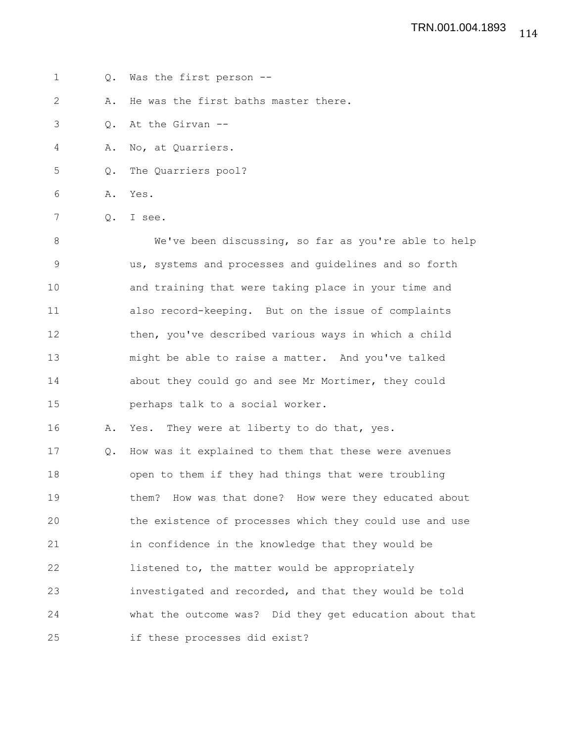1 Q. Was the first person --

2 A. He was the first baths master there.

- 3 Q. At the Girvan --
- 4 A. No, at Quarriers.
- 5 Q. The Quarriers pool?
- 6 A. Yes.
- 7 Q. I see.

8 We've been discussing, so far as you're able to help 9 us, systems and processes and guidelines and so forth 10 and training that were taking place in your time and 11 also record-keeping. But on the issue of complaints 12 then, you've described various ways in which a child 13 might be able to raise a matter. And you've talked 14 about they could go and see Mr Mortimer, they could 15 perhaps talk to a social worker.

16 A. Yes. They were at liberty to do that, yes.

17 Q. How was it explained to them that these were avenues 18 open to them if they had things that were troubling 19 them? How was that done? How were they educated about 20 the existence of processes which they could use and use 21 in confidence in the knowledge that they would be 22 listened to, the matter would be appropriately 23 investigated and recorded, and that they would be told 24 what the outcome was? Did they get education about that 25 if these processes did exist?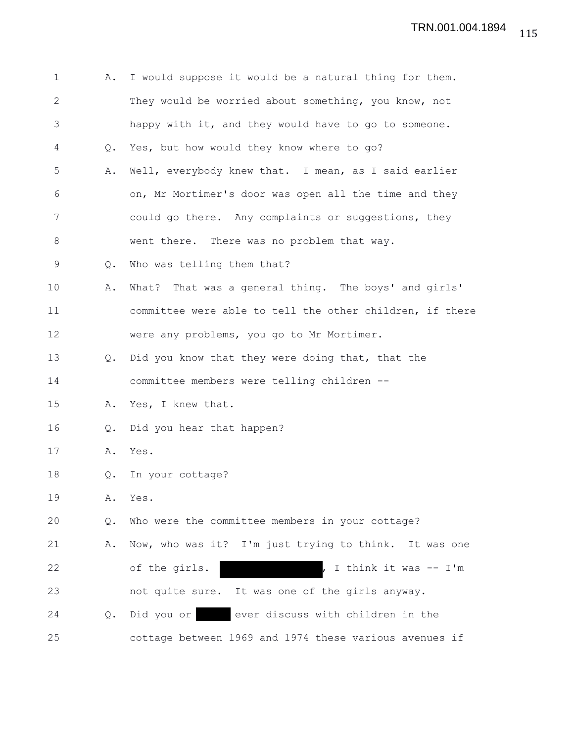| 1            | Α.            | I would suppose it would be a natural thing for them.    |
|--------------|---------------|----------------------------------------------------------|
| $\mathbf{2}$ |               | They would be worried about something, you know, not     |
| 3            |               | happy with it, and they would have to go to someone.     |
| 4            | Q.            | Yes, but how would they know where to go?                |
| 5            | Α.            | Well, everybody knew that. I mean, as I said earlier     |
| 6            |               | on, Mr Mortimer's door was open all the time and they    |
| 7            |               | could go there. Any complaints or suggestions, they      |
| 8            |               | went there. There was no problem that way.               |
| 9            | Q.            | Who was telling them that?                               |
| 10           | Α.            | What? That was a general thing. The boys' and girls'     |
| 11           |               | committee were able to tell the other children, if there |
| 12           |               | were any problems, you go to Mr Mortimer.                |
| 13           | $Q_{\bullet}$ | Did you know that they were doing that, that the         |
| 14           |               | committee members were telling children --               |
| 15           | Α.            | Yes, I knew that.                                        |
| 16           | $Q_{\bullet}$ | Did you hear that happen?                                |
| 17           | Α.            | Yes.                                                     |
| 18           | Q.            | In your cottage?                                         |
| 19           | Α.            | Yes.                                                     |
| 20           | Q.            | Who were the committee members in your cottage?          |
| 21           | Α.            | Now, who was it? I'm just trying to think. It was one    |
| 22           |               | of the girls.<br>I think it was -- I'm                   |
| 23           |               | not quite sure. It was one of the girls anyway.          |
| 24           | $Q_{\bullet}$ | ever discuss with children in the<br>Did you or          |
| 25           |               | cottage between 1969 and 1974 these various avenues if   |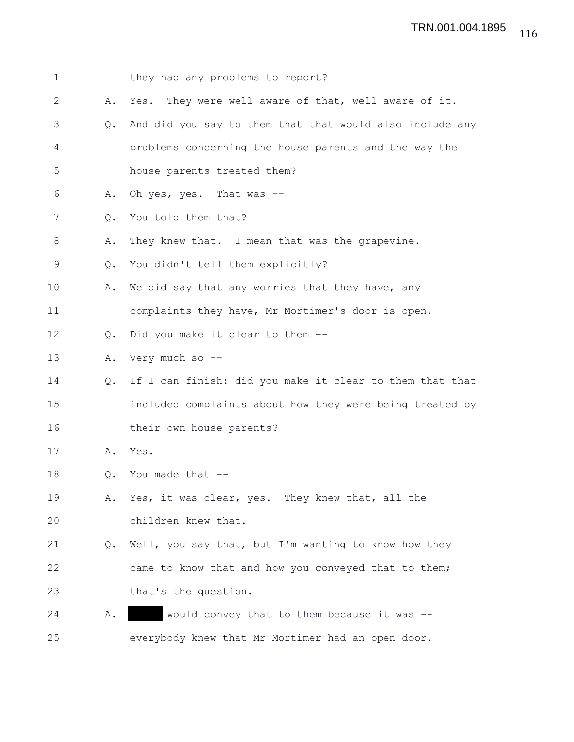| $\mathbf 1$  |               | they had any problems to report?                         |
|--------------|---------------|----------------------------------------------------------|
| $\mathbf{2}$ | Α.            | Yes. They were well aware of that, well aware of it.     |
| 3            | $Q_{\bullet}$ | And did you say to them that that would also include any |
| 4            |               | problems concerning the house parents and the way the    |
| 5            |               | house parents treated them?                              |
| 6            | Α.            | Oh yes, yes. That was --                                 |
| 7            | 0.            | You told them that?                                      |
| 8            | Α.            | They knew that. I mean that was the grapevine.           |
| 9            | Q.            | You didn't tell them explicitly?                         |
| 10           | Α.            | We did say that any worries that they have, any          |
| 11           |               | complaints they have, Mr Mortimer's door is open.        |
| 12           | Q.            | Did you make it clear to them --                         |
| 13           | Α.            | Very much so --                                          |
| 14           | Q.            | If I can finish: did you make it clear to them that that |
| 15           |               | included complaints about how they were being treated by |
| 16           |               | their own house parents?                                 |
| 17           | Α.            | Yes.                                                     |
| 18           | Q.            | You made that --                                         |
| 19           |               | A. Yes, it was clear, yes. They knew that, all the       |
| 20           |               | children knew that.                                      |
| 21           | Q.            | Well, you say that, but I'm wanting to know how they     |
| 22           |               | came to know that and how you conveyed that to them;     |
| 23           |               | that's the question.                                     |
| 24           | Α.            | would convey that to them because it was --              |
| 25           |               | everybody knew that Mr Mortimer had an open door.        |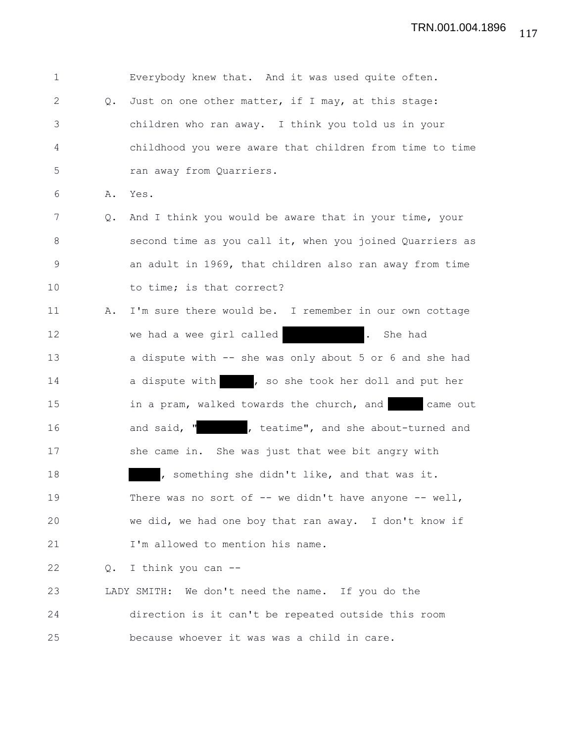| $\mathbf 1$ |    | Everybody knew that. And it was used quite often.               |
|-------------|----|-----------------------------------------------------------------|
| 2           | Q. | Just on one other matter, if I may, at this stage:              |
| 3           |    | children who ran away. I think you told us in your              |
| 4           |    | childhood you were aware that children from time to time        |
| 5           |    | ran away from Quarriers.                                        |
| 6           | Α. | Yes.                                                            |
| 7           | Q. | And I think you would be aware that in your time, your          |
| 8           |    | second time as you call it, when you joined Quarriers as        |
| 9           |    | an adult in 1969, that children also ran away from time         |
| 10          |    | to time; is that correct?                                       |
| 11          | Α. | I'm sure there would be. I remember in our own cottage          |
| 12          |    | we had a wee girl called<br>$\overline{\phantom{a}}$<br>She had |
| 13          |    | a dispute with -- she was only about 5 or 6 and she had         |
| 14          |    | a dispute with , so she took her doll and put her               |
| 15          |    | in a pram, walked towards the church, and came out              |
| 16          |    | and said, "         teatime", and she about-turned and          |
| 17          |    | she came in. She was just that wee bit angry with               |
| 18          |    | , something she didn't like, and that was it.                   |
| 19          |    | There was no sort of $--$ we didn't have anyone $--$ well,      |
| 20          |    | we did, we had one boy that ran away. I don't know if           |
| 21          |    | I'm allowed to mention his name.                                |
| 22          | Q. | I think you can --                                              |
| 23          |    | LADY SMITH: We don't need the name. If you do the               |
| 24          |    | direction is it can't be repeated outside this room             |
| 25          |    | because whoever it was was a child in care.                     |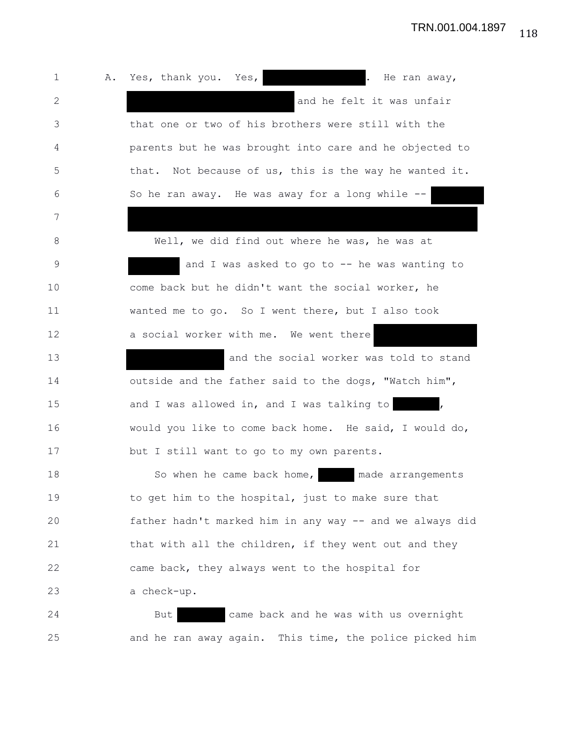1 A. Yes, thank you. Yes, and the ran away, 2 and he felt it was unfair 3 that one or two of his brothers were still with the 4 parents but he was brought into care and he objected to 5 that. Not because of us, this is the way he wanted it. 6 So he ran away. He was away for a long while -- 7 8 Well, we did find out where he was, he was at 9 and I was asked to go to -- he was wanting to 10 come back but he didn't want the social worker, he 11 wanted me to go. So I went there, but I also took 12 a social worker with me. We went there 13 and the social worker was told to stand 14 outside and the father said to the dogs, "Watch him", 15 and I was allowed in, and I was talking to , 16 would you like to come back home. He said, I would do, 17 but I still want to go to my own parents. 18 So when he came back home, ande arrangements 19 to get him to the hospital, just to make sure that 20 father hadn't marked him in any way -- and we always did 21 that with all the children, if they went out and they 22 came back, they always went to the hospital for 23 a check-up. 24 But came back and he was with us overnight 25 and he ran away again. This time, the police picked him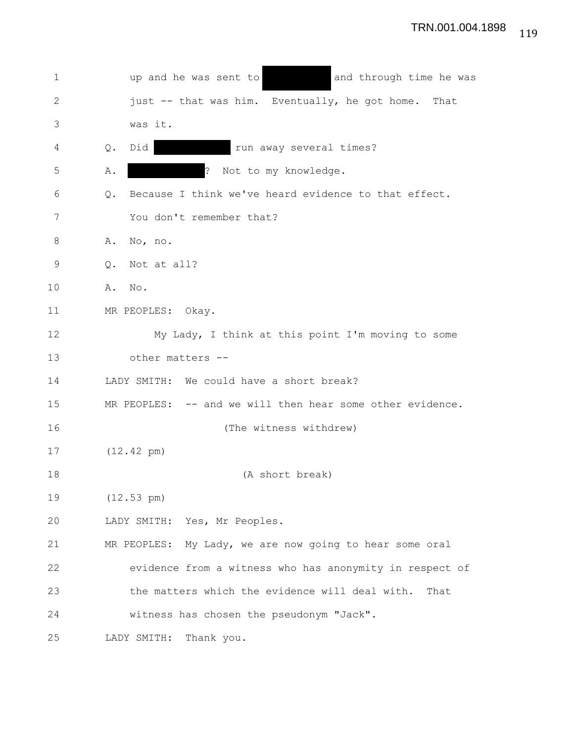1 vup and he was sent to and through time he was 2 just -- that was him. Eventually, he got home. That 3 was it. 4 Q. Did cun away several times? 5 A. **A. 2008**? Not to my knowledge. 6 Q. Because I think we've heard evidence to that effect. 7 You don't remember that? 8 A. No, no. 9 Q. Not at all? 10 A. No. 11 MR PEOPLES: Okay. 12 My Lady, I think at this point I'm moving to some 13 other matters -- 14 LADY SMITH: We could have a short break? 15 MR PEOPLES: -- and we will then hear some other evidence. 16 (The witness withdrew) 17 (12.42 pm) 18 (A short break) 19 (12.53 pm) 20 LADY SMITH: Yes, Mr Peoples. 21 MR PEOPLES: My Lady, we are now going to hear some oral 22 evidence from a witness who has anonymity in respect of 23 the matters which the evidence will deal with. That 24 witness has chosen the pseudonym "Jack". 25 LADY SMITH: Thank you.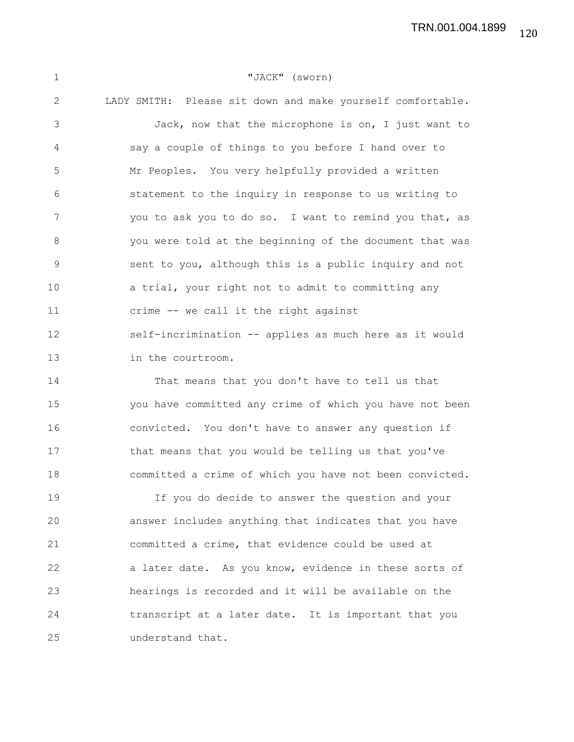120 TRN.001.004.1899

| $\mathbf{1}$ | "JACK" (sworn)                                             |
|--------------|------------------------------------------------------------|
| 2            | LADY SMITH: Please sit down and make yourself comfortable. |
| 3            | Jack, now that the microphone is on, I just want to        |
| 4            | say a couple of things to you before I hand over to        |
| 5            | Mr Peoples. You very helpfully provided a written          |
| 6            | statement to the inquiry in response to us writing to      |
| 7            | you to ask you to do so. I want to remind you that, as     |
| 8            | you were told at the beginning of the document that was    |
| $\mathsf 9$  | sent to you, although this is a public inquiry and not     |
| 10           | a trial, your right not to admit to committing any         |
| 11           | crime -- we call it the right against                      |
| 12           | self-incrimination -- applies as much here as it would     |
| 13           | in the courtroom.                                          |
| 14           | That means that you don't have to tell us that             |
| 15           | you have committed any crime of which you have not been    |
| 16           | convicted. You don't have to answer any question if        |
| 17           | that means that you would be telling us that you've        |
| 18           | committed a crime of which you have not been convicted.    |
| 19           | If you do decide to answer the question and your           |
| 20           | answer includes anything that indicates that you have      |
| 21           | committed a crime, that evidence could be used at          |
| 22           | a later date. As you know, evidence in these sorts of      |
| 23           | hearings is recorded and it will be available on the       |
| 24           | transcript at a later date. It is important that you       |
| 25           | understand that.                                           |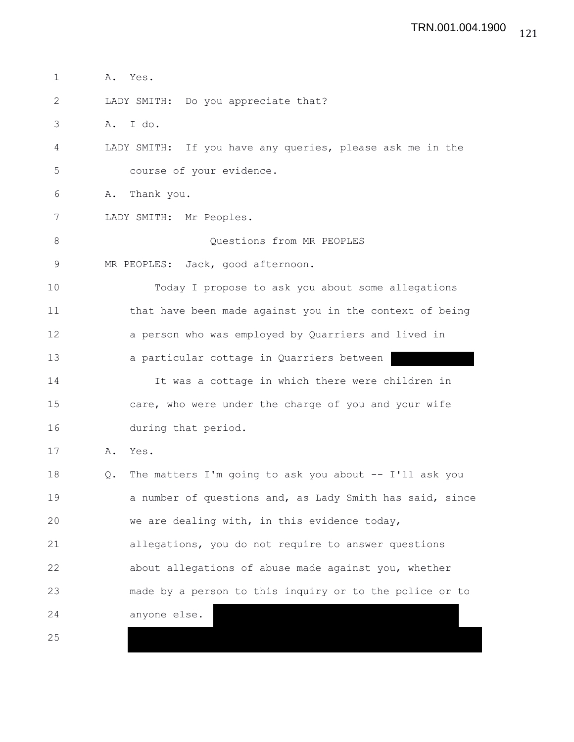1 A. Yes. 2 LADY SMITH: Do you appreciate that? 3 A. I do. 4 LADY SMITH: If you have any queries, please ask me in the 5 course of your evidence. 6 A. Thank you. 7 LADY SMITH: Mr Peoples. 8 Ouestions from MR PEOPLES 9 MR PEOPLES: Jack, good afternoon. 10 Today I propose to ask you about some allegations 11 that have been made against you in the context of being 12 a person who was employed by Quarriers and lived in 13 a particular cottage in Quarriers between 14 It was a cottage in which there were children in 15 care, who were under the charge of you and your wife 16 during that period. 17 A. Yes. 18 Q. The matters I'm going to ask you about -- I'll ask you 19 a number of questions and, as Lady Smith has said, since 20 we are dealing with, in this evidence today, 21 allegations, you do not require to answer questions 22 about allegations of abuse made against you, whether 23 made by a person to this inquiry or to the police or to 24 anyone else. 25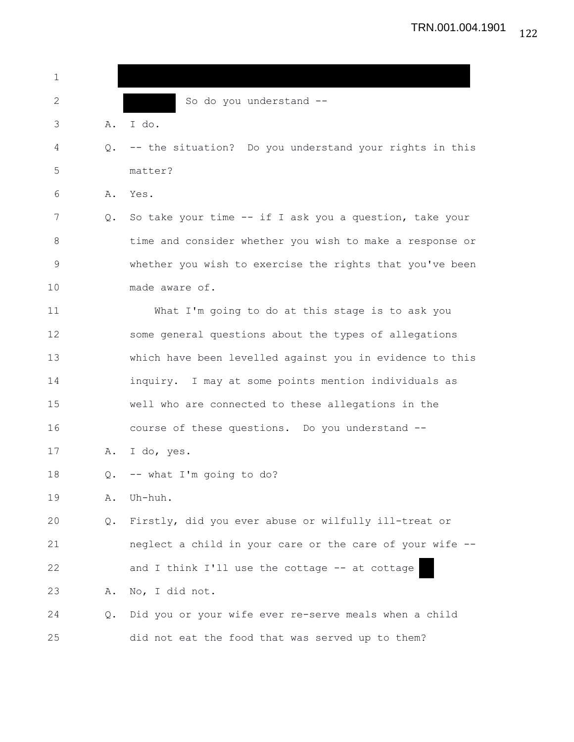| 1              |    |                                                          |
|----------------|----|----------------------------------------------------------|
| 2              |    | So do you understand --                                  |
| 3              | Α. | I do.                                                    |
| 4              | Q. | -- the situation? Do you understand your rights in this  |
| 5              |    | matter?                                                  |
| 6              | Α. | Yes.                                                     |
| 7              | Q. | So take your time -- if I ask you a question, take your  |
| 8              |    | time and consider whether you wish to make a response or |
| $\overline{9}$ |    | whether you wish to exercise the rights that you've been |
| 10             |    | made aware of.                                           |
| 11             |    | What I'm going to do at this stage is to ask you         |
| 12             |    | some general questions about the types of allegations    |
| 13             |    | which have been levelled against you in evidence to this |
| 14             |    | inquiry. I may at some points mention individuals as     |
| 15             |    | well who are connected to these allegations in the       |
| 16             |    | course of these questions. Do you understand --          |
| 17             | Α. | I do, yes.                                               |
| 18             | Q. | -- what I'm going to do?                                 |
| 19             | Α. | Uh-huh.                                                  |
| 20             | Q. | Firstly, did you ever abuse or wilfully ill-treat or     |
| 21             |    | neglect a child in your care or the care of your wife -- |
| 22             |    | and I think I'll use the cottage -- at cottage           |
| 23             | Α. | No, I did not.                                           |
| 24             | Q. | Did you or your wife ever re-serve meals when a child    |
| 25             |    | did not eat the food that was served up to them?         |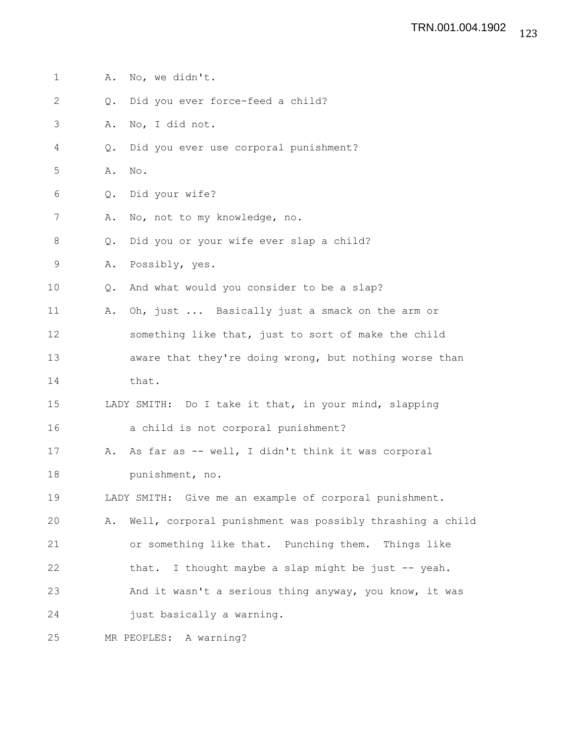| 1            | Α. | No, we didn't.                                           |
|--------------|----|----------------------------------------------------------|
| $\mathbf{2}$ | Q. | Did you ever force-feed a child?                         |
| 3            | Α. | No, I did not.                                           |
| 4            | Q. | Did you ever use corporal punishment?                    |
| 5            | Α. | No.                                                      |
| 6            | Q. | Did your wife?                                           |
| 7            | Α. | No, not to my knowledge, no.                             |
| $\,8\,$      | Q. | Did you or your wife ever slap a child?                  |
| 9            | Α. | Possibly, yes.                                           |
| 10           | Q. | And what would you consider to be a slap?                |
| 11           | Α. | Oh, just  Basically just a smack on the arm or           |
| 12           |    | something like that, just to sort of make the child      |
| 13           |    | aware that they're doing wrong, but nothing worse than   |
| 14           |    | that.                                                    |
| 15           |    | LADY SMITH: Do I take it that, in your mind, slapping    |
| 16           |    | a child is not corporal punishment?                      |
| 17           | Α. | As far as -- well, I didn't think it was corporal        |
| 18           |    | punishment, no.                                          |
| 19           |    | LADY SMITH: Give me an example of corporal punishment.   |
| 20           | Α. | Well, corporal punishment was possibly thrashing a child |
| 21           |    | or something like that. Punching them. Things like       |
| 22           |    | that. I thought maybe a slap might be just -- yeah.      |
| 23           |    | And it wasn't a serious thing anyway, you know, it was   |
| 24           |    | just basically a warning.                                |
| 25           |    | MR PEOPLES: A warning?                                   |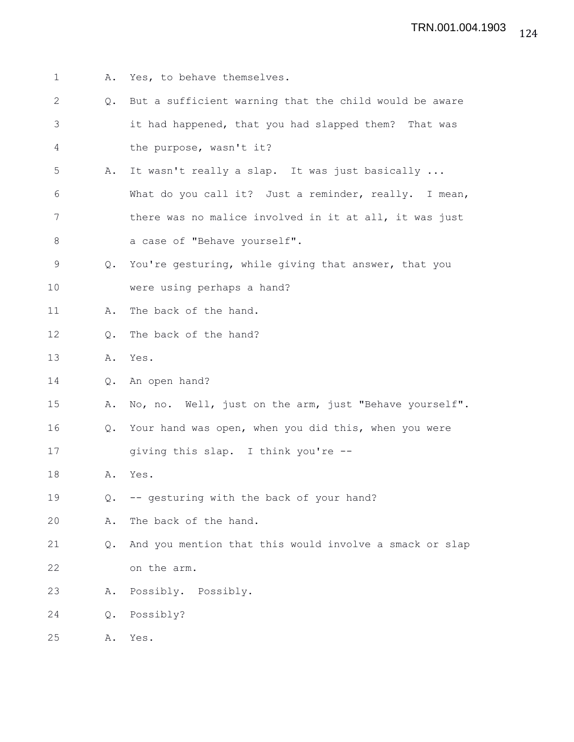1 A. Yes, to behave themselves. 2 Q. But a sufficient warning that the child would be aware 3 it had happened, that you had slapped them? That was 4 the purpose, wasn't it? 5 A. It wasn't really a slap. It was just basically ... 6 What do you call it? Just a reminder, really. I mean, 7 there was no malice involved in it at all, it was just 8 a case of "Behave yourself". 9 Q. You're gesturing, while giving that answer, that you 10 were using perhaps a hand? 11 A. The back of the hand. 12 Q. The back of the hand? 13 A. Yes. 14 Q. An open hand? 15 A. No, no. Well, just on the arm, just "Behave yourself". 16 Q. Your hand was open, when you did this, when you were 17 giving this slap. I think you're -- 18 A. Yes. 19 Q. -- gesturing with the back of your hand? 20 A. The back of the hand. 21 Q. And you mention that this would involve a smack or slap 22 on the arm. 23 A. Possibly. Possibly. 24 Q. Possibly? 25 A. Yes.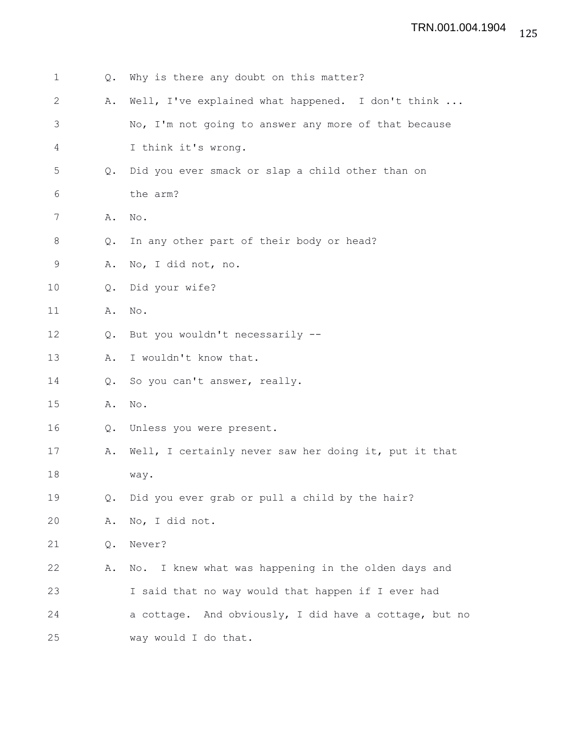| 1            | Q.            | Why is there any doubt on this matter?                 |
|--------------|---------------|--------------------------------------------------------|
| $\mathbf{2}$ | Α.            | Well, I've explained what happened. I don't think      |
| 3            |               | No, I'm not going to answer any more of that because   |
| 4            |               | I think it's wrong.                                    |
| 5            | $Q_{\bullet}$ | Did you ever smack or slap a child other than on       |
| 6            |               | the arm?                                               |
| 7            | Α.            | No.                                                    |
| 8            | Q.            | In any other part of their body or head?               |
| 9            | Α.            | No, I did not, no.                                     |
| 10           | Q.            | Did your wife?                                         |
| 11           | Α.            | No.                                                    |
| 12           | Q.            | But you wouldn't necessarily --                        |
| 13           | Α.            | I wouldn't know that.                                  |
| 14           | Q.            | So you can't answer, really.                           |
| 15           | Α.            | $\mathop{\rm No}\nolimits$ .                           |
| 16           | Q.            | Unless you were present.                               |
| 17           | Α.            | Well, I certainly never saw her doing it, put it that  |
| 18           |               | way.                                                   |
| 19           | Q.            | Did you ever grab or pull a child by the hair?         |
| 20           | Α.            | No, I did not.                                         |
| 21           | Q.            | Never?                                                 |
| 22           | Α.            | I knew what was happening in the olden days and<br>No. |
| 23           |               | I said that no way would that happen if I ever had     |
| 24           |               | a cottage. And obviously, I did have a cottage, but no |
| 25           |               | way would I do that.                                   |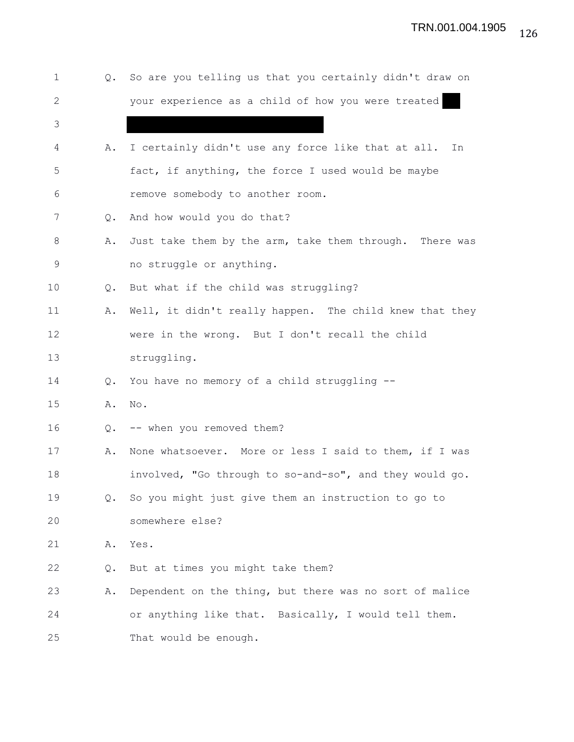| $\mathbf 1$  | Q.            | So are you telling us that you certainly didn't draw on  |
|--------------|---------------|----------------------------------------------------------|
| $\mathbf{2}$ |               | your experience as a child of how you were treated       |
| 3            |               |                                                          |
| 4            | Α.            | I certainly didn't use any force like that at all.<br>In |
| 5            |               | fact, if anything, the force I used would be maybe       |
| 6            |               | remove somebody to another room.                         |
| 7            | $\circ$ .     | And how would you do that?                               |
| 8            | Α.            | Just take them by the arm, take them through. There was  |
| 9            |               | no struggle or anything.                                 |
| 10           | Q.            | But what if the child was struggling?                    |
| 11           | Α.            | Well, it didn't really happen. The child knew that they  |
| 12           |               | were in the wrong. But I don't recall the child          |
| 13           |               | struggling.                                              |
| 14           | $Q_{\bullet}$ | You have no memory of a child struggling --              |
| 15           | Α.            | No.                                                      |
| 16           | $Q_{\bullet}$ | -- when you removed them?                                |
| 17           | Α.            | None whatsoever. More or less I said to them, if I was   |
| 18           |               | involved, "Go through to so-and-so", and they would go.  |
| 19           | Q.            | So you might just give them an instruction to go to      |
| 20           |               | somewhere else?                                          |
| 21           | Α.            | Yes.                                                     |
| 22           | Q.            | But at times you might take them?                        |
| 23           | Α.            | Dependent on the thing, but there was no sort of malice  |
| 24           |               | or anything like that. Basically, I would tell them.     |
| 25           |               | That would be enough.                                    |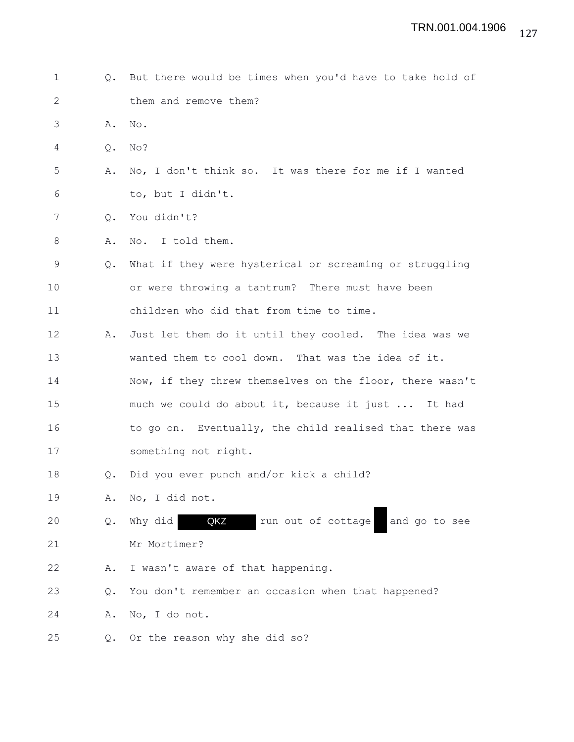| $\mathbf 1$  |           | Q. But there would be times when you'd have to take hold of |
|--------------|-----------|-------------------------------------------------------------|
| $\mathbf{2}$ |           | them and remove them?                                       |
| 3            | Α.        | No.                                                         |
| 4            | Q.        | No?                                                         |
| 5            | Α.        | No, I don't think so. It was there for me if I wanted       |
| 6            |           | to, but I didn't.                                           |
| 7            | $\circ$ . | You didn't?                                                 |
| 8            | Α.        | No. I told them.                                            |
| 9            | Q.        | What if they were hysterical or screaming or struggling     |
| 10           |           | or were throwing a tantrum? There must have been            |
| 11           |           | children who did that from time to time.                    |
| 12           | Α.        | Just let them do it until they cooled. The idea was we      |
| 13           |           | wanted them to cool down. That was the idea of it.          |
| 14           |           | Now, if they threw themselves on the floor, there wasn't    |
| 15           |           | much we could do about it, because it just  It had          |
| 16           |           | to go on. Eventually, the child realised that there was     |
| 17           |           | something not right.                                        |
| 18           | Q.        | Did you ever punch and/or kick a child?                     |
| 19           | Α.        | No, I did not.                                              |
| 20           | Q.        | QKZ<br>run out of cottage<br>Why did<br>and go to see       |
| 21           |           | Mr Mortimer?                                                |
| 22           | Α.        | I wasn't aware of that happening.                           |
| 23           | $Q$ .     | You don't remember an occasion when that happened?          |
| 24           | Α.        | No, I do not.                                               |
| 25           | Q.        | Or the reason why she did so?                               |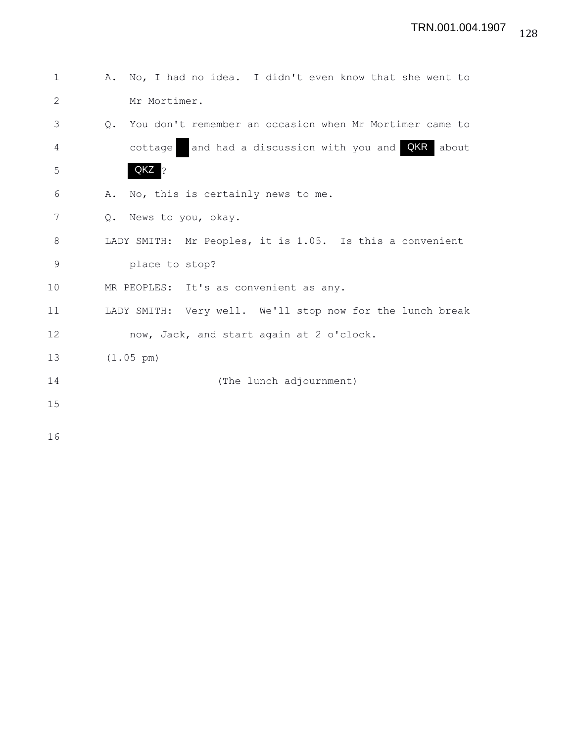| $\mathbf{1}$ | No, I had no idea. I didn't even know that she went to<br>Α.         |
|--------------|----------------------------------------------------------------------|
| $\mathbf{2}$ | Mr Mortimer.                                                         |
| 3            | You don't remember an occasion when Mr Mortimer came to<br>$\circ$ . |
| 4            | and had a discussion with you and <b>QKR</b> about<br>cottage        |
| 5            | QKZ ?                                                                |
| 6            | No, this is certainly news to me.<br>Α.                              |
| 7            | News to you, okay.<br>$Q$ .                                          |
| 8            | LADY SMITH: Mr Peoples, it is 1.05. Is this a convenient             |
| $\mathsf 9$  | place to stop?                                                       |
| 10           | MR PEOPLES: It's as convenient as any.                               |
| 11           | LADY SMITH: Very well. We'll stop now for the lunch break            |
| 12           | now, Jack, and start again at 2 o'clock.                             |
| 13           | $(1.05 \text{ pm})$                                                  |
| 14           | (The lunch adjournment)                                              |
| 15           |                                                                      |
| 16           |                                                                      |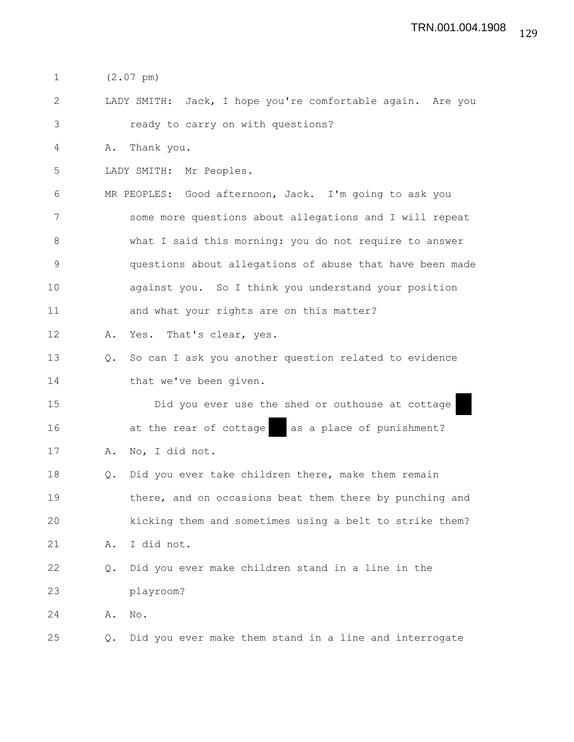1 (2.07 pm)

2 LADY SMITH: Jack, I hope you're comfortable again. Are you 3 ready to carry on with questions?

4 A. Thank you.

5 LADY SMITH: Mr Peoples.

6 MR PEOPLES: Good afternoon, Jack. I'm going to ask you 7 some more questions about allegations and I will repeat 8 what I said this morning: you do not require to answer 9 questions about allegations of abuse that have been made 10 against you. So I think you understand your position 11 and what your rights are on this matter?

12 A. Yes. That's clear, yes.

13 Q. So can I ask you another question related to evidence 14 that we've been given.

15 Did you ever use the shed or outhouse at cottage 16 at the rear of cottage as a place of punishment? 17 A. No, I did not.

18 Q. Did you ever take children there, make them remain 19 there, and on occasions beat them there by punching and 20 kicking them and sometimes using a belt to strike them? 21 A. I did not. 22 Q. Did you ever make children stand in a line in the 23 playroom?

24 A. No.

25 Q. Did you ever make them stand in a line and interrogate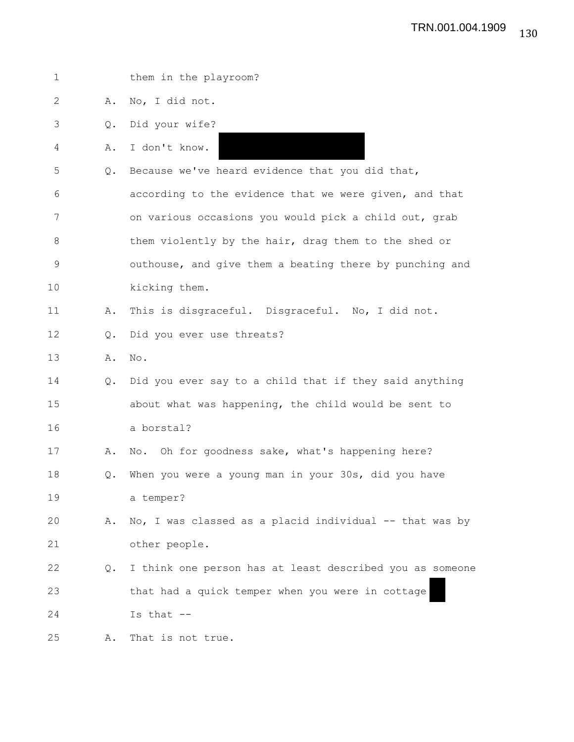| 1           |                | them in the playroom?                                    |
|-------------|----------------|----------------------------------------------------------|
| 2           | Α.             | No, I did not.                                           |
| 3           | Q.             | Did your wife?                                           |
| 4           | Α.             | I don't know.                                            |
| 5           | Q.             | Because we've heard evidence that you did that,          |
| 6           |                | according to the evidence that we were given, and that   |
| 7           |                | on various occasions you would pick a child out, grab    |
| 8           |                | them violently by the hair, drag them to the shed or     |
| $\mathsf 9$ |                | outhouse, and give them a beating there by punching and  |
| 10          |                | kicking them.                                            |
| 11          | Α.             | This is disgraceful. Disgraceful. No, I did not.         |
| 12          | $\mathsf{Q}$ . | Did you ever use threats?                                |
| 13          | Α.             | No.                                                      |
| 14          | Q.             | Did you ever say to a child that if they said anything   |
| 15          |                | about what was happening, the child would be sent to     |
| 16          |                | a borstal?                                               |
| 17          | Α.             | No. Oh for goodness sake, what's happening here?         |
| 18          | Q.             | When you were a young man in your 30s, did you have      |
| 19          |                | a temper?                                                |
| 20          | Α.             | No, I was classed as a placid individual -- that was by  |
| 21          |                | other people.                                            |
| 22          | Q.             | I think one person has at least described you as someone |
| 23          |                | that had a quick temper when you were in cottage         |
| 24          |                | Is that --                                               |
| 25          | Α.             | That is not true.                                        |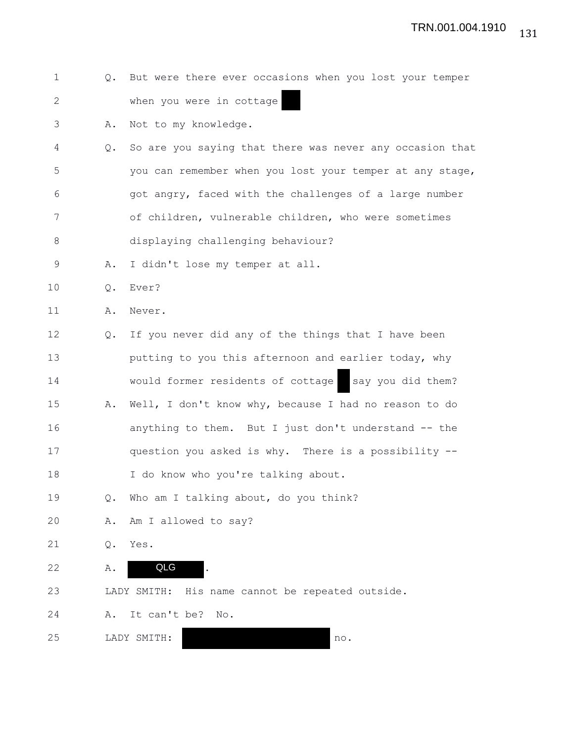|  |  |  | Q. But were there ever occasions when you lost your temper |  |  |  |
|--|--|--|------------------------------------------------------------|--|--|--|
|  |  |  | when you were in cottage                                   |  |  |  |

3 A. Not to my knowledge.

- 4 Q. So are you saying that there was never any occasion that 5 you can remember when you lost your temper at any stage, 6 got angry, faced with the challenges of a large number 7 of children, vulnerable children, who were sometimes 8 displaying challenging behaviour?
- 9 A. I didn't lose my temper at all.
- 10 Q. Ever?

11 A. Never.

12 Q. If you never did any of the things that I have been 13 **putting to you this afternoon and earlier today, why** 14 would former residents of cottage say you did them? 15 A. Well, I don't know why, because I had no reason to do 16 anything to them. But I just don't understand -- the 17 question you asked is why. There is a possibility -- 18 I do know who you're talking about.

- 19 Q. Who am I talking about, do you think?
- 20 A. Am I allowed to say?
- 21 Q. Yes.
- 22 A. QLG .

23 LADY SMITH: His name cannot be repeated outside.

24 A. It can't be? No.

25 LADY SMITH: no.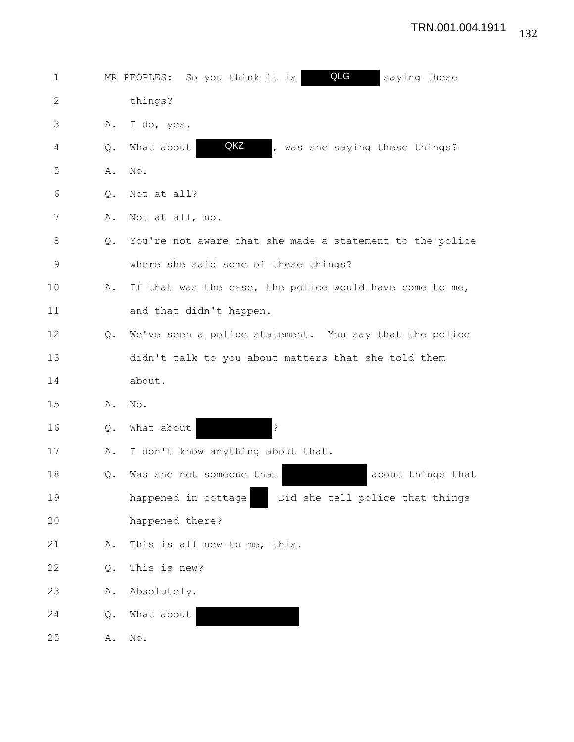| $\mathbf 1$  |               | QLG<br>saying these<br>MR PEOPLES: So you think it is    |
|--------------|---------------|----------------------------------------------------------|
| $\mathbf{2}$ |               | things?                                                  |
| 3            | Α.            | I do, yes.                                               |
| 4            | Q.            | QKZ<br>What about<br>, was she saying these things?      |
| 5            | Α.            | No.                                                      |
| 6            | Q.            | Not at all?                                              |
| 7            | Α.            | Not at all, no.                                          |
| 8            | $Q_{\bullet}$ | You're not aware that she made a statement to the police |
| 9            |               | where she said some of these things?                     |
| 10           | Α.            | If that was the case, the police would have come to me,  |
| 11           |               | and that didn't happen.                                  |
| 12           | $Q_{\bullet}$ | We've seen a police statement. You say that the police   |
| 13           |               | didn't talk to you about matters that she told them      |
| 14           |               | about.                                                   |
| 15           | Α.            | No.                                                      |
| 16           | Q.            | $\overline{?}$<br>What about                             |
| 17           | Α.            | I don't know anything about that.                        |
| 18           | Q.            | about things that<br>Was she not someone that            |
| 19           |               | happened in cottage<br>Did she tell police that things   |
| 20           |               | happened there?                                          |
| 21           | Α.            | This is all new to me, this.                             |
| 22           | Q.            | This is new?                                             |
| 23           | Α.            | Absolutely.                                              |
| 24           | Q.            | What about                                               |
| 25           | Α.            | $\mathbb{N} \circ$ .                                     |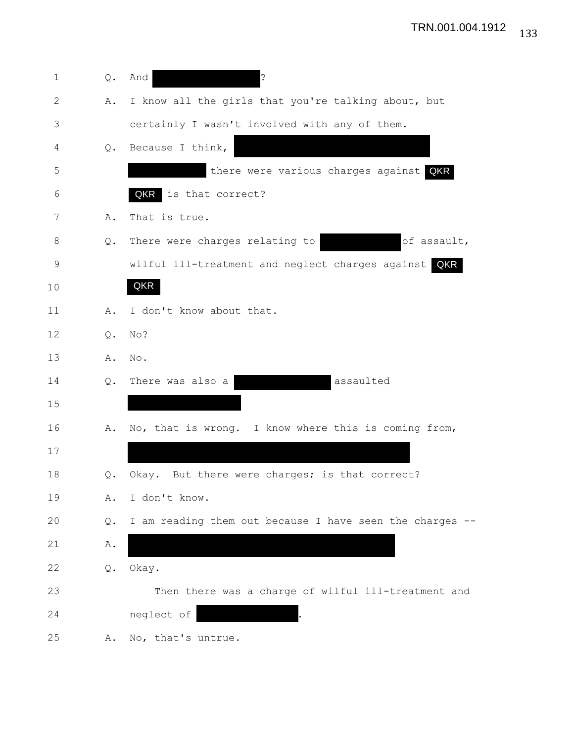| $\mathbf 1$  | Q. | د:<br>And                                                |
|--------------|----|----------------------------------------------------------|
| $\mathbf{2}$ | Α. | I know all the girls that you're talking about, but      |
| 3            |    | certainly I wasn't involved with any of them.            |
| 4            | Q. | Because I think,                                         |
| 5            |    | there were various charges against QKR                   |
| 6            |    | QKR<br>is that correct?                                  |
| 7            | Α. | That is true.                                            |
| 8            | Q. | There were charges relating to<br>of assault,            |
| 9            |    | wilful ill-treatment and neglect charges against QKR     |
| 10           |    | QKR                                                      |
| 11           | Α. | I don't know about that.                                 |
| 12           | Q. | No?                                                      |
| 13           | Α. | No.                                                      |
| 14           | Q. | assaulted<br>There was also a                            |
| 15           |    |                                                          |
| 16           | Α. | No, that is wrong. I know where this is coming from,     |
| 17           |    |                                                          |
| 18           | Q. | Okay. But there were charges; is that correct?           |
| 19           | Α. | I don't know.                                            |
| 20           | Q. | I am reading them out because I have seen the charges -- |
| 21           | Α. |                                                          |
| 22           | Q. | Okay.                                                    |
| 23           |    | Then there was a charge of wilful ill-treatment and      |
| 24           |    | neglect of                                               |
| 25           | Α. | No, that's untrue.                                       |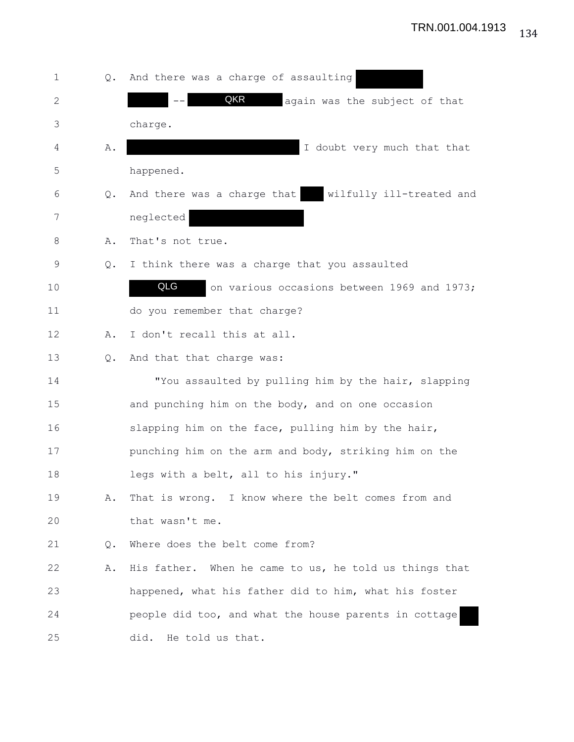| 1  | $Q_{\bullet}$ | And there was a charge of assaulting                    |
|----|---------------|---------------------------------------------------------|
| 2  |               | QKR<br>again was the subject of that                    |
| 3  |               | charge.                                                 |
| 4  | Α.            | I doubt very much that that                             |
| 5  |               | happened.                                               |
| 6  | Q.            | And there was a charge that<br>wilfully ill-treated and |
| 7  |               | neglected                                               |
| 8  | Α.            | That's not true.                                        |
| 9  | Q.            | I think there was a charge that you assaulted           |
| 10 |               | QLG<br>on various occasions between 1969 and 1973;      |
| 11 |               | do you remember that charge?                            |
| 12 | Α.            | I don't recall this at all.                             |
| 13 | Q.            | And that that charge was:                               |
| 14 |               | "You assaulted by pulling him by the hair, slapping     |
| 15 |               | and punching him on the body, and on one occasion       |
| 16 |               | slapping him on the face, pulling him by the hair,      |
| 17 |               | punching him on the arm and body, striking him on the   |
| 18 |               | legs with a belt, all to his injury."                   |
| 19 | Α.            | That is wrong. I know where the belt comes from and     |
| 20 |               | that wasn't me.                                         |
| 21 | Q.            | Where does the belt come from?                          |
| 22 | Α.            | His father. When he came to us, he told us things that  |
| 23 |               | happened, what his father did to him, what his foster   |
| 24 |               | people did too, and what the house parents in cottage   |
| 25 |               | He told us that.<br>did.                                |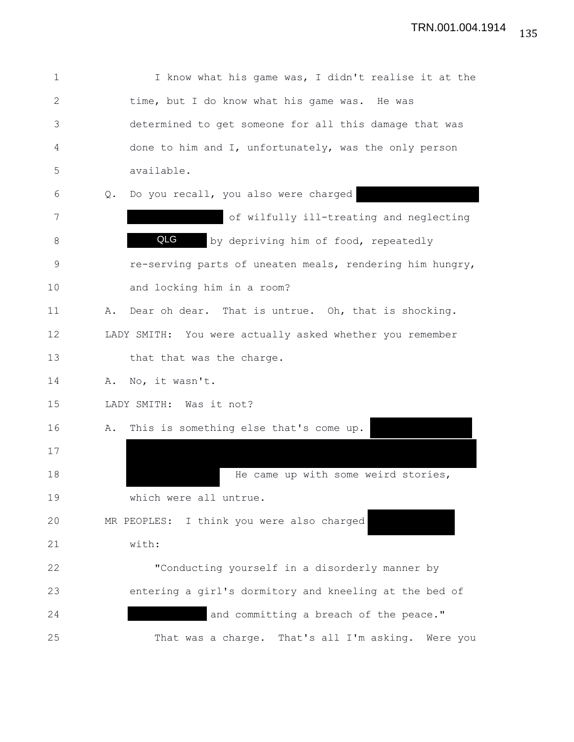| $\mathbf 1$  | I know what his game was, I didn't realise it at the      |
|--------------|-----------------------------------------------------------|
| $\mathbf{2}$ | time, but I do know what his game was. He was             |
| 3            | determined to get someone for all this damage that was    |
| 4            | done to him and I, unfortunately, was the only person     |
| 5            | available.                                                |
| 6            | Do you recall, you also were charged<br>$Q_{\bullet}$     |
| 7            | of wilfully ill-treating and neglecting                   |
| 8            | QLG<br>by depriving him of food, repeatedly               |
| $\mathsf 9$  | re-serving parts of uneaten meals, rendering him hungry,  |
| 10           | and locking him in a room?                                |
| 11           | Dear oh dear. That is untrue. Oh, that is shocking.<br>Α. |
| 12           | LADY SMITH: You were actually asked whether you remember  |
| 13           | that that was the charge.                                 |
| 14           | No, it wasn't.<br>Α.                                      |
| 15           | LADY SMITH: Was it not?                                   |
| 16           | This is something else that's come up.<br>Α.              |
| 17           |                                                           |
| 18           | He came up with some weird stories,                       |
| 19           | which were all untrue.                                    |
| 20           | MR PEOPLES: I think you were also charged                 |
| 21           | with:                                                     |
| 22           | "Conducting yourself in a disorderly manner by            |
| 23           | entering a girl's dormitory and kneeling at the bed of    |
| 24           | and committing a breach of the peace."                    |
| 25           | That was a charge. That's all I'm asking. Were you        |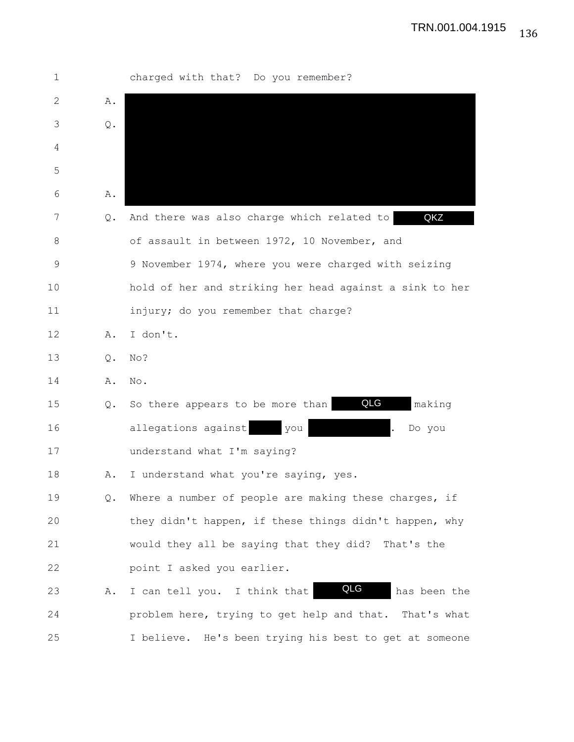1 charged with that? Do you remember? 2 A. 3 Q. 4 5 6 A. 7 0. And there was also charge which related to 8 of assault in between 1972, 10 November, and 9 9 November 1974, where you were charged with seizing 10 hold of her and striking her head against a sink to her 11 injury; do you remember that charge? 12 A. I don't. 13 Q. No? 14 A. No. 15 Q. So there appears to be more than **QLG** making 16 allegations against you . Do you 17 understand what I'm saying? 18 A. I understand what you're saying, yes. 19 Q. Where a number of people are making these charges, if 20 they didn't happen, if these things didn't happen, why 21 would they all be saying that they did? That's the 22 point I asked you earlier. 23 A. I can tell you. I think that **QLG** has been the 24 problem here, trying to get help and that. That's what 25 I believe. He's been trying his best to get at someone QKZ QLG QLG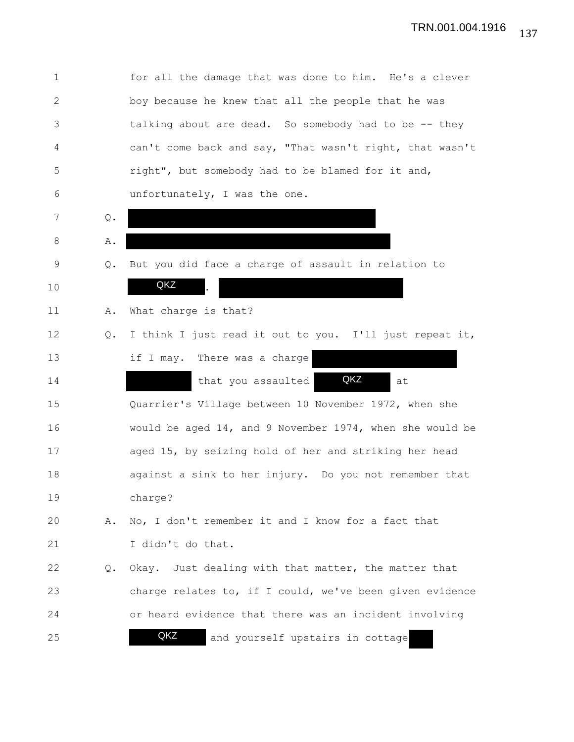1 for all the damage that was done to him. He's a clever 2 boy because he knew that all the people that he was 3 talking about are dead. So somebody had to be -- they 4 can't come back and say, "That wasn't right, that wasn't 5 right", but somebody had to be blamed for it and, 6 unfortunately, I was the one. 7 Q. 8 A. 9 Q. But you did face a charge of assault in relation to 10 **QKZ** . 11 A. What charge is that? 12 Q. I think I just read it out to you. I'll just repeat it, 13 if I may. There was a charge 14 that you assaulted **QKZ** at 15 Quarrier's Village between 10 November 1972, when she 16 would be aged 14, and 9 November 1974, when she would be 17 aged 15, by seizing hold of her and striking her head 18 against a sink to her injury. Do you not remember that 19 charge? 20 A. No, I don't remember it and I know for a fact that 21 I didn't do that. 22 Q. Okay. Just dealing with that matter, the matter that 23 charge relates to, if I could, we've been given evidence 24 or heard evidence that there was an incident involving 25 **and yourself upstairs in cottage** QKZ QKZ QKZ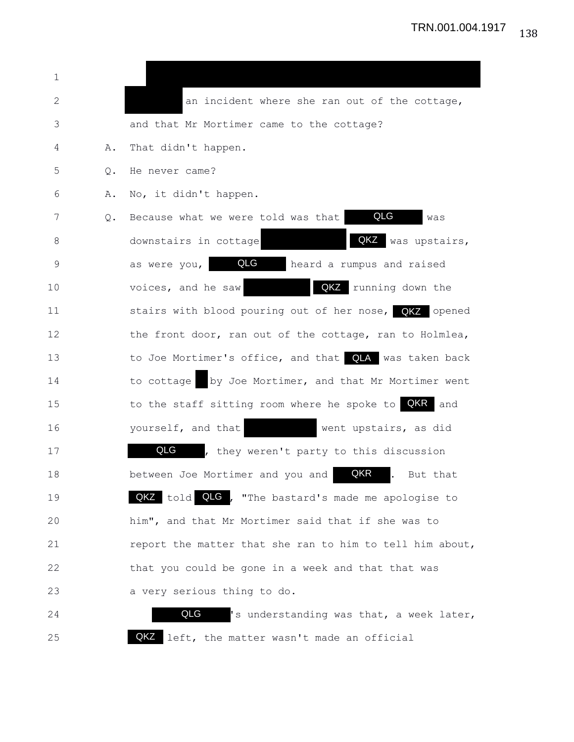| 1  |    |                                                                             |
|----|----|-----------------------------------------------------------------------------|
| 2  |    | an incident where she ran out of the cottage,                               |
| 3  |    | and that Mr Mortimer came to the cottage?                                   |
| 4  | Α. | That didn't happen.                                                         |
| 5  | Q. | He never came?                                                              |
| 6  | Α. | No, it didn't happen.                                                       |
| 7  | Q. | QLG<br>Because what we were told was that<br>was                            |
| 8  |    | QKZ<br>was upstairs,<br>downstairs in cottage                               |
| 9  |    | QLG<br>heard a rumpus and raised<br>as were you,                            |
| 10 |    | QKZ running down the<br>voices, and he saw                                  |
| 11 |    | stairs with blood pouring out of her nose, QKZ opened                       |
| 12 |    | the front door, ran out of the cottage, ran to Holmlea,                     |
| 13 |    | to Joe Mortimer's office, and that QLA was taken back                       |
| 14 |    | by Joe Mortimer, and that Mr Mortimer went<br>to cottage                    |
| 15 |    | to the staff sitting room where he spoke to <b>QKR</b> and                  |
| 16 |    | yourself, and that<br>went upstairs, as did                                 |
| 17 |    | QLG , they weren't party to this discussion                                 |
| 18 |    | QKR<br>between Joe Mortimer and you and<br>$\ddot{\phantom{a}}$<br>But that |
| 19 |    | QKZ told QLG, "The bastard's made me apologise to                           |
| 20 |    | him", and that Mr Mortimer said that if she was to                          |
| 21 |    | report the matter that she ran to him to tell him about,                    |
| 22 |    | that you could be gone in a week and that that was                          |
| 23 |    | a very serious thing to do.                                                 |
| 24 |    | QLG<br>'s understanding was that, a week later,                             |

25 **QKZ** left, the matter wasn't made an official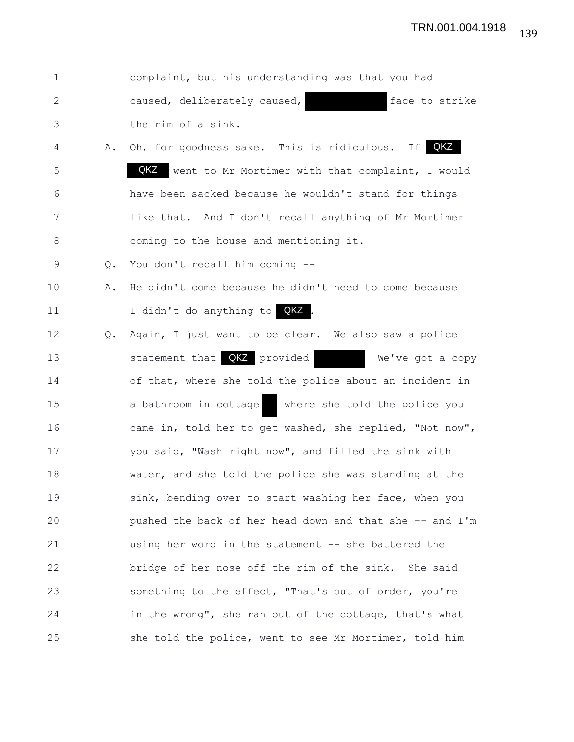| $\mathbf 1$    |    | complaint, but his understanding was that you had         |
|----------------|----|-----------------------------------------------------------|
| 2              |    | caused, deliberately caused,<br>face to strike            |
| 3              |    | the rim of a sink.                                        |
| $\overline{4}$ | Α. | QKZ<br>If  <br>Oh, for goodness sake. This is ridiculous. |
| 5              |    | QKZ<br>went to Mr Mortimer with that complaint, I would   |
| 6              |    | have been sacked because he wouldn't stand for things     |
| 7              |    | like that. And I don't recall anything of Mr Mortimer     |
| 8              |    | coming to the house and mentioning it.                    |
| 9              | Q. | You don't recall him coming --                            |
| 10             | Α. | He didn't come because he didn't need to come because     |
| 11             |    | I didn't do anything to QKZ                               |
| 12             | Q. | Again, I just want to be clear. We also saw a police      |
| 13             |    | statement that QKZ provided<br>We've got a copy           |
| 14             |    | of that, where she told the police about an incident in   |
| 15             |    | a bathroom in cottage<br>where she told the police you    |
| 16             |    | came in, told her to get washed, she replied, "Not now",  |
| 17             |    | you said, "Wash right now", and filled the sink with      |
| 18             |    | water, and she told the police she was standing at the    |
| 19             |    | sink, bending over to start washing her face, when you    |
| 20             |    | pushed the back of her head down and that she -- and I'm  |
| 21             |    | using her word in the statement -- she battered the       |
| 22             |    | bridge of her nose off the rim of the sink. She said      |
| 23             |    | something to the effect, "That's out of order, you're     |
| 24             |    | in the wrong", she ran out of the cottage, that's what    |
| 25             |    | she told the police, went to see Mr Mortimer, told him    |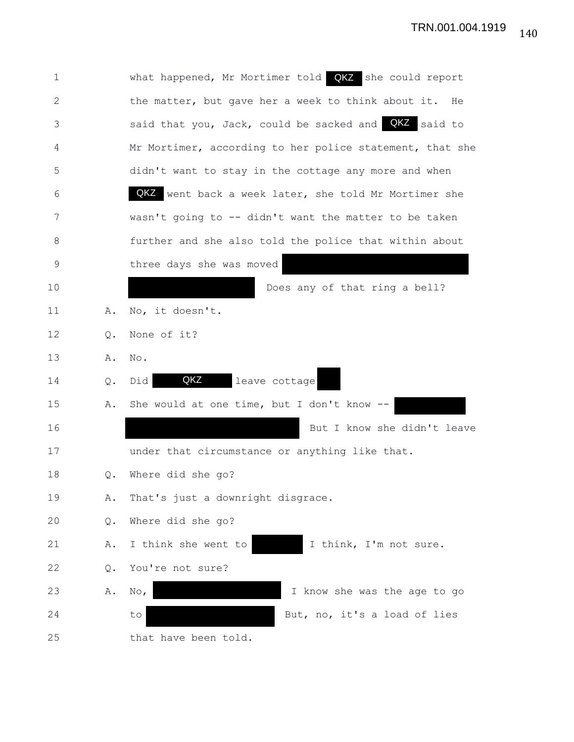| 1  |       | what happened, Mr Mortimer told QKZ she could report     |
|----|-------|----------------------------------------------------------|
| 2  |       | the matter, but gave her a week to think about it. He    |
| 3  |       | said that you, Jack, could be sacked and QKZ said to     |
| 4  |       | Mr Mortimer, according to her police statement, that she |
| 5  |       | didn't want to stay in the cottage any more and when     |
| 6  |       | QKZ went back a week later, she told Mr Mortimer she     |
| 7  |       | wasn't going to -- didn't want the matter to be taken    |
| 8  |       | further and she also told the police that within about   |
| 9  |       | three days she was moved                                 |
| 10 |       | Does any of that ring a bell?                            |
| 11 | Α.    | No, it doesn't.                                          |
| 12 | Q.    | None of it?                                              |
| 13 | Α.    | No.                                                      |
| 14 | Q.    | QKZ<br>leave cottage<br>Did                              |
| 15 | Α.    | She would at one time, but I don't know --               |
| 16 |       | But I know she didn't leave                              |
| 17 |       | under that circumstance or anything like that.           |
| 18 | Q.    | Where did she go?                                        |
| 19 | Α.    | That's just a downright disgrace.                        |
| 20 | Q.    | Where did she go?                                        |
| 21 | Α.    | I think she went to<br>I think, I'm not sure.            |
| 22 | $Q$ . | You're not sure?                                         |
| 23 | Α.    | I know she was the age to go<br>$\mathbb{N} \circ$ ,     |
| 24 |       | But, no, it's a load of lies<br>to                       |
| 25 |       | that have been told.                                     |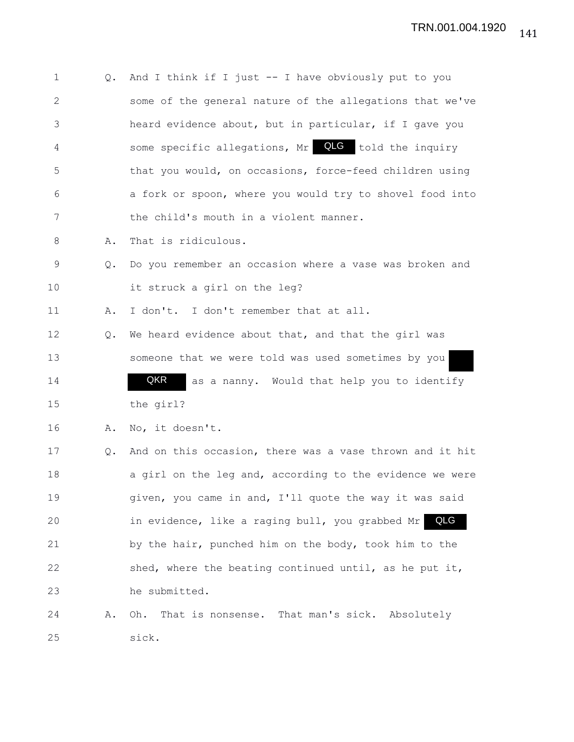| 1            | Q. | And I think if I just $-$ - I have obviously put to you  |
|--------------|----|----------------------------------------------------------|
| $\mathbf{2}$ |    | some of the general nature of the allegations that we've |
| 3            |    | heard evidence about, but in particular, if I gave you   |
| 4            |    | some specific allegations, Mr QLG told the inquiry       |
| 5            |    | that you would, on occasions, force-feed children using  |
| 6            |    | a fork or spoon, where you would try to shovel food into |
| 7            |    | the child's mouth in a violent manner.                   |
| 8            | Α. | That is ridiculous.                                      |
| $\mathsf 9$  | Q. | Do you remember an occasion where a vase was broken and  |
| 10           |    | it struck a girl on the leg?                             |
| 11           | Α. | I don't. I don't remember that at all.                   |
| 12           | Q. | We heard evidence about that, and that the girl was      |
| 13           |    | someone that we were told was used sometimes by you      |
| 14           |    | QKR<br>as a nanny. Would that help you to identify       |
| 15           |    | the girl?                                                |
| 16           | Α. | No, it doesn't.                                          |
| 17           | Q. | And on this occasion, there was a vase thrown and it hit |
| 18           |    | a girl on the leg and, according to the evidence we were |
| 19           |    | given, you came in and, I'll quote the way it was said   |
| 20           |    | QLG<br>in evidence, like a raging bull, you grabbed Mr   |
| 21           |    | by the hair, punched him on the body, took him to the    |
| 22           |    | shed, where the beating continued until, as he put it,   |
| 23           |    | he submitted.                                            |
| 24           | Α. | That is nonsense. That man's sick. Absolutely<br>Oh.     |
| 25           |    | sick.                                                    |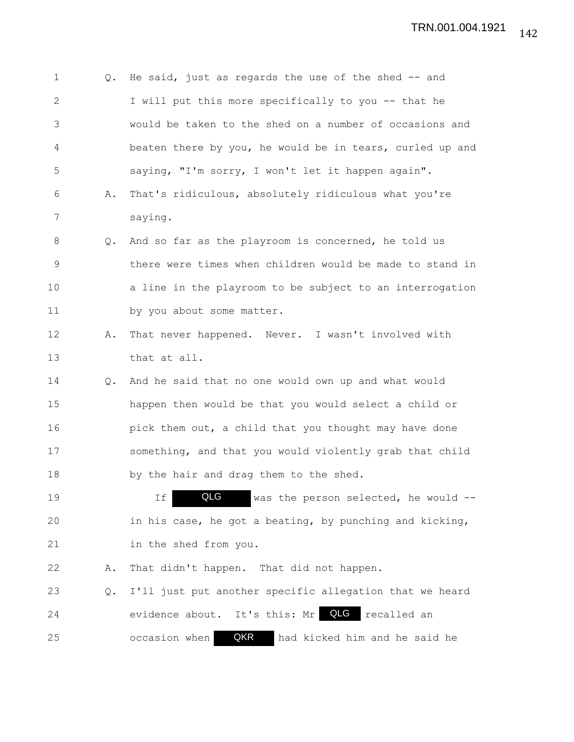| 1            | Q.            | He said, just as regards the use of the shed $-$ and     |
|--------------|---------------|----------------------------------------------------------|
| $\mathbf{2}$ |               | I will put this more specifically to you -- that he      |
| 3            |               | would be taken to the shed on a number of occasions and  |
| 4            |               | beaten there by you, he would be in tears, curled up and |
| 5            |               | saying, "I'm sorry, I won't let it happen again".        |
| 6            | Α.            | That's ridiculous, absolutely ridiculous what you're     |
| 7            |               | saying.                                                  |
| 8            | $Q_{\bullet}$ | And so far as the playroom is concerned, he told us      |
| 9            |               | there were times when children would be made to stand in |
| 10           |               | a line in the playroom to be subject to an interrogation |
| 11           |               | by you about some matter.                                |
| 12           | Α.            | That never happened. Never. I wasn't involved with       |
| 13           |               | that at all.                                             |
| 14           | $Q_{\bullet}$ | And he said that no one would own up and what would      |
| 15           |               | happen then would be that you would select a child or    |
| 16           |               | pick them out, a child that you thought may have done    |
| 17           |               | something, and that you would violently grab that child  |
| 18           |               | by the hair and drag them to the shed.                   |
| 19           |               | QLG<br>was the person selected, he would --<br>Ιf        |
| 20           |               | in his case, he got a beating, by punching and kicking,  |
| 21           |               | in the shed from you.                                    |
| 22           | Α.            | That didn't happen. That did not happen.                 |
| 23           | Q.            | I'll just put another specific allegation that we heard  |
| 24           |               | QLG<br>evidence about. It's this: Mr<br>recalled an      |
| 25           |               | QKR<br>occasion when<br>had kicked him and he said he    |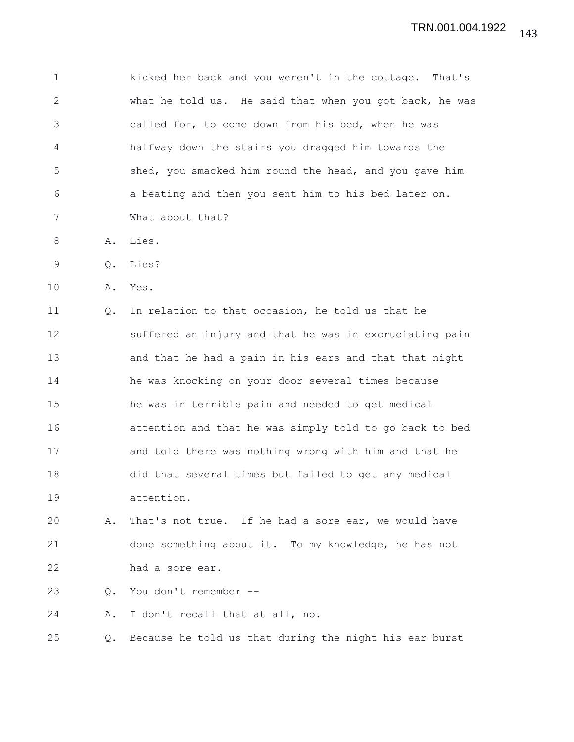1 kicked her back and you weren't in the cottage. That's 2 what he told us. He said that when you got back, he was 3 called for, to come down from his bed, when he was 4 halfway down the stairs you dragged him towards the 5 shed, you smacked him round the head, and you gave him 6 a beating and then you sent him to his bed later on. 7 What about that?

- 8 A. Lies.
- 9 Q. Lies?
- 10 A. Yes.

11 Q. In relation to that occasion, he told us that he 12 suffered an injury and that he was in excruciating pain 13 and that he had a pain in his ears and that that night 14 he was knocking on your door several times because 15 he was in terrible pain and needed to get medical 16 attention and that he was simply told to go back to bed 17 and told there was nothing wrong with him and that he 18 did that several times but failed to get any medical 19 attention.

20 A. That's not true. If he had a sore ear, we would have 21 done something about it. To my knowledge, he has not 22 had a sore ear.

23 Q. You don't remember --

24 A. I don't recall that at all, no.

25 Q. Because he told us that during the night his ear burst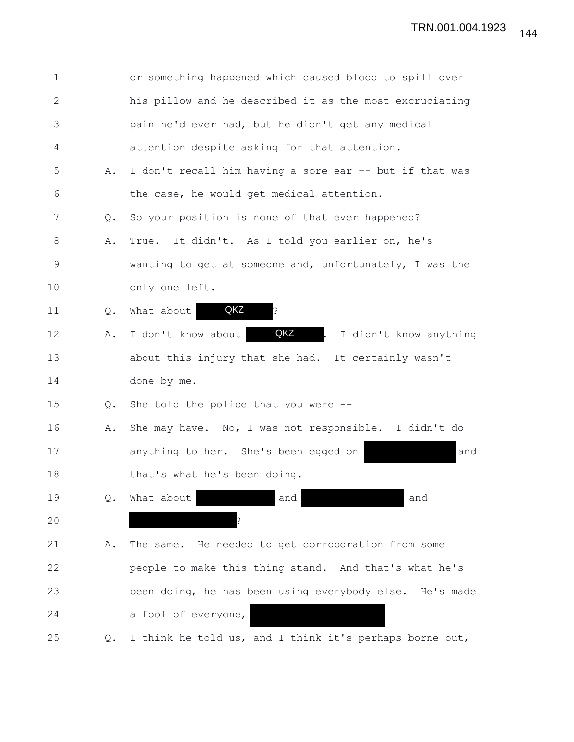| $\mathbf 1$  |               | or something happened which caused blood to spill over  |
|--------------|---------------|---------------------------------------------------------|
| $\mathbf{2}$ |               | his pillow and he described it as the most excruciating |
| 3            |               | pain he'd ever had, but he didn't get any medical       |
| 4            |               | attention despite asking for that attention.            |
| 5            | Α.            | I don't recall him having a sore ear -- but if that was |
| 6            |               | the case, he would get medical attention.               |
| 7            | $Q_{\bullet}$ | So your position is none of that ever happened?         |
| $8\,$        | Α.            | It didn't. As I told you earlier on, he's<br>True.      |
| $\mathsf 9$  |               | wanting to get at someone and, unfortunately, I was the |
| 10           |               | only one left.                                          |
| 11           | Q.            | QKZ<br>?<br>What about                                  |
| 12           | Α.            | QKZ<br>I don't know about<br>I didn't know anything     |
| 13           |               | about this injury that she had. It certainly wasn't     |
| 14           |               | done by me.                                             |
| 15           | Q.            | She told the police that you were --                    |
| 16           | Α.            | She may have. No, I was not responsible. I didn't do    |
| 17           |               | anything to her. She's been egged on<br>and             |
| 18           |               | that's what he's been doing.                            |
| 19           | Q.            | What about<br>and<br>and                                |
| 20           |               |                                                         |
| 21           | Α.            | The same. He needed to get corroboration from some      |
| 22           |               | people to make this thing stand. And that's what he's   |
| 23           |               | been doing, he has been using everybody else. He's made |
| 24           |               | a fool of everyone,                                     |
| 25           | $\circ$ .     | I think he told us, and I think it's perhaps borne out, |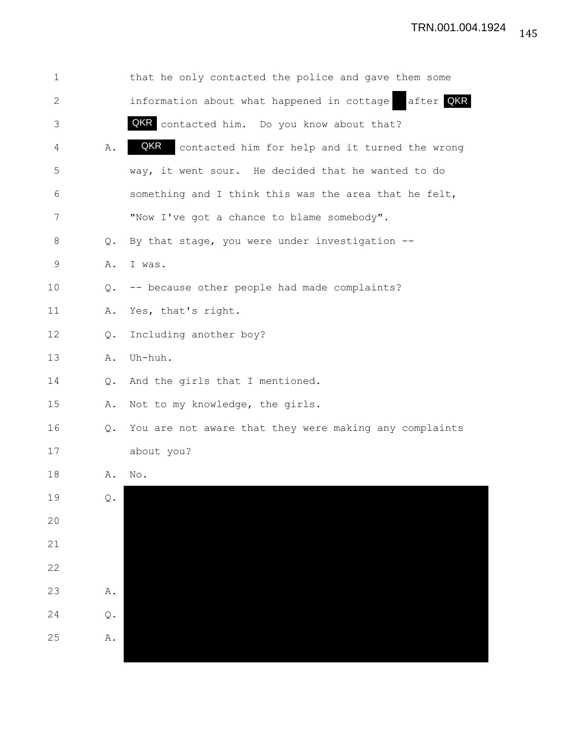| 1            |                | that he only contacted the police and gave them some    |
|--------------|----------------|---------------------------------------------------------|
| $\mathbf{2}$ |                | after QKR<br>information about what happened in cottage |
| 3            |                | QKR contacted him. Do you know about that?              |
| 4            | Α.             | QKR<br>contacted him for help and it turned the wrong   |
| 5            |                | way, it went sour. He decided that he wanted to do      |
| 6            |                | something and I think this was the area that he felt,   |
| 7            |                | "Now I've got a chance to blame somebody".              |
| 8            | $Q_{\bullet}$  | By that stage, you were under investigation --          |
| $\mathsf 9$  | Α.             | I was.                                                  |
| 10           | Q.             | -- because other people had made complaints?            |
| 11           | Α.             | Yes, that's right.                                      |
| 12           | Q.             | Including another boy?                                  |
| 13           | Α.             | Uh-huh.                                                 |
| 14           | Q.             | And the girls that I mentioned.                         |
| 15           | Α.             | Not to my knowledge, the girls.                         |
| 16           | Q.             | You are not aware that they were making any complaints  |
| 17           |                | about you?                                              |
| 18           | Α.             | No.                                                     |
| 19           | $\mathbb Q$ .  |                                                         |
| 20           |                |                                                         |
| 21           |                |                                                         |
| 22           |                |                                                         |
| 23           | $\mathtt{A}$ . |                                                         |
| 24           | Q.             |                                                         |
| 25           | Α.             |                                                         |
|              |                |                                                         |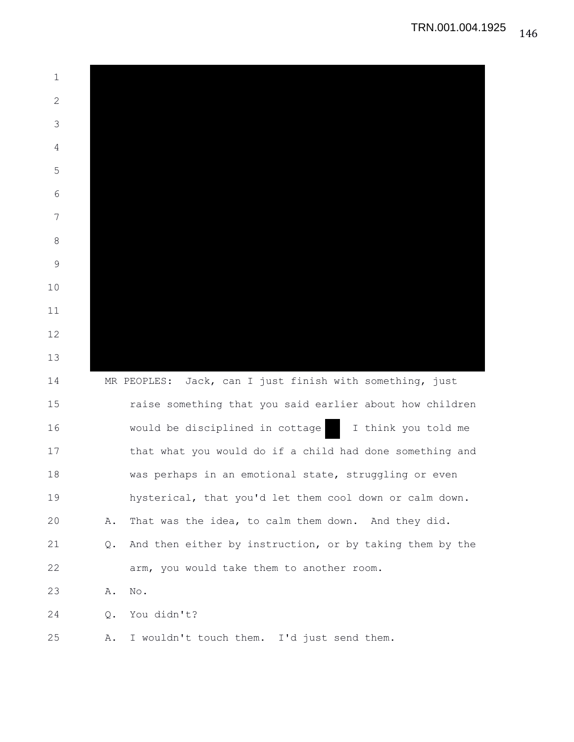| 1            |    |                                                          |
|--------------|----|----------------------------------------------------------|
| $\mathbf{2}$ |    |                                                          |
| 3            |    |                                                          |
| 4            |    |                                                          |
| 5            |    |                                                          |
| 6            |    |                                                          |
| 7            |    |                                                          |
| 8            |    |                                                          |
| 9            |    |                                                          |
| 10           |    |                                                          |
| 11           |    |                                                          |
| 12           |    |                                                          |
| 13           |    |                                                          |
| 14           |    | MR PEOPLES: Jack, can I just finish with something, just |
| 15           |    | raise something that you said earlier about how children |
| 16           |    | would be disciplined in cottage<br>I think you told me   |
| 17           |    | that what you would do if a child had done something and |
| 18           |    | was perhaps in an emotional state, struggling or even    |
| 19           |    | hysterical, that you'd let them cool down or calm down.  |
| 20           | Α. | That was the idea, to calm them down. And they did.      |
| 21           | Q. | And then either by instruction, or by taking them by the |
| 22           |    | arm, you would take them to another room.                |
| 23           | Α. | $\mathop{\rm No}\nolimits$ .                             |
| 24           | Q. | You didn't?                                              |
| 25           | Α. | I wouldn't touch them. I'd just send them.               |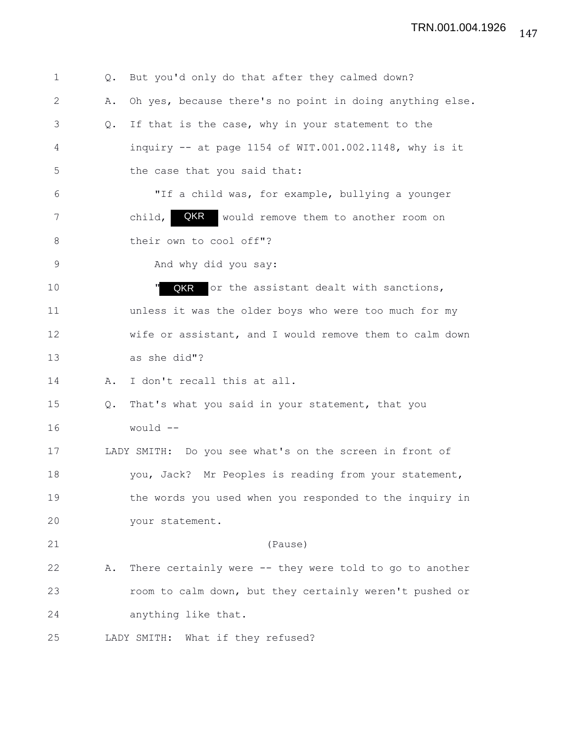| 1           | Q. | But you'd only do that after they calmed down?           |
|-------------|----|----------------------------------------------------------|
| 2           | Α. | Oh yes, because there's no point in doing anything else. |
| 3           | Q. | If that is the case, why in your statement to the        |
| 4           |    | inquiry $-$ at page 1154 of WIT.001.002.1148, why is it  |
| 5           |    | the case that you said that:                             |
| 6           |    | "If a child was, for example, bullying a younger         |
| 7           |    | QKR<br>child,<br>would remove them to another room on    |
| 8           |    | their own to cool off"?                                  |
| $\mathsf 9$ |    | And why did you say:                                     |
| 10          |    | QKR<br>or the assistant dealt with sanctions,            |
| 11          |    | unless it was the older boys who were too much for my    |
| 12          |    | wife or assistant, and I would remove them to calm down  |
| 13          |    | as she did"?                                             |
| 14          | Α. | I don't recall this at all.                              |
| 15          | Q. | That's what you said in your statement, that you         |
| 16          |    | would --                                                 |
| 17          |    | LADY SMITH: Do you see what's on the screen in front of  |
| 18          |    | you, Jack? Mr Peoples is reading from your statement,    |
| 19          |    | the words you used when you responded to the inquiry in  |
| 20          |    | your statement.                                          |
| 21          |    | (Pause)                                                  |
| 22          | Α. | There certainly were -- they were told to go to another  |
| 23          |    | room to calm down, but they certainly weren't pushed or  |
| 24          |    | anything like that.                                      |
| 25          |    | LADY SMITH: What if they refused?                        |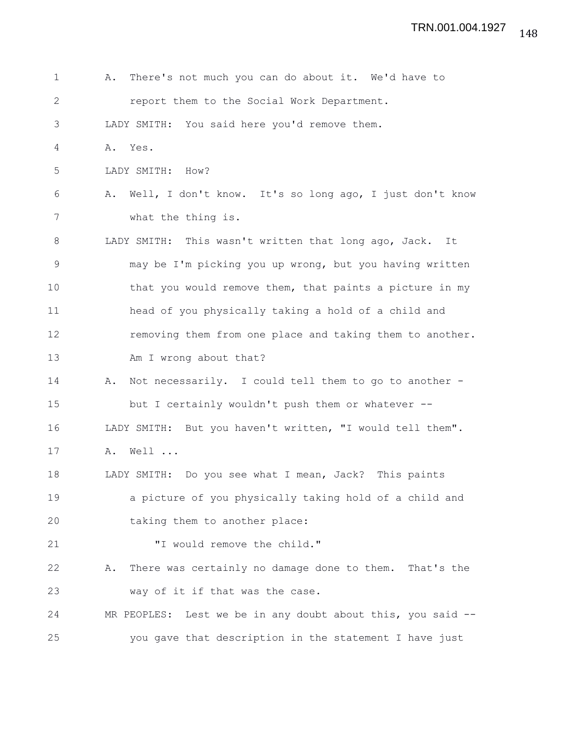| $\mathbf 1$  | There's not much you can do about it. We'd have to<br>Α.     |
|--------------|--------------------------------------------------------------|
| $\mathbf{2}$ | report them to the Social Work Department.                   |
| 3            | LADY SMITH: You said here you'd remove them.                 |
| 4            | A. Yes.                                                      |
| 5            | LADY SMITH: How?                                             |
| 6            | A. Well, I don't know. It's so long ago, I just don't know   |
| 7            | what the thing is.                                           |
| 8            | LADY SMITH: This wasn't written that long ago, Jack.<br>It   |
| $\mathsf 9$  | may be I'm picking you up wrong, but you having written      |
| 10           | that you would remove them, that paints a picture in my      |
| 11           | head of you physically taking a hold of a child and          |
| 12           | removing them from one place and taking them to another.     |
| 13           | Am I wrong about that?                                       |
| 14           | Not necessarily. I could tell them to go to another -<br>Α.  |
| 15           | but I certainly wouldn't push them or whatever --            |
| 16           | LADY SMITH: But you haven't written, "I would tell them".    |
| 17           | Well<br>Α.                                                   |
| 18           | LADY SMITH: Do you see what I mean, Jack? This paints        |
| 19           | a picture of you physically taking hold of a child and       |
| 20           | taking them to another place:                                |
| 21           | "I would remove the child."                                  |
| 22           | There was certainly no damage done to them. That's the<br>Α. |
| 23           | way of it if that was the case.                              |
| 24           | MR PEOPLES: Lest we be in any doubt about this, you said --  |
| 25           | you gave that description in the statement I have just       |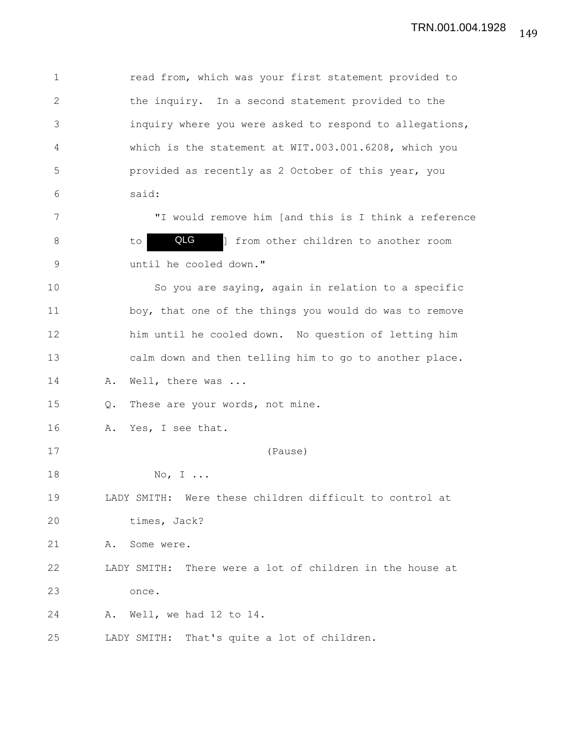1 read from, which was your first statement provided to 2 the inquiry. In a second statement provided to the 3 inquiry where you were asked to respond to allegations, 4 which is the statement at WIT.003.001.6208, which you 5 provided as recently as 2 October of this year, you 6 said: 7 "I would remove him [and this is I think a reference 8 to **QLG** ] from other children to another room 9 until he cooled down." 10 So you are saying, again in relation to a specific 11 boy, that one of the things you would do was to remove 12 him until he cooled down. No question of letting him 13 calm down and then telling him to go to another place. 14 A. Well, there was ... 15 Q. These are your words, not mine. 16 A. Yes, I see that. 17 (Pause) 18 No, I ... 19 LADY SMITH: Were these children difficult to control at 20 times, Jack? 21 A. Some were. 22 LADY SMITH: There were a lot of children in the house at 23 once. 24 A. Well, we had 12 to 14. 25 LADY SMITH: That's quite a lot of children. QLG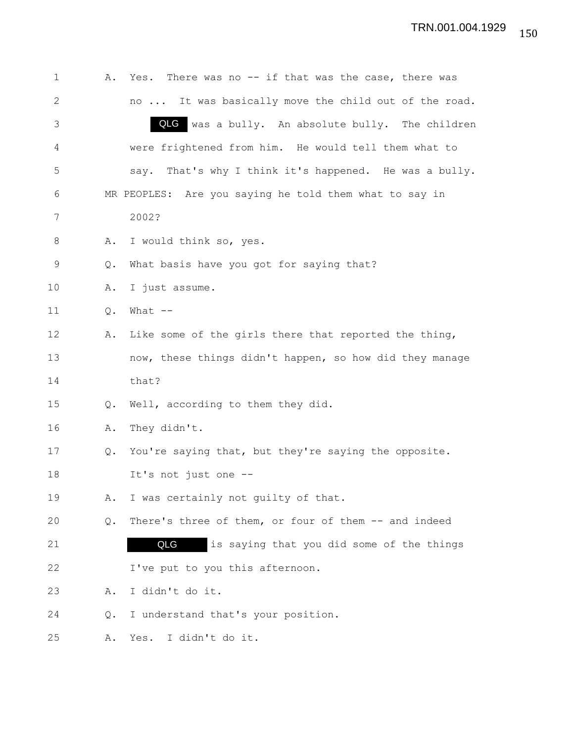| $\mathbf 1$  | Α. | Yes. There was no -- if that was the case, there was    |
|--------------|----|---------------------------------------------------------|
| $\mathbf{2}$ |    | no  It was basically move the child out of the road.    |
| 3            |    | QLG<br>was a bully. An absolute bully. The children     |
| 4            |    | were frightened from him. He would tell them what to    |
| 5            |    | say. That's why I think it's happened. He was a bully.  |
| 6            |    | MR PEOPLES: Are you saying he told them what to say in  |
| 7            |    | 2002?                                                   |
| 8            | Α. | I would think so, yes.                                  |
| 9            | Q. | What basis have you got for saying that?                |
| 10           | Α. | I just assume.                                          |
| 11           | Q. | What $--$                                               |
| 12           | Α. | Like some of the girls there that reported the thing,   |
| 13           |    | now, these things didn't happen, so how did they manage |
| 14           |    | that?                                                   |
| 15           | Q. | Well, according to them they did.                       |
| 16           | Α. | They didn't.                                            |
| 17           | Q. | You're saying that, but they're saying the opposite.    |
| 18           |    | It's not just one --                                    |
| 19           | Α. | I was certainly not quilty of that.                     |
| 20           | Q. | There's three of them, or four of them -- and indeed    |
| 21           |    | QLG<br>is saying that you did some of the things        |
| 22           |    | I've put to you this afternoon.                         |
| 23           | Α. | I didn't do it.                                         |
| 24           | Q. | I understand that's your position.                      |
| 25           | Α. | Yes.<br>I didn't do it.                                 |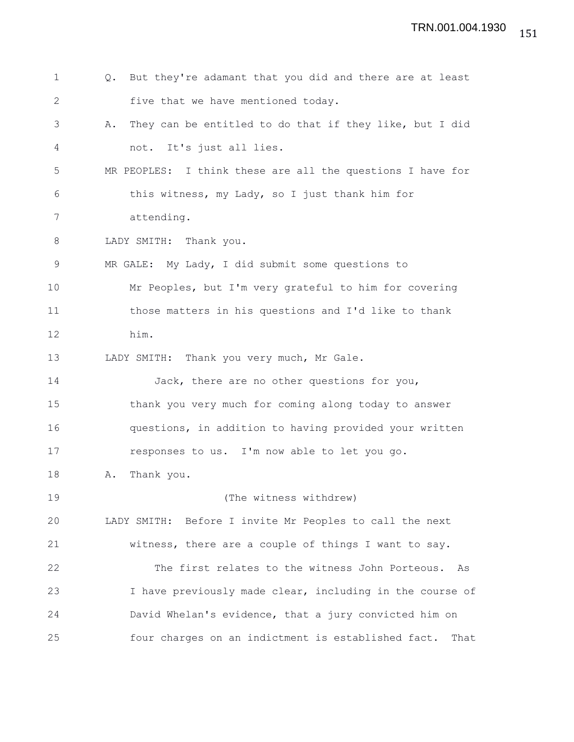| $\mathbf 1$    | But they're adamant that you did and there are at least<br>Q. |
|----------------|---------------------------------------------------------------|
| $\mathbf{2}$   | five that we have mentioned today.                            |
| 3              | They can be entitled to do that if they like, but I did<br>Α. |
| $\overline{4}$ | not. It's just all lies.                                      |
| 5              | MR PEOPLES: I think these are all the questions I have for    |
| 6              | this witness, my Lady, so I just thank him for                |
| 7              | attending.                                                    |
| 8              | LADY SMITH: Thank you.                                        |
| $\mathsf 9$    | MR GALE: My Lady, I did submit some questions to              |
| 10             | Mr Peoples, but I'm very grateful to him for covering         |
| 11             | those matters in his questions and I'd like to thank          |
| 12             | him.                                                          |
| 13             | LADY SMITH: Thank you very much, Mr Gale.                     |
| 14             | Jack, there are no other questions for you,                   |
| 15             | thank you very much for coming along today to answer          |
| 16             | questions, in addition to having provided your written        |
| 17             | responses to us. I'm now able to let you go.                  |
| 18             | Thank you.<br>Α.                                              |
| 19             | (The witness withdrew)                                        |
| 20             | LADY SMITH: Before I invite Mr Peoples to call the next       |
| 21             | witness, there are a couple of things I want to say.          |
| 22             | The first relates to the witness John Porteous. As            |
| 23             | I have previously made clear, including in the course of      |
| 24             | David Whelan's evidence, that a jury convicted him on         |
| 25             | four charges on an indictment is established fact.<br>That    |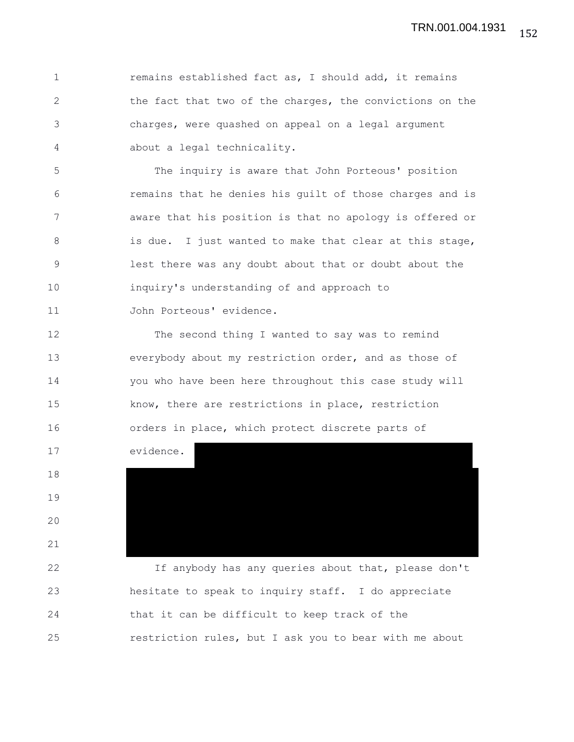1 **remains established fact as, I should add, it remains** 2 the fact that two of the charges, the convictions on the 3 charges, were quashed on appeal on a legal argument 4 about a legal technicality.

5 The inquiry is aware that John Porteous' position 6 remains that he denies his guilt of those charges and is 7 aware that his position is that no apology is offered or 8 is due. I just wanted to make that clear at this stage, 9 lest there was any doubt about that or doubt about the 10 inquiry's understanding of and approach to 11 John Porteous' evidence.

12 The second thing I wanted to say was to remind 13 everybody about my restriction order, and as those of 14 you who have been here throughout this case study will 15 know, there are restrictions in place, restriction 16 orders in place, which protect discrete parts of

18

19

20

21

17 evidence.

22 If anybody has any queries about that, please don't 23 hesitate to speak to inquiry staff. I do appreciate 24 that it can be difficult to keep track of the 25 restriction rules, but I ask you to bear with me about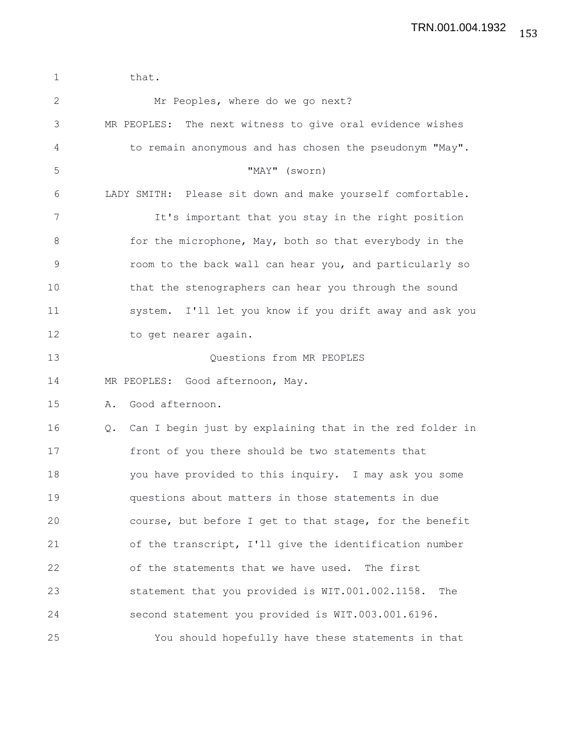1 that. 2 Mr Peoples, where do we go next? 3 MR PEOPLES: The next witness to give oral evidence wishes 4 to remain anonymous and has chosen the pseudonym "May". 5 "MAY" (sworn) 6 LADY SMITH: Please sit down and make yourself comfortable. 7 It's important that you stay in the right position 8 for the microphone, May, both so that everybody in the 9 room to the back wall can hear you, and particularly so 10 that the stenographers can hear you through the sound 11 system. I'll let you know if you drift away and ask you 12 to get nearer again. 13 Questions from MR PEOPLES 14 MR PEOPLES: Good afternoon, May. 15 A. Good afternoon. 16 Q. Can I begin just by explaining that in the red folder in 17 front of you there should be two statements that 18 you have provided to this inquiry. I may ask you some 19 questions about matters in those statements in due 20 course, but before I get to that stage, for the benefit 21 of the transcript, I'll give the identification number 22 of the statements that we have used. The first 23 statement that you provided is WIT.001.002.1158. The 24 second statement you provided is WIT.003.001.6196. 25 You should hopefully have these statements in that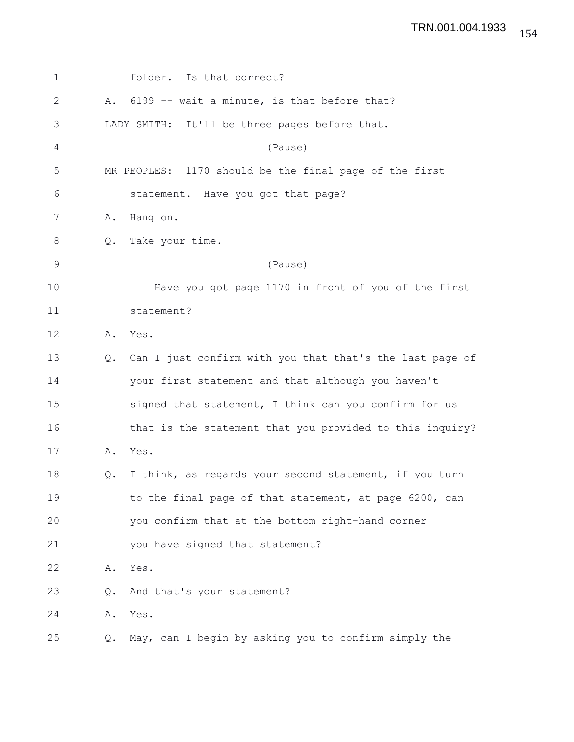| 1           |               | folder. Is that correct?                                 |
|-------------|---------------|----------------------------------------------------------|
| 2           |               | A. 6199 -- wait a minute, is that before that?           |
| 3           |               | LADY SMITH: It'll be three pages before that.            |
| 4           |               | (Pause)                                                  |
| 5           |               | MR PEOPLES: 1170 should be the final page of the first   |
| 6           |               | statement. Have you got that page?                       |
| 7           | Α.            | Hang on.                                                 |
| 8           | Q.            | Take your time.                                          |
| $\mathsf 9$ |               | (Pause)                                                  |
| 10          |               | Have you got page 1170 in front of you of the first      |
| 11          |               | statement?                                               |
| 12          | Α.            | Yes.                                                     |
| 13          | $Q_{\bullet}$ | Can I just confirm with you that that's the last page of |
| 14          |               | your first statement and that although you haven't       |
| 15          |               | signed that statement, I think can you confirm for us    |
| 16          |               | that is the statement that you provided to this inquiry? |
| 17          | Α.            | Yes.                                                     |
| 18          | Q.            | I think, as regards your second statement, if you turn   |
| 19          |               | to the final page of that statement, at page 6200, can   |
| 20          |               | you confirm that at the bottom right-hand corner         |
| 21          |               | you have signed that statement?                          |
| 22          | Α.            | Yes.                                                     |
| 23          | Q.            | And that's your statement?                               |
| 24          | Α.            | Yes.                                                     |
| 25          | Q.            | May, can I begin by asking you to confirm simply the     |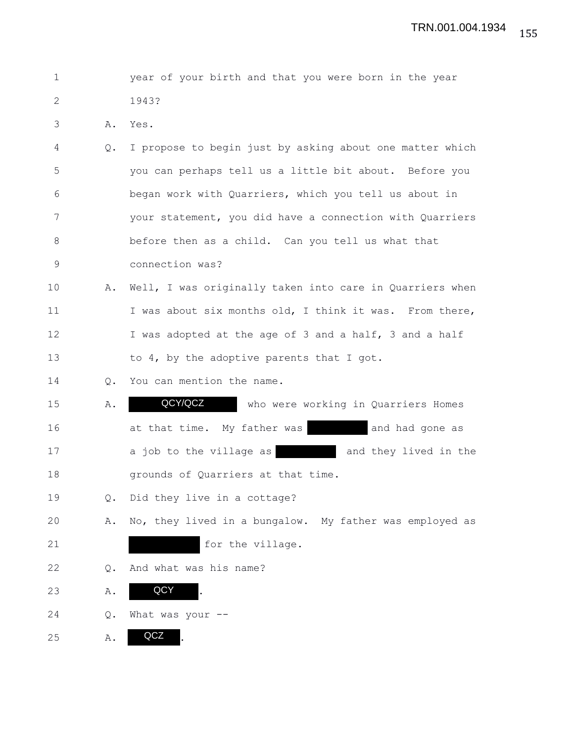| $\mathbf 1$  |               | year of your birth and that you were born in the year    |
|--------------|---------------|----------------------------------------------------------|
| $\mathbf{2}$ |               | 1943?                                                    |
| 3            | Α.            | Yes.                                                     |
| 4            | $Q_{\bullet}$ | I propose to begin just by asking about one matter which |
| 5            |               | you can perhaps tell us a little bit about. Before you   |
| 6            |               | began work with Quarriers, which you tell us about in    |
| 7            |               | your statement, you did have a connection with Quarriers |
| 8            |               | before then as a child. Can you tell us what that        |
| $\mathsf 9$  |               | connection was?                                          |
| 10           | Α.            | Well, I was originally taken into care in Quarriers when |
| 11           |               | I was about six months old, I think it was. From there,  |
| 12           |               | I was adopted at the age of 3 and a half, 3 and a half   |
| 13           |               | to 4, by the adoptive parents that I got.                |
| 14           | $\circ$ .     | You can mention the name.                                |
| 15           | Α.            | QCY/QCZ<br>who were working in Quarriers Homes           |
| 16           |               | at that time. My father was<br>and had gone as           |
| 17           |               | a job to the village as<br>and they lived in the         |
| 18           |               | grounds of Quarriers at that time.                       |
| 19           | Q.            | Did they live in a cottage?                              |
| 20           | Α.            | No, they lived in a bungalow. My father was employed as  |
| 21           |               | for the village.                                         |
| 22           | Q.            | And what was his name?                                   |
| 23           | Α.            | QCY                                                      |
| 24           | Q.            | What was your --                                         |

25 A. QCZ.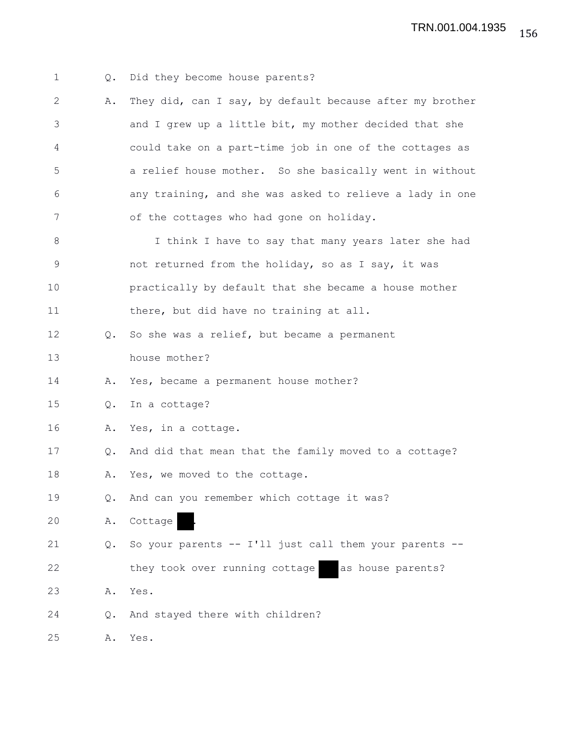| $\mathbf{1}$ | Q.        | Did they become house parents?                           |
|--------------|-----------|----------------------------------------------------------|
| $\mathbf{2}$ | Α.        | They did, can I say, by default because after my brother |
| 3            |           | and I grew up a little bit, my mother decided that she   |
| 4            |           | could take on a part-time job in one of the cottages as  |
| 5            |           | a relief house mother. So she basically went in without  |
| 6            |           | any training, and she was asked to relieve a lady in one |
| 7            |           | of the cottages who had gone on holiday.                 |
| 8            |           | I think I have to say that many years later she had      |
| $\mathsf 9$  |           | not returned from the holiday, so as I say, it was       |
| 10           |           | practically by default that she became a house mother    |
| 11           |           | there, but did have no training at all.                  |
| 12           | $\circ$ . | So she was a relief, but became a permanent              |
| 13           |           | house mother?                                            |
| 14           | Α.        | Yes, became a permanent house mother?                    |
| 15           | Q.        | In a cottage?                                            |
| 16           | Α.        | Yes, in a cottage.                                       |
| 17           | Q.        | And did that mean that the family moved to a cottage?    |
| 18           | Α.        | Yes, we moved to the cottage.                            |
| 19           | Q.        | And can you remember which cottage it was?               |
| 20           | Α.        | Cottage                                                  |
| 21           | Q.        | So your parents -- I'll just call them your parents --   |
| 22           |           | they took over running cottage<br>as house parents?      |
| 23           | Α.        | Yes.                                                     |
| 24           | Q.        | And stayed there with children?                          |
| 25           | Α.        | Yes.                                                     |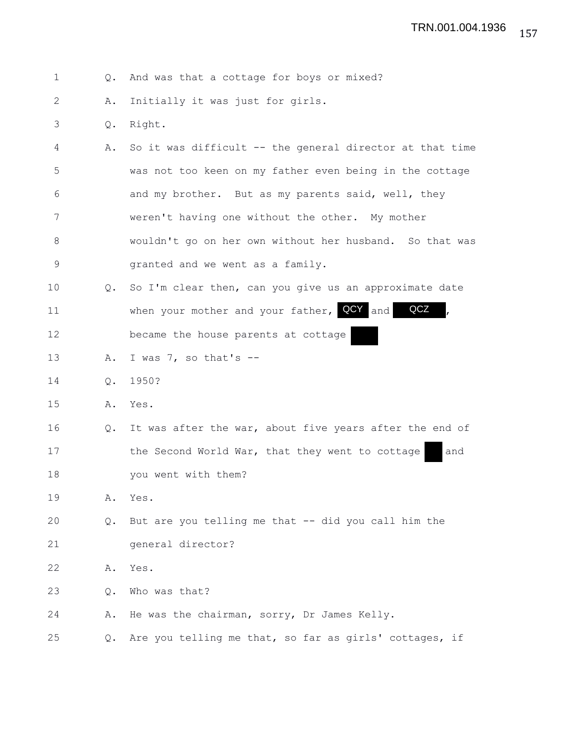1 Q. And was that a cottage for boys or mixed?

2 A. Initially it was just for girls.

3 Q. Right.

4 A. So it was difficult -- the general director at that time 5 was not too keen on my father even being in the cottage 6 and my brother. But as my parents said, well, they 7 weren't having one without the other. My mother 8 wouldn't go on her own without her husband. So that was 9 granted and we went as a family.

10 Q. So I'm clear then, can you give us an approximate date 11 when your mother and your father, QCY and QCZ, 12 became the house parents at cottage

13 A. I was 7, so that's --

14 Q. 1950?

15 A. Yes.

16 Q. It was after the war, about five years after the end of 17 the Second World War, that they went to cottage and 18 you went with them?

19 A. Yes.

20 Q. But are you telling me that -- did you call him the 21 general director?

22 A. Yes.

23 Q. Who was that?

24 A. He was the chairman, sorry, Dr James Kelly.

25 Q. Are you telling me that, so far as girls' cottages, if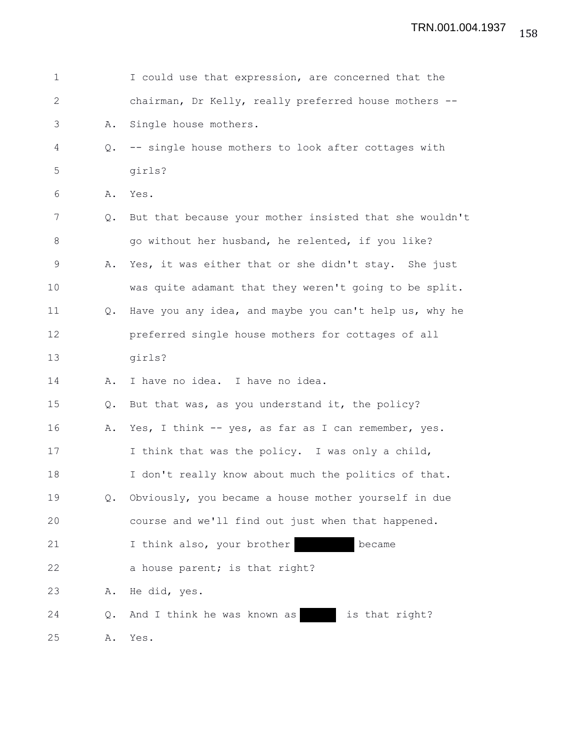| 1            |    | I could use that expression, are concerned that the     |
|--------------|----|---------------------------------------------------------|
| $\mathbf{2}$ |    | chairman, Dr Kelly, really preferred house mothers --   |
| 3            | Α. | Single house mothers.                                   |
| 4            | Q. | -- single house mothers to look after cottages with     |
| 5            |    | girls?                                                  |
| 6            | Α. | Yes.                                                    |
| 7            | Q. | But that because your mother insisted that she wouldn't |
| $\,8\,$      |    | go without her husband, he relented, if you like?       |
| 9            | Α. | Yes, it was either that or she didn't stay. She just    |
| 10           |    | was quite adamant that they weren't going to be split.  |
| 11           | Q. | Have you any idea, and maybe you can't help us, why he  |
| 12           |    | preferred single house mothers for cottages of all      |
| 13           |    | girls?                                                  |
| 14           | Α. | I have no idea. I have no idea.                         |
| 15           | Q. | But that was, as you understand it, the policy?         |
| 16           | Α. | Yes, I think -- yes, as far as I can remember, yes.     |
| 17           |    | I think that was the policy. I was only a child,        |
| 18           |    | I don't really know about much the politics of that.    |
| 19           | Q. | Obviously, you became a house mother yourself in due    |
| 20           |    | course and we'll find out just when that happened.      |
| 21           |    | I think also, your brother<br>became                    |
| 22           |    | a house parent; is that right?                          |
| 23           | Α. | He did, yes.                                            |
| 24           | Q. | is that right?<br>And I think he was known as           |
| 25           | Α. | Yes.                                                    |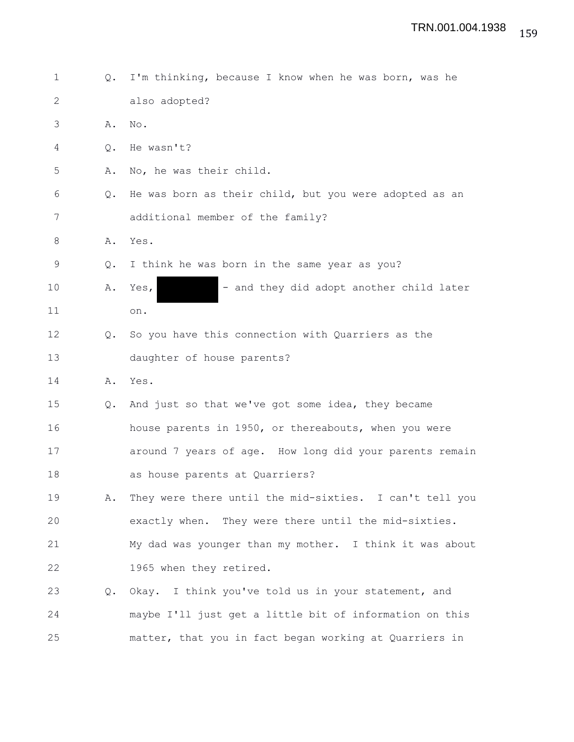1 Q. I'm thinking, because I know when he was born, was he 2 also adopted? 3 A. No. 4 Q. He wasn't? 5 A. No, he was their child. 6 Q. He was born as their child, but you were adopted as an 7 additional member of the family? 8 A. Yes. 9 Q. I think he was born in the same year as you? 10 A. Yes,  $-$  and they did adopt another child later 11 on. 12 Q. So you have this connection with Quarriers as the 13 daughter of house parents? 14 A. Yes. 15 Q. And just so that we've got some idea, they became 16 house parents in 1950, or thereabouts, when you were 17 around 7 years of age. How long did your parents remain 18 as house parents at Quarriers? 19 A. They were there until the mid-sixties. I can't tell you 20 exactly when. They were there until the mid-sixties. 21 My dad was younger than my mother. I think it was about 22 1965 when they retired. 23 Q. Okay. I think you've told us in your statement, and 24 maybe I'll just get a little bit of information on this 25 matter, that you in fact began working at Quarriers in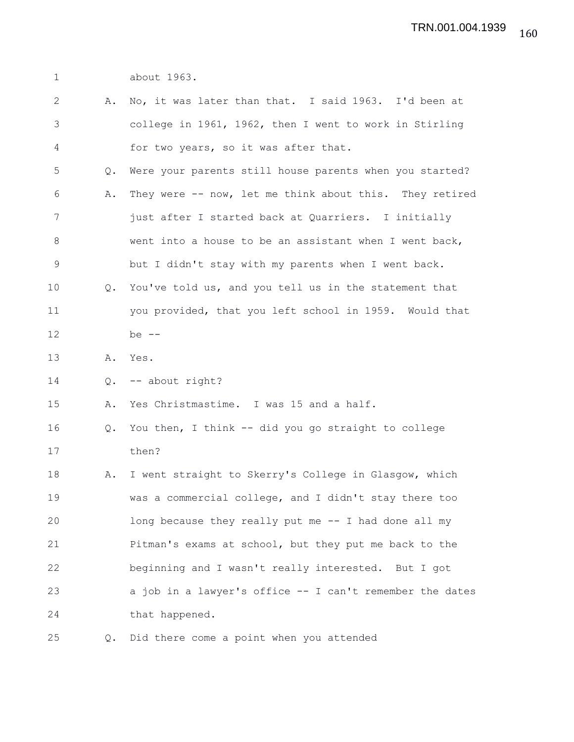1 about 1963.

| $\mathbf{2}$ |               | A. No, it was later than that. I said 1963. I'd been at  |
|--------------|---------------|----------------------------------------------------------|
| 3            |               | college in 1961, 1962, then I went to work in Stirling   |
| 4            |               | for two years, so it was after that.                     |
| 5            | $Q_{\bullet}$ | Were your parents still house parents when you started?  |
| 6            | Α.            | They were -- now, let me think about this. They retired  |
| 7            |               | just after I started back at Quarriers. I initially      |
| $8\,$        |               | went into a house to be an assistant when I went back,   |
| $\mathsf 9$  |               | but I didn't stay with my parents when I went back.      |
| 10           |               | Q. You've told us, and you tell us in the statement that |
| 11           |               | you provided, that you left school in 1959. Would that   |
| 12           |               | be $--$                                                  |
| 13           |               | A. Yes.                                                  |
| 14           | Q.            | -- about right?                                          |
| 15           | Α.            | Yes Christmastime. I was 15 and a half.                  |
| 16           | Q.            | You then, I think -- did you go straight to college      |
| 17           |               | then?                                                    |
| 18           | Α.            | I went straight to Skerry's College in Glasgow, which    |
| 19           |               | was a commercial college, and I didn't stay there too    |
| 20           |               | long because they really put me -- I had done all my     |
| 21           |               | Pitman's exams at school, but they put me back to the    |
| 22           |               | beginning and I wasn't really interested. But I got      |
| 23           |               | a job in a lawyer's office -- I can't remember the dates |
| 24           |               | that happened.                                           |
| 25           | Q.            | Did there come a point when you attended                 |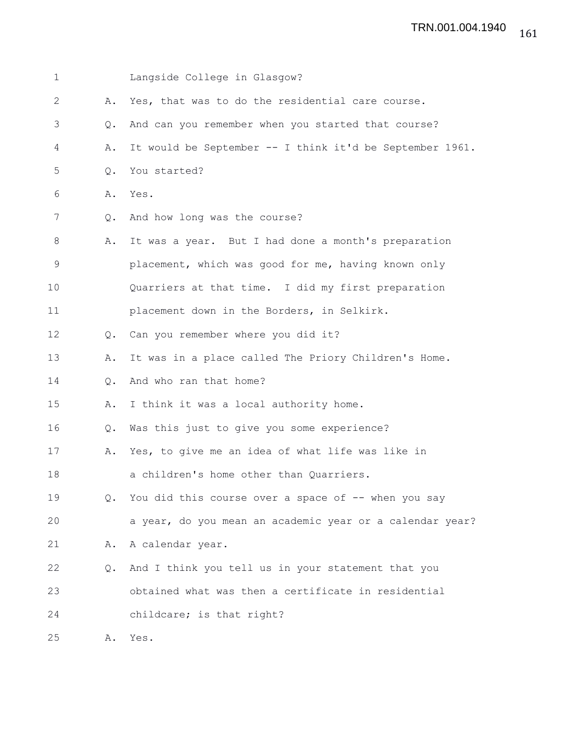| 1  |                | Langside College in Glasgow?                             |
|----|----------------|----------------------------------------------------------|
| 2  | Α.             | Yes, that was to do the residential care course.         |
| 3  | Q.             | And can you remember when you started that course?       |
| 4  | Α.             | It would be September -- I think it'd be September 1961. |
| 5  | $\circ$ .      | You started?                                             |
| 6  | Α.             | Yes.                                                     |
| 7  | Q.             | And how long was the course?                             |
| 8  | Α.             | It was a year. But I had done a month's preparation      |
| 9  |                | placement, which was good for me, having known only      |
| 10 |                | Quarriers at that time. I did my first preparation       |
| 11 |                | placement down in the Borders, in Selkirk.               |
| 12 | $\circ$ .      | Can you remember where you did it?                       |
| 13 | Α.             | It was in a place called The Priory Children's Home.     |
| 14 | $\mathsf{Q}$ . | And who ran that home?                                   |
| 15 | Α.             | I think it was a local authority home.                   |
| 16 | Q.             | Was this just to give you some experience?               |
| 17 | Α.             | Yes, to give me an idea of what life was like in         |
| 18 |                | a children's home other than Quarriers.                  |
| 19 |                | Q. You did this course over a space of -- when you say   |
| 20 |                | a year, do you mean an academic year or a calendar year? |
| 21 | Α.             | A calendar year.                                         |
| 22 | $Q_{\bullet}$  | And I think you tell us in your statement that you       |
| 23 |                | obtained what was then a certificate in residential      |
| 24 |                | childcare; is that right?                                |
| 25 | Α.             | Yes.                                                     |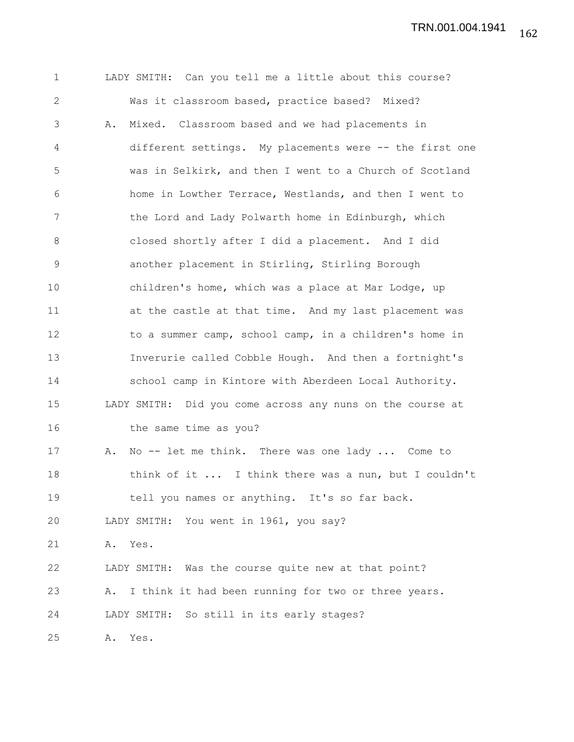TRN.001.004.1941

1 LADY SMITH: Can you tell me a little about this course? 2 Was it classroom based, practice based? Mixed? 3 A. Mixed. Classroom based and we had placements in 4 different settings. My placements were -- the first one 5 was in Selkirk, and then I went to a Church of Scotland 6 home in Lowther Terrace, Westlands, and then I went to 7 the Lord and Lady Polwarth home in Edinburgh, which 8 closed shortly after I did a placement. And I did 9 another placement in Stirling, Stirling Borough 10 children's home, which was a place at Mar Lodge, up 11 at the castle at that time. And my last placement was 12 to a summer camp, school camp, in a children's home in 13 Inverurie called Cobble Hough. And then a fortnight's 14 school camp in Kintore with Aberdeen Local Authority. 15 LADY SMITH: Did you come across any nuns on the course at 16 the same time as you? 17 A. No -- let me think. There was one lady ... Come to 18 think of it ... I think there was a nun, but I couldn't 19 tell you names or anything. It's so far back. 20 LADY SMITH: You went in 1961, you say? 21 A. Yes. 22 LADY SMITH: Was the course quite new at that point? 23 A. I think it had been running for two or three years. 24 LADY SMITH: So still in its early stages? 25 A. Yes.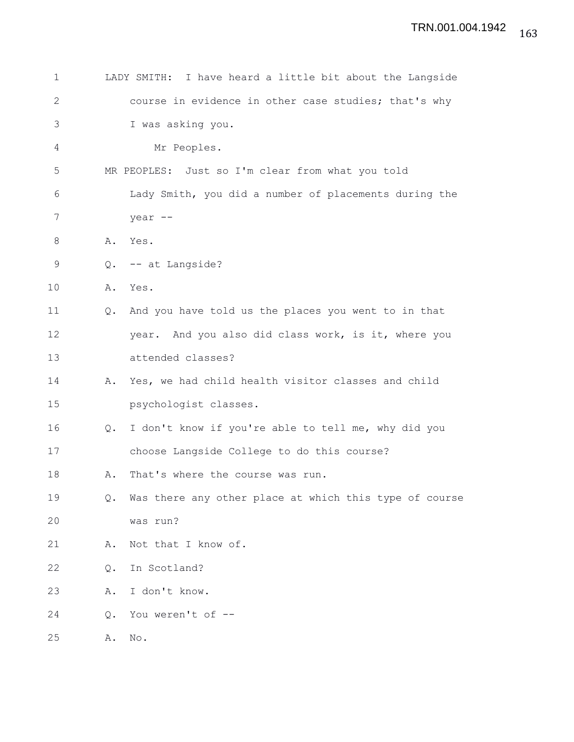| 1            |               | LADY SMITH: I have heard a little bit about the Langside |
|--------------|---------------|----------------------------------------------------------|
| $\mathbf{2}$ |               | course in evidence in other case studies; that's why     |
| 3            |               | I was asking you.                                        |
| 4            |               | Mr Peoples.                                              |
| 5            |               | MR PEOPLES: Just so I'm clear from what you told         |
| 6            |               | Lady Smith, you did a number of placements during the    |
| 7            |               | year --                                                  |
| 8            | Α.            | Yes.                                                     |
| 9            | Q.            | -- at Langside?                                          |
| 10           | Α.            | Yes.                                                     |
| 11           | $Q_{\bullet}$ | And you have told us the places you went to in that      |
| 12           |               | year. And you also did class work, is it, where you      |
| 13           |               | attended classes?                                        |
| 14           | Α.            | Yes, we had child health visitor classes and child       |
| 15           |               | psychologist classes.                                    |
| 16           | Q.            | I don't know if you're able to tell me, why did you      |
| 17           |               | choose Langside College to do this course?               |
| 18           | Α.            | That's where the course was run.                         |
| 19           | Q.            | Was there any other place at which this type of course   |
| 20           |               | was run?                                                 |
| 21           | Α.            | Not that I know of.                                      |
| 22           | Q.            | In Scotland?                                             |
| 23           | Α.            | I don't know.                                            |
| 24           | Q.            | You weren't of --                                        |
| 25           | Α.            | No.                                                      |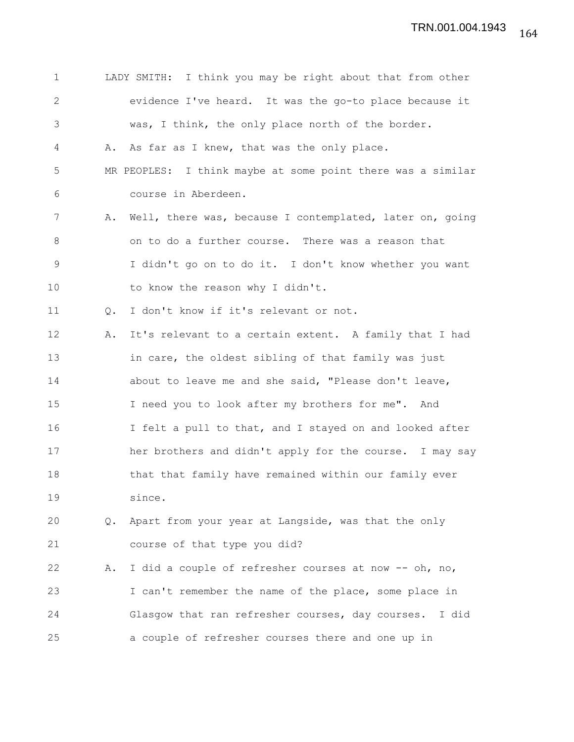| $\mathbf 1$  |               | LADY SMITH: I think you may be right about that from other  |
|--------------|---------------|-------------------------------------------------------------|
| $\mathbf{2}$ |               | evidence I've heard. It was the go-to place because it      |
| 3            |               | was, I think, the only place north of the border.           |
| 4            |               | A. As far as I knew, that was the only place.               |
| 5            |               | MR PEOPLES: I think maybe at some point there was a similar |
| 6            |               | course in Aberdeen.                                         |
| 7            | Α.            | Well, there was, because I contemplated, later on, going    |
| 8            |               | on to do a further course. There was a reason that          |
| $\mathsf 9$  |               | I didn't go on to do it. I don't know whether you want      |
| 10           |               | to know the reason why I didn't.                            |
| 11           | Q.            | I don't know if it's relevant or not.                       |
| 12           | Α.            | It's relevant to a certain extent. A family that I had      |
| 13           |               | in care, the oldest sibling of that family was just         |
| 14           |               | about to leave me and she said, "Please don't leave,        |
| 15           |               | I need you to look after my brothers for me". And           |
| 16           |               | I felt a pull to that, and I stayed on and looked after     |
| 17           |               | her brothers and didn't apply for the course. I may say     |
| 18           |               | that that family have remained within our family ever       |
| 19           |               | since.                                                      |
| 20           | $Q_{\bullet}$ | Apart from your year at Langside, was that the only         |
| 21           |               | course of that type you did?                                |
| 22           | Α.            | I did a couple of refresher courses at now -- oh, no,       |
| 23           |               | I can't remember the name of the place, some place in       |
| 24           |               | Glasgow that ran refresher courses, day courses.<br>I did   |
| 25           |               | a couple of refresher courses there and one up in           |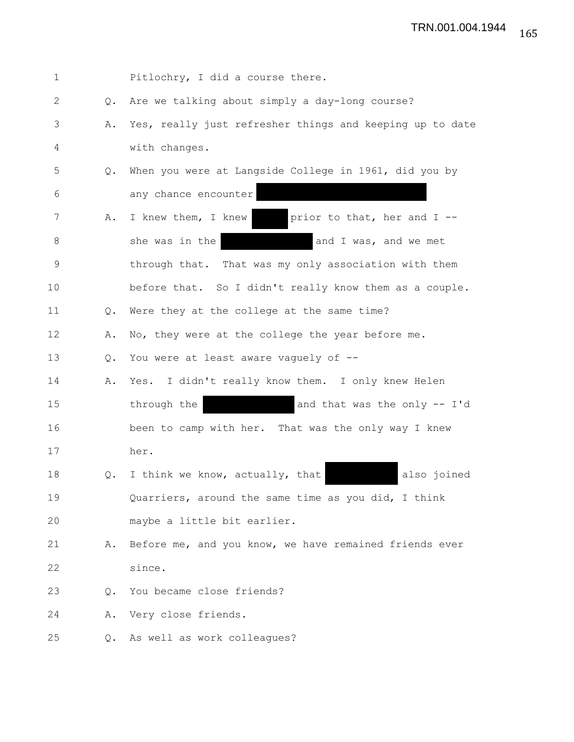| $\mathbf 1$    |               | Pitlochry, I did a course there.                         |
|----------------|---------------|----------------------------------------------------------|
| $\overline{2}$ | Q.            | Are we talking about simply a day-long course?           |
| 3              | Α.            | Yes, really just refresher things and keeping up to date |
| 4              |               | with changes.                                            |
| 5              | $Q_{\bullet}$ | When you were at Langside College in 1961, did you by    |
| 6              |               | any chance encounter                                     |
| 7              | Α.            | I knew them, I knew<br>prior to that, her and I --       |
| 8              |               | she was in the<br>and I was, and we met                  |
| 9              |               | through that. That was my only association with them     |
| 10             |               | before that. So I didn't really know them as a couple.   |
| 11             | $Q_{\bullet}$ | Were they at the college at the same time?               |
| 12             | Α.            | No, they were at the college the year before me.         |
| 13             | Q.            | You were at least aware vaguely of --                    |
| 14             | Α.            | Yes. I didn't really know them. I only knew Helen        |
| 15             |               | through the<br>and that was the only -- I'd              |
| 16             |               | been to camp with her. That was the only way I knew      |
| 17             |               | her.                                                     |
| 18             | Q.            | I think we know, actually, that<br>also joined           |
| 19             |               | Quarriers, around the same time as you did, I think      |
| 20             |               | maybe a little bit earlier.                              |
| 21             | Α.            | Before me, and you know, we have remained friends ever   |
| 22             |               | since.                                                   |
| 23             | Q.            | You became close friends?                                |
| 24             | Α.            | Very close friends.                                      |
| 25             | Q.            | As well as work colleagues?                              |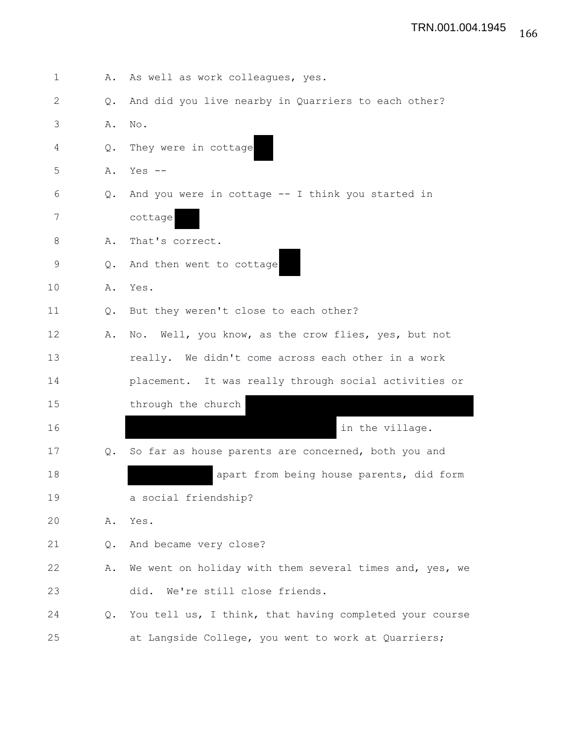| $\mathbf{1}$ | Α.            | As well as work colleagues, yes.                        |
|--------------|---------------|---------------------------------------------------------|
| 2            | $Q_{\bullet}$ | And did you live nearby in Quarriers to each other?     |
| 3            | Α.            | No.                                                     |
| 4            | Q.            | They were in cottage                                    |
| 5            | Α.            | Yes $--$                                                |
| 6            | Q.            | And you were in cottage $--$ I think you started in     |
| 7            |               | cottage                                                 |
| 8            | Α.            | That's correct.                                         |
| 9            | $Q_{\bullet}$ | And then went to cottage                                |
| 10           | Α.            | Yes.                                                    |
| 11           | Q.            | But they weren't close to each other?                   |
| 12           | Α.            | No. Well, you know, as the crow flies, yes, but not     |
| 13           |               | really. We didn't come across each other in a work      |
| 14           |               | placement. It was really through social activities or   |
| 15           |               | through the church                                      |
| 16           |               | in the village.                                         |
| 17           | Q.            | So far as house parents are concerned, both you and     |
| 18           |               | apart from being house parents, did form                |
| 19           |               | a social friendship?                                    |
| 20           | Α.            | Yes.                                                    |
| 21           | Q.            | And became very close?                                  |
| 22           | Α.            | We went on holiday with them several times and, yes, we |
| 23           |               | We're still close friends.<br>did.                      |
| 24           | Q.            | You tell us, I think, that having completed your course |
| 25           |               | at Langside College, you went to work at Quarriers;     |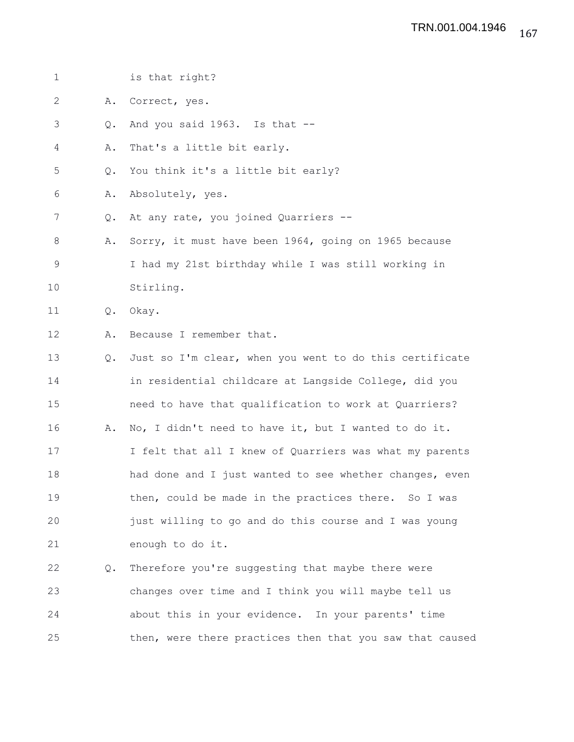| $\mathbf 1$ |               | is that right?                                           |
|-------------|---------------|----------------------------------------------------------|
| 2           | Α.            | Correct, yes.                                            |
| 3           | $Q_{\bullet}$ | And you said 1963. Is that --                            |
| 4           | Α.            | That's a little bit early.                               |
| 5           | Q.            | You think it's a little bit early?                       |
| 6           | Α.            | Absolutely, yes.                                         |
| 7           | Q.            | At any rate, you joined Quarriers --                     |
| 8           | Α.            | Sorry, it must have been 1964, going on 1965 because     |
| $\mathsf 9$ |               | I had my 21st birthday while I was still working in      |
| 10          |               | Stirling.                                                |
| 11          | Q.            | Okay.                                                    |
| 12          | Α.            | Because I remember that.                                 |
| 13          | $Q_{\bullet}$ | Just so I'm clear, when you went to do this certificate  |
| 14          |               | in residential childcare at Langside College, did you    |
| 15          |               | need to have that qualification to work at Quarriers?    |
| 16          | Α.            | No, I didn't need to have it, but I wanted to do it.     |
| 17          |               | I felt that all I knew of Quarriers was what my parents  |
| 18          |               | had done and I just wanted to see whether changes, even  |
| 19          |               | then, could be made in the practices there. So I was     |
| 20          |               | just willing to go and do this course and I was young    |
| 21          |               | enough to do it.                                         |
| 22          | Q.            | Therefore you're suggesting that maybe there were        |
| 23          |               | changes over time and I think you will maybe tell us     |
| 24          |               | about this in your evidence. In your parents' time       |
| 25          |               | then, were there practices then that you saw that caused |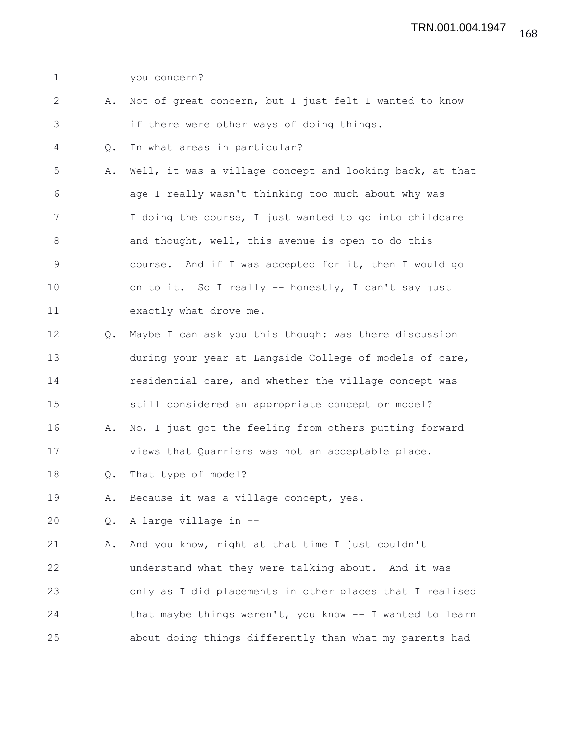| $\mathbf 1$  |    | you concern?                                             |
|--------------|----|----------------------------------------------------------|
| $\mathbf{2}$ | Α. | Not of great concern, but I just felt I wanted to know   |
| 3            |    | if there were other ways of doing things.                |
| 4            | Q. | In what areas in particular?                             |
| 5            | Α. | Well, it was a village concept and looking back, at that |
| 6            |    | age I really wasn't thinking too much about why was      |
| 7            |    | I doing the course, I just wanted to go into childcare   |
| $8\,$        |    | and thought, well, this avenue is open to do this        |
| $\mathsf 9$  |    | course. And if I was accepted for it, then I would go    |
| 10           |    | on to it. So I really -- honestly, I can't say just      |
| 11           |    | exactly what drove me.                                   |
| 12           | Q. | Maybe I can ask you this though: was there discussion    |
| 13           |    | during your year at Langside College of models of care,  |
| 14           |    | residential care, and whether the village concept was    |
| 15           |    | still considered an appropriate concept or model?        |
| 16           | Α. | No, I just got the feeling from others putting forward   |
| 17           |    | views that Quarriers was not an acceptable place.        |
| 18           | Q. | That type of model?                                      |
| 19           | Α. | Because it was a village concept, yes.                   |
| 20           | Q. | A large village in --                                    |
| 21           | Α. | And you know, right at that time I just couldn't         |
| 22           |    | understand what they were talking about. And it was      |
| 23           |    | only as I did placements in other places that I realised |
| 24           |    | that maybe things weren't, you know -- I wanted to learn |
| 25           |    | about doing things differently than what my parents had  |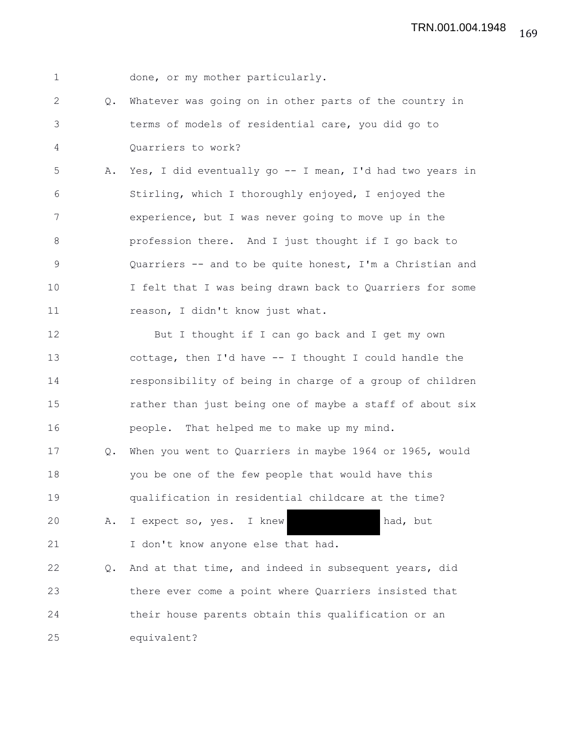1 done, or my mother particularly.

2 Q. Whatever was going on in other parts of the country in 3 terms of models of residential care, you did go to 4 Quarriers to work?

5 A. Yes, I did eventually go -- I mean, I'd had two years in 6 Stirling, which I thoroughly enjoyed, I enjoyed the 7 experience, but I was never going to move up in the 8 profession there. And I just thought if I go back to 9 Quarriers -- and to be quite honest, I'm a Christian and 10 I felt that I was being drawn back to Quarriers for some 11 reason, I didn't know just what.

12 But I thought if I can go back and I get my own 13 cottage, then I'd have -- I thought I could handle the 14 responsibility of being in charge of a group of children 15 rather than just being one of maybe a staff of about six 16 people. That helped me to make up my mind.

17 Q. When you went to Quarriers in maybe 1964 or 1965, would 18 you be one of the few people that would have this 19 qualification in residential childcare at the time? 20 A. I expect so, yes. I knew had, but

21 I don't know anyone else that had.

22 Q. And at that time, and indeed in subsequent years, did 23 there ever come a point where Quarriers insisted that 24 their house parents obtain this qualification or an 25 equivalent?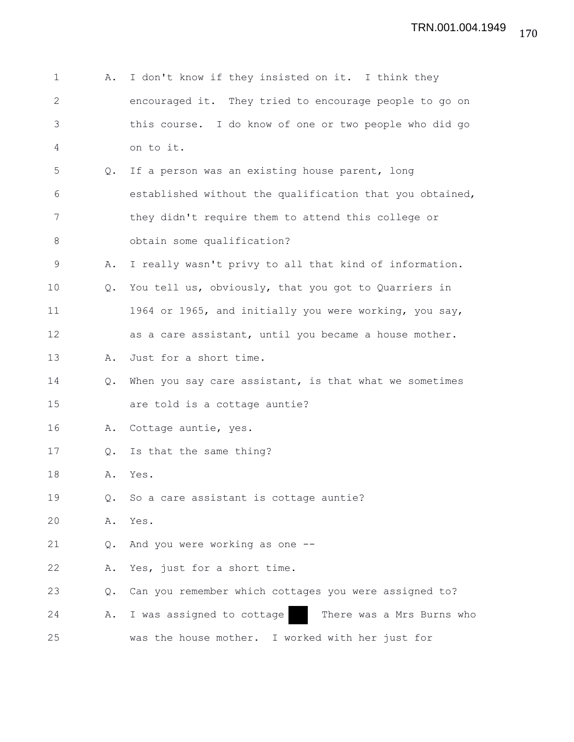| 1  | Α.            | I don't know if they insisted on it. I think they        |
|----|---------------|----------------------------------------------------------|
| 2  |               | encouraged it. They tried to encourage people to go on   |
| 3  |               | this course. I do know of one or two people who did go   |
| 4  |               | on to it.                                                |
| 5  | Q.            | If a person was an existing house parent, long           |
| 6  |               | established without the qualification that you obtained, |
| 7  |               | they didn't require them to attend this college or       |
| 8  |               | obtain some qualification?                               |
| 9  | Α.            | I really wasn't privy to all that kind of information.   |
| 10 | Q.            | You tell us, obviously, that you got to Quarriers in     |
| 11 |               | 1964 or 1965, and initially you were working, you say,   |
| 12 |               | as a care assistant, until you became a house mother.    |
| 13 | Α.            | Just for a short time.                                   |
| 14 | $Q_{\bullet}$ | When you say care assistant, is that what we sometimes   |
| 15 |               | are told is a cottage auntie?                            |
| 16 | Α.            | Cottage auntie, yes.                                     |
| 17 | Q.            | Is that the same thing?                                  |
| 18 | Α.            | Yes.                                                     |
| 19 | Q.            | So a care assistant is cottage auntie?                   |
| 20 | Α.            | Yes.                                                     |
| 21 | Q.            | And you were working as one --                           |
| 22 | Α.            | Yes, just for a short time.                              |
| 23 | Q.            | Can you remember which cottages you were assigned to?    |
| 24 | Α.            | I was assigned to cottage<br>There was a Mrs Burns who   |
| 25 |               | was the house mother. I worked with her just for         |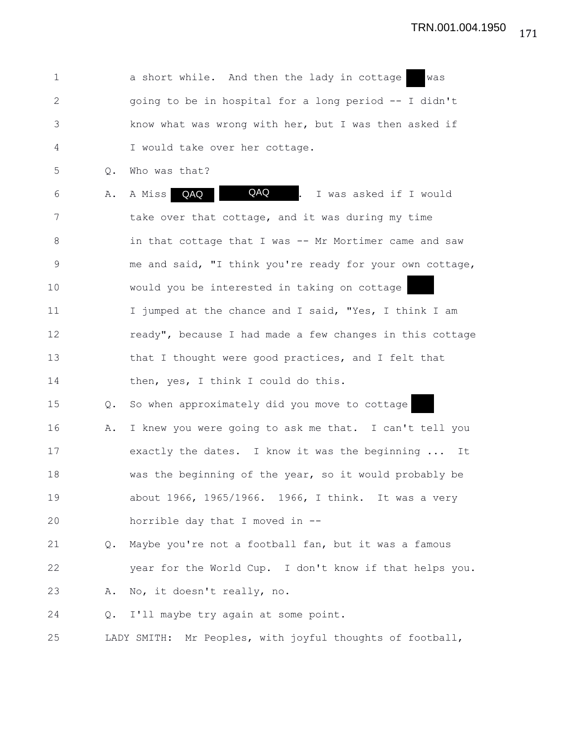1 a short while. And then the lady in cottage was 2 going to be in hospital for a long period -- I didn't 3 know what was wrong with her, but I was then asked if 4 I would take over her cottage.

5 Q. Who was that?

6 A. A Miss **QAQ | QAQ | CAQ** | I was asked if I would 7 take over that cottage, and it was during my time 8 in that cottage that I was -- Mr Mortimer came and saw 9 me and said, "I think you're ready for your own cottage, 10 would you be interested in taking on cottage 11 I jumped at the chance and I said, "Yes, I think I am 12 ready", because I had made a few changes in this cottage 13 that I thought were good practices, and I felt that 14 then, yes, I think I could do this. 15 Q. So when approximately did you move to cottage 16 A. I knew you were going to ask me that. I can't tell you A Miss QAQ

17 exactly the dates. I know it was the beginning ... It 18 was the beginning of the year, so it would probably be 19 about 1966, 1965/1966. 1966, I think. It was a very 20 horrible day that I moved in --

21 Q. Maybe you're not a football fan, but it was a famous 22 year for the World Cup. I don't know if that helps you. 23 A. No, it doesn't really, no.

24 Q. I'll maybe try again at some point.

25 LADY SMITH: Mr Peoples, with joyful thoughts of football,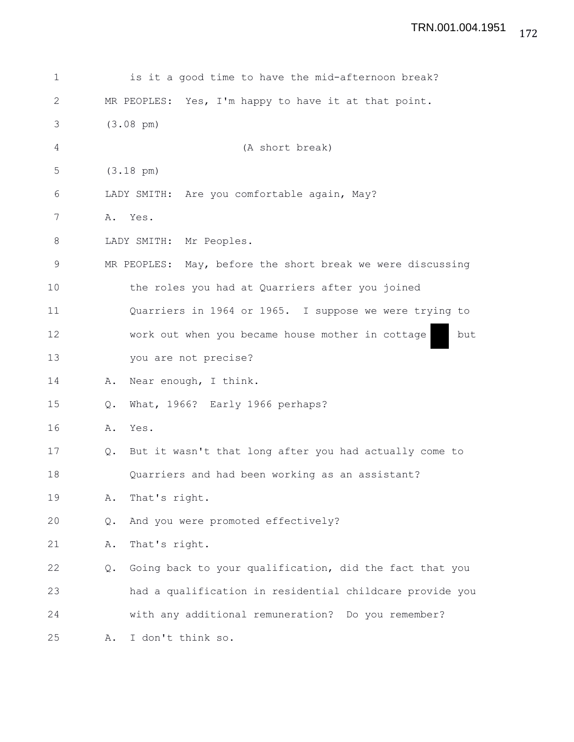## 172 TRN.001.004.1951

| 1  |    | is it a good time to have the mid-afternoon break?         |
|----|----|------------------------------------------------------------|
| 2  |    | MR PEOPLES: Yes, I'm happy to have it at that point.       |
| 3  |    | $(3.08 \text{ pm})$                                        |
| 4  |    | (A short break)                                            |
| 5  |    | $(3.18 \text{ pm})$                                        |
| 6  |    | LADY SMITH: Are you comfortable again, May?                |
| 7  |    | A. Yes.                                                    |
| 8  |    | LADY SMITH: Mr Peoples.                                    |
| 9  |    | MR PEOPLES: May, before the short break we were discussing |
| 10 |    | the roles you had at Quarriers after you joined            |
| 11 |    | Quarriers in 1964 or 1965. I suppose we were trying to     |
| 12 |    | work out when you became house mother in cottage<br>but    |
| 13 |    | you are not precise?                                       |
| 14 | Α. | Near enough, I think.                                      |
| 15 | Q. | What, 1966? Early 1966 perhaps?                            |
| 16 | Α. | Yes.                                                       |
| 17 |    | Q. But it wasn't that long after you had actually come to  |
| 18 |    | Quarriers and had been working as an assistant?            |
| 19 | Α. | That's right.                                              |
| 20 | Q. | And you were promoted effectively?                         |
| 21 | Α. | That's right.                                              |
| 22 | Q. | Going back to your qualification, did the fact that you    |
| 23 |    | had a qualification in residential childcare provide you   |
| 24 |    | with any additional remuneration? Do you remember?         |
| 25 | Α. | I don't think so.                                          |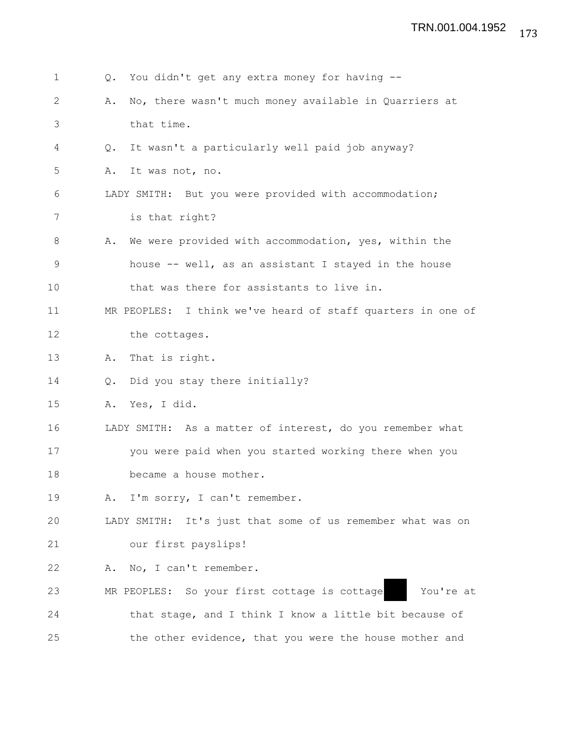| $\mathbf{1}$ | 0.            | You didn't get any extra money for having --                |
|--------------|---------------|-------------------------------------------------------------|
| 2            | Α.            | No, there wasn't much money available in Quarriers at       |
| 3            |               | that time.                                                  |
| 4            | Q.            | It wasn't a particularly well paid job anyway?              |
| 5            | Α.            | It was not, no.                                             |
| 6            |               | LADY SMITH: But you were provided with accommodation;       |
| 7            |               | is that right?                                              |
| 8            | Α.            | We were provided with accommodation, yes, within the        |
| 9            |               | house -- well, as an assistant I stayed in the house        |
| 10           |               | that was there for assistants to live in.                   |
| 11           |               | MR PEOPLES: I think we've heard of staff quarters in one of |
| 12           |               | the cottages.                                               |
| 13           | Α.            | That is right.                                              |
| 14           | $Q_{\bullet}$ | Did you stay there initially?                               |
| 15           | Α.            | Yes, I did.                                                 |
| 16           |               | LADY SMITH: As a matter of interest, do you remember what   |
| 17           |               | you were paid when you started working there when you       |
| 18           |               | became a house mother.                                      |
| 19           |               | A. I'm sorry, I can't remember.                             |
| 20           |               | LADY SMITH: It's just that some of us remember what was on  |
| 21           |               | our first payslips!                                         |
| 22           | Α.            | No, I can't remember.                                       |
| 23           |               | MR PEOPLES: So your first cottage is cottage<br>You're at   |
| 24           |               | that stage, and I think I know a little bit because of      |
| 25           |               | the other evidence, that you were the house mother and      |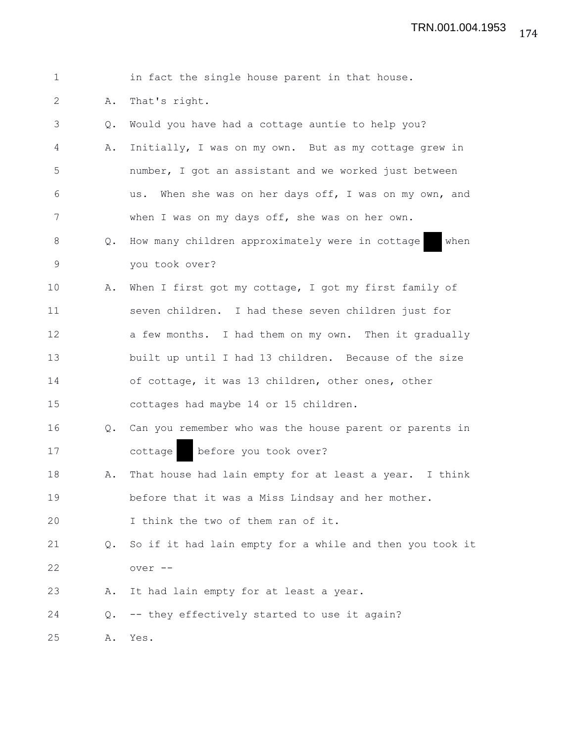| $\mathbf 1$  |               | in fact the single house parent in that house.            |
|--------------|---------------|-----------------------------------------------------------|
| $\mathbf{2}$ | Α.            | That's right.                                             |
| 3            | Q.            | Would you have had a cottage auntie to help you?          |
| 4            | Α.            | Initially, I was on my own. But as my cottage grew in     |
| 5            |               | number, I got an assistant and we worked just between     |
| 6            |               | When she was on her days off, I was on my own, and<br>us. |
| 7            |               | when I was on my days off, she was on her own.            |
| 8            | $Q_{\bullet}$ | How many children approximately were in cottage<br>when   |
| $\mathsf 9$  |               | you took over?                                            |
| 10           | Α.            | When I first got my cottage, I got my first family of     |
| 11           |               | seven children. I had these seven children just for       |
| 12           |               | a few months. I had them on my own. Then it gradually     |
| 13           |               | built up until I had 13 children. Because of the size     |
| 14           |               | of cottage, it was 13 children, other ones, other         |
| 15           |               | cottages had maybe 14 or 15 children.                     |
| 16           | $Q_{\bullet}$ | Can you remember who was the house parent or parents in   |
| 17           |               | before you took over?<br>cottage                          |
| 18           | Α.            | That house had lain empty for at least a year. I think    |
| 19           |               | before that it was a Miss Lindsay and her mother.         |
| 20           |               | I think the two of them ran of it.                        |
| 21           | Q.            | So if it had lain empty for a while and then you took it  |
| 22           |               | over --                                                   |
| 23           | Α.            | It had lain empty for at least a year.                    |
| 24           | Q.            | -- they effectively started to use it again?              |
| 25           | Α.            | Yes.                                                      |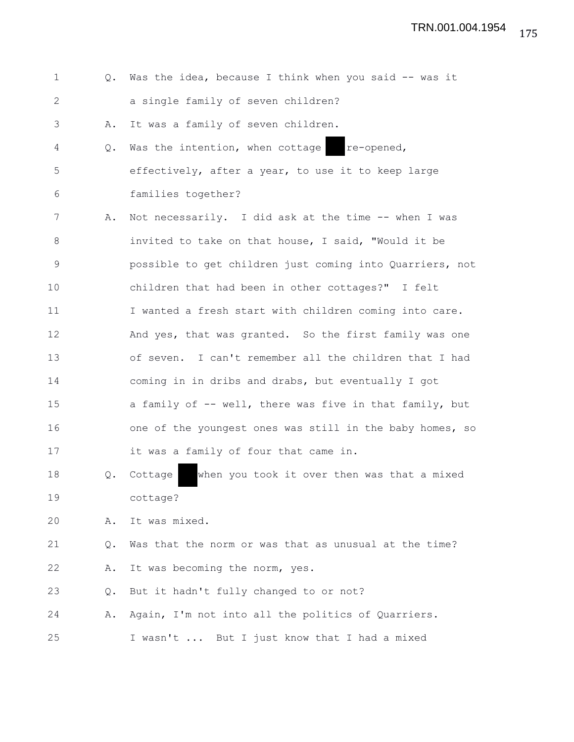| $\mathbf 1$ | $Q_{\bullet}$ | Was the idea, because I think when you said -- was it    |
|-------------|---------------|----------------------------------------------------------|
| 2           |               | a single family of seven children?                       |
| 3           | Α.            | It was a family of seven children.                       |
| 4           | Q.            | Was the intention, when cottage re-opened,               |
| 5           |               | effectively, after a year, to use it to keep large       |
| 6           |               | families together?                                       |
| 7           | Α.            | Not necessarily. I did ask at the time -- when I was     |
| 8           |               | invited to take on that house, I said, "Would it be      |
| 9           |               | possible to get children just coming into Quarriers, not |
| 10          |               | children that had been in other cottages?" I felt        |
| 11          |               | I wanted a fresh start with children coming into care.   |
| 12          |               | And yes, that was granted. So the first family was one   |
| 13          |               | of seven. I can't remember all the children that I had   |
| 14          |               | coming in in dribs and drabs, but eventually I got       |
| 15          |               | a family of -- well, there was five in that family, but  |
| 16          |               | one of the youngest ones was still in the baby homes, so |
| 17          |               | it was a family of four that came in.                    |
| 18          | Q.            | when you took it over then was that a mixed<br>Cottage   |
| 19          |               | cottage?                                                 |
| 20          | Α.            | It was mixed.                                            |
| 21          | Q.            | Was that the norm or was that as unusual at the time?    |
| 22          | Α.            | It was becoming the norm, yes.                           |
| 23          | Q.            | But it hadn't fully changed to or not?                   |
| 24          | Α.            | Again, I'm not into all the politics of Quarriers.       |
| 25          |               | I wasn't  But I just know that I had a mixed             |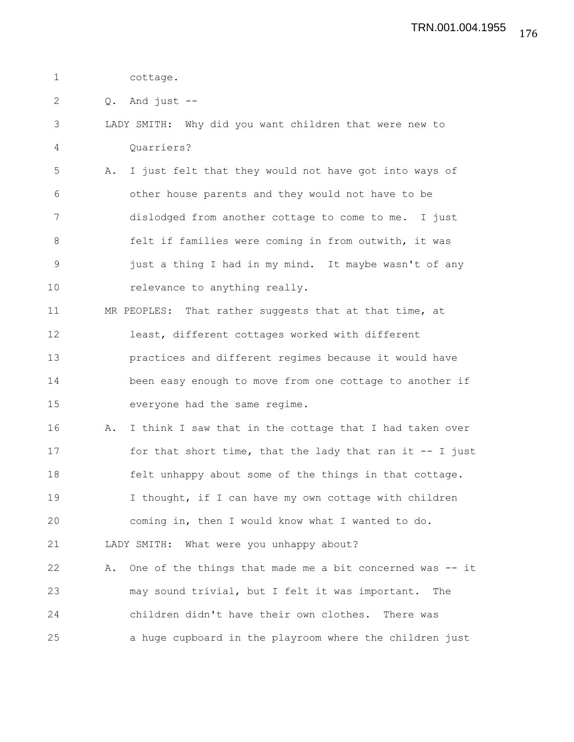1 cottage.

 $2 \qquad Q. \quad$  And just  $-$ 

3 LADY SMITH: Why did you want children that were new to 4 Quarriers?

5 A. I just felt that they would not have got into ways of 6 other house parents and they would not have to be 7 dislodged from another cottage to come to me. I just 8 felt if families were coming in from outwith, it was 9 just a thing I had in my mind. It maybe wasn't of any 10 relevance to anything really.

11 MR PEOPLES: That rather suggests that at that time, at 12 least, different cottages worked with different 13 practices and different regimes because it would have 14 been easy enough to move from one cottage to another if 15 everyone had the same regime.

16 A. I think I saw that in the cottage that I had taken over 17 for that short time, that the lady that ran it -- I just 18 felt unhappy about some of the things in that cottage. 19 I thought, if I can have my own cottage with children 20 coming in, then I would know what I wanted to do. 21 LADY SMITH: What were you unhappy about? 22 A. One of the things that made me a bit concerned was -- it

23 may sound trivial, but I felt it was important. The 24 children didn't have their own clothes. There was 25 a huge cupboard in the playroom where the children just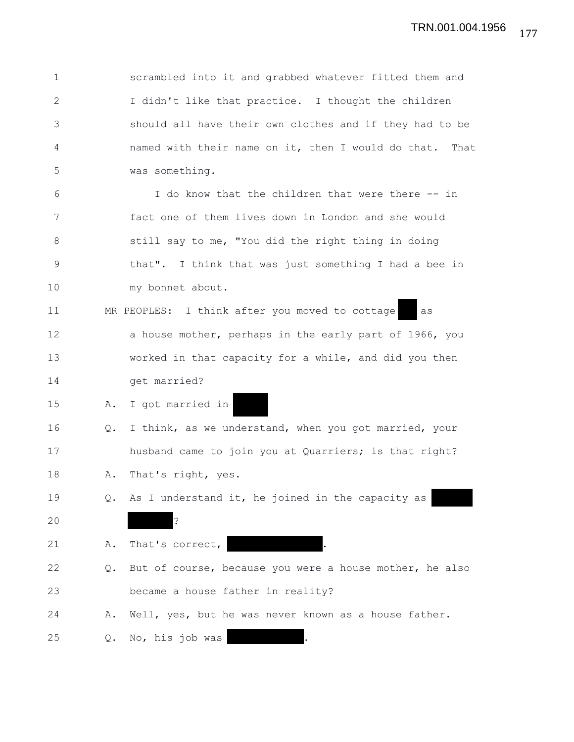| $\mathbf 1$ |    | scrambled into it and grabbed whatever fitted them and  |
|-------------|----|---------------------------------------------------------|
| 2           |    | I didn't like that practice. I thought the children     |
| 3           |    | should all have their own clothes and if they had to be |
| 4           |    | named with their name on it, then I would do that. That |
| 5           |    | was something.                                          |
| 6           |    | I do know that the children that were there -- in       |
| 7           |    | fact one of them lives down in London and she would     |
| 8           |    | still say to me, "You did the right thing in doing      |
| 9           |    | that". I think that was just something I had a bee in   |
| 10          |    | my bonnet about.                                        |
| 11          |    | MR PEOPLES: I think after you moved to cottage<br>as    |
| 12          |    | a house mother, perhaps in the early part of 1966, you  |
| 13          |    | worked in that capacity for a while, and did you then   |
| 14          |    | get married?                                            |
| 15          | Α. | I got married in                                        |
| 16          | Q. | I think, as we understand, when you got married, your   |
| 17          |    | husband came to join you at Quarriers; is that right?   |
| 18          | Α. | That's right, yes.                                      |
| 19          |    | Q. As I understand it, he joined in the capacity as     |
| 20          |    | $\ddot{\cdot}$                                          |
| 21          | Α. | That's correct,                                         |
| 22          | Q. | But of course, because you were a house mother, he also |
| 23          |    | became a house father in reality?                       |
| 24          | Α. | Well, yes, but he was never known as a house father.    |
| 25          | О. | No, his job was                                         |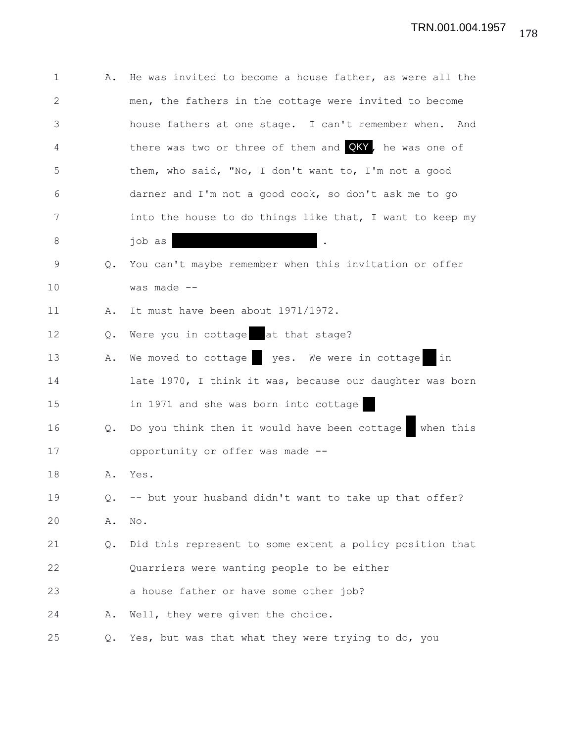| $\mathbf 1$ | Α.            | He was invited to become a house father, as were all the  |
|-------------|---------------|-----------------------------------------------------------|
| 2           |               | men, the fathers in the cottage were invited to become    |
| 3           |               | house fathers at one stage. I can't remember when.<br>And |
| 4           |               | there was two or three of them and QKY, he was one of     |
| 5           |               | them, who said, "No, I don't want to, I'm not a good      |
| 6           |               | darner and I'm not a good cook, so don't ask me to go     |
| 7           |               | into the house to do things like that, I want to keep my  |
| 8           |               | job as                                                    |
| 9           | $Q_{\bullet}$ | You can't maybe remember when this invitation or offer    |
| 10          |               | was made --                                               |
| 11          | Α.            | It must have been about 1971/1972.                        |
| 12          | Q.            | Were you in cottage at that stage?                        |
| 13          | Α.            | We moved to cottage yes. We were in cottage<br>  in       |
| 14          |               | late 1970, I think it was, because our daughter was born  |
| 15          |               | in 1971 and she was born into cottage                     |
| 16          | Q.            | Do you think then it would have been cottage<br>when this |
| 17          |               | opportunity or offer was made --                          |
| 18          | Α.            | Yes.                                                      |
| 19          | Q.            | -- but your husband didn't want to take up that offer?    |
| 20          | Α.            | No.                                                       |
| 21          | Q.            | Did this represent to some extent a policy position that  |
| 22          |               | Quarriers were wanting people to be either                |
| 23          |               | a house father or have some other job?                    |
| 24          | Α.            | Well, they were given the choice.                         |
| 25          | Q.            | Yes, but was that what they were trying to do, you        |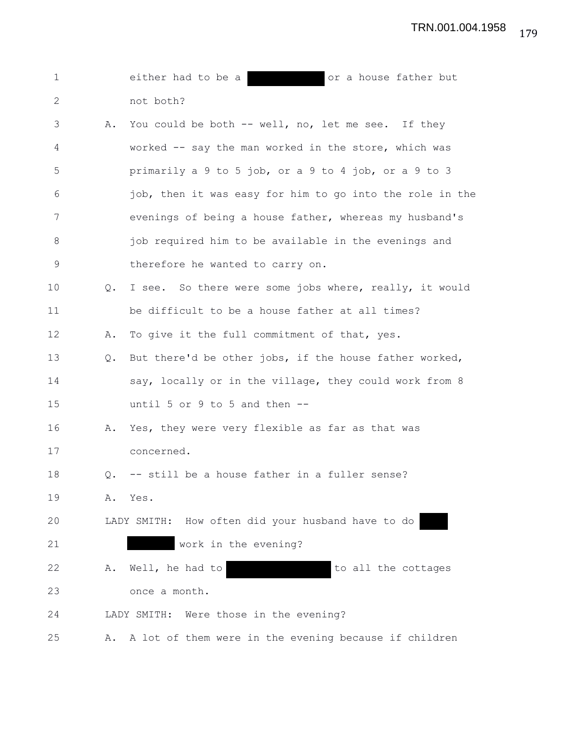| $\mathbf 1$ |               | either had to be a<br>or a house father but<br><u> Maria San Ba</u> |
|-------------|---------------|---------------------------------------------------------------------|
| 2           |               | not both?                                                           |
| 3           | Α.            | You could be both -- well, no, let me see. If they                  |
| 4           |               | worked -- say the man worked in the store, which was                |
| 5           |               | primarily a 9 to 5 job, or a 9 to 4 job, or a 9 to 3                |
| 6           |               | job, then it was easy for him to go into the role in the            |
| 7           |               | evenings of being a house father, whereas my husband's              |
| $8\,$       |               | job required him to be available in the evenings and                |
| $\mathsf 9$ |               | therefore he wanted to carry on.                                    |
| 10          | $Q_{\bullet}$ | I see. So there were some jobs where, really, it would              |
| 11          |               | be difficult to be a house father at all times?                     |
| 12          | Α.            | To give it the full commitment of that, yes.                        |
| 13          | Q.            | But there'd be other jobs, if the house father worked,              |
| 14          |               | say, locally or in the village, they could work from 8              |
| 15          |               | until 5 or 9 to 5 and then $-$ -                                    |
| 16          | Α.            | Yes, they were very flexible as far as that was                     |
| 17          |               | concerned.                                                          |
| 18          | Q.            | -- still be a house father in a fuller sense?                       |
| 19          | Α.            | Yes.                                                                |
| 20          |               | LADY SMITH: How often did your husband have to do                   |
| 21          |               | work in the evening?                                                |
| 22          | Α.            | to all the cottages<br>Well, he had to                              |
| 23          |               | once a month.                                                       |
| 24          |               | LADY SMITH: Were those in the evening?                              |
| 25          | Α.            | A lot of them were in the evening because if children               |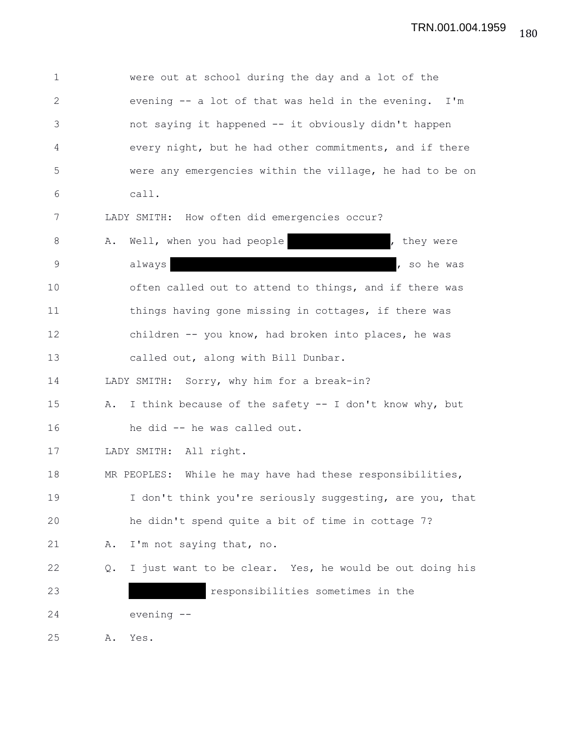1 were out at school during the day and a lot of the 2 evening -- a lot of that was held in the evening. I'm 3 not saying it happened -- it obviously didn't happen 4 every night, but he had other commitments, and if there 5 were any emergencies within the village, he had to be on 6 call. 7 LADY SMITH: How often did emergencies occur? 8 A. Well, when you had people the state of they were 9 always and always and always and always and always and always are so he was always and always are so he was 10 often called out to attend to things, and if there was 11 things having gone missing in cottages, if there was 12 children -- you know, had broken into places, he was 13 called out, along with Bill Dunbar. 14 LADY SMITH: Sorry, why him for a break-in? 15 A. I think because of the safety -- I don't know why, but 16 he did -- he was called out. 17 LADY SMITH: All right. 18 MR PEOPLES: While he may have had these responsibilities, 19 I don't think you're seriously suggesting, are you, that 20 he didn't spend quite a bit of time in cottage 7? 21 A. I'm not saying that, no. 22 Q. I just want to be clear. Yes, he would be out doing his 23 responsibilities sometimes in the 24 evening -- 25 A. Yes.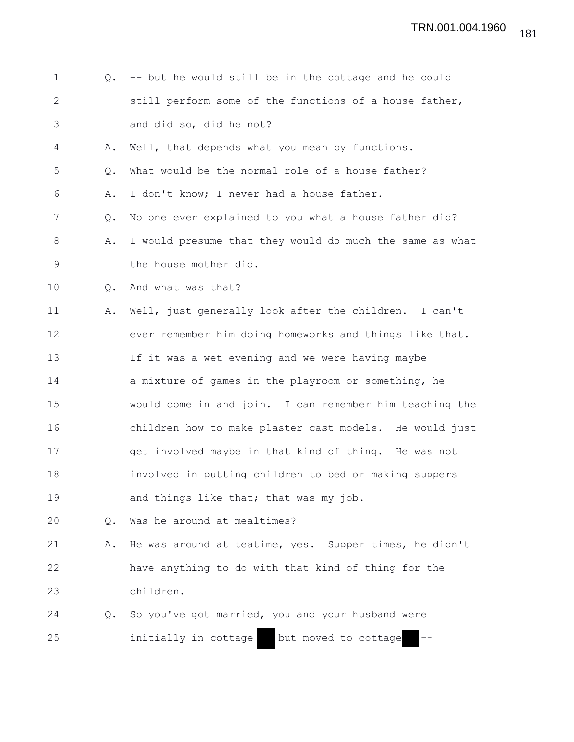| $\mathbf 1$ | Q.            | -- but he would still be in the cottage and he could     |
|-------------|---------------|----------------------------------------------------------|
| 2           |               | still perform some of the functions of a house father,   |
| 3           |               | and did so, did he not?                                  |
| 4           | Α.            | Well, that depends what you mean by functions.           |
| 5           | Q.            | What would be the normal role of a house father?         |
| 6           | Α.            | I don't know; I never had a house father.                |
| 7           | Q.            | No one ever explained to you what a house father did?    |
| 8           | Α.            | I would presume that they would do much the same as what |
| 9           |               | the house mother did.                                    |
| 10          | Q.            | And what was that?                                       |
| 11          | Α.            | Well, just generally look after the children. I can't    |
| 12          |               | ever remember him doing homeworks and things like that.  |
| 13          |               | If it was a wet evening and we were having maybe         |
| 14          |               | a mixture of games in the playroom or something, he      |
| 15          |               | would come in and join. I can remember him teaching the  |
| 16          |               | children how to make plaster cast models. He would just  |
| 17          |               | get involved maybe in that kind of thing. He was not     |
| 18          |               | involved in putting children to bed or making suppers    |
| 19          |               | and things like that; that was my job.                   |
| 20          | Q.            | Was he around at mealtimes?                              |
| 21          | Α.            | He was around at teatime, yes. Supper times, he didn't   |
| 22          |               | have anything to do with that kind of thing for the      |
| 23          |               | children.                                                |
| 24          | $Q_{\bullet}$ | So you've got married, you and your husband were         |
| 25          |               | initially in cottage<br>but moved to cottage             |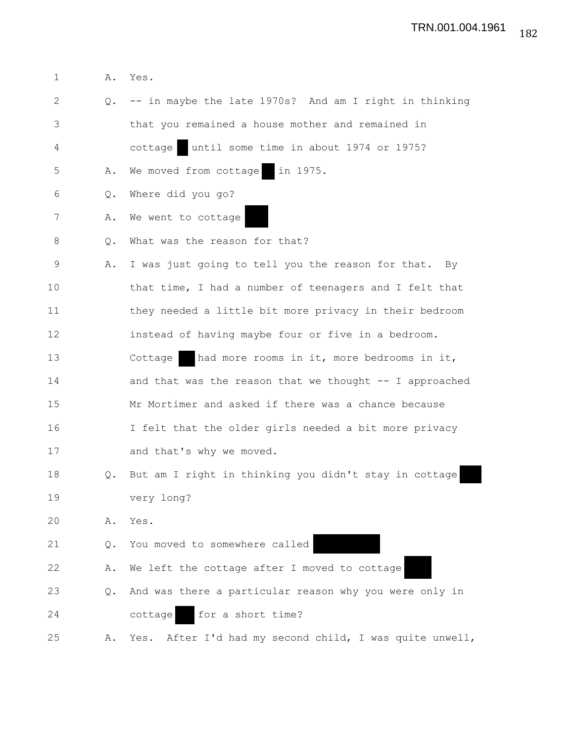1 A. Yes. 2 Q. -- in maybe the late 1970s? And am I right in thinking 3 that you remained a house mother and remained in 4 cottage until some time in about 1974 or 1975? 5 A. We moved from cottage in 1975. 6 Q. Where did you go? 7 A. We went to cottage 8 Q. What was the reason for that? 9 A. I was just going to tell you the reason for that. By 10 that time, I had a number of teenagers and I felt that 11 they needed a little bit more privacy in their bedroom 12 instead of having maybe four or five in a bedroom. 13 Cottage had more rooms in it, more bedrooms in it, 14 and that was the reason that we thought -- I approached 15 Mr Mortimer and asked if there was a chance because 16 I felt that the older girls needed a bit more privacy 17 and that's why we moved. 18 Q. But am I right in thinking you didn't stay in cottage 19 very long? 20 A. Yes. 21 Q. You moved to somewhere called 22 A. We left the cottage after I moved to cottage 23 Q. And was there a particular reason why you were only in 24 cottage for a short time? 25 A. Yes. After I'd had my second child, I was quite unwell,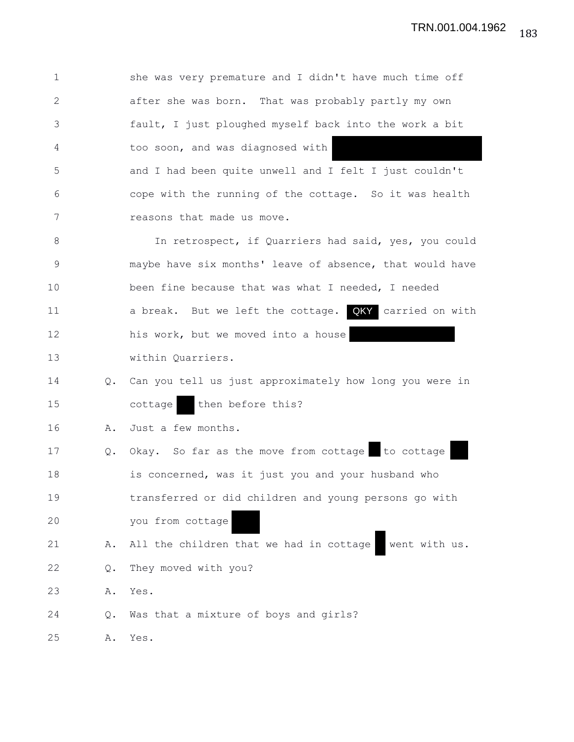| $\mathbf{1}$ |               | she was very premature and I didn't have much time off   |
|--------------|---------------|----------------------------------------------------------|
| $\mathbf{2}$ |               | after she was born. That was probably partly my own      |
| 3            |               | fault, I just ploughed myself back into the work a bit   |
| 4            |               | too soon, and was diagnosed with                         |
| 5            |               | and I had been quite unwell and I felt I just couldn't   |
| 6            |               | cope with the running of the cottage. So it was health   |
| 7            |               | reasons that made us move.                               |
| 8            |               | In retrospect, if Quarriers had said, yes, you could     |
| $\mathsf 9$  |               | maybe have six months' leave of absence, that would have |
| 10           |               | been fine because that was what I needed, I needed       |
| 11           |               | a break. But we left the cottage. QKY carried on with    |
| 12           |               | his work, but we moved into a house                      |
| 13           |               | within Quarriers.                                        |
| 14           | $Q_{\bullet}$ | Can you tell us just approximately how long you were in  |
| 15           |               | then before this?<br>cottage                             |
| 16           | Α.            | Just a few months.                                       |
| 17           | Q.            | Okay. So far as the move from cottage to cottage         |
| 18           |               | is concerned, was it just you and your husband who       |
| 19           |               | transferred or did children and young persons go with    |
| 20           |               | you from cottage                                         |
| 21           | Α.            | All the children that we had in cottage<br>went with us. |
| 22           | Q.            | They moved with you?                                     |
| 23           | Α.            | Yes.                                                     |
| 24           | Q.            | Was that a mixture of boys and girls?                    |
| 25           | А.            | Yes.                                                     |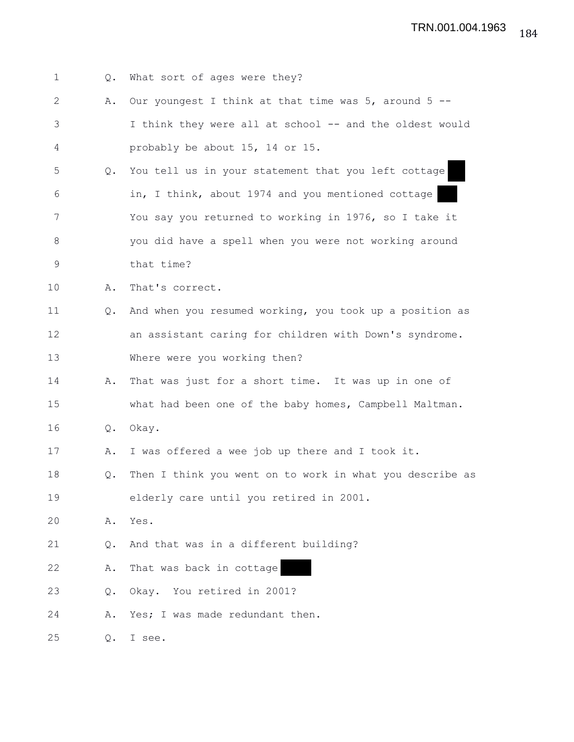| 1           | $Q_{\bullet}$ | What sort of ages were they?                              |
|-------------|---------------|-----------------------------------------------------------|
| 2           | Α.            | Our youngest I think at that time was $5$ , around $5$ -- |
| 3           |               | I think they were all at school -- and the oldest would   |
| 4           |               | probably be about 15, 14 or 15.                           |
| 5           | Q.            | You tell us in your statement that you left cottage       |
| 6           |               | in, I think, about 1974 and you mentioned cottage         |
| 7           |               | You say you returned to working in 1976, so I take it     |
| 8           |               | you did have a spell when you were not working around     |
| $\mathsf 9$ |               | that time?                                                |
| 10          | Α.            | That's correct.                                           |
| 11          | $Q_{\bullet}$ | And when you resumed working, you took up a position as   |
| 12          |               | an assistant caring for children with Down's syndrome.    |
| 13          |               | Where were you working then?                              |
| 14          | Α.            | That was just for a short time. It was up in one of       |
| 15          |               | what had been one of the baby homes, Campbell Maltman.    |
| 16          | Q.            | Okay.                                                     |
| 17          | Α.            | I was offered a wee job up there and I took it.           |
| 18          | Q.            | Then I think you went on to work in what you describe as  |
| 19          |               | elderly care until you retired in 2001.                   |
| 20          | Α.            | Yes.                                                      |
| 21          | Q.            | And that was in a different building?                     |
| 22          | Α.            | That was back in cottage                                  |
| 23          | Q.            | Okay. You retired in 2001?                                |
| 24          | Α.            | Yes; I was made redundant then.                           |
| 25          | Q.            | I see.                                                    |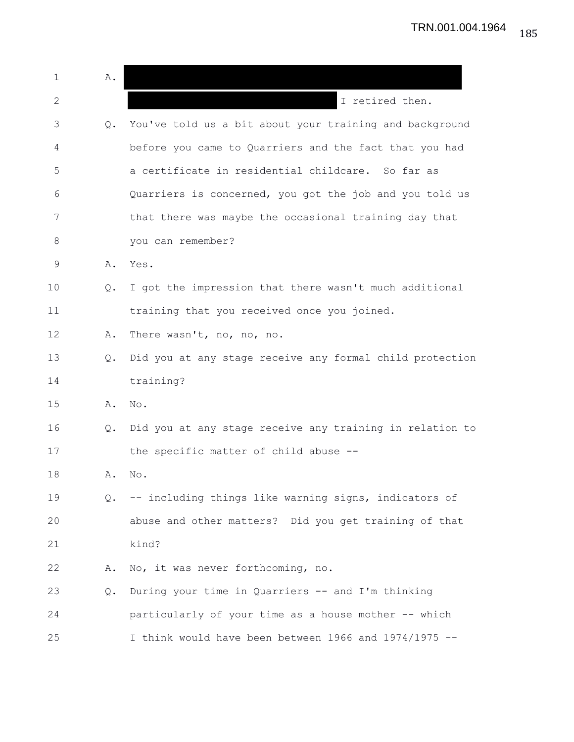1 A. 2 **I** retired then. 3 Q. You've told us a bit about your training and background 4 before you came to Quarriers and the fact that you had 5 a certificate in residential childcare. So far as 6 Quarriers is concerned, you got the job and you told us 7 that there was maybe the occasional training day that 8 you can remember? 9 A. Yes. 10 Q. I got the impression that there wasn't much additional 11 training that you received once you joined. 12 A. There wasn't, no, no, no. 13 Q. Did you at any stage receive any formal child protection 14 training? 15 A. No. 16 Q. Did you at any stage receive any training in relation to 17 the specific matter of child abuse --18 A. No. 19 Q. -- including things like warning signs, indicators of 20 abuse and other matters? Did you get training of that 21 kind? 22 A. No, it was never forthcoming, no. 23 Q. During your time in Quarriers -- and I'm thinking 24 particularly of your time as a house mother -- which 25 I think would have been between 1966 and 1974/1975 --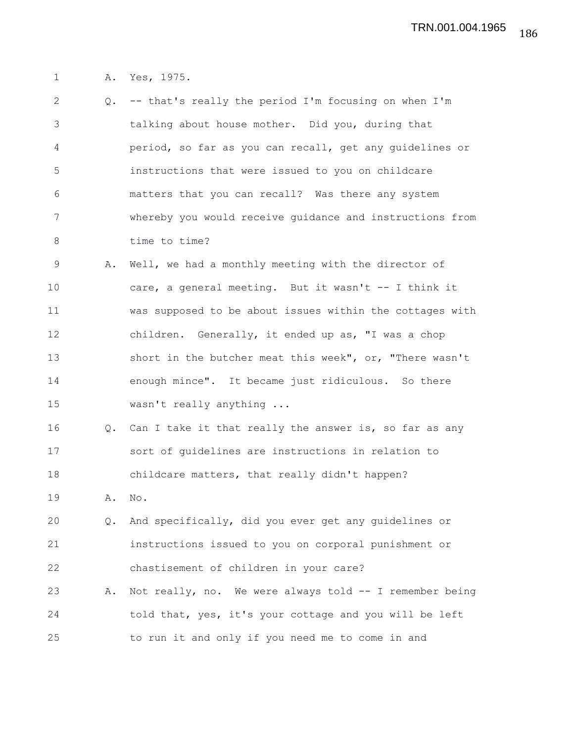1 A. Yes, 1975.

| 2           | Q. | -- that's really the period I'm focusing on when I'm     |
|-------------|----|----------------------------------------------------------|
| 3           |    | talking about house mother. Did you, during that         |
| 4           |    | period, so far as you can recall, get any guidelines or  |
| 5           |    | instructions that were issued to you on childcare        |
| 6           |    | matters that you can recall? Was there any system        |
| 7           |    | whereby you would receive quidance and instructions from |
| 8           |    | time to time?                                            |
| $\mathsf 9$ | Α. | Well, we had a monthly meeting with the director of      |
| 10          |    | care, a general meeting. But it wasn't -- I think it     |
| 11          |    | was supposed to be about issues within the cottages with |
| 12          |    | children. Generally, it ended up as, "I was a chop       |
| 13          |    | short in the butcher meat this week", or, "There wasn't  |
| 14          |    | enough mince". It became just ridiculous. So there       |
| 15          |    | wasn't really anything                                   |
| 16          | Q. | Can I take it that really the answer is, so far as any   |
| 17          |    | sort of guidelines are instructions in relation to       |
| 18          |    | childcare matters, that really didn't happen?            |
| 19          | Α. | No.                                                      |
| 20          | Q. | And specifically, did you ever get any guidelines or     |
| 21          |    | instructions issued to you on corporal punishment or     |
| 22          |    | chastisement of children in your care?                   |
| 23          | Α. | Not really, no. We were always told -- I remember being  |
| 24          |    | told that, yes, it's your cottage and you will be left   |
| 25          |    | to run it and only if you need me to come in and         |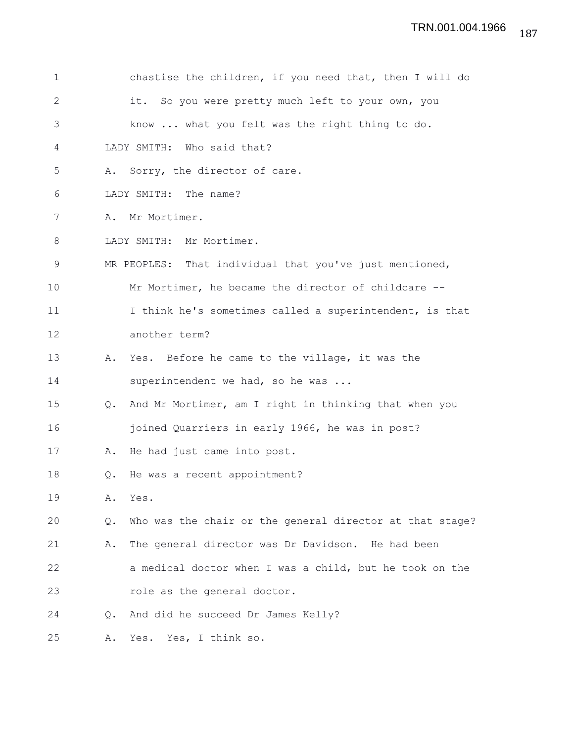| $\mathbf 1$  |               | chastise the children, if you need that, then I will do  |
|--------------|---------------|----------------------------------------------------------|
| $\mathbf{2}$ |               | So you were pretty much left to your own, you<br>it.     |
| 3            |               | know  what you felt was the right thing to do.           |
| 4            |               | LADY SMITH: Who said that?                               |
| 5            |               | A. Sorry, the director of care.                          |
| 6            |               | LADY SMITH: The name?                                    |
| 7            | Α.            | Mr Mortimer.                                             |
| 8            |               | LADY SMITH: Mr Mortimer.                                 |
| 9            |               | MR PEOPLES: That individual that you've just mentioned,  |
| 10           |               | Mr Mortimer, he became the director of childcare --      |
| 11           |               | I think he's sometimes called a superintendent, is that  |
| 12           |               | another term?                                            |
| 13           | Α.            | Yes. Before he came to the village, it was the           |
| 14           |               | superintendent we had, so he was                         |
| 15           | $Q_{\bullet}$ | And Mr Mortimer, am I right in thinking that when you    |
| 16           |               | joined Quarriers in early 1966, he was in post?          |
| 17           | Α.            | He had just came into post.                              |
| 18           | Q.            | He was a recent appointment?                             |
| 19           | Α.            | Yes.                                                     |
| 20           | Q.            | Who was the chair or the general director at that stage? |
| 21           | Α.            | The general director was Dr Davidson. He had been        |
| 22           |               | a medical doctor when I was a child, but he took on the  |
| 23           |               | role as the general doctor.                              |
| 24           | $Q_{\bullet}$ | And did he succeed Dr James Kelly?                       |
| 25           | Α.            | Yes. Yes, I think so.                                    |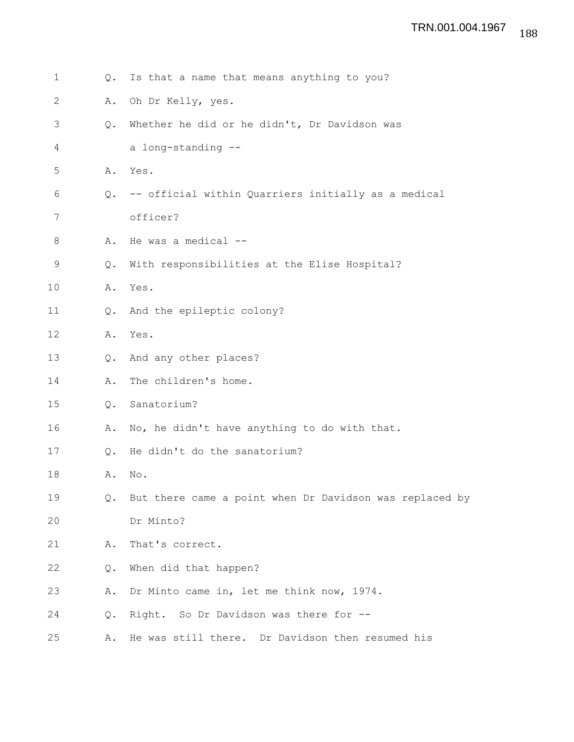| $\mathbf 1$  | Q. | Is that a name that means anything to you?              |
|--------------|----|---------------------------------------------------------|
| $\mathbf{2}$ | Α. | Oh Dr Kelly, yes.                                       |
| 3            | Q. | Whether he did or he didn't, Dr Davidson was            |
| 4            |    | a long-standing --                                      |
| 5            | Α. | Yes.                                                    |
| 6            | Q. | -- official within Quarriers initially as a medical     |
| 7            |    | officer?                                                |
| 8            | Α. | He was a medical --                                     |
| 9            | Q. | With responsibilities at the Elise Hospital?            |
| 10           | Α. | Yes.                                                    |
| 11           | Q. | And the epileptic colony?                               |
| 12           | Α. | Yes.                                                    |
| 13           | Q. | And any other places?                                   |
| 14           | Α. | The children's home.                                    |
| 15           | Q. | Sanatorium?                                             |
| 16           | Α. | No, he didn't have anything to do with that.            |
| 17           | Q. | He didn't do the sanatorium?                            |
| 18           | Α. | $\mathop{\rm No}\nolimits$ .                            |
| 19           | Q. | But there came a point when Dr Davidson was replaced by |
| 20           |    | Dr Minto?                                               |
| 21           | Α. | That's correct.                                         |
| 22           | Q. | When did that happen?                                   |
| 23           | Α. | Dr Minto came in, let me think now, 1974.               |
| 24           | Q. | Right. So Dr Davidson was there for --                  |
| 25           | Α. | He was still there. Dr Davidson then resumed his        |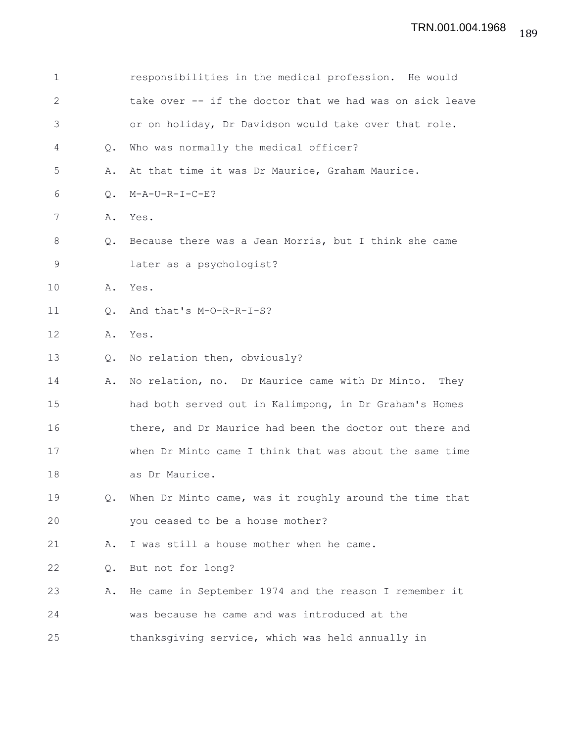| 1           |                | responsibilities in the medical profession. He would     |
|-------------|----------------|----------------------------------------------------------|
| 2           |                | take over -- if the doctor that we had was on sick leave |
| 3           |                | or on holiday, Dr Davidson would take over that role.    |
| 4           | $Q_{\bullet}$  | Who was normally the medical officer?                    |
| 5           | Α.             | At that time it was Dr Maurice, Graham Maurice.          |
| 6           | Q.             | M-A-U-R-I-C-E?                                           |
| 7           | Α.             | Yes.                                                     |
| 8           | Q.             | Because there was a Jean Morris, but I think she came    |
| $\mathsf 9$ |                | later as a psychologist?                                 |
| 10          | Α.             | Yes.                                                     |
| 11          | $\mathsf{Q}$ . | And that's M-O-R-R-I-S?                                  |
| 12          | Α.             | Yes.                                                     |
| 13          | $Q_{\bullet}$  | No relation then, obviously?                             |
| 14          | Α.             | No relation, no. Dr Maurice came with Dr Minto. They     |
| 15          |                | had both served out in Kalimpong, in Dr Graham's Homes   |
| 16          |                | there, and Dr Maurice had been the doctor out there and  |
| 17          |                | when Dr Minto came I think that was about the same time  |
| 18          |                | as Dr Maurice.                                           |
| 19          | Q.             | When Dr Minto came, was it roughly around the time that  |
| 20          |                | you ceased to be a house mother?                         |
| 21          | Α.             | I was still a house mother when he came.                 |
| 22          | Q.             | But not for long?                                        |
| 23          | Α.             | He came in September 1974 and the reason I remember it   |
| 24          |                | was because he came and was introduced at the            |
| 25          |                | thanksgiving service, which was held annually in         |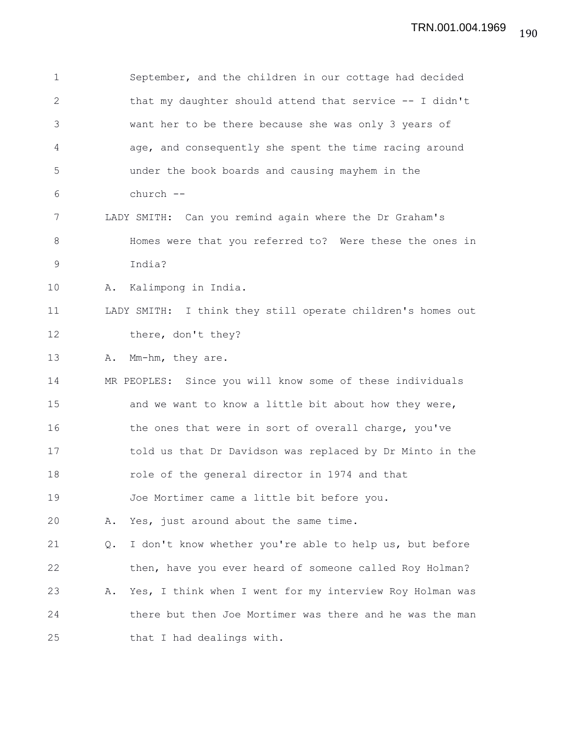1 September, and the children in our cottage had decided 2 that my daughter should attend that service -- I didn't 3 want her to be there because she was only 3 years of 4 age, and consequently she spent the time racing around 5 under the book boards and causing mayhem in the 6 church -- 7 LADY SMITH: Can you remind again where the Dr Graham's 8 Homes were that you referred to? Were these the ones in 9 India? 10 A. Kalimpong in India. 11 LADY SMITH: I think they still operate children's homes out 12 there, don't they? 13 A. Mm-hm, they are. 14 MR PEOPLES: Since you will know some of these individuals 15 and we want to know a little bit about how they were, 16 the ones that were in sort of overall charge, you've 17 told us that Dr Davidson was replaced by Dr Minto in the 18 role of the general director in 1974 and that 19 Joe Mortimer came a little bit before you. 20 A. Yes, just around about the same time. 21 Q. I don't know whether you're able to help us, but before 22 then, have you ever heard of someone called Roy Holman? 23 A. Yes, I think when I went for my interview Roy Holman was 24 there but then Joe Mortimer was there and he was the man 25 that I had dealings with.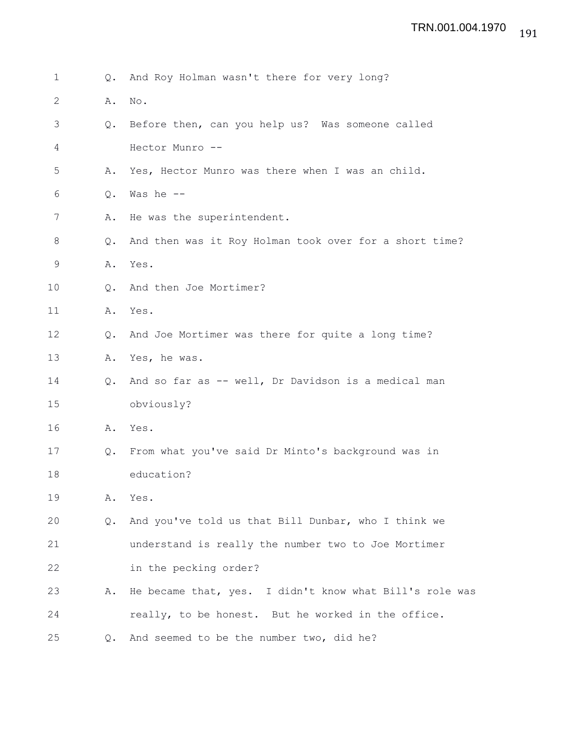| 1            | Q.            | And Roy Holman wasn't there for very long?              |
|--------------|---------------|---------------------------------------------------------|
| $\mathbf{2}$ | Α.            | No.                                                     |
| 3            | Q.            | Before then, can you help us? Was someone called        |
| 4            |               | Hector Munro --                                         |
| 5            | Α.            | Yes, Hector Munro was there when I was an child.        |
| 6            | Q.            | Was he --                                               |
| 7            | Α.            | He was the superintendent.                              |
| 8            | $Q_{\bullet}$ | And then was it Roy Holman took over for a short time?  |
| 9            | Α.            | Yes.                                                    |
| 10           | Q.            | And then Joe Mortimer?                                  |
| 11           | Α.            | Yes.                                                    |
| 12           | Q.            | And Joe Mortimer was there for quite a long time?       |
| 13           | Α.            | Yes, he was.                                            |
| 14           | $Q_{\bullet}$ | And so far as -- well, Dr Davidson is a medical man     |
| 15           |               | obviously?                                              |
| 16           | Α.            | Yes.                                                    |
| 17           | Q.            | From what you've said Dr Minto's background was in      |
| 18           |               | education?                                              |
| 19           | Α.            | Yes.                                                    |
| 20           | $Q_{\bullet}$ | And you've told us that Bill Dunbar, who I think we     |
| 21           |               | understand is really the number two to Joe Mortimer     |
| 22           |               | in the pecking order?                                   |
| 23           | Α.            | He became that, yes. I didn't know what Bill's role was |
| 24           |               | really, to be honest. But he worked in the office.      |
| 25           |               | Q. And seemed to be the number two, did he?             |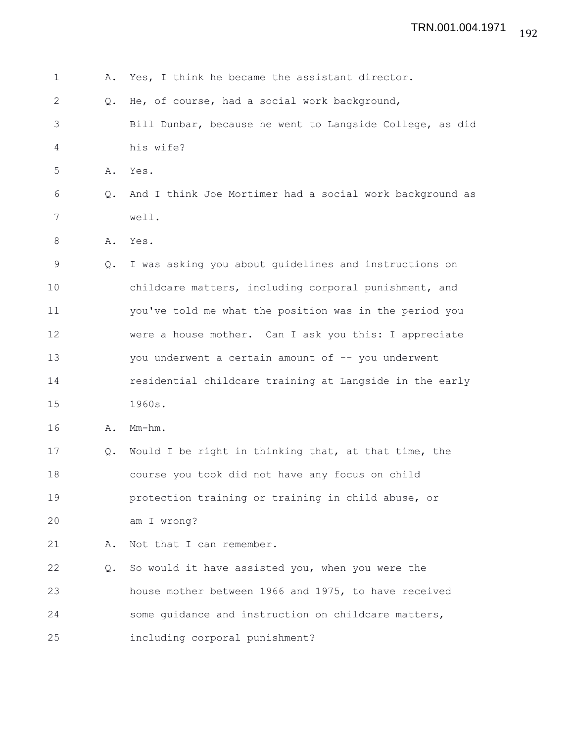| 1  | Α.            | Yes, I think he became the assistant director.           |
|----|---------------|----------------------------------------------------------|
| 2  | $Q_{\bullet}$ | He, of course, had a social work background,             |
| 3  |               | Bill Dunbar, because he went to Langside College, as did |
| 4  |               | his wife?                                                |
| 5  | Α.            | Yes.                                                     |
| 6  | Q.            | And I think Joe Mortimer had a social work background as |
| 7  |               | well.                                                    |
| 8  | Α.            | Yes.                                                     |
| 9  | $Q_{\bullet}$ | I was asking you about guidelines and instructions on    |
| 10 |               | childcare matters, including corporal punishment, and    |
| 11 |               | you've told me what the position was in the period you   |
| 12 |               | were a house mother. Can I ask you this: I appreciate    |
| 13 |               | you underwent a certain amount of -- you underwent       |
| 14 |               | residential childcare training at Langside in the early  |
| 15 |               | 1960s.                                                   |
| 16 | Α.            | $Mm-hm$ .                                                |
| 17 | Q.            | Would I be right in thinking that, at that time, the     |
| 18 |               | course you took did not have any focus on child          |
| 19 |               | protection training or training in child abuse, or       |
| 20 |               | am I wrong?                                              |
| 21 | Α.            | Not that I can remember.                                 |
| 22 | Q.            | So would it have assisted you, when you were the         |
| 23 |               | house mother between 1966 and 1975, to have received     |
| 24 |               | some quidance and instruction on childcare matters,      |
| 25 |               | including corporal punishment?                           |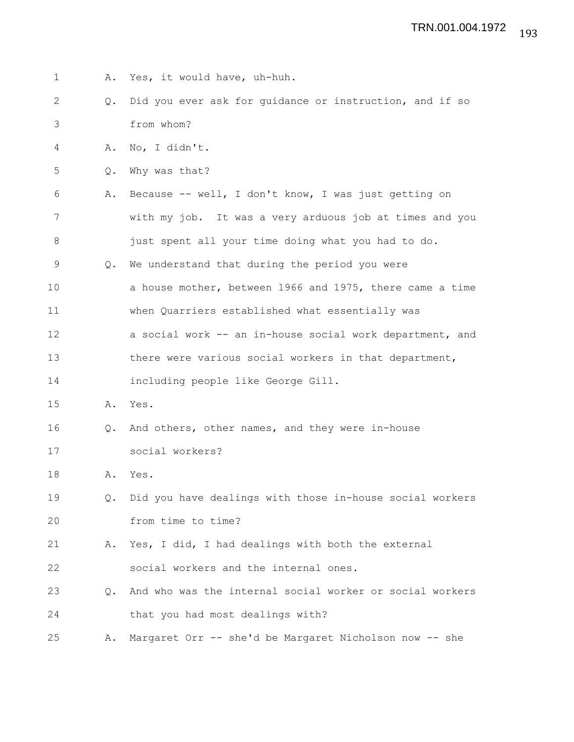| $\mathbf 1$ | Α.            | Yes, it would have, uh-huh.                              |
|-------------|---------------|----------------------------------------------------------|
| 2           | Q.            | Did you ever ask for quidance or instruction, and if so  |
| 3           |               | from whom?                                               |
| 4           | Α.            | No, I didn't.                                            |
| 5           | Q.            | Why was that?                                            |
| 6           | Α.            | Because -- well, I don't know, I was just getting on     |
| 7           |               | with my job. It was a very arduous job at times and you  |
| 8           |               | just spent all your time doing what you had to do.       |
| 9           | Q.            | We understand that during the period you were            |
| 10          |               | a house mother, between 1966 and 1975, there came a time |
| 11          |               | when Quarriers established what essentially was          |
| 12          |               | a social work -- an in-house social work department, and |
| 13          |               | there were various social workers in that department,    |
| 14          |               | including people like George Gill.                       |
| 15          | Α.            | Yes.                                                     |
| 16          | $Q_{\bullet}$ | And others, other names, and they were in-house          |
| 17          |               | social workers?                                          |
| 18          | Α.            | Yes.                                                     |
| 19          | $Q_{\bullet}$ | Did you have dealings with those in-house social workers |
| 20          |               | from time to time?                                       |
| 21          | Α.            | Yes, I did, I had dealings with both the external        |
| 22          |               | social workers and the internal ones.                    |
| 23          | $Q_{\bullet}$ | And who was the internal social worker or social workers |
| 24          |               | that you had most dealings with?                         |
| 25          | Α.            | Margaret Orr -- she'd be Margaret Nicholson now -- she   |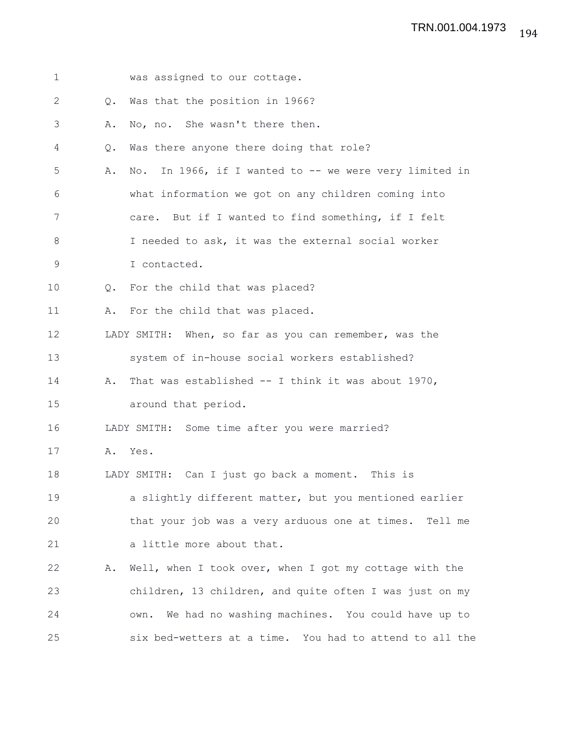| $\mathbf 1$  |               | was assigned to our cottage.                             |
|--------------|---------------|----------------------------------------------------------|
| $\mathbf{2}$ | Q.            | Was that the position in 1966?                           |
| 3            | Α.            | No, no. She wasn't there then.                           |
| 4            | Q.            | Was there anyone there doing that role?                  |
| 5            | Α.            | No. In 1966, if I wanted to -- we were very limited in   |
| 6            |               | what information we got on any children coming into      |
| 7            |               | care. But if I wanted to find something, if I felt       |
| 8            |               | I needed to ask, it was the external social worker       |
| 9            |               | I contacted.                                             |
| 10           | $Q_{\bullet}$ | For the child that was placed?                           |
| 11           |               | A. For the child that was placed.                        |
| 12           |               | LADY SMITH: When, so far as you can remember, was the    |
| 13           |               | system of in-house social workers established?           |
| 14           | Α.            | That was established $-$ I think it was about 1970,      |
| 15           |               | around that period.                                      |
| 16           |               | LADY SMITH: Some time after you were married?            |
| 17           |               | A. Yes.                                                  |
| 18           |               | LADY SMITH: Can I just go back a moment. This is         |
| 19           |               | a slightly different matter, but you mentioned earlier   |
| 20           |               | that your job was a very arduous one at times. Tell me   |
| 21           |               | a little more about that.                                |
| 22           | Α.            | Well, when I took over, when I got my cottage with the   |
| 23           |               | children, 13 children, and quite often I was just on my  |
| 24           |               | We had no washing machines. You could have up to<br>own. |
| 25           |               | six bed-wetters at a time. You had to attend to all the  |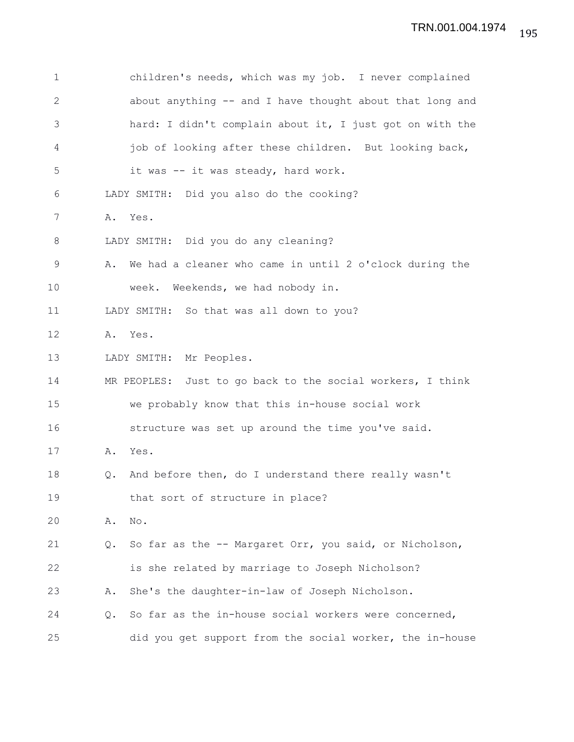| $\mathbf 1$ | children's needs, which was my job. I never complained        |
|-------------|---------------------------------------------------------------|
| $\sqrt{2}$  | about anything -- and I have thought about that long and      |
| 3           | hard: I didn't complain about it, I just got on with the      |
| 4           | job of looking after these children. But looking back,        |
| 5           | it was -- it was steady, hard work.                           |
| 6           | LADY SMITH: Did you also do the cooking?                      |
| 7           | A. Yes.                                                       |
| $\,8\,$     | LADY SMITH: Did you do any cleaning?                          |
| $\mathsf 9$ | We had a cleaner who came in until 2 o'clock during the<br>Α. |
| 10          | week. Weekends, we had nobody in.                             |
| 11          | LADY SMITH: So that was all down to you?                      |
| 12          | A. Yes.                                                       |
| 13          | LADY SMITH: Mr Peoples.                                       |
| 14          | MR PEOPLES: Just to go back to the social workers, I think    |
| 15          | we probably know that this in-house social work               |
| 16          | structure was set up around the time you've said.             |
| 17          | Yes.<br>Α.                                                    |
| 18          | And before then, do I understand there really wasn't<br>Q.    |
| 19          | that sort of structure in place?                              |
| 20          | No.<br>Α.                                                     |
| 21          | So far as the -- Margaret Orr, you said, or Nicholson,<br>Q.  |
| 22          | is she related by marriage to Joseph Nicholson?               |
| 23          | She's the daughter-in-law of Joseph Nicholson.<br>Α.          |
| 24          | So far as the in-house social workers were concerned,<br>Q.   |
| 25          | did you get support from the social worker, the in-house      |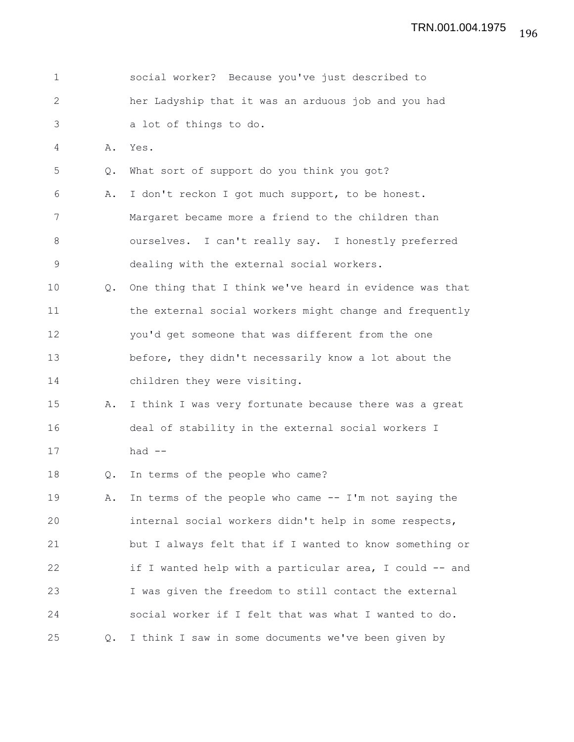| $\mathbf{1}$ |           | social worker? Because you've just described to         |
|--------------|-----------|---------------------------------------------------------|
| $\mathbf{2}$ |           | her Ladyship that it was an arduous job and you had     |
| 3            |           | a lot of things to do.                                  |
| 4            | Α.        | Yes.                                                    |
| 5            | Q.        | What sort of support do you think you got?              |
| 6            | Α.        | I don't reckon I got much support, to be honest.        |
| 7            |           | Margaret became more a friend to the children than      |
| 8            |           | ourselves. I can't really say. I honestly preferred     |
| $\mathsf 9$  |           | dealing with the external social workers.               |
| 10           | $\circ$ . | One thing that I think we've heard in evidence was that |
| 11           |           | the external social workers might change and frequently |
| 12           |           | you'd get someone that was different from the one       |
| 13           |           | before, they didn't necessarily know a lot about the    |
| 14           |           | children they were visiting.                            |
| 15           | Α.        | I think I was very fortunate because there was a great  |
| 16           |           | deal of stability in the external social workers I      |
| 17           |           | had $--$                                                |
| 18           | Q.        | In terms of the people who came?                        |
| 19           | Α.        | In terms of the people who came -- I'm not saying the   |
| 20           |           | internal social workers didn't help in some respects,   |
| 21           |           | but I always felt that if I wanted to know something or |
| 22           |           | if I wanted help with a particular area, I could -- and |
| 23           |           | I was given the freedom to still contact the external   |
| 24           |           | social worker if I felt that was what I wanted to do.   |
| 25           | Q.        | I think I saw in some documents we've been given by     |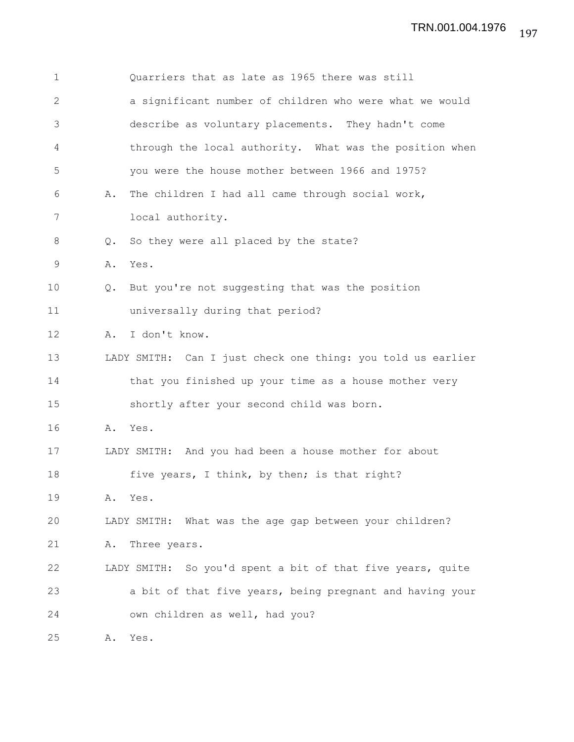| $\mathbf 1$   |    | Quarriers that as late as 1965 there was still              |
|---------------|----|-------------------------------------------------------------|
| 2             |    | a significant number of children who were what we would     |
| 3             |    | describe as voluntary placements. They hadn't come          |
| 4             |    | through the local authority. What was the position when     |
| 5             |    | you were the house mother between 1966 and 1975?            |
| 6             | Α. | The children I had all came through social work,            |
| 7             |    | local authority.                                            |
| 8             | Q. | So they were all placed by the state?                       |
| $\mathcal{G}$ | Α. | Yes.                                                        |
| 10            | Q. | But you're not suggesting that was the position             |
| 11            |    | universally during that period?                             |
| 12            | Α. | I don't know.                                               |
| 13            |    | LADY SMITH: Can I just check one thing: you told us earlier |
| 14            |    | that you finished up your time as a house mother very       |
| 15            |    | shortly after your second child was born.                   |
| 16            | Α. | Yes.                                                        |
| 17            |    | LADY SMITH: And you had been a house mother for about       |
| 18            |    | five years, I think, by then; is that right?                |
| 19            | Α. | Yes.                                                        |
| 20            |    | LADY SMITH: What was the age gap between your children?     |
| 21            | Α. | Three years.                                                |
| 22            |    | LADY SMITH: So you'd spent a bit of that five years, quite  |
| 23            |    | a bit of that five years, being pregnant and having your    |
| 24            |    | own children as well, had you?                              |
| 25            | Α. | Yes.                                                        |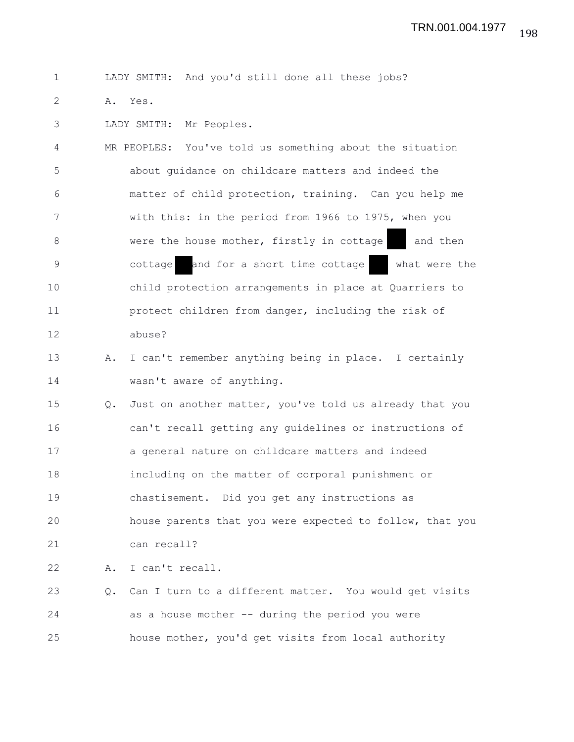1 LADY SMITH: And you'd still done all these jobs?

2 A. Yes.

3 LADY SMITH: Mr Peoples.

4 MR PEOPLES: You've told us something about the situation 5 about guidance on childcare matters and indeed the 6 matter of child protection, training. Can you help me 7 with this: in the period from 1966 to 1975, when you 8 were the house mother, firstly in cottage and then 9 cottage and for a short time cottage what were the 10 child protection arrangements in place at Quarriers to 11 protect children from danger, including the risk of 12 abuse?

13 A. I can't remember anything being in place. I certainly 14 wasn't aware of anything.

15 Q. Just on another matter, you've told us already that you 16 can't recall getting any guidelines or instructions of 17 a general nature on childcare matters and indeed 18 including on the matter of corporal punishment or 19 chastisement. Did you get any instructions as 20 house parents that you were expected to follow, that you 21 can recall?

22 A. I can't recall.

23 Q. Can I turn to a different matter. You would get visits 24 as a house mother -- during the period you were 25 house mother, you'd get visits from local authority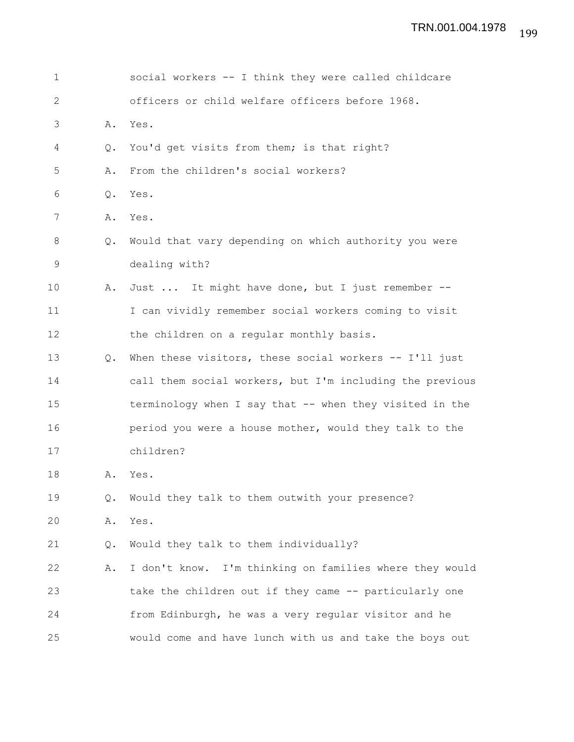| $\mathbf 1$ |               | social workers -- I think they were called childcare     |
|-------------|---------------|----------------------------------------------------------|
| 2           |               | officers or child welfare officers before 1968.          |
| 3           | Α.            | Yes.                                                     |
| 4           | Q.            | You'd get visits from them; is that right?               |
| 5           | Α.            | From the children's social workers?                      |
| 6           | Q.            | Yes.                                                     |
| 7           | Α.            | Yes.                                                     |
| 8           | Q.            | Would that vary depending on which authority you were    |
| 9           |               | dealing with?                                            |
| 10          | Α.            | Just  It might have done, but I just remember --         |
| 11          |               | I can vividly remember social workers coming to visit    |
| 12          |               | the children on a regular monthly basis.                 |
| 13          | $Q_{\bullet}$ | When these visitors, these social workers -- I'll just   |
| 14          |               | call them social workers, but I'm including the previous |
| 15          |               | terminology when I say that -- when they visited in the  |
| 16          |               | period you were a house mother, would they talk to the   |
| 17          |               | children?                                                |
| 18          | Α.            | Yes.                                                     |
| 19          | $Q$ .         | Would they talk to them outwith your presence?           |
| 20          | Α.            | Yes.                                                     |
| 21          | Q.            | Would they talk to them individually?                    |
| 22          | Α.            | I don't know. I'm thinking on families where they would  |
| 23          |               | take the children out if they came -- particularly one   |
| 24          |               | from Edinburgh, he was a very regular visitor and he     |
| 25          |               | would come and have lunch with us and take the boys out  |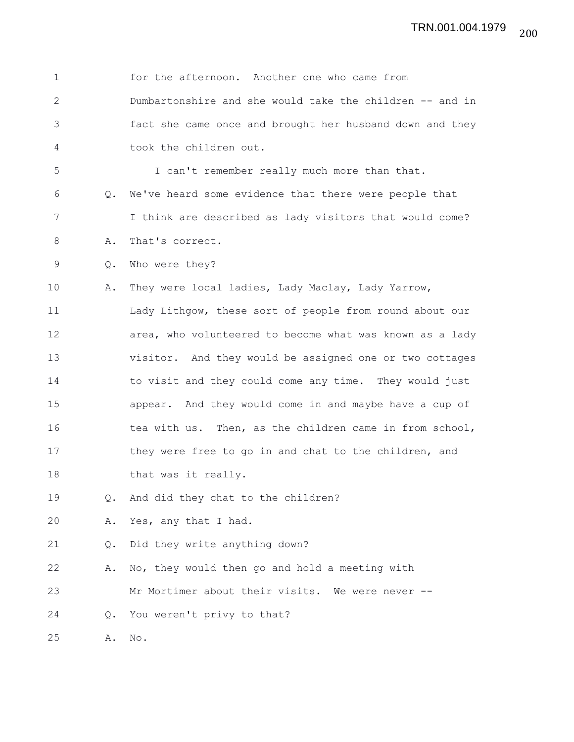| $\mathbf{1}$ |    | for the afternoon. Another one who came from             |
|--------------|----|----------------------------------------------------------|
| $\mathbf{2}$ |    | Dumbartonshire and she would take the children -- and in |
| 3            |    | fact she came once and brought her husband down and they |
| 4            |    | took the children out.                                   |
| 5            |    | I can't remember really much more than that.             |
| 6            |    | Q. We've heard some evidence that there were people that |
| 7            |    | I think are described as lady visitors that would come?  |
| 8            | Α. | That's correct.                                          |
| 9            | Q. | Who were they?                                           |
| 10           | Α. | They were local ladies, Lady Maclay, Lady Yarrow,        |
| 11           |    | Lady Lithgow, these sort of people from round about our  |
| 12           |    | area, who volunteered to become what was known as a lady |
| 13           |    | visitor. And they would be assigned one or two cottages  |
| 14           |    | to visit and they could come any time. They would just   |
| 15           |    | appear. And they would come in and maybe have a cup of   |
| 16           |    | tea with us. Then, as the children came in from school,  |
| 17           |    | they were free to go in and chat to the children, and    |
| 18           |    | that was it really.                                      |
| 19           | Q. | And did they chat to the children?                       |
| 20           | Α. | Yes, any that I had.                                     |
| 21           | Q. | Did they write anything down?                            |
| 22           | Α. | No, they would then go and hold a meeting with           |
| 23           |    | Mr Mortimer about their visits. We were never --         |
| 24           | Q. | You weren't privy to that?                               |
| 25           | Α. | No.                                                      |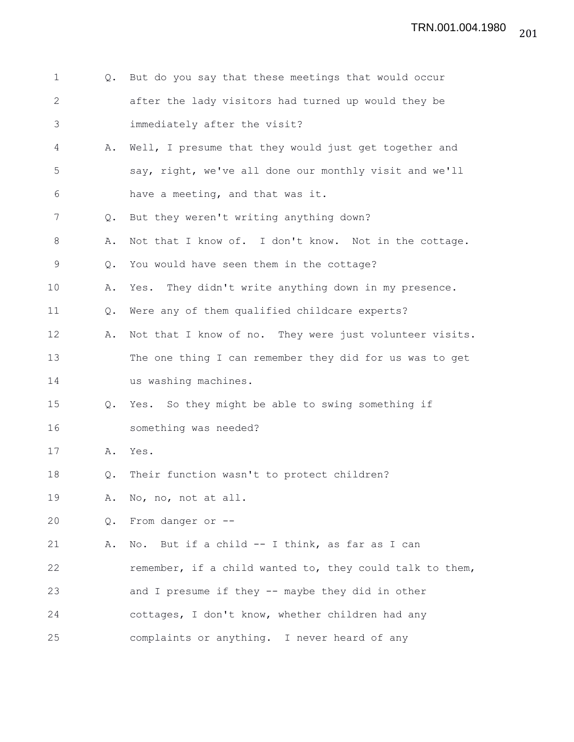| $\mathbf{1}$   | $Q_{\bullet}$ | But do you say that these meetings that would occur      |
|----------------|---------------|----------------------------------------------------------|
| $\mathbf{2}$   |               | after the lady visitors had turned up would they be      |
| 3              |               | immediately after the visit?                             |
| $\overline{4}$ | Α.            | Well, I presume that they would just get together and    |
| 5              |               | say, right, we've all done our monthly visit and we'll   |
| 6              |               | have a meeting, and that was it.                         |
| 7              | Q.            | But they weren't writing anything down?                  |
| 8              | Α.            | Not that I know of. I don't know. Not in the cottage.    |
| 9              | Q.            | You would have seen them in the cottage?                 |
| 10             | Α.            | Yes. They didn't write anything down in my presence.     |
| 11             | Q.            | Were any of them qualified childcare experts?            |
| 12             | Α.            | Not that I know of no. They were just volunteer visits.  |
| 13             |               | The one thing I can remember they did for us was to get  |
| 14             |               | us washing machines.                                     |
| 15             | Q.            | Yes. So they might be able to swing something if         |
| 16             |               | something was needed?                                    |
| 17             | Α.            | Yes.                                                     |
| 18             | Q.            | Their function wasn't to protect children?               |
| 19             |               | A. No, no, not at all.                                   |
| 20             | Q.            | From danger or --                                        |
| 21             | Α.            | No. But if a child -- I think, as far as I can           |
| 22             |               | remember, if a child wanted to, they could talk to them, |
| 23             |               | and I presume if they -- maybe they did in other         |
| 24             |               | cottages, I don't know, whether children had any         |
| 25             |               | complaints or anything. I never heard of any             |

201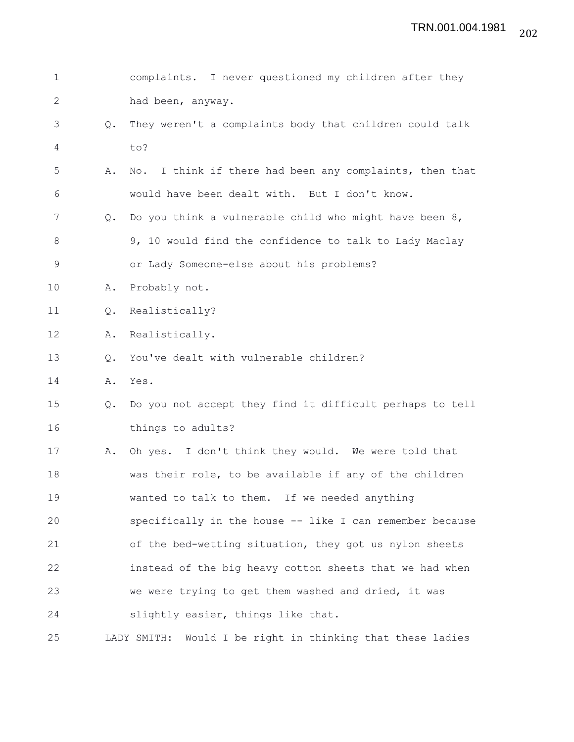| $\mathbf 1$  |    | complaints. I never questioned my children after they         |
|--------------|----|---------------------------------------------------------------|
| $\mathbf{2}$ |    | had been, anyway.                                             |
| 3            | Q. | They weren't a complaints body that children could talk       |
| 4            |    | to?                                                           |
| 5            | Α. | I think if there had been any complaints, then that<br>No.    |
| 6            |    | would have been dealt with. But I don't know.                 |
| 7            | Q. | Do you think a vulnerable child who might have been 8,        |
| 8            |    | 9, 10 would find the confidence to talk to Lady Maclay        |
| $\mathsf 9$  |    | or Lady Someone-else about his problems?                      |
| 10           | Α. | Probably not.                                                 |
| 11           | Q. | Realistically?                                                |
| 12           | Α. | Realistically.                                                |
| 13           | Q. | You've dealt with vulnerable children?                        |
| 14           | Α. | Yes.                                                          |
| 15           | Q. | Do you not accept they find it difficult perhaps to tell      |
| 16           |    | things to adults?                                             |
| 17           | Α. | Oh yes. I don't think they would. We were told that           |
| 18           |    | was their role, to be available if any of the children        |
| 19           |    | wanted to talk to them. If we needed anything                 |
| 20           |    | specifically in the house -- like I can remember because      |
| 21           |    | of the bed-wetting situation, they got us nylon sheets        |
| 22           |    | instead of the big heavy cotton sheets that we had when       |
| 23           |    | we were trying to get them washed and dried, it was           |
| 24           |    | slightly easier, things like that.                            |
| 25           |    | LADY SMITH:<br>Would I be right in thinking that these ladies |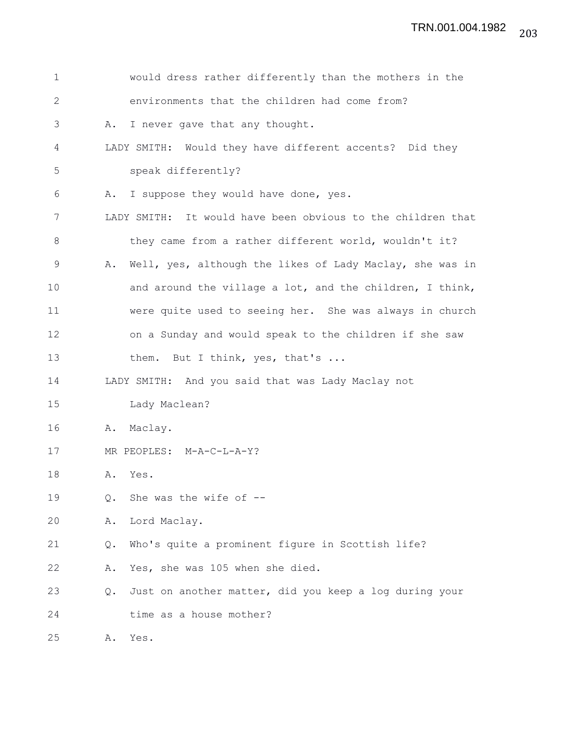| $\mathbf 1$  | would dress rather differently than the mothers in the         |
|--------------|----------------------------------------------------------------|
| $\mathbf{2}$ | environments that the children had come from?                  |
| 3            | I never gave that any thought.<br>Α.                           |
| 4            | LADY SMITH: Would they have different accents? Did they        |
| 5            | speak differently?                                             |
| 6            | I suppose they would have done, yes.<br>Α.                     |
| 7            | LADY SMITH: It would have been obvious to the children that    |
| 8            | they came from a rather different world, wouldn't it?          |
| 9            | Well, yes, although the likes of Lady Maclay, she was in<br>Α. |
| 10           | and around the village a lot, and the children, I think,       |
| 11           | were quite used to seeing her. She was always in church        |
| 12           | on a Sunday and would speak to the children if she saw         |
| 13           | them. But I think, yes, that's                                 |
| 14           | LADY SMITH: And you said that was Lady Maclay not              |
| 15           | Lady Maclean?                                                  |
| 16           | Maclay.<br>Α.                                                  |
| 17           | MR PEOPLES: M-A-C-L-A-Y?                                       |
| 18           | Yes.<br>Α.                                                     |
| 19           | She was the wife of $-$ -<br>Q.                                |
| 20           | Lord Maclay.<br>Α.                                             |
| 21           | Who's quite a prominent figure in Scottish life?<br>Q.         |
| 22           | Yes, she was 105 when she died.<br>Α.                          |
| 23           | Just on another matter, did you keep a log during your<br>Q.   |
| 24           | time as a house mother?                                        |
| 25           | Yes.<br>Α.                                                     |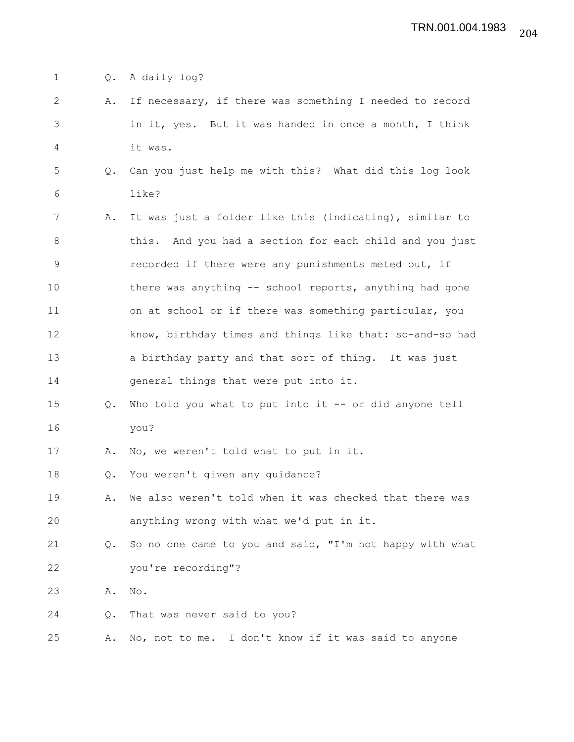1 Q. A daily log?

- 2 A. If necessary, if there was something I needed to record 3 in it, yes. But it was handed in once a month, I think 4 it was.
- 5 Q. Can you just help me with this? What did this log look 6 like?
- 7 A. It was just a folder like this (indicating), similar to 8 this. And you had a section for each child and you just 9 **example 1** recorded if there were any punishments meted out, if 10 there was anything -- school reports, anything had gone 11 on at school or if there was something particular, you 12 know, birthday times and things like that: so-and-so had 13 a birthday party and that sort of thing. It was just 14 general things that were put into it.
- 15 Q. Who told you what to put into it -- or did anyone tell 16 you?

17 A. No, we weren't told what to put in it.

18 Q. You weren't given any guidance?

- 19 A. We also weren't told when it was checked that there was 20 anything wrong with what we'd put in it.
- 21 Q. So no one came to you and said, "I'm not happy with what 22 you're recording"?

23 A. No.

24 Q. That was never said to you?

25 A. No, not to me. I don't know if it was said to anyone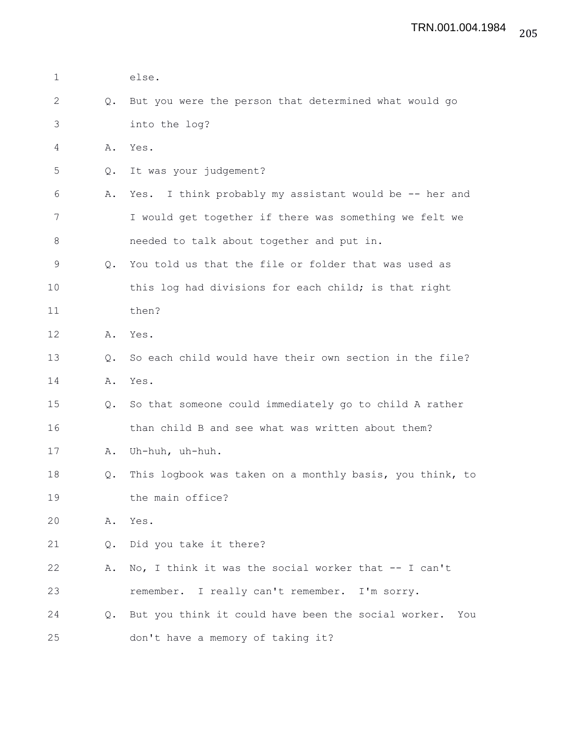| $\mathbf{1}$ |               | else.                                                      |
|--------------|---------------|------------------------------------------------------------|
| 2            | Q.            | But you were the person that determined what would go      |
| 3            |               | into the log?                                              |
| 4            | Α.            | Yes.                                                       |
| 5            | Q.            | It was your judgement?                                     |
| 6            | Α.            | Yes. I think probably my assistant would be -- her and     |
| 7            |               | I would get together if there was something we felt we     |
| 8            |               | needed to talk about together and put in.                  |
| 9            | $Q_{\bullet}$ | You told us that the file or folder that was used as       |
| 10           |               | this log had divisions for each child; is that right       |
| 11           |               | then?                                                      |
| 12           | Α.            | Yes.                                                       |
| 13           | Q.            | So each child would have their own section in the file?    |
| 14           | Α.            | Yes.                                                       |
| 15           | $Q_{\bullet}$ | So that someone could immediately go to child A rather     |
| 16           |               | than child B and see what was written about them?          |
| 17           | Α.            | Uh-huh, uh-huh.                                            |
| 18           | Q.            | This logbook was taken on a monthly basis, you think, to   |
| 19           |               | the main office?                                           |
| 20           | Α.            | Yes.                                                       |
| 21           | Q.            | Did you take it there?                                     |
| 22           | Α.            | No, I think it was the social worker that -- I can't       |
| 23           |               | remember. I really can't remember. I'm sorry.              |
| 24           | $Q_{\bullet}$ | But you think it could have been the social worker.<br>You |
| 25           |               | don't have a memory of taking it?                          |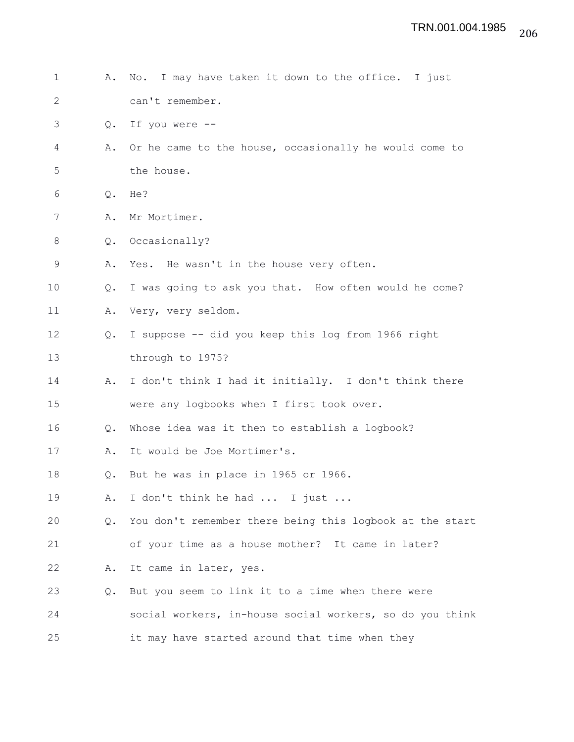| $\mathbf 1$  | Α.             | No. I may have taken it down to the office. I just       |
|--------------|----------------|----------------------------------------------------------|
| $\mathbf{2}$ |                | can't remember.                                          |
| 3            | Q.             | If you were --                                           |
| 4            | Α.             | Or he came to the house, occasionally he would come to   |
| 5            |                | the house.                                               |
| 6            | $\mathsf{Q}$ . | He?                                                      |
| 7            | Α.             | Mr Mortimer.                                             |
| $8\,$        | Q.             | Occasionally?                                            |
| $\mathsf 9$  | Α.             | Yes. He wasn't in the house very often.                  |
| 10           | $Q_{\bullet}$  | I was going to ask you that. How often would he come?    |
| 11           | Α.             | Very, very seldom.                                       |
| 12           | Q.             | I suppose -- did you keep this log from 1966 right       |
| 13           |                | through to 1975?                                         |
| 14           | Α.             | I don't think I had it initially. I don't think there    |
| 15           |                | were any logbooks when I first took over.                |
| 16           | $Q_{\bullet}$  | Whose idea was it then to establish a logbook?           |
| 17           | Α.             | It would be Joe Mortimer's.                              |
| 18           | Q.             | But he was in place in 1965 or 1966.                     |
| 19           | Α.             | I don't think he had  I just                             |
| 20           | $Q_{\bullet}$  | You don't remember there being this logbook at the start |
| 21           |                | of your time as a house mother? It came in later?        |
| 22           | Α.             | It came in later, yes.                                   |
| 23           | Q.             | But you seem to link it to a time when there were        |
| 24           |                | social workers, in-house social workers, so do you think |
| 25           |                | it may have started around that time when they           |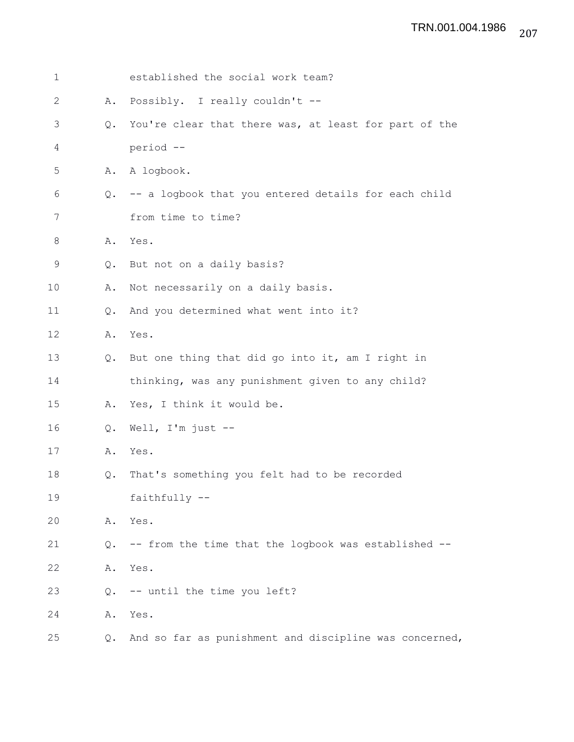| $\mathbf 1$   |               | established the social work team?                      |
|---------------|---------------|--------------------------------------------------------|
| $\mathbf{2}$  | Α.            | Possibly. I really couldn't --                         |
| $\mathcal{S}$ | Q.            | You're clear that there was, at least for part of the  |
| 4             |               | period --                                              |
| 5             | Α.            | A logbook.                                             |
| 6             | Q.            | -- a logbook that you entered details for each child   |
| 7             |               | from time to time?                                     |
| 8             | Α.            | Yes.                                                   |
| $\mathsf 9$   | Q.            | But not on a daily basis?                              |
| 10            | Α.            | Not necessarily on a daily basis.                      |
| 11            | Q.            | And you determined what went into it?                  |
| 12            | Α.            | Yes.                                                   |
| 13            | $Q_{\bullet}$ | But one thing that did go into it, am I right in       |
| 14            |               | thinking, was any punishment given to any child?       |
| 15            | Α.            | Yes, I think it would be.                              |
| 16            | $Q$ .         | Well, $I'm$ just $-$ -                                 |
| 17            | Α.            | Yes.                                                   |
| 18            | Q.            | That's something you felt had to be recorded           |
| 19            |               | faithfully --                                          |
| 20            | Α.            | Yes.                                                   |
| 21            | Q.            | -- from the time that the logbook was established --   |
| 22            | Α.            | Yes.                                                   |
| 23            | Q.            | -- until the time you left?                            |
| 24            | Α.            | Yes.                                                   |
| 25            | Q.            | And so far as punishment and discipline was concerned, |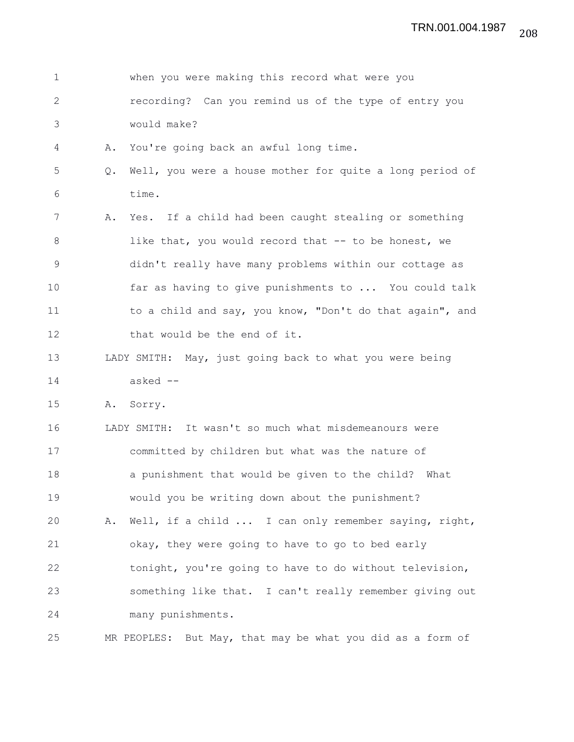| $\mathbf{1}$ |    | when you were making this record what were you             |
|--------------|----|------------------------------------------------------------|
| 2            |    | recording? Can you remind us of the type of entry you      |
| 3            |    | would make?                                                |
| 4            | Α. | You're going back an awful long time.                      |
| 5            | Q. | Well, you were a house mother for quite a long period of   |
| 6            |    | time.                                                      |
| 7            | Α. | Yes. If a child had been caught stealing or something      |
| 8            |    | like that, you would record that -- to be honest, we       |
| $\mathsf 9$  |    | didn't really have many problems within our cottage as     |
| 10           |    | far as having to give punishments to  You could talk       |
| 11           |    | to a child and say, you know, "Don't do that again", and   |
| 12           |    | that would be the end of it.                               |
| 13           |    | LADY SMITH: May, just going back to what you were being    |
| 14           |    | asked --                                                   |
| 15           |    | A. Sorry.                                                  |
| 16           |    | LADY SMITH: It wasn't so much what misdemeanours were      |
| 17           |    | committed by children but what was the nature of           |
| 18           |    | a punishment that would be given to the child? What        |
| 19           |    | would you be writing down about the punishment?            |
| 20           | Α. | Well, if a child  I can only remember saying, right,       |
| 21           |    | okay, they were going to have to go to bed early           |
| 22           |    | tonight, you're going to have to do without television,    |
| 23           |    | something like that. I can't really remember giving out    |
| 24           |    | many punishments.                                          |
| 25           |    | MR PEOPLES: But May, that may be what you did as a form of |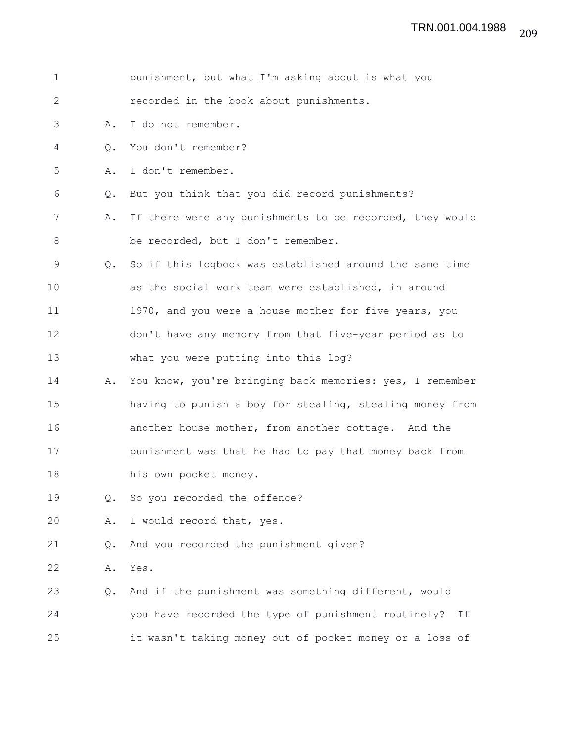| $\mathbf 1$ |           | punishment, but what I'm asking about is what you         |
|-------------|-----------|-----------------------------------------------------------|
| 2           |           | recorded in the book about punishments.                   |
| 3           | Α.        | I do not remember.                                        |
| 4           | $\circ$ . | You don't remember?                                       |
| 5           | Α.        | I don't remember.                                         |
| 6           | Q.        | But you think that you did record punishments?            |
| 7           | Α.        | If there were any punishments to be recorded, they would  |
| 8           |           | be recorded, but I don't remember.                        |
| $\mathsf 9$ | Q.        | So if this logbook was established around the same time   |
| 10          |           | as the social work team were established, in around       |
| 11          |           | 1970, and you were a house mother for five years, you     |
| 12          |           | don't have any memory from that five-year period as to    |
| 13          |           | what you were putting into this log?                      |
| 14          | Α.        | You know, you're bringing back memories: yes, I remember  |
| 15          |           | having to punish a boy for stealing, stealing money from  |
| 16          |           | another house mother, from another cottage. And the       |
| 17          |           | punishment was that he had to pay that money back from    |
| 18          |           | his own pocket money.                                     |
| 19          | Q.        | So you recorded the offence?                              |
| 20          | Α.        | I would record that, yes.                                 |
| 21          | Q.        | And you recorded the punishment given?                    |
| 22          | Α.        | Yes.                                                      |
| 23          | Q.        | And if the punishment was something different, would      |
| 24          |           | you have recorded the type of punishment routinely?<br>Ιf |
| 25          |           | it wasn't taking money out of pocket money or a loss of   |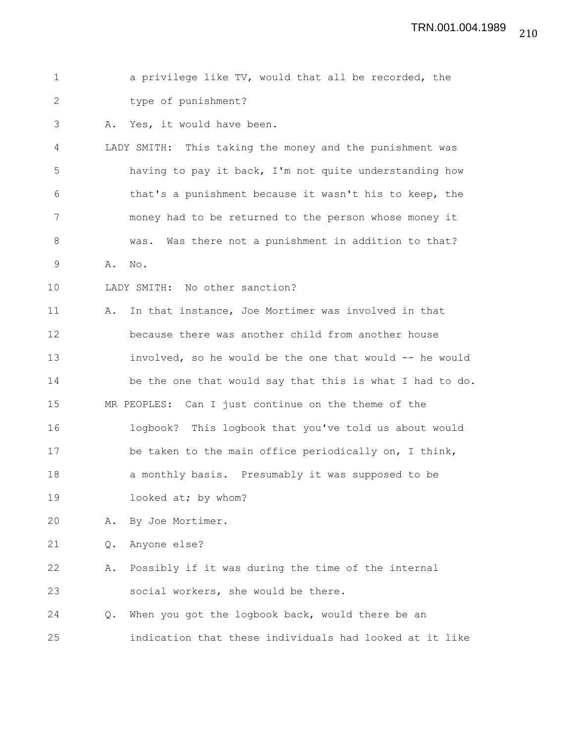| $\mathbf 1$  |    | a privilege like TV, would that all be recorded, the     |
|--------------|----|----------------------------------------------------------|
| $\mathbf{2}$ |    | type of punishment?                                      |
| 3            | Α. | Yes, it would have been.                                 |
| 4            |    | LADY SMITH: This taking the money and the punishment was |
| 5            |    | having to pay it back, I'm not quite understanding how   |
| 6            |    | that's a punishment because it wasn't his to keep, the   |
| 7            |    | money had to be returned to the person whose money it    |
| 8            |    | Was there not a punishment in addition to that?<br>was.  |
| 9            | Α. | No.                                                      |
| 10           |    | LADY SMITH: No other sanction?                           |
| 11           | Α. | In that instance, Joe Mortimer was involved in that      |
| 12           |    | because there was another child from another house       |
| 13           |    | involved, so he would be the one that would -- he would  |
| 14           |    | be the one that would say that this is what I had to do. |
| 15           |    | MR PEOPLES: Can I just continue on the theme of the      |
| 16           |    | logbook? This logbook that you've told us about would    |
| 17           |    | be taken to the main office periodically on, I think,    |
| 18           |    | a monthly basis. Presumably it was supposed to be        |
| 19           |    | looked at; by whom?                                      |
| 20           | Α. | By Joe Mortimer.                                         |
| 21           | Q. | Anyone else?                                             |
| 22           | Α. | Possibly if it was during the time of the internal       |
| 23           |    | social workers, she would be there.                      |
| 24           | Q. | When you got the logbook back, would there be an         |
| 25           |    | indication that these individuals had looked at it like  |
|              |    |                                                          |
|              |    |                                                          |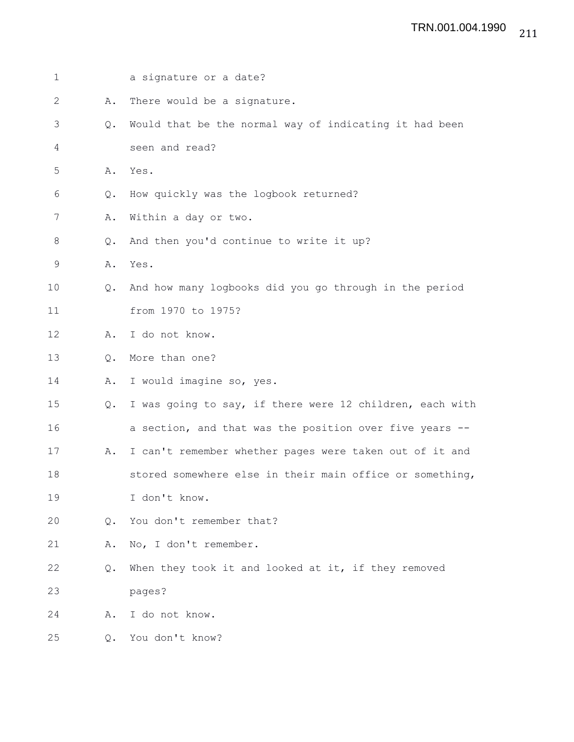| $\mathbf 1$  |               | a signature or a date?                                   |
|--------------|---------------|----------------------------------------------------------|
| $\mathbf{2}$ | Α.            | There would be a signature.                              |
| 3            | Q.            | Would that be the normal way of indicating it had been   |
| 4            |               | seen and read?                                           |
| 5            | Α.            | Yes.                                                     |
| 6            | Q.            | How quickly was the logbook returned?                    |
| 7            | Α.            | Within a day or two.                                     |
| 8            | Q.            | And then you'd continue to write it up?                  |
| 9            | Α.            | Yes.                                                     |
| 10           | $Q_{\bullet}$ | And how many logbooks did you go through in the period   |
| 11           |               | from 1970 to 1975?                                       |
| 12           | Α.            | I do not know.                                           |
| 13           | Q.            | More than one?                                           |
| 14           | Α.            | I would imagine so, yes.                                 |
| 15           | Q.            | I was going to say, if there were 12 children, each with |
| 16           |               | a section, and that was the position over five years --  |
| 17           | Α.            | I can't remember whether pages were taken out of it and  |
| 18           |               | stored somewhere else in their main office or something, |
| 19           |               | I don't know.                                            |
| 20           | $\circ$ .     | You don't remember that?                                 |
| 21           | Α.            | No, I don't remember.                                    |
| 22           | Q.            | When they took it and looked at it, if they removed      |
| 23           |               | pages?                                                   |
| 24           | Α.            | I do not know.                                           |
| 25           | Q.            | You don't know?                                          |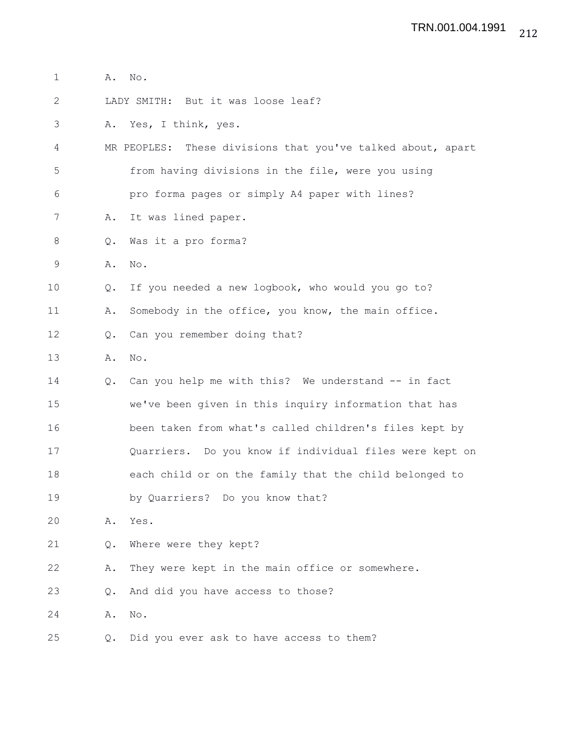- 1 **A.** No.
- 2 LADY SMITH: But it was loose leaf?
- 3 A. Yes, I think, yes.
- 4 MR PEOPLES: These divisions that you've talked about, apart 5 from having divisions in the file, were you using
- 6 pro forma pages or simply A4 paper with lines?
- 7 A. It was lined paper.
- 8 Q. Was it a pro forma?
- 9 A. No.
- 10 Q. If you needed a new logbook, who would you go to?
- 11 A. Somebody in the office, you know, the main office.
- 12 Q. Can you remember doing that?
- 13 A. No.
- 14 Q. Can you help me with this? We understand -- in fact 15 we've been given in this inquiry information that has 16 been taken from what's called children's files kept by 17 Quarriers. Do you know if individual files were kept on 18 each child or on the family that the child belonged to 19 by Quarriers? Do you know that?
- 20 A. Yes.
- 21 Q. Where were they kept?
- 22 A. They were kept in the main office or somewhere.
- 23 Q. And did you have access to those?
- 24 A. No.
- 25 Q. Did you ever ask to have access to them?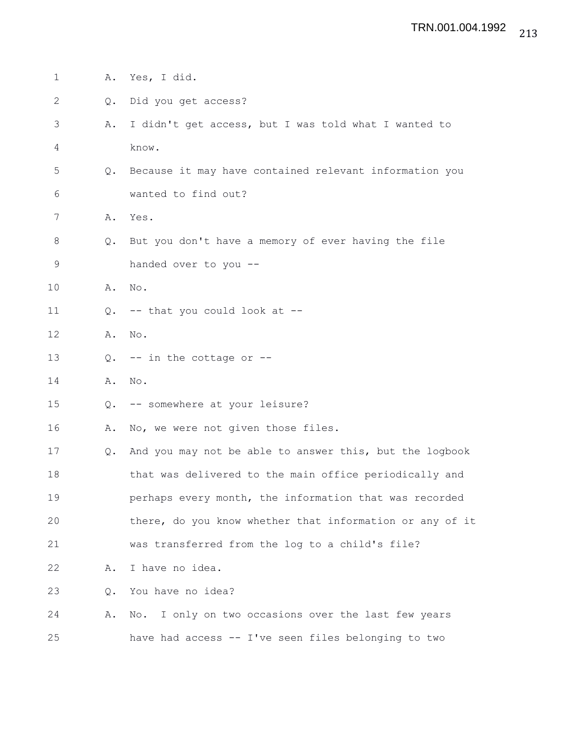| $\mathbf 1$  | Α.            | Yes, I did.                                              |
|--------------|---------------|----------------------------------------------------------|
| $\mathbf{2}$ | Q.            | Did you get access?                                      |
| 3            | Α.            | I didn't get access, but I was told what I wanted to     |
| 4            |               | know.                                                    |
| 5            | $Q_{\bullet}$ | Because it may have contained relevant information you   |
| 6            |               | wanted to find out?                                      |
| 7            | Α.            | Yes.                                                     |
| 8            | Q.            | But you don't have a memory of ever having the file      |
| 9            |               | handed over to you --                                    |
| 10           | Α.            | No.                                                      |
| 11           | Q.            | -- that you could look at --                             |
| 12           | Α.            | No.                                                      |
| 13           | $Q_{\bullet}$ | $--$ in the cottage or $--$                              |
| 14           | Α.            | No.                                                      |
| 15           | Q.            | -- somewhere at your leisure?                            |
| 16           | Α.            | No, we were not given those files.                       |
| 17           | Q.            | And you may not be able to answer this, but the logbook  |
| 18           |               | that was delivered to the main office periodically and   |
| 19           |               | perhaps every month, the information that was recorded   |
| 20           |               | there, do you know whether that information or any of it |
| 21           |               | was transferred from the log to a child's file?          |
| 22           | Α.            | I have no idea.                                          |
| 23           | Q.            | You have no idea?                                        |
| 24           | Α.            | No. I only on two occasions over the last few years      |
| 25           |               | have had access -- I've seen files belonging to two      |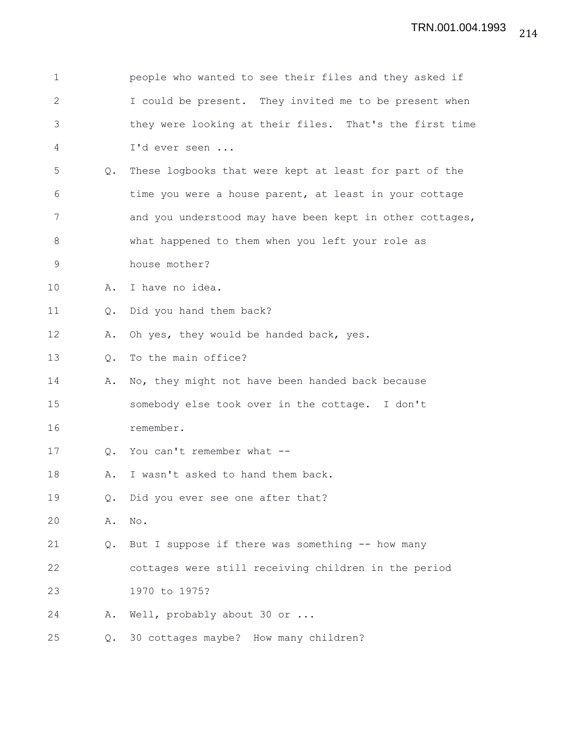| 1           |               | people who wanted to see their files and they asked if   |
|-------------|---------------|----------------------------------------------------------|
| 2           |               | I could be present. They invited me to be present when   |
| 3           |               | they were looking at their files. That's the first time  |
| 4           |               | I'd ever seen                                            |
| 5           | Q.            | These logbooks that were kept at least for part of the   |
| 6           |               | time you were a house parent, at least in your cottage   |
| 7           |               | and you understood may have been kept in other cottages, |
| 8           |               | what happened to them when you left your role as         |
| $\mathsf 9$ |               | house mother?                                            |
| 10          | Α.            | I have no idea.                                          |
| 11          | Q.            | Did you hand them back?                                  |
| 12          | Α.            | Oh yes, they would be handed back, yes.                  |
| 13          | Q.            | To the main office?                                      |
| 14          | Α.            | No, they might not have been handed back because         |
| 15          |               | somebody else took over in the cottage. I don't          |
| 16          |               | remember.                                                |
| 17          | $Q_{\bullet}$ | You can't remember what --                               |
| 18          | Α.            | I wasn't asked to hand them back.                        |
| 19          | Q.            | Did you ever see one after that?                         |
| 20          | Α.            | No.                                                      |
| 21          | Q.            | But I suppose if there was something -- how many         |
| 22          |               | cottages were still receiving children in the period     |
| 23          |               | 1970 to 1975?                                            |
| 24          | Α.            | Well, probably about 30 or                               |
| 25          | Q.            | 30 cottages maybe? How many children?                    |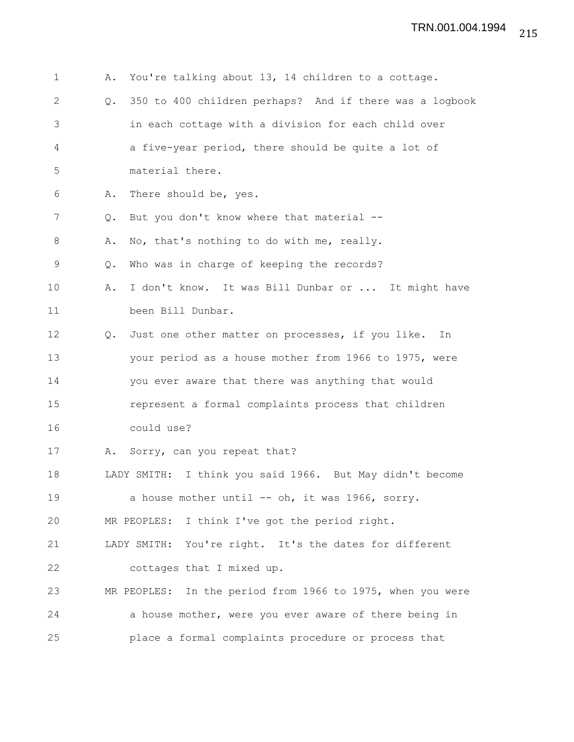| $\mathbf 1$  | You're talking about 13, 14 children to a cottage.<br>Α.                 |
|--------------|--------------------------------------------------------------------------|
| $\mathbf{2}$ | 350 to 400 children perhaps? And if there was a logbook<br>$Q_{\bullet}$ |
| 3            | in each cottage with a division for each child over                      |
| 4            | a five-year period, there should be quite a lot of                       |
| 5            | material there.                                                          |
| 6            | There should be, yes.<br>Α.                                              |
| 7            | But you don't know where that material --<br>$Q_{\bullet}$               |
| $8\,$        | No, that's nothing to do with me, really.<br>Α.                          |
| 9            | Who was in charge of keeping the records?<br>Q.                          |
| 10           | I don't know. It was Bill Dunbar or  It might have<br>Α.                 |
| 11           | been Bill Dunbar.                                                        |
| 12           | Just one other matter on processes, if you like.<br>In<br>$Q_{\bullet}$  |
| 13           | your period as a house mother from 1966 to 1975, were                    |
| 14           | you ever aware that there was anything that would                        |
| 15           | represent a formal complaints process that children                      |
| 16           | could use?                                                               |
| 17           | Sorry, can you repeat that?<br>Α.                                        |
| 18           | LADY SMITH: I think you said 1966. But May didn't become                 |
| 19           | a house mother until -- oh, it was 1966, sorry.                          |
| 20           | MR PEOPLES: I think I've got the period right.                           |
| 21           | LADY SMITH: You're right. It's the dates for different                   |
| 22           | cottages that I mixed up.                                                |
| 23           | MR PEOPLES: In the period from 1966 to 1975, when you were               |
| 24           | a house mother, were you ever aware of there being in                    |
| 25           | place a formal complaints procedure or process that                      |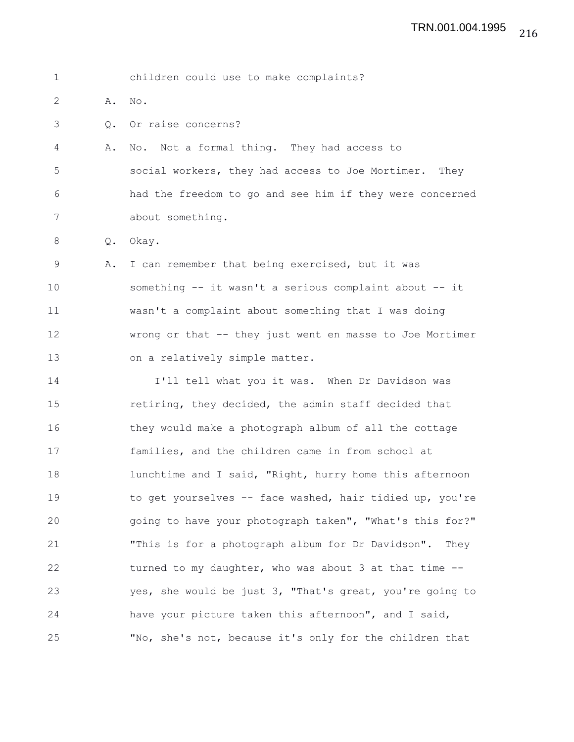1 children could use to make complaints?

2 A. No.

3 Q. Or raise concerns?

4 A. No. Not a formal thing. They had access to 5 social workers, they had access to Joe Mortimer. They 6 had the freedom to go and see him if they were concerned 7 about something.

8 Q. Okay.

9 A. I can remember that being exercised, but it was 10 something -- it wasn't a serious complaint about -- it 11 wasn't a complaint about something that I was doing 12 wrong or that -- they just went en masse to Joe Mortimer 13 on a relatively simple matter.

14 I'll tell what you it was. When Dr Davidson was 15 retiring, they decided, the admin staff decided that 16 they would make a photograph album of all the cottage 17 families, and the children came in from school at 18 **IUNTA Lunchtime and I said, "Right, hurry home this afternoon** 19 to get yourselves -- face washed, hair tidied up, you're 20 going to have your photograph taken", "What's this for?" 21 "This is for a photograph album for Dr Davidson". They 22 turned to my daughter, who was about 3 at that time --23 yes, she would be just 3, "That's great, you're going to 24 have your picture taken this afternoon", and I said, 25 "No, she's not, because it's only for the children that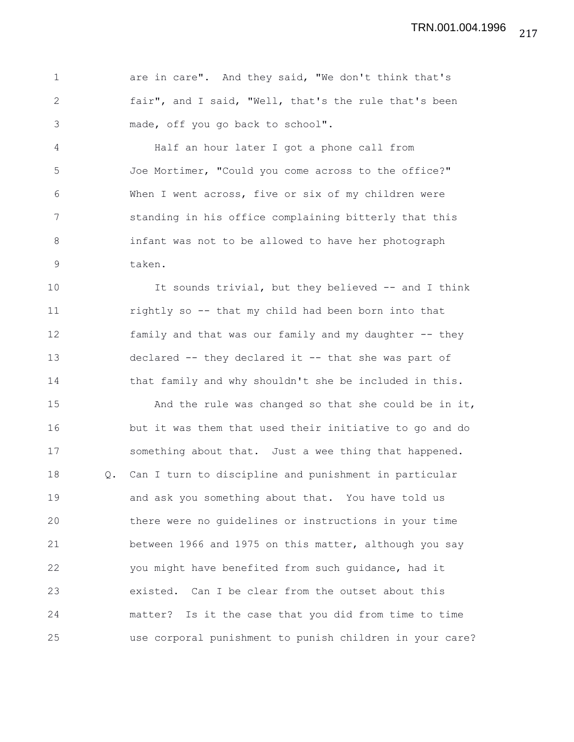1 are in care". And they said, "We don't think that's 2 fair", and I said, "Well, that's the rule that's been 3 made, off you go back to school".

4 Half an hour later I got a phone call from 5 Joe Mortimer, "Could you come across to the office?" 6 When I went across, five or six of my children were 7 standing in his office complaining bitterly that this 8 infant was not to be allowed to have her photograph 9 taken.

10 It sounds trivial, but they believed -- and I think 11 rightly so -- that my child had been born into that 12 family and that was our family and my daughter -- they 13 declared -- they declared it -- that she was part of 14 that family and why shouldn't she be included in this.

15 And the rule was changed so that she could be in it, 16 but it was them that used their initiative to go and do 17 something about that. Just a wee thing that happened. 18 Q. Can I turn to discipline and punishment in particular 19 and ask you something about that. You have told us 20 there were no guidelines or instructions in your time 21 between 1966 and 1975 on this matter, although you say 22 you might have benefited from such guidance, had it 23 existed. Can I be clear from the outset about this 24 matter? Is it the case that you did from time to time 25 use corporal punishment to punish children in your care?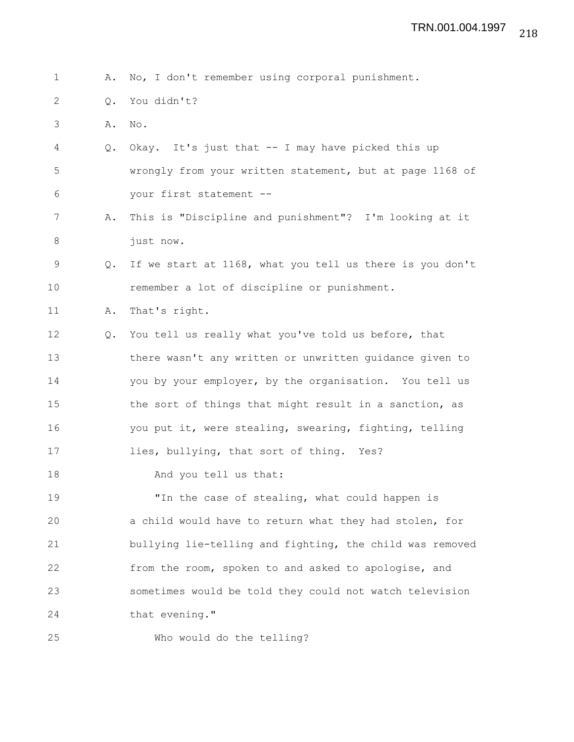1 A. No, I don't remember using corporal punishment.

- 2 Q. You didn't?
- 3 A. No.
- 4 Q. Okay. It's just that -- I may have picked this up 5 wrongly from your written statement, but at page 1168 of 6 your first statement --
- 7 A. This is "Discipline and punishment"? I'm looking at it 8 just now.
- 9 Q. If we start at 1168, what you tell us there is you don't 10 remember a lot of discipline or punishment.
- 11 A. That's right.
- 12 Q. You tell us really what you've told us before, that 13 there wasn't any written or unwritten guidance given to 14 you by your employer, by the organisation. You tell us 15 the sort of things that might result in a sanction, as 16 you put it, were stealing, swearing, fighting, telling 17 lies, bullying, that sort of thing. Yes?
- 18 And you tell us that:

19 "In the case of stealing, what could happen is 20 a child would have to return what they had stolen, for 21 bullying lie-telling and fighting, the child was removed 22 from the room, spoken to and asked to apologise, and 23 sometimes would be told they could not watch television 24 that evening."

25 Who would do the telling?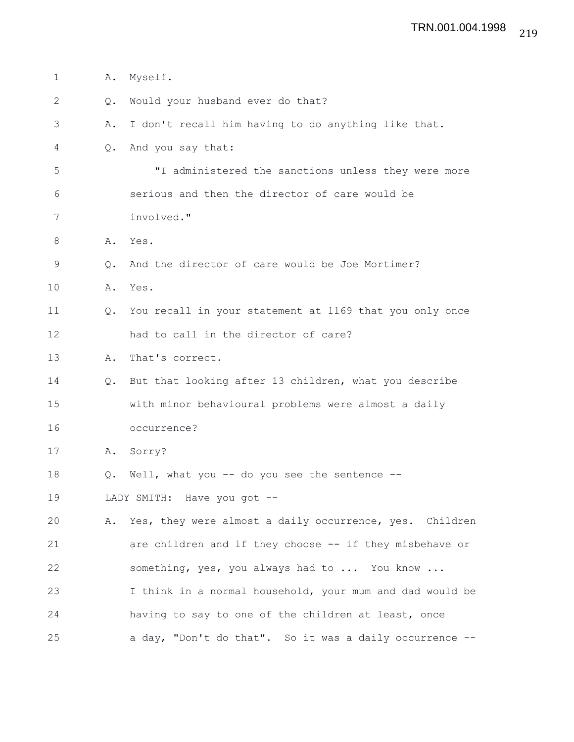| $\mathbf{1}$ | Α.            | Myself.                                                  |
|--------------|---------------|----------------------------------------------------------|
| 2            | Q.            | Would your husband ever do that?                         |
| 3            | Α.            | I don't recall him having to do anything like that.      |
| 4            | $Q_{\bullet}$ | And you say that:                                        |
| 5            |               | "I administered the sanctions unless they were more      |
| 6            |               | serious and then the director of care would be           |
| 7            |               | involved."                                               |
| 8            |               | A. Yes.                                                  |
| $\mathsf 9$  | $Q_{\bullet}$ | And the director of care would be Joe Mortimer?          |
| 10           | Α.            | Yes.                                                     |
| 11           | $Q_{\bullet}$ | You recall in your statement at 1169 that you only once  |
| 12           |               | had to call in the director of care?                     |
| 13           | Α.            | That's correct.                                          |
| 14           | Q.            | But that looking after 13 children, what you describe    |
| 15           |               | with minor behavioural problems were almost a daily      |
| 16           |               | occurrence?                                              |
| 17           | Α.            | Sorry?                                                   |
| 18           | Q.            | Well, what you -- do you see the sentence --             |
| 19           |               | LADY SMITH: Have you got --                              |
| 20           | Α.            | Yes, they were almost a daily occurrence, yes. Children  |
| 21           |               | are children and if they choose -- if they misbehave or  |
| 22           |               | something, yes, you always had to  You know              |
| 23           |               | I think in a normal household, your mum and dad would be |
| 24           |               | having to say to one of the children at least, once      |
| 25           |               | a day, "Don't do that". So it was a daily occurrence --  |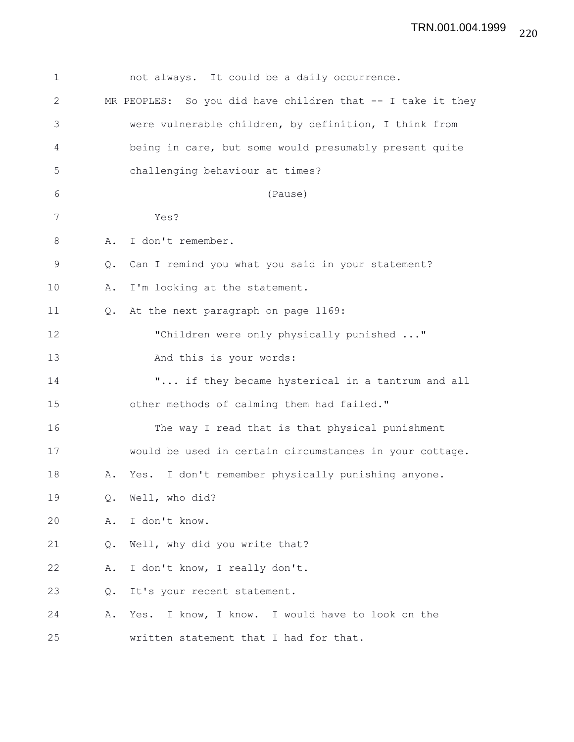| $\mathbf 1$  |    | not always. It could be a daily occurrence.                  |
|--------------|----|--------------------------------------------------------------|
| $\mathbf{2}$ |    | MR PEOPLES: So you did have children that $-$ I take it they |
| 3            |    | were vulnerable children, by definition, I think from        |
| 4            |    | being in care, but some would presumably present quite       |
| 5            |    | challenging behaviour at times?                              |
| 6            |    | (Pause)                                                      |
| 7            |    | Yes?                                                         |
| 8            | Α. | I don't remember.                                            |
| $\mathsf 9$  | Q. | Can I remind you what you said in your statement?            |
| 10           | Α. | I'm looking at the statement.                                |
| 11           | Q. | At the next paragraph on page 1169:                          |
| 12           |    | "Children were only physically punished "                    |
| 13           |    | And this is your words:                                      |
| 14           |    | " if they became hysterical in a tantrum and all             |
| 15           |    | other methods of calming them had failed."                   |
| 16           |    | The way I read that is that physical punishment              |
| 17           |    | would be used in certain circumstances in your cottage.      |
| 18           | Α. | Yes. I don't remember physically punishing anyone.           |
| 19           | Q. | Well, who did?                                               |
| 20           | Α. | I don't know.                                                |
| 21           | Q. | Well, why did you write that?                                |
| 22           | Α. | I don't know, I really don't.                                |
| 23           | Q. | It's your recent statement.                                  |
| 24           | Α. | I know, I know. I would have to look on the<br>Yes.          |
| 25           |    | written statement that I had for that.                       |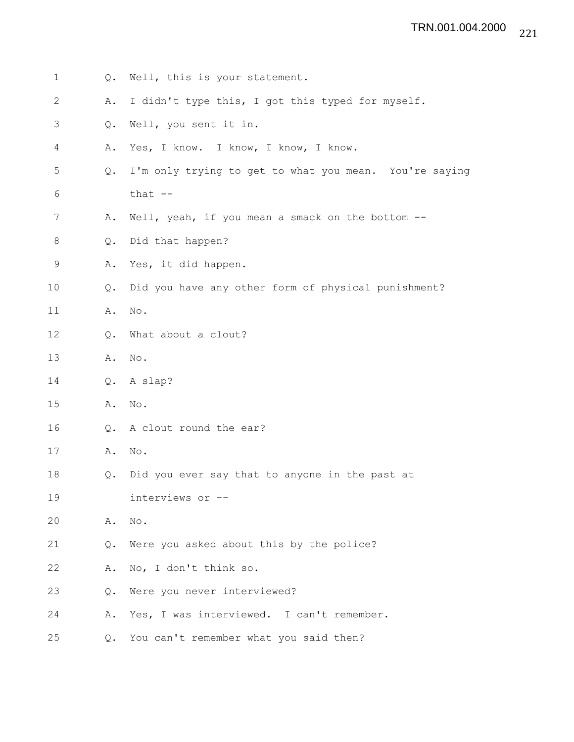## 221 TRN.001.004.2000

| $\mathbf 1$ |               | Q. Well, this is your statement.                       |
|-------------|---------------|--------------------------------------------------------|
| 2           | Α.            | I didn't type this, I got this typed for myself.       |
| 3           | Q.            | Well, you sent it in.                                  |
| 4           | Α.            | Yes, I know. I know, I know, I know.                   |
| 5           | Q.            | I'm only trying to get to what you mean. You're saying |
| 6           |               | that $--$                                              |
| 7           | Α.            | Well, yeah, if you mean a smack on the bottom --       |
| 8           | Q.            | Did that happen?                                       |
| $\mathsf 9$ | Α.            | Yes, it did happen.                                    |
| 10          | $Q_{\bullet}$ | Did you have any other form of physical punishment?    |
| 11          | Α.            | No.                                                    |
| 12          | Q.            | What about a clout?                                    |
| 13          | Α.            | No.                                                    |
| 14          | Q.            | A slap?                                                |
| 15          | Α.            | No.                                                    |
| 16          | Q.            | A clout round the ear?                                 |
| 17          | Α.            | $\mathrm{No}$ .                                        |
| 18          | $Q_{\bullet}$ | Did you ever say that to anyone in the past at         |
| 19          |               | interviews or --                                       |
| 20          | Α.            | No.                                                    |
| 21          | Q.            | Were you asked about this by the police?               |
| 22          | Α.            | No, I don't think so.                                  |
| 23          | Q.            | Were you never interviewed?                            |
| 24          | Α.            | Yes, I was interviewed. I can't remember.              |
| 25          | $Q$ .         | You can't remember what you said then?                 |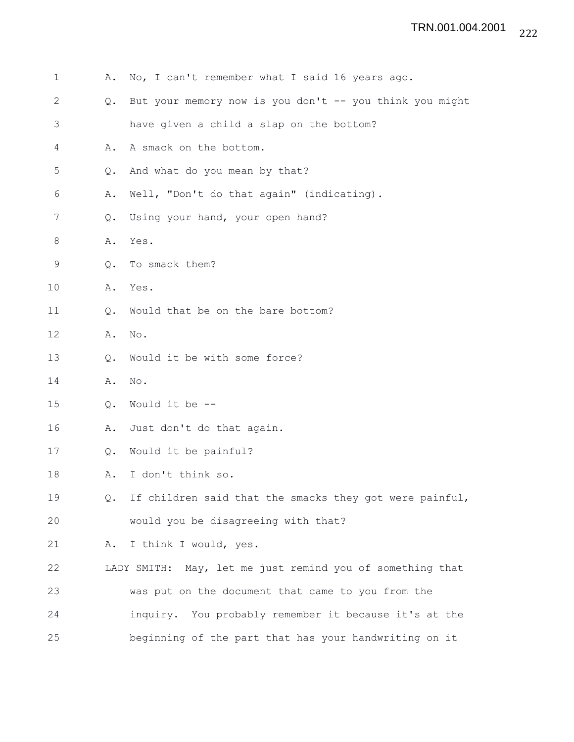| 1       | Α.            | No, I can't remember what I said 16 years ago.            |
|---------|---------------|-----------------------------------------------------------|
| 2       | $Q_{\bullet}$ | But your memory now is you don't -- you think you might   |
| 3       |               | have given a child a slap on the bottom?                  |
| 4       | Α.            | A smack on the bottom.                                    |
| 5       | Q.            | And what do you mean by that?                             |
| 6       | Α.            | Well, "Don't do that again" (indicating).                 |
| 7       | Q.            | Using your hand, your open hand?                          |
| $\,8\,$ | Α.            | Yes.                                                      |
| 9       | Q.            | To smack them?                                            |
| 10      | Α.            | Yes.                                                      |
| 11      | Q.            | Would that be on the bare bottom?                         |
| 12      | Α.            | No.                                                       |
| 13      | Q.            | Would it be with some force?                              |
| 14      | Α.            | $\mathrm{No}$ .                                           |
| 15      | $Q_{\bullet}$ | Would it be --                                            |
| 16      | Α.            | Just don't do that again.                                 |
| 17      | $Q_{\bullet}$ | Would it be painful?                                      |
| 18      | Α.            | I don't think so.                                         |
| 19      | Q.            | If children said that the smacks they got were painful,   |
| 20      |               | would you be disagreeing with that?                       |
| 21      | Α.            | I think I would, yes.                                     |
| 22      |               | LADY SMITH: May, let me just remind you of something that |
| 23      |               | was put on the document that came to you from the         |
| 24      |               | inquiry. You probably remember it because it's at the     |
| 25      |               | beginning of the part that has your handwriting on it     |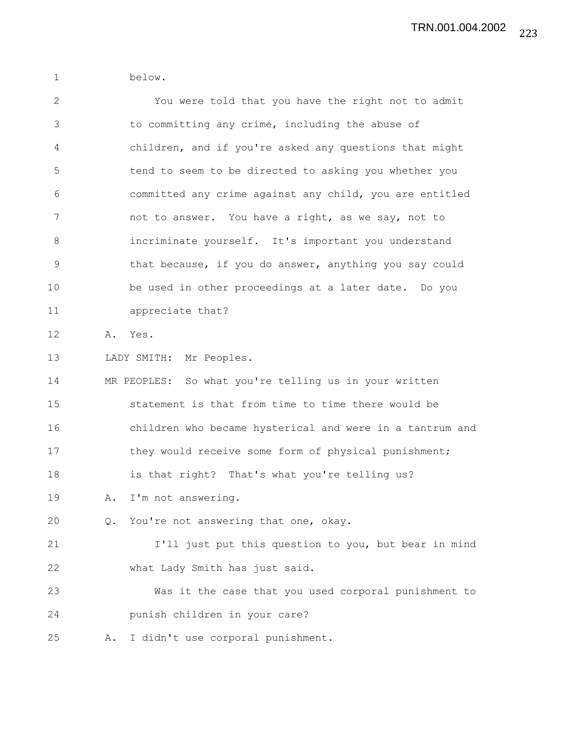1 below.

| $\mathbf{2}$ |    | You were told that you have the right not to admit       |
|--------------|----|----------------------------------------------------------|
| 3            |    | to committing any crime, including the abuse of          |
| 4            |    | children, and if you're asked any questions that might   |
| 5            |    | tend to seem to be directed to asking you whether you    |
| 6            |    | committed any crime against any child, you are entitled  |
| 7            |    | not to answer. You have a right, as we say, not to       |
| $8\,$        |    | incriminate yourself. It's important you understand      |
| $\mathsf 9$  |    | that because, if you do answer, anything you say could   |
| 10           |    | be used in other proceedings at a later date. Do you     |
| 11           |    | appreciate that?                                         |
| 12           | Α. | Yes.                                                     |
| 13           |    | LADY SMITH: Mr Peoples.                                  |
| 14           |    | MR PEOPLES: So what you're telling us in your written    |
| 15           |    | statement is that from time to time there would be       |
| 16           |    | children who became hysterical and were in a tantrum and |
| 17           |    | they would receive some form of physical punishment;     |
| 18           |    | is that right? That's what you're telling us?            |
| 19           | Α. | I'm not answering.                                       |
| 20           | Q. | You're not answering that one, okay.                     |
| 21           |    | I'll just put this question to you, but bear in mind     |
| 22           |    | what Lady Smith has just said.                           |
| 23           |    | Was it the case that you used corporal punishment to     |
| 24           |    | punish children in your care?                            |
| 25           | Α. | I didn't use corporal punishment.                        |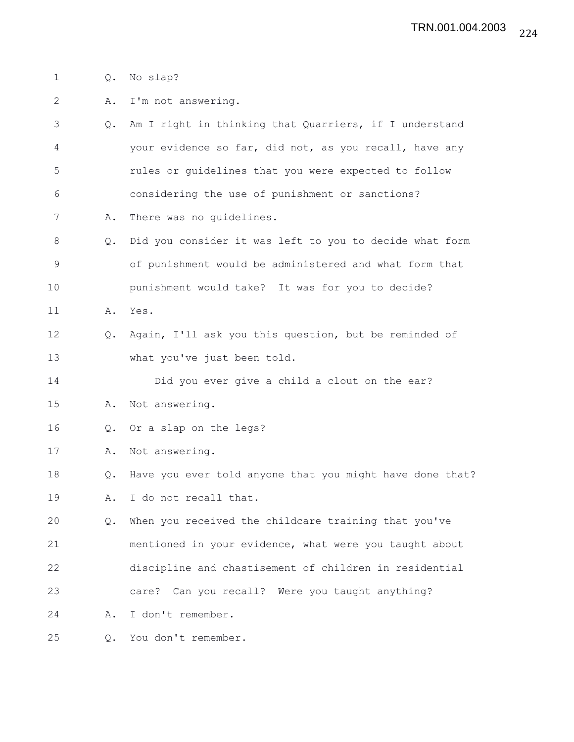- 1 Q. No slap?
- 2 A. I'm not answering.
- 3 Q. Am I right in thinking that Quarriers, if I understand 4 your evidence so far, did not, as you recall, have any 5 rules or guidelines that you were expected to follow 6 considering the use of punishment or sanctions?
- 7 A. There was no guidelines.
- 8 Q. Did you consider it was left to you to decide what form 9 of punishment would be administered and what form that 10 punishment would take? It was for you to decide?
- 11 A. Yes.
- 12 Q. Again, I'll ask you this question, but be reminded of 13 what you've just been told.
- 14 Did you ever give a child a clout on the ear?
- 15 A. Not answering.
- 16 Q. Or a slap on the legs?
- 17 A. Not answering.
- 18 Q. Have you ever told anyone that you might have done that? 19 A. I do not recall that.
- 20 Q. When you received the childcare training that you've 21 mentioned in your evidence, what were you taught about 22 discipline and chastisement of children in residential 23 care? Can you recall? Were you taught anything?
- 24 A. I don't remember.
- 25 Q. You don't remember.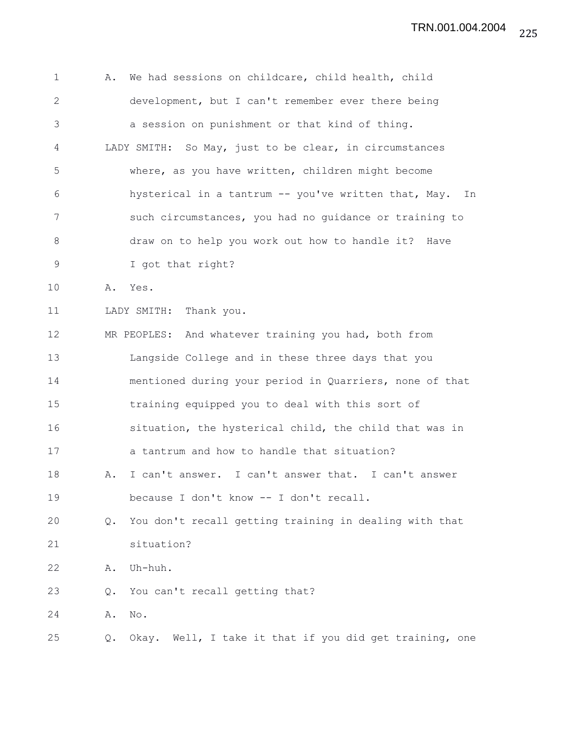| $\mathbf 1$  | We had sessions on childcare, child health, child<br>Α.       |
|--------------|---------------------------------------------------------------|
| $\mathbf{2}$ | development, but I can't remember ever there being            |
| 3            | a session on punishment or that kind of thing.                |
| 4            | LADY SMITH: So May, just to be clear, in circumstances        |
| 5            | where, as you have written, children might become             |
| 6            | hysterical in a tantrum -- you've written that, May.<br>In    |
| 7            | such circumstances, you had no guidance or training to        |
| 8            | draw on to help you work out how to handle it? Have           |
| 9            | I got that right?                                             |
| 10           | Yes.<br>Α.                                                    |
| 11           | LADY SMITH: Thank you.                                        |
| 12           | MR PEOPLES: And whatever training you had, both from          |
| 13           | Langside College and in these three days that you             |
| 14           | mentioned during your period in Quarriers, none of that       |
| 15           | training equipped you to deal with this sort of               |
| 16           | situation, the hysterical child, the child that was in        |
| 17           | a tantrum and how to handle that situation?                   |
| 18           | I can't answer. I can't answer that. I can't answer<br>Α.     |
| 19           | because I don't know -- I don't recall.                       |
| 20           | You don't recall getting training in dealing with that<br>Q.  |
| 21           | situation?                                                    |
| 22           | Uh-huh.<br>Α.                                                 |
| 23           | You can't recall getting that?<br>Q.                          |
| 24           | $\mathrm{No}$ .<br>Α.                                         |
| 25           | Okay. Well, I take it that if you did get training, one<br>Q. |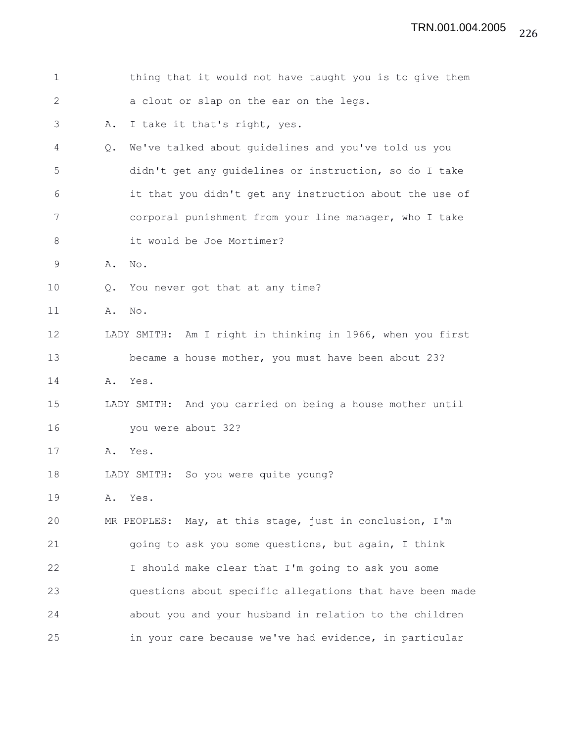| $\mathbf 1$ |               | thing that it would not have taught you is to give them    |
|-------------|---------------|------------------------------------------------------------|
| 2           |               | a clout or slap on the ear on the legs.                    |
| 3           | Α.            | I take it that's right, yes.                               |
| 4           | $Q_{\bullet}$ | We've talked about guidelines and you've told us you       |
| 5           |               | didn't get any guidelines or instruction, so do I take     |
| 6           |               | it that you didn't get any instruction about the use of    |
| 7           |               | corporal punishment from your line manager, who I take     |
| 8           |               | it would be Joe Mortimer?                                  |
| $\mathsf 9$ | Α.            | No.                                                        |
| 10          | $Q_{\bullet}$ | You never got that at any time?                            |
| 11          | Α.            | No.                                                        |
| 12          |               | LADY SMITH: Am I right in thinking in 1966, when you first |
| 13          |               | became a house mother, you must have been about 23?        |
| 14          |               | A. Yes.                                                    |
| 15          |               | LADY SMITH: And you carried on being a house mother until  |
| 16          |               | you were about 32?                                         |
| 17          | Α.            | Yes.                                                       |
| 18          |               | LADY SMITH: So you were quite young?                       |
| 19          | Α.            | Yes.                                                       |
| 20          |               | MR PEOPLES: May, at this stage, just in conclusion, I'm    |
| 21          |               | going to ask you some questions, but again, I think        |
| 22          |               | I should make clear that I'm going to ask you some         |
| 23          |               | questions about specific allegations that have been made   |
| 24          |               | about you and your husband in relation to the children     |
| 25          |               | in your care because we've had evidence, in particular     |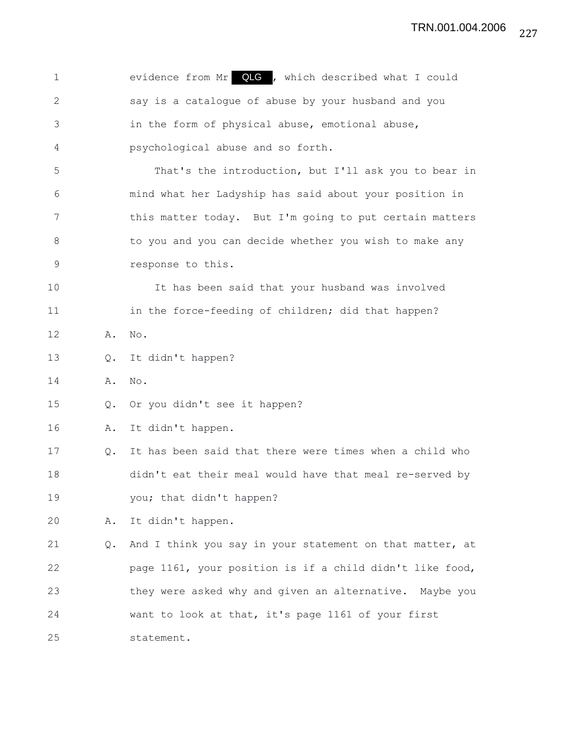1 evidence from Mr **QLG**, which described what I could 2 say is a catalogue of abuse by your husband and you 3 in the form of physical abuse, emotional abuse, 4 psychological abuse and so forth. 5 That's the introduction, but I'll ask you to bear in 6 mind what her Ladyship has said about your position in 7 this matter today. But I'm going to put certain matters 8 to you and you can decide whether you wish to make any 9 response to this. 10 It has been said that your husband was involved 11 in the force-feeding of children; did that happen? 12 A. No. 13 Q. It didn't happen? 14 A. No. 15 Q. Or you didn't see it happen? 16 A. It didn't happen. 17 Q. It has been said that there were times when a child who 18 didn't eat their meal would have that meal re-served by 19 you; that didn't happen? 20 A. It didn't happen. 21 Q. And I think you say in your statement on that matter, at 22 page 1161, your position is if a child didn't like food, 23 they were asked why and given an alternative. Maybe you 24 want to look at that, it's page 1161 of your first 25 statement.

227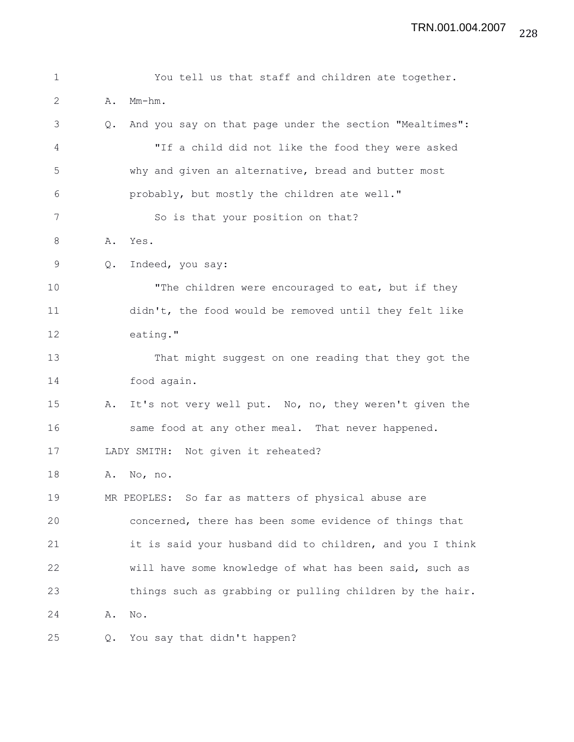| $\mathbf 1$  |               | You tell us that staff and children ate together.        |
|--------------|---------------|----------------------------------------------------------|
| $\mathbf{2}$ | Α.            | $Mm-hm$ .                                                |
| 3            | $Q_{\bullet}$ | And you say on that page under the section "Mealtimes":  |
| 4            |               | "If a child did not like the food they were asked        |
| 5            |               | why and given an alternative, bread and butter most      |
| 6            |               | probably, but mostly the children ate well."             |
| 7            |               | So is that your position on that?                        |
| 8            | Α.            | Yes.                                                     |
| 9            | Q.            | Indeed, you say:                                         |
| 10           |               | "The children were encouraged to eat, but if they        |
| 11           |               | didn't, the food would be removed until they felt like   |
| 12           |               | eating."                                                 |
| 13           |               | That might suggest on one reading that they got the      |
| 14           |               | food again.                                              |
| 15           | Α.            | It's not very well put. No, no, they weren't given the   |
| 16           |               | same food at any other meal. That never happened.        |
| 17           |               | LADY SMITH: Not given it reheated?                       |
| 18           | Α.            | No, no.                                                  |
| 19           |               | MR PEOPLES: So far as matters of physical abuse are      |
| 20           |               | concerned, there has been some evidence of things that   |
| 21           |               | it is said your husband did to children, and you I think |
| 22           |               | will have some knowledge of what has been said, such as  |
| 23           |               | things such as grabbing or pulling children by the hair. |
| 24           | Α.            | No.                                                      |
| 25           | Q.            | You say that didn't happen?                              |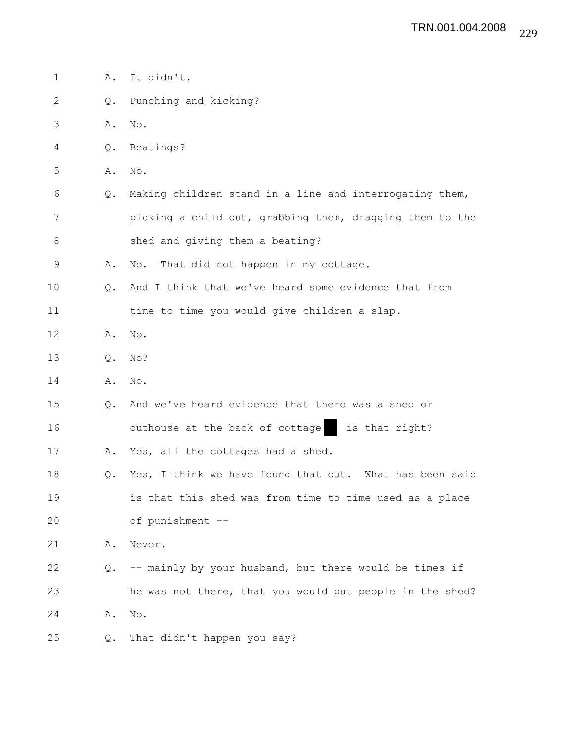| $\mathbf 1$  | Α. | It didn't.                                               |
|--------------|----|----------------------------------------------------------|
| $\mathbf{2}$ | Q. | Punching and kicking?                                    |
| 3            | Α. | $\mathrm{No}$ .                                          |
| 4            | Q. | Beatings?                                                |
| 5            | Α. | No.                                                      |
| 6            | Q. | Making children stand in a line and interrogating them,  |
| 7            |    | picking a child out, grabbing them, dragging them to the |
| 8            |    | shed and giving them a beating?                          |
| $\mathsf 9$  | Α. | That did not happen in my cottage.<br>No.                |
| 10           | Q. | And I think that we've heard some evidence that from     |
| 11           |    | time to time you would give children a slap.             |
| 12           | Α. | $\mathrm{No}$ .                                          |
| 13           | Q. | No?                                                      |
| 14           | Α. | $\mathrm{No}$ .                                          |
| 15           | Q. | And we've heard evidence that there was a shed or        |
| 16           |    | outhouse at the back of cottage<br>is that right?        |
| 17           | Α. | Yes, all the cottages had a shed.                        |
| 18           | Q. | Yes, I think we have found that out. What has been said  |
| 19           |    | is that this shed was from time to time used as a place  |
| 20           |    | of punishment --                                         |
| 21           | Α. | Never.                                                   |
| 22           | Q. | -- mainly by your husband, but there would be times if   |
| 23           |    | he was not there, that you would put people in the shed? |
| 24           | Α. | No.                                                      |
| 25           | Q. | That didn't happen you say?                              |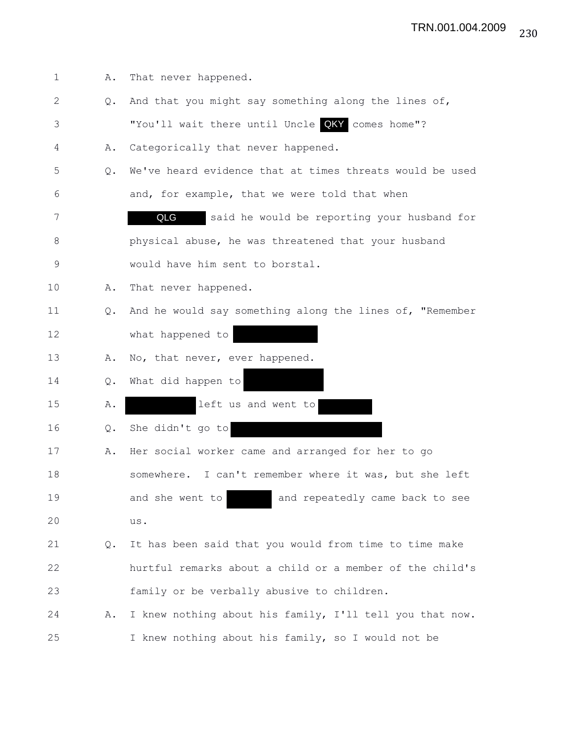| $\mathbf 1$  | Α. | That never happened.                                     |
|--------------|----|----------------------------------------------------------|
| $\mathbf{2}$ | Q. | And that you might say something along the lines of,     |
| 3            |    | "You'll wait there until Uncle QKY comes home"?          |
| 4            | Α. | Categorically that never happened.                       |
| 5            | Q. | We've heard evidence that at times threats would be used |
| 6            |    | and, for example, that we were told that when            |
| 7            |    | QLG<br>said he would be reporting your husband for       |
| 8            |    | physical abuse, he was threatened that your husband      |
| 9            |    | would have him sent to borstal.                          |
| 10           | Α. | That never happened.                                     |
| 11           | Q. | And he would say something along the lines of, "Remember |
| 12           |    | what happened to                                         |
| 13           | Α. | No, that never, ever happened.                           |
| 14           | Q. | What did happen to                                       |
| 15           | Α. | left us and went to                                      |
| 16           | Q. | She didn't go to                                         |
| 17           | Α. | Her social worker came and arranged for her to go        |
| 18           |    | somewhere. I can't remember where it was, but she left   |
| 19           |    | and she went to<br>and repeatedly came back to see       |
| 20           |    | us.                                                      |
| 21           | Q. | It has been said that you would from time to time make   |
| 22           |    | hurtful remarks about a child or a member of the child's |
| 23           |    | family or be verbally abusive to children.               |
| 24           | Α. | I knew nothing about his family, I'll tell you that now. |
| 25           |    | I knew nothing about his family, so I would not be       |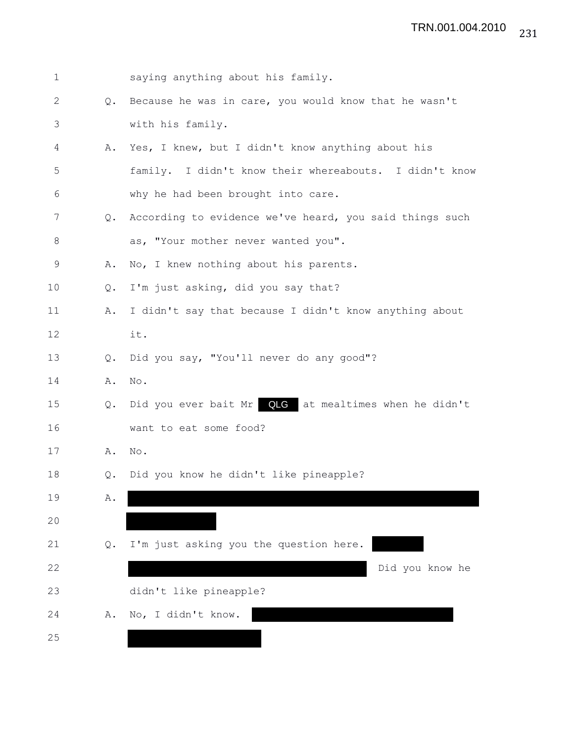| 1     |                | saying anything about his family.                       |
|-------|----------------|---------------------------------------------------------|
| 2     | Q.             | Because he was in care, you would know that he wasn't   |
| 3     |                | with his family.                                        |
| 4     | Α.             | Yes, I knew, but I didn't know anything about his       |
| 5     |                | family. I didn't know their whereabouts. I didn't know  |
| 6     |                | why he had been brought into care.                      |
| 7     | $Q_{\bullet}$  | According to evidence we've heard, you said things such |
| $8\,$ |                | as, "Your mother never wanted you".                     |
| 9     | Α.             | No, I knew nothing about his parents.                   |
| 10    | $\mathsf{Q}$ . | I'm just asking, did you say that?                      |
| 11    | Α.             | I didn't say that because I didn't know anything about  |
| 12    |                | it.                                                     |
| 13    | Q.             | Did you say, "You'll never do any good"?                |
| 14    | Α.             | No.                                                     |
| 15    | Q.             | Did you ever bait Mr QLG at mealtimes when he didn't    |
| 16    |                | want to eat some food?                                  |
| 17    | Α.             | No.                                                     |
| 18    | $Q_{\bullet}$  | Did you know he didn't like pineapple?                  |
| 19    | Α.             |                                                         |
| 20    |                |                                                         |
| 21    | Q.             | I'm just asking you the question here.                  |
| 22    |                | Did you know he                                         |
| 23    |                | didn't like pineapple?                                  |
| 24    | Α.             | No, I didn't know.                                      |
| 25    |                |                                                         |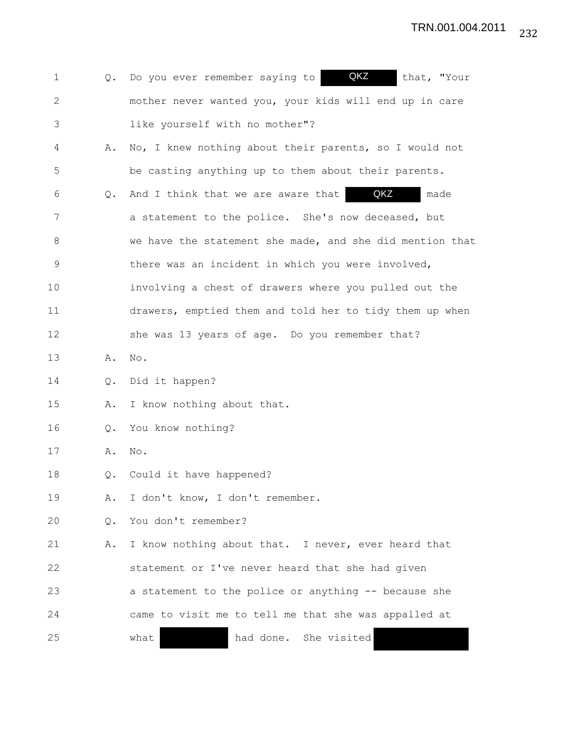| 1           |    | QKZ<br>Q. Do you ever remember saying to<br>that, "Your  |
|-------------|----|----------------------------------------------------------|
| 2           |    | mother never wanted you, your kids will end up in care   |
| 3           |    | like yourself with no mother"?                           |
| 4           | Α. | No, I knew nothing about their parents, so I would not   |
| 5           |    | be casting anything up to them about their parents.      |
| 6           | Q. | QKZ<br>And I think that we are aware that<br>made        |
| 7           |    | a statement to the police. She's now deceased, but       |
| 8           |    | we have the statement she made, and she did mention that |
| $\mathsf 9$ |    | there was an incident in which you were involved,        |
| 10          |    | involving a chest of drawers where you pulled out the    |
| 11          |    | drawers, emptied them and told her to tidy them up when  |
| 12          |    | she was 13 years of age. Do you remember that?           |
| 13          | Α. | No.                                                      |
| 14          | Q. | Did it happen?                                           |
| 15          | Α. | I know nothing about that.                               |
| 16          | Q. | You know nothing?                                        |
| 17          | Α. | No.                                                      |
| 18          | Q. | Could it have happened?                                  |
| 19          | Α. | I don't know, I don't remember.                          |
| 20          | Q. | You don't remember?                                      |
| 21          | Α. | I know nothing about that. I never, ever heard that      |
| 22          |    | statement or I've never heard that she had given         |
| 23          |    | a statement to the police or anything -- because she     |
| 24          |    | came to visit me to tell me that she was appalled at     |
| 25          |    | had done. She visited<br>what                            |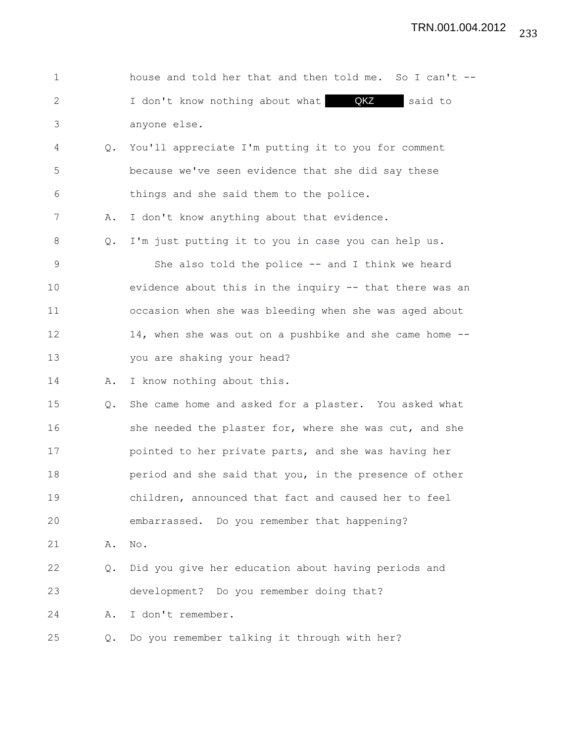| $\mathbf{1}$ |    | house and told her that and then told me. So I can't -- |
|--------------|----|---------------------------------------------------------|
| 2            |    | I don't know nothing about what <b>QKZ</b> said to      |
| 3            |    | anyone else.                                            |
| 4            | Q. | You'll appreciate I'm putting it to you for comment     |
| 5            |    | because we've seen evidence that she did say these      |
| 6            |    | things and she said them to the police.                 |
| 7            | Α. | I don't know anything about that evidence.              |
| 8            | Q. | I'm just putting it to you in case you can help us.     |
| 9            |    | She also told the police $--$ and I think we heard      |
| 10           |    | evidence about this in the inquiry -- that there was an |
| 11           |    | occasion when she was bleeding when she was aged about  |
| 12           |    | 14, when she was out on a pushbike and she came home -- |
| 13           |    | you are shaking your head?                              |
| 14           | Α. | I know nothing about this.                              |
| 15           | Q. | She came home and asked for a plaster. You asked what   |
| 16           |    | she needed the plaster for, where she was cut, and she  |
| 17           |    | pointed to her private parts, and she was having her    |
| 18           |    | period and she said that you, in the presence of other  |
| 19           |    | children, announced that fact and caused her to feel    |
| 20           |    | embarrassed. Do you remember that happening?            |
| 21           | Α. | No.                                                     |
| 22           | Q. | Did you give her education about having periods and     |
| 23           |    | development? Do you remember doing that?                |
| 24           | Α. | I don't remember.                                       |
| 25           | Q. | Do you remember talking it through with her?            |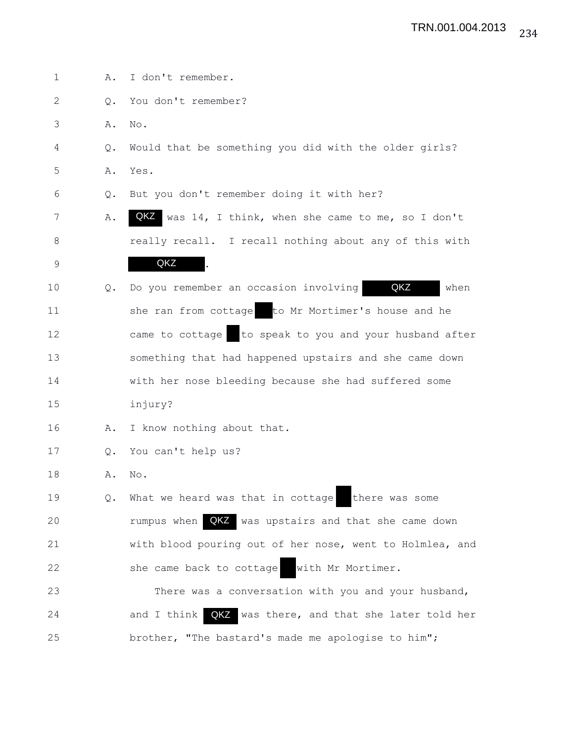| $\mathbf 1$ | Α.            | I don't remember.                                           |
|-------------|---------------|-------------------------------------------------------------|
| 2           | Q.            | You don't remember?                                         |
| 3           | Α.            | No.                                                         |
| 4           | Q.            | Would that be something you did with the older girls?       |
| 5           | Α.            | Yes.                                                        |
| 6           | Q.            | But you don't remember doing it with her?                   |
| 7           | Α.            | QKZ was 14, I think, when she came to me, so I don't        |
| 8           |               | really recall. I recall nothing about any of this with      |
| $\mathsf 9$ |               | QKZ                                                         |
| 10          | Q.            | QKZ<br>Do you remember an occasion involving<br>when        |
| 11          |               | she ran from cottage to Mr Mortimer's house and he          |
| 12          |               | came to cottage to speak to you and your husband after      |
| 13          |               | something that had happened upstairs and she came down      |
| 14          |               | with her nose bleeding because she had suffered some        |
| 15          |               | injury?                                                     |
| 16          | Α.            | I know nothing about that.                                  |
| 17          | $Q_{\bullet}$ | You can't help us?                                          |
| 18          | Α.            | No.                                                         |
| 19          | Q.            | What we heard was that in cottage<br>there was some         |
| 20          |               | rumpus when <b>QKZ</b> was upstairs and that she came down  |
| 21          |               | with blood pouring out of her nose, went to Holmlea, and    |
| 22          |               | with Mr Mortimer.<br>she came back to cottage               |
| 23          |               | There was a conversation with you and your husband,         |
| 24          |               | and $I$ think<br>QKZ was there, and that she later told her |
| 25          |               | brother, "The bastard's made me apologise to him";          |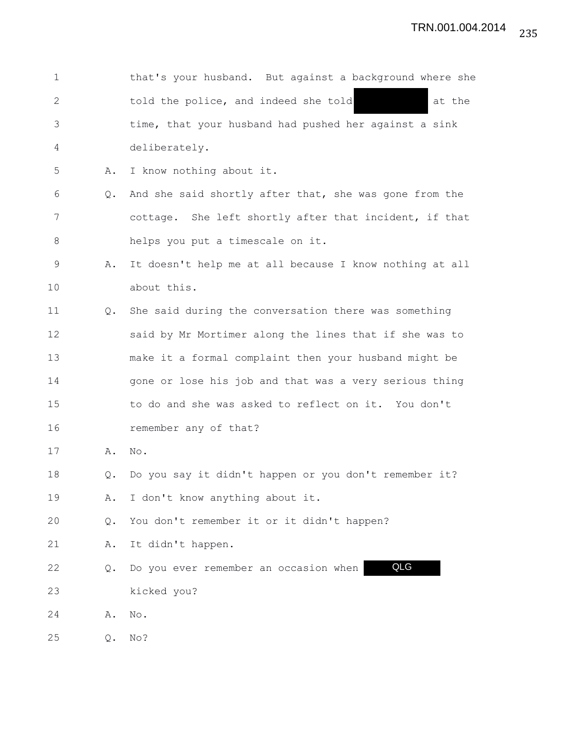| 1  |                | that's your husband. But against a background where she |
|----|----------------|---------------------------------------------------------|
| 2  |                | told the police, and indeed she told<br>at the          |
| 3  |                | time, that your husband had pushed her against a sink   |
| 4  |                | deliberately.                                           |
| 5  | Α.             | I know nothing about it.                                |
| 6  | Q.             | And she said shortly after that, she was gone from the  |
| 7  |                | cottage. She left shortly after that incident, if that  |
| 8  |                | helps you put a timescale on it.                        |
| 9  | Α.             | It doesn't help me at all because I know nothing at all |
| 10 |                | about this.                                             |
| 11 | $Q_{\bullet}$  | She said during the conversation there was something    |
| 12 |                | said by Mr Mortimer along the lines that if she was to  |
| 13 |                | make it a formal complaint then your husband might be   |
| 14 |                | gone or lose his job and that was a very serious thing  |
| 15 |                | to do and she was asked to reflect on it. You don't     |
| 16 |                | remember any of that?                                   |
| 17 | Α.             | No.                                                     |
| 18 | $Q_{\bullet}$  | Do you say it didn't happen or you don't remember it?   |
| 19 | Α.             | I don't know anything about it.                         |
| 20 | Q.             | You don't remember it or it didn't happen?              |
| 21 | Α.             | It didn't happen.                                       |
| 22 | Q.             | QLG<br>Do you ever remember an occasion when            |
| 23 |                | kicked you?                                             |
| 24 | Α.             | No.                                                     |
| 25 | $\mathsf{Q}$ . | No?                                                     |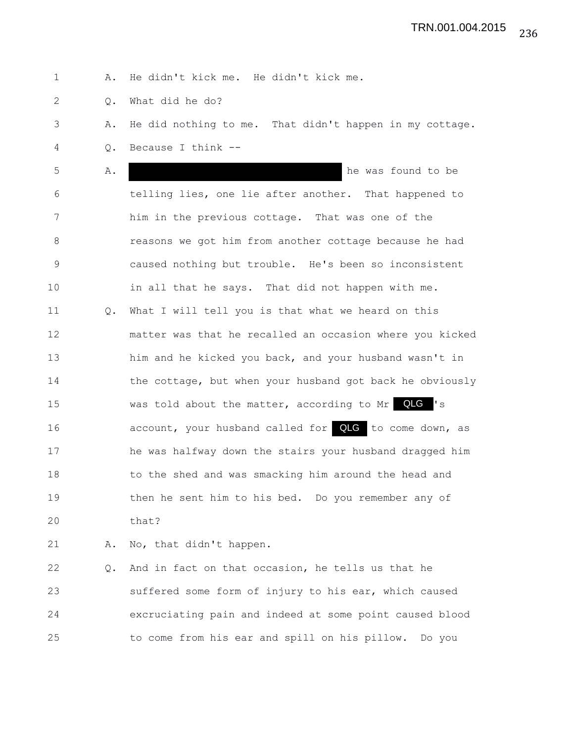1 A. He didn't kick me. He didn't kick me.

2 Q. What did he do?

3 A. He did nothing to me. That didn't happen in my cottage.

4 Q. Because I think --

5 A. A. he was found to be 6 telling lies, one lie after another. That happened to 7 him in the previous cottage. That was one of the 8 **8** reasons we got him from another cottage because he had 9 caused nothing but trouble. He's been so inconsistent 10 in all that he says. That did not happen with me. 11 Q. What I will tell you is that what we heard on this 12 matter was that he recalled an occasion where you kicked 13 him and he kicked you back, and your husband wasn't in 14 the cottage, but when your husband got back he obviously 15 was told about the matter, according to Mr QLG 's 16 account, your husband called for **QLG** to come down, as 17 he was halfway down the stairs your husband dragged him 18 to the shed and was smacking him around the head and 19 then he sent him to his bed. Do you remember any of 20 that?

21 A. No, that didn't happen.

22 Q. And in fact on that occasion, he tells us that he 23 suffered some form of injury to his ear, which caused 24 excruciating pain and indeed at some point caused blood 25 to come from his ear and spill on his pillow. Do you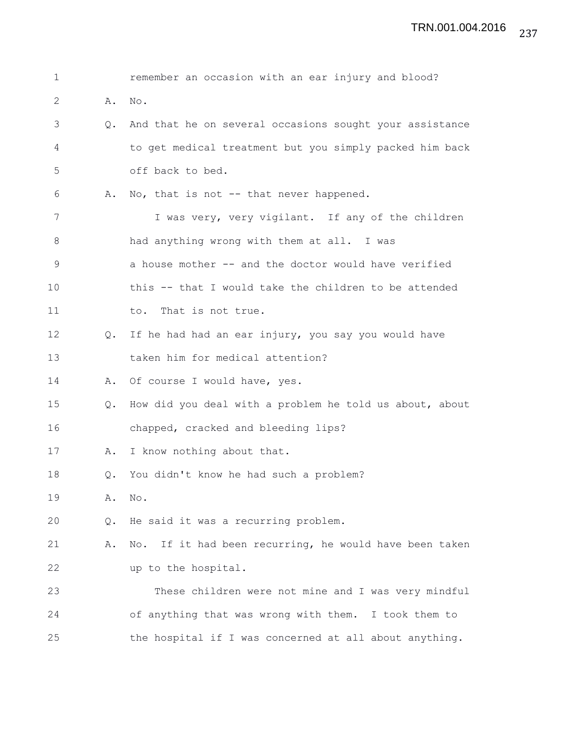| $\mathbf 1$ |    | remember an occasion with an ear injury and blood?      |
|-------------|----|---------------------------------------------------------|
| 2           | Α. | No.                                                     |
| 3           | Q. | And that he on several occasions sought your assistance |
| 4           |    | to get medical treatment but you simply packed him back |
| 5           |    | off back to bed.                                        |
| 6           | Α. | No, that is not -- that never happened.                 |
| 7           |    | I was very, very vigilant. If any of the children       |
| 8           |    | had anything wrong with them at all. I was              |
| $\mathsf 9$ |    | a house mother -- and the doctor would have verified    |
| 10          |    | this -- that I would take the children to be attended   |
| 11          |    | That is not true.<br>to.                                |
| 12          | Q. | If he had had an ear injury, you say you would have     |
| 13          |    | taken him for medical attention?                        |
| 14          | Α. | Of course I would have, yes.                            |
| 15          | Q. | How did you deal with a problem he told us about, about |
| 16          |    | chapped, cracked and bleeding lips?                     |
| 17          | Α. | I know nothing about that.                              |
| 18          | Q. | You didn't know he had such a problem?                  |
| 19          | Α. | No.                                                     |
| 20          | Q. | He said it was a recurring problem.                     |
| 21          | Α. | No. If it had been recurring, he would have been taken  |
| 22          |    | up to the hospital.                                     |
| 23          |    | These children were not mine and I was very mindful     |
| 24          |    | of anything that was wrong with them. I took them to    |
| 25          |    | the hospital if I was concerned at all about anything.  |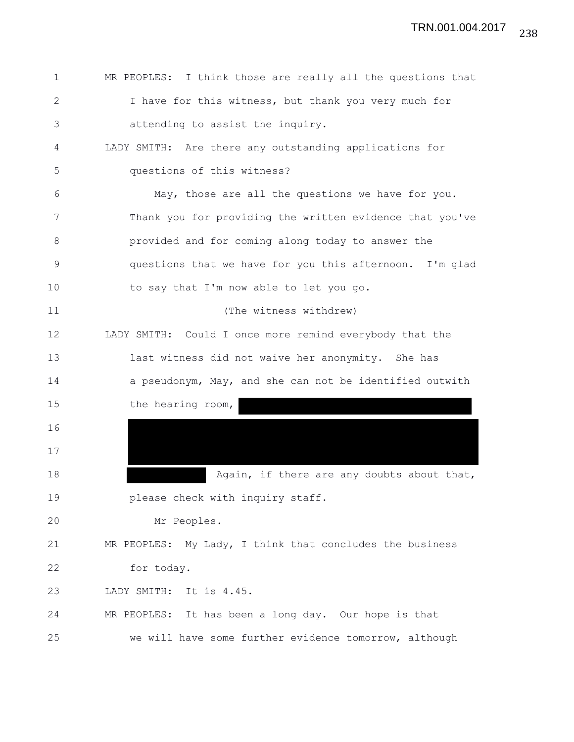| $\mathbf{1}$ | MR PEOPLES: I think those are really all the questions that |
|--------------|-------------------------------------------------------------|
| $\mathbf{2}$ | I have for this witness, but thank you very much for        |
| 3            | attending to assist the inquiry.                            |
| 4            | LADY SMITH: Are there any outstanding applications for      |
| 5            | questions of this witness?                                  |
| 6            | May, those are all the questions we have for you.           |
| 7            | Thank you for providing the written evidence that you've    |
| 8            | provided and for coming along today to answer the           |
| 9            | questions that we have for you this afternoon. I'm glad     |
| 10           | to say that I'm now able to let you go.                     |
| 11           | (The witness withdrew)                                      |
| 12           | LADY SMITH: Could I once more remind everybody that the     |
| 13           | last witness did not waive her anonymity. She has           |
| 14           | a pseudonym, May, and she can not be identified outwith     |
| 15           | the hearing room,                                           |
| 16           |                                                             |
| 17           |                                                             |
| 18           | Again, if there are any doubts about that,                  |
| 19           | please check with inquiry staff.                            |
| 20           | Mr Peoples.                                                 |
| 21           | MR PEOPLES: My Lady, I think that concludes the business    |
| 22           | for today.                                                  |
| 23           | LADY SMITH: It is 4.45.                                     |
| 24           | MR PEOPLES: It has been a long day. Our hope is that        |
| 25           | we will have some further evidence tomorrow, although       |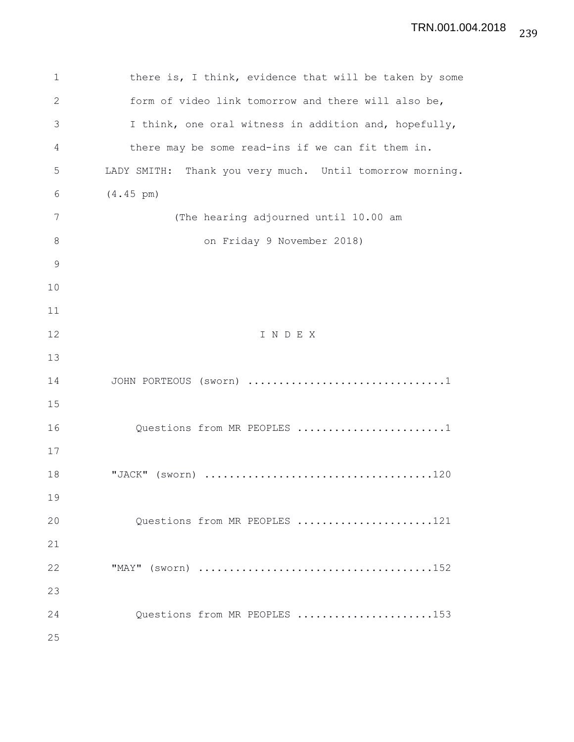1 there is, I think, evidence that will be taken by some 2 form of video link tomorrow and there will also be, 3 I think, one oral witness in addition and, hopefully, 4 there may be some read-ins if we can fit them in. 5 LADY SMITH: Thank you very much. Until tomorrow morning. 6 (4.45 pm) 7 (The hearing adjourned until 10.00 am 8 on Friday 9 November 2018) 9 10 11 12 I N D E X 13 14 JOHN PORTEOUS (sworn) ................................1 15 16 Questions from MR PEOPLES .......................1 17 18 "JACK" (sworn) .....................................120 19 20 Questions from MR PEOPLES .......................121 21 22 "MAY" (sworn) ......................................152 23 24 Questions from MR PEOPLES ......................153 25